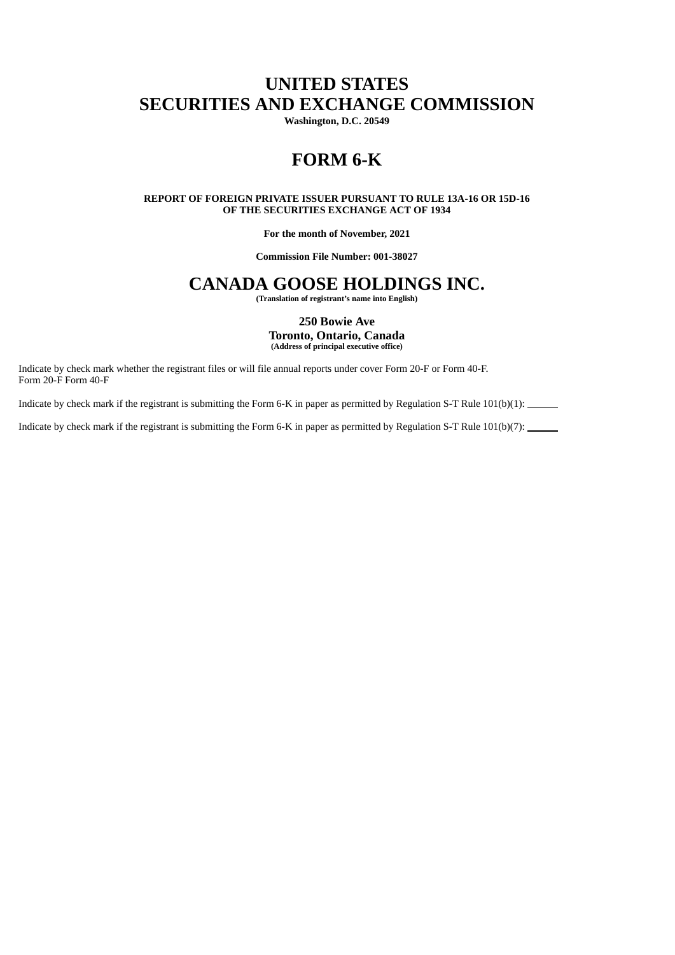# **UNITED STATES SECURITIES AND EXCHANGE COMMISSION**

**Washington, D.C. 20549**

# **FORM 6-K**

**REPORT OF FOREIGN PRIVATE ISSUER PURSUANT TO RULE 13A-16 OR 15D-16 OF THE SECURITIES EXCHANGE ACT OF 1934**

**For the month of November, 2021**

**Commission File Number: 001-38027**

# **CANADA GOOSE HOLDINGS INC.**

**(Translation of registrant's name into English)**

**250 Bowie Ave Toronto, Ontario, Canada (Address of principal executive office)**

Indicate by check mark whether the registrant files or will file annual reports under cover Form 20-F or Form 40-F. Form 20-F Form 40-F

Indicate by check mark if the registrant is submitting the Form 6-K in paper as permitted by Regulation S-T Rule 101(b)(1):

Indicate by check mark if the registrant is submitting the Form 6-K in paper as permitted by Regulation S-T Rule 101(b)(7):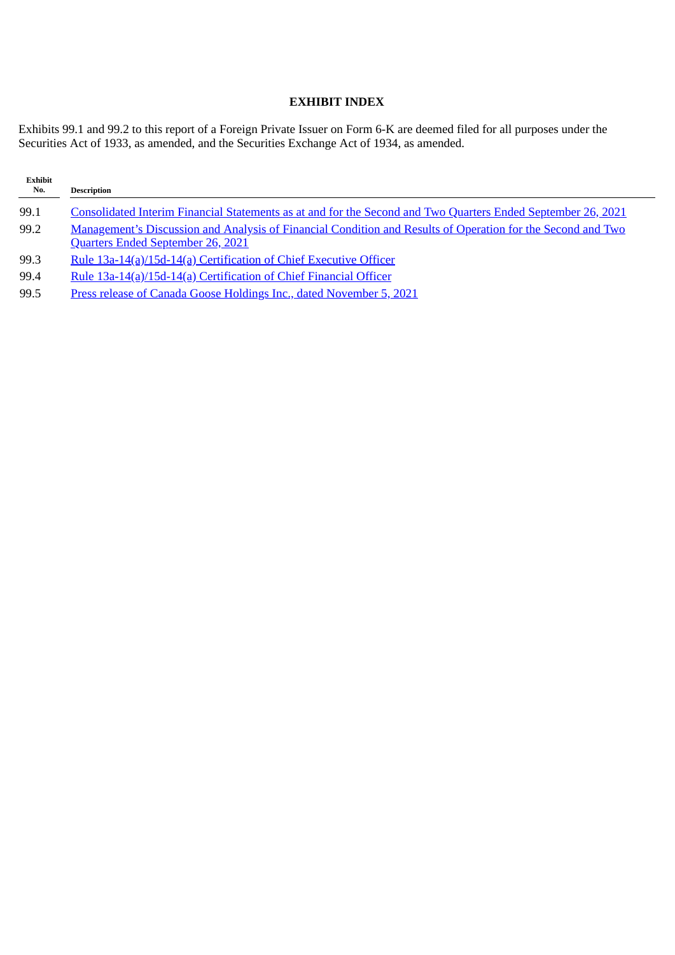# **EXHIBIT INDEX**

Exhibits 99.1 and 99.2 to this report of a Foreign Private Issuer on Form 6-K are deemed filed for all purposes under the Securities Act of 1933, as amended, and the Securities Exchange Act of 1934, as amended.

| <b>Exhibit</b><br>No. | <b>Description</b>                                                                                                                                      |
|-----------------------|---------------------------------------------------------------------------------------------------------------------------------------------------------|
| 99.1                  | Consolidated Interim Financial Statements as at and for the Second and Two Quarters Ended September 26, 2021                                            |
| 99.2                  | <b>Management's Discussion and Analysis of Financial Condition and Results of Operation for the Second and Two</b><br>Quarters Ended September 26, 2021 |
| 99.3                  | Rule 13a-14(a)/15d-14(a) Certification of Chief Executive Officer                                                                                       |
| 99.4                  | Rule 13a-14(a)/15d-14(a) Certification of Chief Financial Officer                                                                                       |
| 99.5                  | Press release of Canada Goose Holdings Inc., dated November 5, 2021                                                                                     |
|                       |                                                                                                                                                         |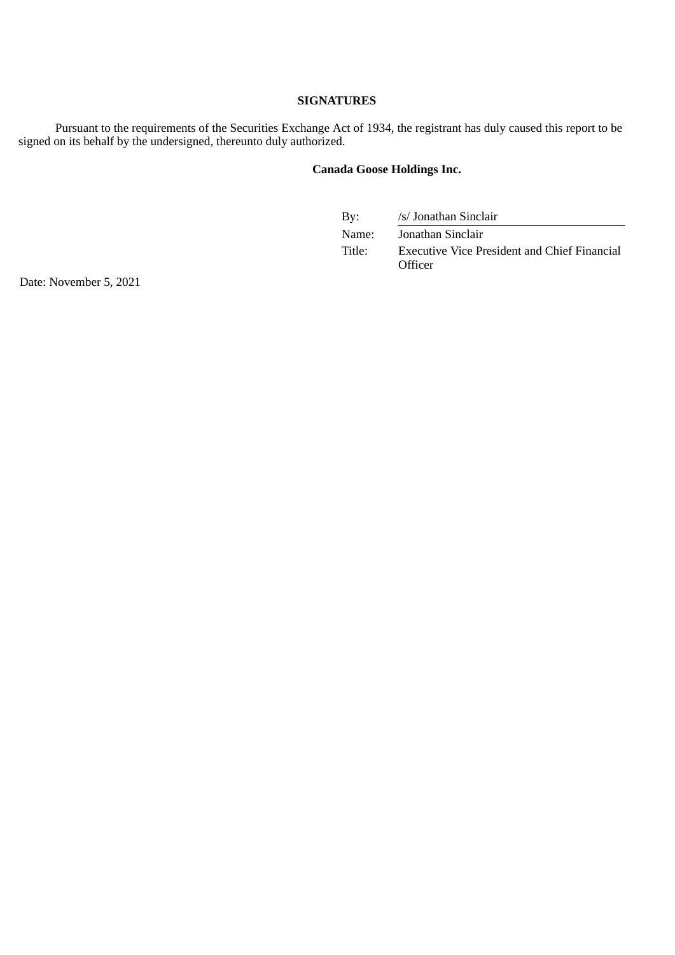#### **SIGNATURES**

Pursuant to the requirements of the Securities Exchange Act of 1934, the registrant has duly caused this report to be signed on its behalf by the undersigned, thereunto duly authorized.

# **Canada Goose Holdings Inc.**

| By:    | /s/ Jonathan Sinclair                                                 |
|--------|-----------------------------------------------------------------------|
| Name:  | Jonathan Sinclair                                                     |
| Title: | <b>Executive Vice President and Chief Financial</b><br><b>Officer</b> |

Date: November 5, 2021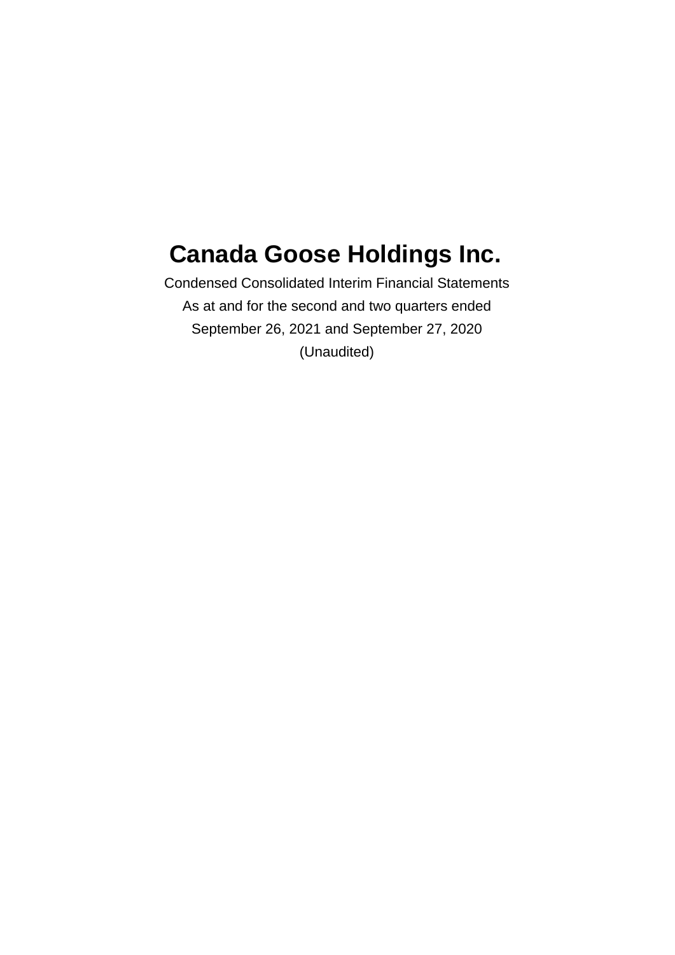# <span id="page-3-0"></span>**Canada Goose Holdings Inc.**

Condensed Consolidated Interim Financial Statements As at and for the second and two quarters ended September 26, 2021 and September 27, 2020 (Unaudited)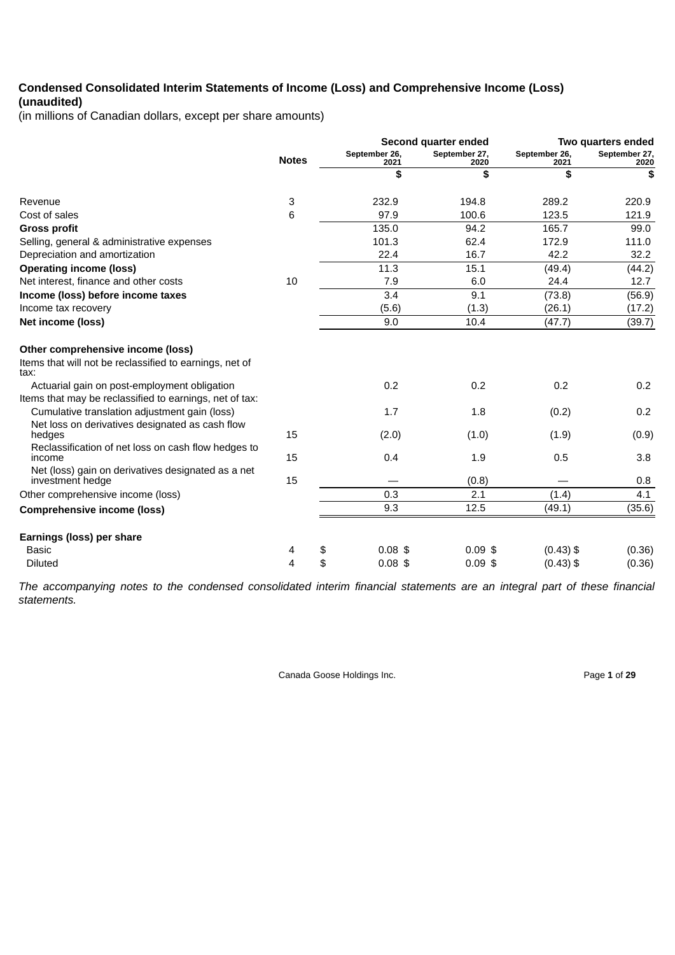# **Condensed Consolidated Interim Statements of Income (Loss) and Comprehensive Income (Loss) (unaudited)**

(in millions of Canadian dollars, except per share amounts)

|                                                                                                         |              |                       | Second quarter ended  |                       | Two quarters ended    |
|---------------------------------------------------------------------------------------------------------|--------------|-----------------------|-----------------------|-----------------------|-----------------------|
|                                                                                                         | <b>Notes</b> | September 26,<br>2021 | September 27,<br>2020 | September 26,<br>2021 | September 27,<br>2020 |
|                                                                                                         |              | \$                    | \$                    | \$                    | \$                    |
| Revenue                                                                                                 | 3            | 232.9                 | 194.8                 | 289.2                 | 220.9                 |
| Cost of sales                                                                                           | 6            | 97.9                  | 100.6                 | 123.5                 | 121.9                 |
| <b>Gross profit</b>                                                                                     |              | 135.0                 | 94.2                  | 165.7                 | 99.0                  |
| Selling, general & administrative expenses                                                              |              | 101.3                 | 62.4                  | 172.9                 | 111.0                 |
| Depreciation and amortization                                                                           |              | 22.4                  | 16.7                  | 42.2                  | 32.2                  |
| <b>Operating income (loss)</b>                                                                          |              | 11.3                  | 15.1                  | (49.4)                | (44.2)                |
| Net interest, finance and other costs                                                                   | 10           | 7.9                   | 6.0                   | 24.4                  | 12.7                  |
| Income (loss) before income taxes                                                                       |              | 3.4                   | 9.1                   | (73.8)                | (56.9)                |
| Income tax recovery                                                                                     |              | (5.6)                 | (1.3)                 | (26.1)                | (17.2)                |
| Net income (loss)                                                                                       |              | 9.0                   | 10.4                  | (47.7)                | (39.7)                |
| Other comprehensive income (loss)<br>Items that will not be reclassified to earnings, net of<br>tax:    |              |                       |                       |                       |                       |
| Actuarial gain on post-employment obligation<br>Items that may be reclassified to earnings, net of tax: |              | 0.2                   | 0.2                   | 0.2                   | 0.2                   |
| Cumulative translation adjustment gain (loss)<br>Net loss on derivatives designated as cash flow        |              | 1.7                   | 1.8                   | (0.2)                 | 0.2                   |
| hedges<br>Reclassification of net loss on cash flow hedges to                                           | 15           | (2.0)                 | (1.0)                 | (1.9)                 | (0.9)                 |
| income                                                                                                  | 15           | 0.4                   | 1.9                   | 0.5                   | 3.8                   |
| Net (loss) gain on derivatives designated as a net<br>investment hedge                                  | 15           |                       | (0.8)                 |                       | 0.8                   |
| Other comprehensive income (loss)                                                                       |              | 0.3                   | 2.1                   | (1.4)                 | 4.1                   |
| <b>Comprehensive income (loss)</b>                                                                      |              | 9.3                   | 12.5                  | (49.1)                | (35.6)                |
| Earnings (loss) per share                                                                               |              |                       |                       |                       |                       |
| <b>Basic</b>                                                                                            | 4            | $0.08$ \$<br>\$       | $0.09$ \$             | $(0.43)$ \$           | (0.36)                |
| <b>Diluted</b>                                                                                          | 4            | \$<br>$0.08$ \$       | $0.09$ \$             | $(0.43)$ \$           | (0.36)                |

The accompanying notes to the condensed consolidated interim financial statements are an integral part of these financial *statements.*

Canada Goose Holdings Inc. **Page 1** of 29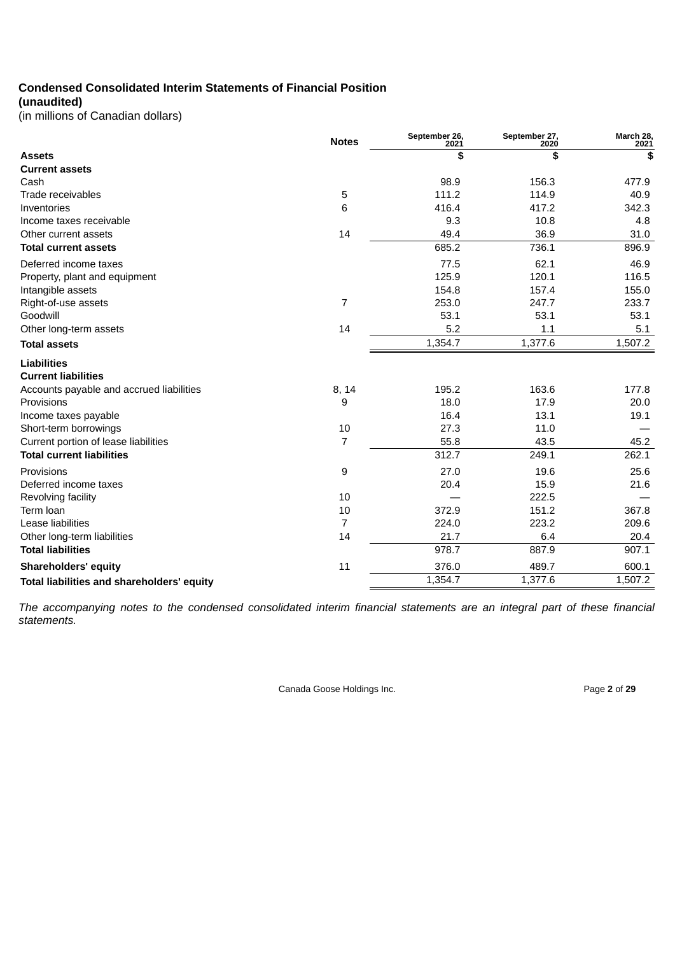# **Condensed Consolidated Interim Statements of Financial Position**

# **(unaudited)**

(in millions of Canadian dollars)

|                                            | <b>Notes</b>   | September 26,<br>2021 | September 27,<br>2020 | March 28,<br>2021 |
|--------------------------------------------|----------------|-----------------------|-----------------------|-------------------|
| <b>Assets</b>                              |                | \$                    | \$                    | \$                |
| <b>Current assets</b>                      |                |                       |                       |                   |
| Cash                                       |                | 98.9                  | 156.3                 | 477.9             |
| Trade receivables                          | 5              | 111.2                 | 114.9                 | 40.9              |
| Inventories                                | 6              | 416.4                 | 417.2                 | 342.3             |
| Income taxes receivable                    |                | 9.3                   | 10.8                  | 4.8               |
| Other current assets                       | 14             | 49.4                  | 36.9                  | 31.0              |
| <b>Total current assets</b>                |                | 685.2                 | 736.1                 | 896.9             |
| Deferred income taxes                      |                | 77.5                  | 62.1                  | 46.9              |
| Property, plant and equipment              |                | 125.9                 | 120.1                 | 116.5             |
| Intangible assets                          |                | 154.8                 | 157.4                 | 155.0             |
| Right-of-use assets                        | $\overline{7}$ | 253.0                 | 247.7                 | 233.7             |
| Goodwill                                   |                | 53.1                  | 53.1                  | 53.1              |
| Other long-term assets                     | 14             | 5.2                   | 1.1                   | 5.1               |
| <b>Total assets</b>                        |                | 1,354.7               | 1,377.6               | 1,507.2           |
| <b>Liabilities</b>                         |                |                       |                       |                   |
| <b>Current liabilities</b>                 |                |                       |                       |                   |
| Accounts payable and accrued liabilities   | 8, 14          | 195.2                 | 163.6                 | 177.8             |
| Provisions                                 | 9              | 18.0                  | 17.9                  | 20.0              |
| Income taxes payable                       |                | 16.4                  | 13.1                  | 19.1              |
| Short-term borrowings                      | 10             | 27.3                  | 11.0                  |                   |
| Current portion of lease liabilities       | $\overline{7}$ | 55.8                  | 43.5                  | 45.2              |
| <b>Total current liabilities</b>           |                | 312.7                 | 249.1                 | 262.1             |
| Provisions                                 | 9              | 27.0                  | 19.6                  | 25.6              |
| Deferred income taxes                      |                | 20.4                  | 15.9                  | 21.6              |
| Revolving facility                         | 10             |                       | 222.5                 |                   |
| Term Ioan                                  | 10             | 372.9                 | 151.2                 | 367.8             |
| Lease liabilities                          | $\overline{7}$ | 224.0                 | 223.2                 | 209.6             |
| Other long-term liabilities                | 14             | 21.7                  | 6.4                   | 20.4              |
| <b>Total liabilities</b>                   |                | 978.7                 | 887.9                 | 907.1             |
| <b>Shareholders' equity</b>                | 11             | 376.0                 | 489.7                 | 600.1             |
| Total liabilities and shareholders' equity |                | 1,354.7               | 1,377.6               | 1,507.2           |

The accompanying notes to the condensed consolidated interim financial statements are an integral part of these financial *statements.*

Canada Goose Holdings Inc. **Page 2** of 29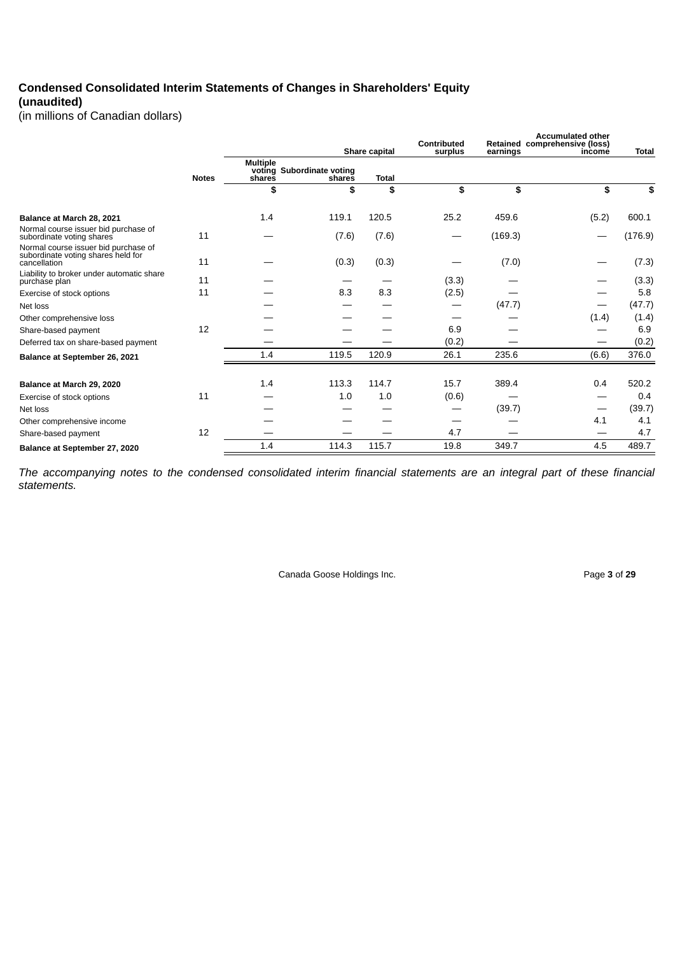# **Condensed Consolidated Interim Statements of Changes in Shareholders' Equity (unaudited)**

(in millions of Canadian dollars)

|                                                                                            |              |                           |                                     | Share capital | Contributed<br>surplus        | earnings | <b>Accumulated other</b><br>Retained comprehensive (loss)<br>income | <b>Total</b> |
|--------------------------------------------------------------------------------------------|--------------|---------------------------|-------------------------------------|---------------|-------------------------------|----------|---------------------------------------------------------------------|--------------|
|                                                                                            | <b>Notes</b> | <b>Multiple</b><br>shares | voting Subordinate voting<br>shares | <b>Total</b>  |                               |          |                                                                     |              |
|                                                                                            |              | \$                        | \$                                  | \$            | \$                            | \$       | \$                                                                  | \$           |
| Balance at March 28, 2021                                                                  |              | 1.4                       | 119.1                               | 120.5         | 25.2                          | 459.6    | (5.2)                                                               | 600.1        |
| Normal course issuer bid purchase of<br>subordinate voting shares                          | 11           |                           | (7.6)                               | (7.6)         | $\overbrace{\phantom{aaaaa}}$ | (169.3)  | —                                                                   | (176.9)      |
| Normal course issuer bid purchase of<br>subordinate voting shares held for<br>cancellation | 11           |                           | (0.3)                               | (0.3)         |                               | (7.0)    |                                                                     | (7.3)        |
| Liability to broker under automatic share<br>purchase plan                                 | 11           |                           |                                     |               | (3.3)                         |          |                                                                     | (3.3)        |
| Exercise of stock options                                                                  | 11           |                           | 8.3                                 | 8.3           | (2.5)                         |          |                                                                     | 5.8          |
| Net loss                                                                                   |              |                           |                                     |               |                               | (47.7)   | $\overbrace{\phantom{13333}}$                                       | (47.7)       |
| Other comprehensive loss                                                                   |              |                           |                                     |               |                               |          | (1.4)                                                               | (1.4)        |
| Share-based payment                                                                        | 12           |                           |                                     |               | 6.9                           |          |                                                                     | 6.9          |
| Deferred tax on share-based payment                                                        |              |                           |                                     |               | (0.2)                         |          |                                                                     | (0.2)        |
| Balance at September 26, 2021                                                              |              | 1.4                       | 119.5                               | 120.9         | 26.1                          | 235.6    | (6.6)                                                               | 376.0        |
| Balance at March 29, 2020                                                                  |              | 1.4                       | 113.3                               | 114.7         | 15.7                          | 389.4    | 0.4                                                                 | 520.2        |
| Exercise of stock options                                                                  | 11           |                           | 1.0                                 | 1.0           | (0.6)                         |          | —                                                                   | 0.4          |
| Net loss                                                                                   |              |                           |                                     |               | –                             | (39.7)   | $\qquad \qquad \longleftarrow$                                      | (39.7)       |
| Other comprehensive income                                                                 |              |                           |                                     |               |                               |          | 4.1                                                                 | 4.1          |
| Share-based payment                                                                        | 12           |                           |                                     |               | 4.7                           |          |                                                                     | 4.7          |
| Balance at September 27, 2020                                                              |              | 1.4                       | 114.3                               | 115.7         | 19.8                          | 349.7    | 4.5                                                                 | 489.7        |

The accompanying notes to the condensed consolidated interim financial statements are an integral part of these financial *statements.*

Canada Goose Holdings Inc. **Page 3** of 29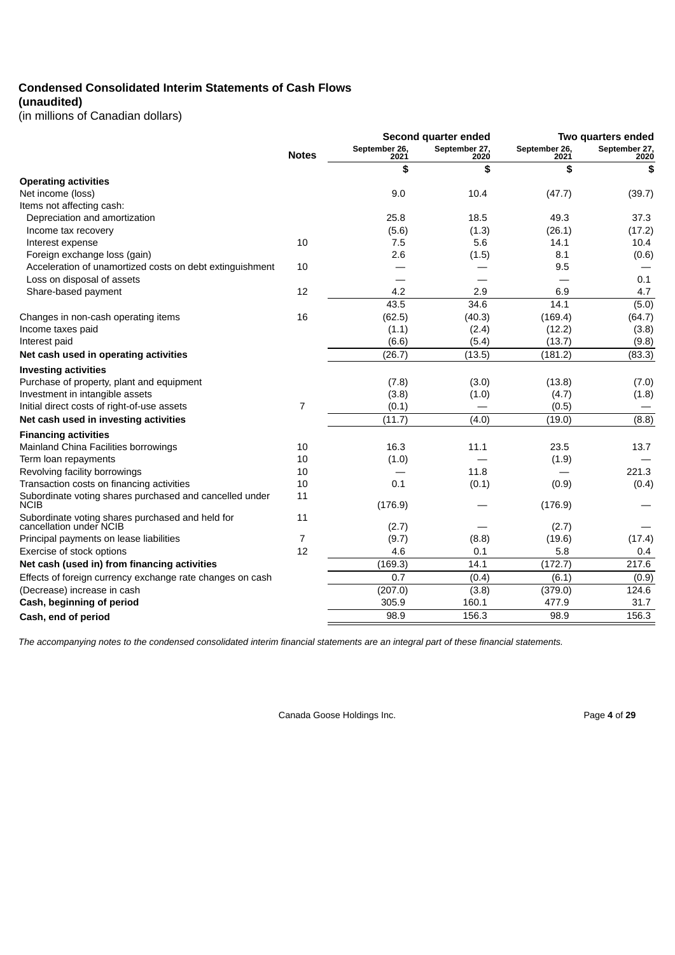# **Condensed Consolidated Interim Statements of Cash Flows**

**(unaudited)**

(in millions of Canadian dollars)

|                                                                             | Second quarter ended |                       |                       | Two quarters ended    |                       |  |
|-----------------------------------------------------------------------------|----------------------|-----------------------|-----------------------|-----------------------|-----------------------|--|
|                                                                             | <b>Notes</b>         | September 26,<br>2021 | September 27,<br>2020 | September 26,<br>2021 | September 27,<br>2020 |  |
|                                                                             |                      | \$                    | \$                    | \$                    | \$                    |  |
| <b>Operating activities</b>                                                 |                      |                       |                       |                       |                       |  |
| Net income (loss)                                                           |                      | 9.0                   | 10.4                  | (47.7)                | (39.7)                |  |
| Items not affecting cash:                                                   |                      |                       |                       |                       |                       |  |
| Depreciation and amortization                                               |                      | 25.8                  | 18.5                  | 49.3                  | 37.3                  |  |
| Income tax recovery                                                         |                      | (5.6)                 | (1.3)                 | (26.1)                | (17.2)                |  |
| Interest expense                                                            | 10                   | 7.5                   | 5.6                   | 14.1                  | 10.4                  |  |
| Foreign exchange loss (gain)                                                |                      | 2.6                   | (1.5)                 | 8.1                   | (0.6)                 |  |
| Acceleration of unamortized costs on debt extinguishment                    | 10                   |                       |                       | 9.5                   |                       |  |
| Loss on disposal of assets                                                  |                      |                       |                       |                       | 0.1                   |  |
| Share-based payment                                                         | 12                   | 4.2                   | 2.9                   | 6.9                   | 4.7                   |  |
|                                                                             |                      | 43.5                  | 34.6                  | 14.1                  | (5.0)                 |  |
| Changes in non-cash operating items                                         | 16                   | (62.5)                | (40.3)                | (169.4)               | (64.7)                |  |
| Income taxes paid                                                           |                      | (1.1)                 | (2.4)                 | (12.2)                | (3.8)                 |  |
| Interest paid                                                               |                      | (6.6)                 | (5.4)                 | (13.7)                | (9.8)                 |  |
| Net cash used in operating activities                                       |                      | (26.7)                | (13.5)                | (181.2)               | (83.3)                |  |
| <b>Investing activities</b>                                                 |                      |                       |                       |                       |                       |  |
| Purchase of property, plant and equipment                                   |                      | (7.8)                 | (3.0)                 | (13.8)                | (7.0)                 |  |
| Investment in intangible assets                                             |                      | (3.8)                 | (1.0)                 | (4.7)                 | (1.8)                 |  |
| Initial direct costs of right-of-use assets                                 | $\overline{7}$       | (0.1)                 |                       | (0.5)                 |                       |  |
| Net cash used in investing activities                                       |                      | (11.7)                | (4.0)                 | (19.0)                | (8.8)                 |  |
| <b>Financing activities</b>                                                 |                      |                       |                       |                       |                       |  |
| Mainland China Facilities borrowings                                        | 10                   | 16.3                  | 11.1                  | 23.5                  | 13.7                  |  |
| Term loan repayments                                                        | 10                   | (1.0)                 |                       | (1.9)                 |                       |  |
| Revolving facility borrowings                                               | 10                   |                       | 11.8                  |                       | 221.3                 |  |
| Transaction costs on financing activities                                   | 10                   | 0.1                   | (0.1)                 | (0.9)                 | (0.4)                 |  |
| Subordinate voting shares purchased and cancelled under<br><b>NCIB</b>      | 11                   | (176.9)               |                       | (176.9)               |                       |  |
| Subordinate voting shares purchased and held for<br>cancellation under NCIB | 11                   | (2.7)                 |                       | (2.7)                 |                       |  |
| Principal payments on lease liabilities                                     | 7                    | (9.7)                 | (8.8)                 | (19.6)                | (17.4)                |  |
| Exercise of stock options                                                   | 12                   | 4.6                   | 0.1                   | 5.8                   | 0.4                   |  |
| Net cash (used in) from financing activities                                |                      | (169.3)               | 14.1                  | (172.7)               | 217.6                 |  |
| Effects of foreign currency exchange rate changes on cash                   |                      | 0.7                   | (0.4)                 | (6.1)                 | (0.9)                 |  |
| (Decrease) increase in cash                                                 |                      | (207.0)               | (3.8)                 | (379.0)               | 124.6                 |  |
| Cash, beginning of period                                                   |                      | 305.9                 | 160.1                 | 477.9                 | 31.7                  |  |
| Cash, end of period                                                         |                      | 98.9                  | 156.3                 | 98.9                  | 156.3                 |  |
|                                                                             |                      |                       |                       |                       |                       |  |

*The accompanying notes to the condensed consolidated interim financial statements are an integral part of these financial statements.*

Canada Goose Holdings Inc. **Page 4** of 29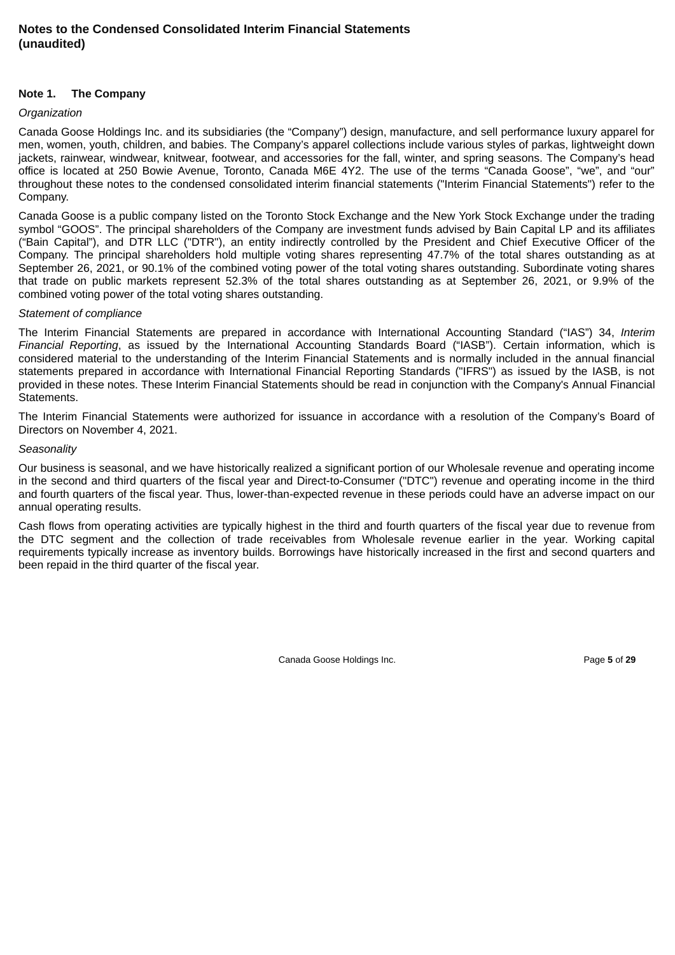#### **Note 1. The Company**

#### *Organization*

Canada Goose Holdings Inc. and its subsidiaries (the "Company") design, manufacture, and sell performance luxury apparel for men, women, youth, children, and babies. The Company's apparel collections include various styles of parkas, lightweight down jackets, rainwear, windwear, knitwear, footwear, and accessories for the fall, winter, and spring seasons. The Company's head office is located at 250 Bowie Avenue, Toronto, Canada M6E 4Y2. The use of the terms "Canada Goose", "we", and "our" throughout these notes to the condensed consolidated interim financial statements ("Interim Financial Statements") refer to the Company.

Canada Goose is a public company listed on the Toronto Stock Exchange and the New York Stock Exchange under the trading symbol "GOOS". The principal shareholders of the Company are investment funds advised by Bain Capital LP and its affiliates ("Bain Capital"), and DTR LLC ("DTR"), an entity indirectly controlled by the President and Chief Executive Officer of the Company. The principal shareholders hold multiple voting shares representing 47.7% of the total shares outstanding as at September 26, 2021, or 90.1% of the combined voting power of the total voting shares outstanding. Subordinate voting shares that trade on public markets represent 52.3% of the total shares outstanding as at September 26, 2021, or 9.9% of the combined voting power of the total voting shares outstanding.

#### *Statement of compliance*

The Interim Financial Statements are prepared in accordance with International Accounting Standard ("IAS") 34, *Interim Financial Reporting*, as issued by the International Accounting Standards Board ("IASB"). Certain information, which is considered material to the understanding of the Interim Financial Statements and is normally included in the annual financial statements prepared in accordance with International Financial Reporting Standards ("IFRS") as issued by the IASB, is not provided in these notes. These Interim Financial Statements should be read in conjunction with the Company's Annual Financial Statements.

The Interim Financial Statements were authorized for issuance in accordance with a resolution of the Company's Board of Directors on November 4, 2021.

#### *Seasonality*

Our business is seasonal, and we have historically realized a significant portion of our Wholesale revenue and operating income in the second and third quarters of the fiscal year and Direct-to-Consumer ("DTC") revenue and operating income in the third and fourth quarters of the fiscal year. Thus, lower-than-expected revenue in these periods could have an adverse impact on our annual operating results.

Cash flows from operating activities are typically highest in the third and fourth quarters of the fiscal year due to revenue from the DTC segment and the collection of trade receivables from Wholesale revenue earlier in the year. Working capital requirements typically increase as inventory builds. Borrowings have historically increased in the first and second quarters and been repaid in the third quarter of the fiscal year.

Canada Goose Holdings Inc. **Page 5** of 29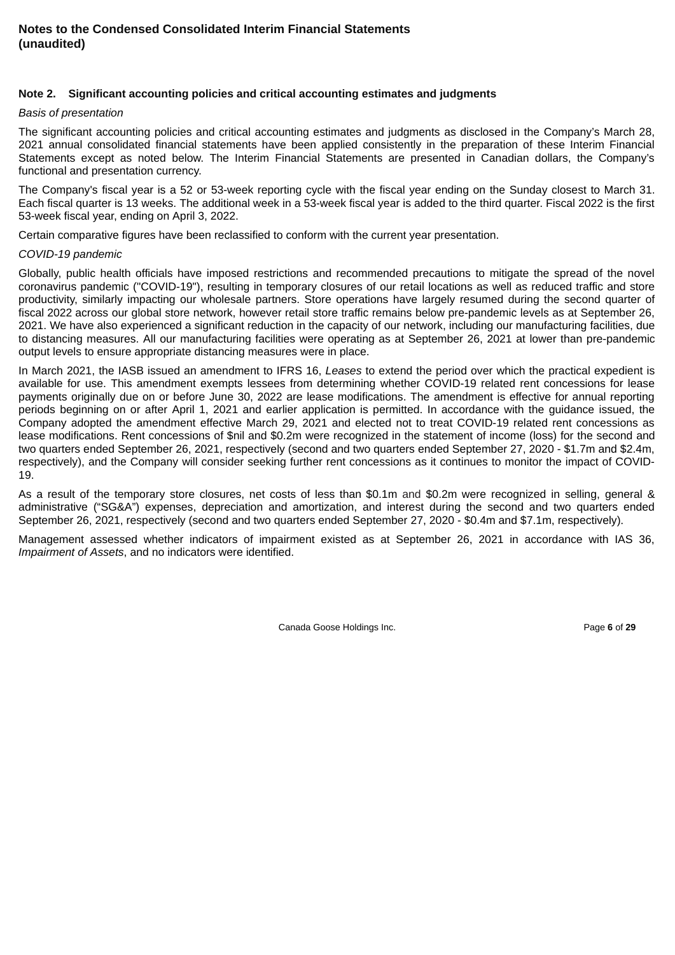#### **Note 2. Significant accounting policies and critical accounting estimates and judgments**

#### *Basis of presentation*

The significant accounting policies and critical accounting estimates and judgments as disclosed in the Company's March 28, 2021 annual consolidated financial statements have been applied consistently in the preparation of these Interim Financial Statements except as noted below. The Interim Financial Statements are presented in Canadian dollars, the Company's functional and presentation currency.

The Company's fiscal year is a 52 or 53-week reporting cycle with the fiscal year ending on the Sunday closest to March 31. Each fiscal quarter is 13 weeks. The additional week in a 53-week fiscal year is added to the third quarter. Fiscal 2022 is the first 53-week fiscal year, ending on April 3, 2022.

Certain comparative figures have been reclassified to conform with the current year presentation.

#### *COVID-19 pandemic*

Globally, public health officials have imposed restrictions and recommended precautions to mitigate the spread of the novel coronavirus pandemic ("COVID-19"), resulting in temporary closures of our retail locations as well as reduced traffic and store productivity, similarly impacting our wholesale partners. Store operations have largely resumed during the second quarter of fiscal 2022 across our global store network, however retail store traffic remains below pre-pandemic levels as at September 26, 2021. We have also experienced a significant reduction in the capacity of our network, including our manufacturing facilities, due to distancing measures. All our manufacturing facilities were operating as at September 26, 2021 at lower than pre-pandemic output levels to ensure appropriate distancing measures were in place.

In March 2021, the IASB issued an amendment to IFRS 16, *Leases* to extend the period over which the practical expedient is available for use. This amendment exempts lessees from determining whether COVID-19 related rent concessions for lease payments originally due on or before June 30, 2022 are lease modifications. The amendment is effective for annual reporting periods beginning on or after April 1, 2021 and earlier application is permitted. In accordance with the guidance issued, the Company adopted the amendment effective March 29, 2021 and elected not to treat COVID-19 related rent concessions as lease modifications. Rent concessions of \$nil and \$0.2m were recognized in the statement of income (loss) for the second and two quarters ended September 26, 2021, respectively (second and two quarters ended September 27, 2020 - \$1.7m and \$2.4m, respectively), and the Company will consider seeking further rent concessions as it continues to monitor the impact of COVID-19.

As a result of the temporary store closures, net costs of less than \$0.1m and \$0.2m were recognized in selling, general & administrative ("SG&A") expenses, depreciation and amortization, and interest during the second and two quarters ended September 26, 2021, respectively (second and two quarters ended September 27, 2020 - \$0.4m and \$7.1m, respectively).

Management assessed whether indicators of impairment existed as at September 26, 2021 in accordance with IAS 36, *Impairment of Assets*, and no indicators were identified.

Canada Goose Holdings Inc. **Page 6** of 29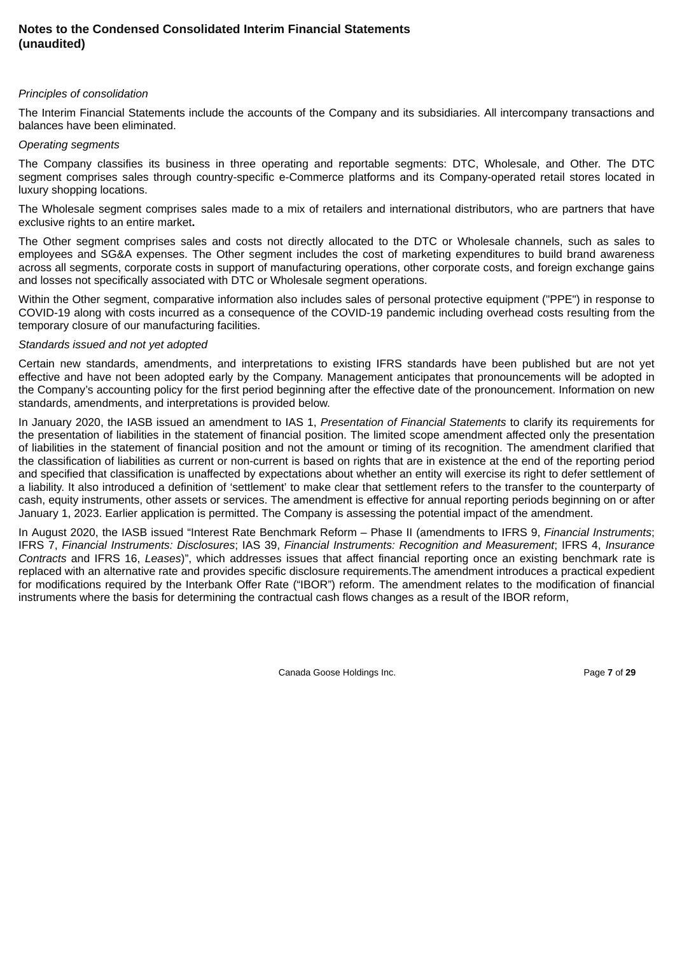#### *Principles of consolidation*

The Interim Financial Statements include the accounts of the Company and its subsidiaries. All intercompany transactions and balances have been eliminated.

#### *Operating segments*

The Company classifies its business in three operating and reportable segments: DTC, Wholesale, and Other. The DTC segment comprises sales through country-specific e-Commerce platforms and its Company-operated retail stores located in luxury shopping locations.

The Wholesale segment comprises sales made to a mix of retailers and international distributors, who are partners that have exclusive rights to an entire market**.**

The Other segment comprises sales and costs not directly allocated to the DTC or Wholesale channels, such as sales to employees and SG&A expenses. The Other segment includes the cost of marketing expenditures to build brand awareness across all segments, corporate costs in support of manufacturing operations, other corporate costs, and foreign exchange gains and losses not specifically associated with DTC or Wholesale segment operations.

Within the Other segment, comparative information also includes sales of personal protective equipment ("PPE") in response to COVID-19 along with costs incurred as a consequence of the COVID-19 pandemic including overhead costs resulting from the temporary closure of our manufacturing facilities.

#### *Standards issued and not yet adopted*

Certain new standards, amendments, and interpretations to existing IFRS standards have been published but are not yet effective and have not been adopted early by the Company. Management anticipates that pronouncements will be adopted in the Company's accounting policy for the first period beginning after the effective date of the pronouncement. Information on new standards, amendments, and interpretations is provided below.

In January 2020, the IASB issued an amendment to IAS 1, *Presentation of Financial Statements* to clarify its requirements for the presentation of liabilities in the statement of financial position. The limited scope amendment affected only the presentation of liabilities in the statement of financial position and not the amount or timing of its recognition. The amendment clarified that the classification of liabilities as current or non-current is based on rights that are in existence at the end of the reporting period and specified that classification is unaffected by expectations about whether an entity will exercise its right to defer settlement of a liability. It also introduced a definition of 'settlement' to make clear that settlement refers to the transfer to the counterparty of cash, equity instruments, other assets or services. The amendment is effective for annual reporting periods beginning on or after January 1, 2023. Earlier application is permitted. The Company is assessing the potential impact of the amendment.

In August 2020, the IASB issued "Interest Rate Benchmark Reform – Phase II (amendments to IFRS 9, *Financial Instruments*; IFRS 7, *Financial Instruments: Disclosures*; IAS 39, *Financial Instruments: Recognition and Measurement*; IFRS 4, *Insurance Contracts* and IFRS 16, *Leases*)", which addresses issues that affect financial reporting once an existing benchmark rate is replaced with an alternative rate and provides specific disclosure requirements.The amendment introduces a practical expedient for modifications required by the Interbank Offer Rate ("IBOR") reform. The amendment relates to the modification of financial instruments where the basis for determining the contractual cash flows changes as a result of the IBOR reform,

Canada Goose Holdings Inc. Page **7** of **29**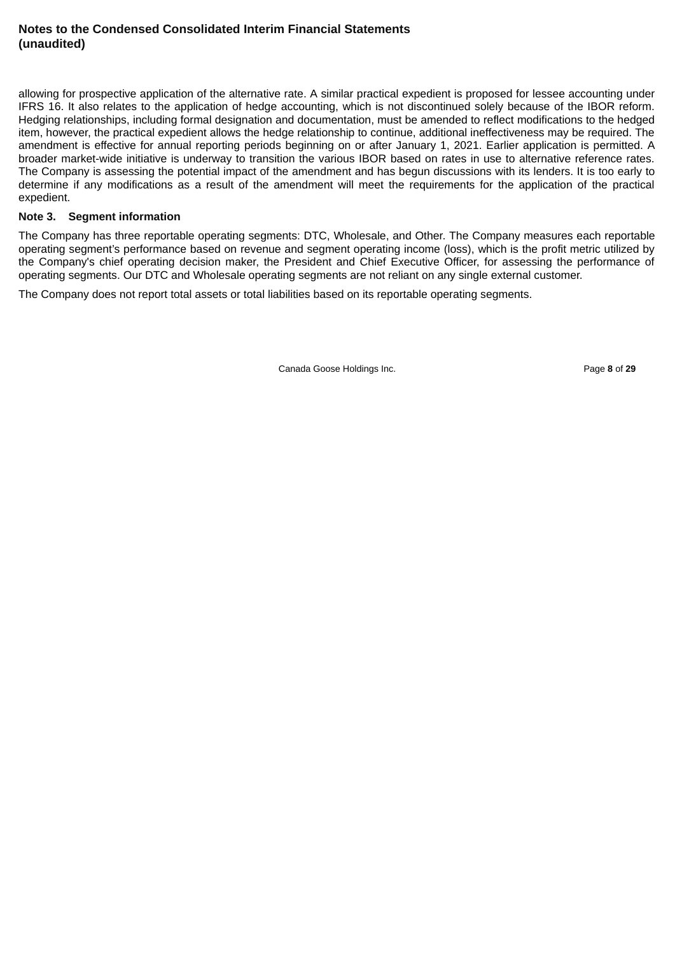allowing for prospective application of the alternative rate. A similar practical expedient is proposed for lessee accounting under IFRS 16. It also relates to the application of hedge accounting, which is not discontinued solely because of the IBOR reform. Hedging relationships, including formal designation and documentation, must be amended to reflect modifications to the hedged item, however, the practical expedient allows the hedge relationship to continue, additional ineffectiveness may be required. The amendment is effective for annual reporting periods beginning on or after January 1, 2021. Earlier application is permitted. A broader market-wide initiative is underway to transition the various IBOR based on rates in use to alternative reference rates. The Company is assessing the potential impact of the amendment and has begun discussions with its lenders. It is too early to determine if any modifications as a result of the amendment will meet the requirements for the application of the practical expedient.

#### **Note 3. Segment information**

The Company has three reportable operating segments: DTC, Wholesale, and Other. The Company measures each reportable operating segment's performance based on revenue and segment operating income (loss), which is the profit metric utilized by the Company's chief operating decision maker, the President and Chief Executive Officer, for assessing the performance of operating segments. Our DTC and Wholesale operating segments are not reliant on any single external customer.

The Company does not report total assets or total liabilities based on its reportable operating segments.

Canada Goose Holdings Inc. **Page 8** of 29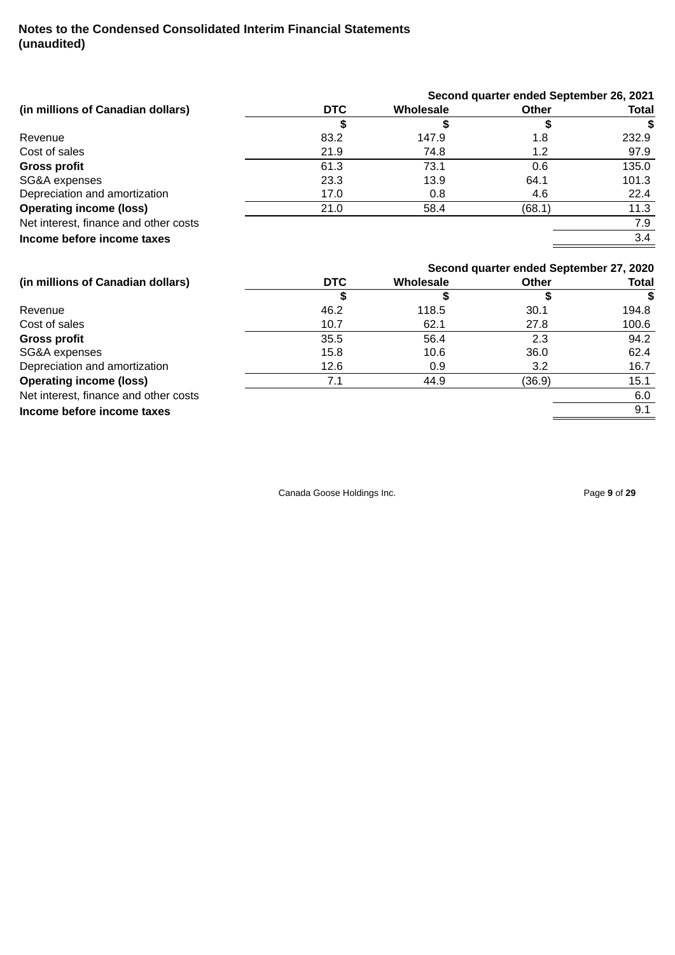|                                       |            |                  | Second quarter ended September 26, 2021 |       |
|---------------------------------------|------------|------------------|-----------------------------------------|-------|
| (in millions of Canadian dollars)     | <b>DTC</b> | Wholesale        | <b>Other</b>                            | Total |
|                                       | \$         | \$               | \$                                      | \$    |
| Revenue                               | 83.2       | 147.9            | 1.8                                     | 232.9 |
| Cost of sales                         | 21.9       | 74.8             | 1.2                                     | 97.9  |
| <b>Gross profit</b>                   | 61.3       | 73.1             | 0.6                                     | 135.0 |
| SG&A expenses                         | 23.3       | 13.9             | 64.1                                    | 101.3 |
| Depreciation and amortization         | 17.0       | 0.8              | 4.6                                     | 22.4  |
| <b>Operating income (loss)</b>        | 21.0       | 58.4             | (68.1)                                  | 11.3  |
| Net interest, finance and other costs |            |                  |                                         | 7.9   |
|                                       |            |                  |                                         |       |
| Income before income taxes            |            |                  |                                         | 3.4   |
|                                       |            |                  | Second quarter ended September 27, 2020 |       |
| (in millions of Canadian dollars)     | <b>DTC</b> | <b>Wholesale</b> | <b>Other</b>                            | Total |
|                                       | \$         | \$               | \$                                      | £.    |
| Revenue                               | 46.2       | 118.5            | 30.1                                    | 194.8 |
| Cost of sales                         | 10.7       | 62.1             | 27.8                                    | 100.6 |
| <b>Gross profit</b>                   | 35.5       | 56.4             | 2.3                                     | 94.2  |
| SG&A expenses                         | 15.8       | 10.6             | 36.0                                    | 62.4  |
| Depreciation and amortization         | 12.6       | 0.9              | 3.2                                     | 16.7  |
| <b>Operating income (loss)</b>        | 7.1        | 44.9             | (36.9)                                  | 15.1  |
| Net interest, finance and other costs |            |                  |                                         | 6.0   |

Canada Goose Holdings Inc. **Page 9** of 29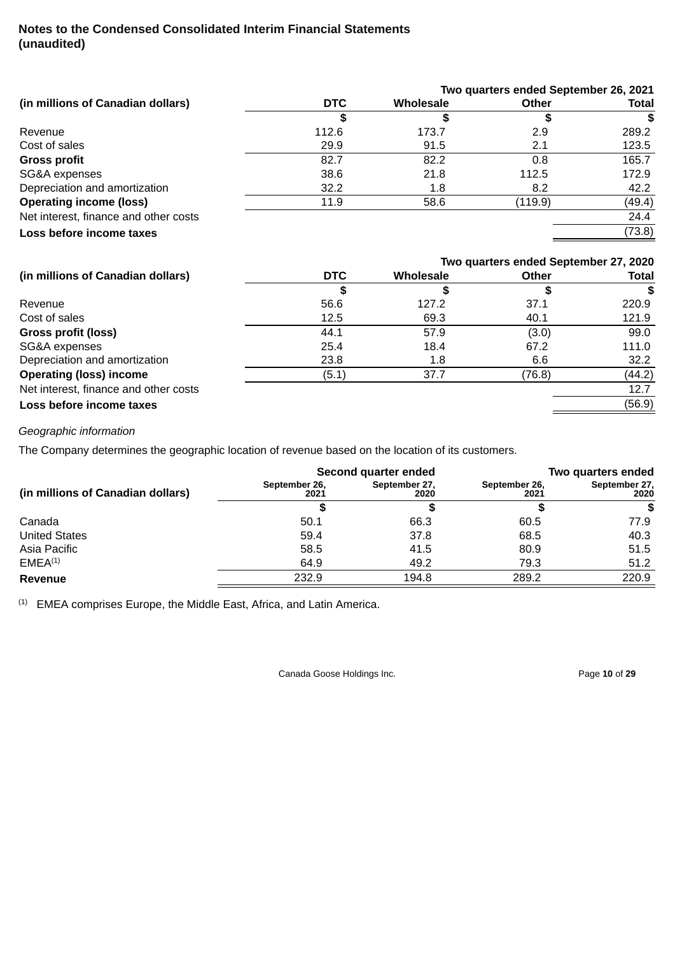|                                       |            |                  | Two quarters ended September 26, 2021 |              |
|---------------------------------------|------------|------------------|---------------------------------------|--------------|
| (in millions of Canadian dollars)     | <b>DTC</b> | <b>Wholesale</b> | <b>Other</b>                          | <b>Total</b> |
|                                       |            |                  |                                       |              |
| Revenue                               | 112.6      | 173.7            | 2.9                                   | 289.2        |
| Cost of sales                         | 29.9       | 91.5             | 2.1                                   | 123.5        |
| <b>Gross profit</b>                   | 82.7       | 82.2             | 0.8                                   | 165.7        |
| SG&A expenses                         | 38.6       | 21.8             | 112.5                                 | 172.9        |
| Depreciation and amortization         | 32.2       | 1.8              | 8.2                                   | 42.2         |
| <b>Operating income (loss)</b>        | 11.9       | 58.6             | (119.9)                               | (49.4)       |
| Net interest, finance and other costs |            |                  |                                       | 24.4         |
| Loss before income taxes              |            |                  |                                       | (73.8)       |
|                                       |            |                  |                                       |              |

|                                       |            |                  | Two quarters ended September 27, 2020 |              |
|---------------------------------------|------------|------------------|---------------------------------------|--------------|
| (in millions of Canadian dollars)     | <b>DTC</b> | <b>Wholesale</b> | <b>Other</b>                          | <b>Total</b> |
|                                       | S          |                  | S                                     | \$           |
| Revenue                               | 56.6       | 127.2            | 37.1                                  | 220.9        |
| Cost of sales                         | 12.5       | 69.3             | 40.1                                  | 121.9        |
| Gross profit (loss)                   | 44.1       | 57.9             | (3.0)                                 | 99.0         |
| SG&A expenses                         | 25.4       | 18.4             | 67.2                                  | 111.0        |
| Depreciation and amortization         | 23.8       | 1.8              | 6.6                                   | 32.2         |
| <b>Operating (loss) income</b>        | (5.1)      | 37.7             | (76.8)                                | (44.2)       |
| Net interest, finance and other costs |            |                  |                                       | 12.7         |
| Loss before income taxes              |            |                  |                                       | (56.9)       |

# *Geographic information*

The Company determines the geographic location of revenue based on the location of its customers.

|                                   |                       | Second quarter ended  | Two quarters ended    |                       |  |
|-----------------------------------|-----------------------|-----------------------|-----------------------|-----------------------|--|
| (in millions of Canadian dollars) | September 26,<br>2021 | September 27,<br>2020 | September 26,<br>2021 | September 27,<br>2020 |  |
|                                   |                       |                       |                       | S                     |  |
| Canada                            | 50.1                  | 66.3                  | 60.5                  | 77.9                  |  |
| <b>United States</b>              | 59.4                  | 37.8                  | 68.5                  | 40.3                  |  |
| Asia Pacific                      | 58.5                  | 41.5                  | 80.9                  | 51.5                  |  |
| EMEA <sup>(1)</sup>               | 64.9                  | 49.2                  | 79.3                  | 51.2                  |  |
| <b>Revenue</b>                    | 232.9                 | 194.8                 | 289.2                 | 220.9                 |  |

 $<sup>(1)</sup>$  EMEA comprises Europe, the Middle East, Africa, and Latin America.</sup>

Canada Goose Holdings Inc. **Page 10** of 29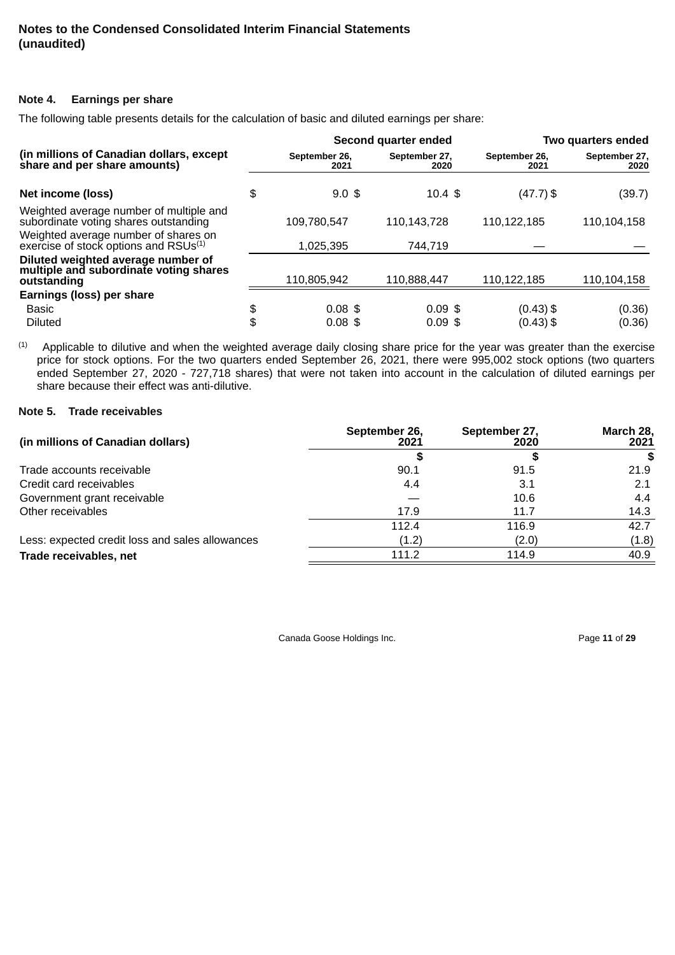# **Note 4. Earnings per share**

The following table presents details for the calculation of basic and diluted earnings per share:

|                                                                                             | Second quarter ended  |                       | Two quarters ended    |                       |
|---------------------------------------------------------------------------------------------|-----------------------|-----------------------|-----------------------|-----------------------|
| (in millions of Canadian dollars, except<br>share and per share amounts)                    | September 26,<br>2021 | September 27,<br>2020 | September 26,<br>2021 | September 27,<br>2020 |
| Net income (loss)                                                                           | \$<br>$9.0$ \$        | 10.4~\$               | $(47.7)$ \$           | (39.7)                |
| Weighted average number of multiple and<br>subordinate voting shares outstanding            | 109.780.547           | 110.143.728           | 110,122,185           | 110,104,158           |
| Weighted average number of shares on<br>exercise of stock options and RSUs <sup>(1)</sup>   | 1,025,395             | 744.719               |                       |                       |
| Diluted weighted average number of<br>multiple and subordinate voting shares<br>outstanding | 110,805,942           | 110,888,447           | 110,122,185           | 110,104,158           |
| Earnings (loss) per share                                                                   |                       |                       |                       |                       |
| <b>Basic</b>                                                                                | \$<br>$0.08$ \$       | $0.09$ \$             | $(0.43)$ \$           | (0.36)                |
| <b>Diluted</b>                                                                              | \$<br>$0.08$ \$       | $0.09$ \$             | $(0.43)$ \$           | (0.36)                |

Applicable to dilutive and when the weighted average daily closing share price for the year was greater than the exercise price for stock options. For the two quarters ended September 26, 2021, there were 995,002 stock options (two quarters ended September 27, 2020 - 727,718 shares) that were not taken into account in the calculation of diluted earnings per share because their effect was anti-dilutive. (1)

# **Note 5. Trade receivables**

| (in millions of Canadian dollars)               | September 26,<br>2021 | September 27,<br>2020 | March 28,<br>2021 |
|-------------------------------------------------|-----------------------|-----------------------|-------------------|
|                                                 |                       |                       | \$                |
| Trade accounts receivable                       | 90.1                  | 91.5                  | 21.9              |
| Credit card receivables                         | 4.4                   | 3.1                   | 2.1               |
| Government grant receivable                     |                       | 10.6                  | 4.4               |
| Other receivables                               | 17.9                  | 11.7                  | 14.3              |
|                                                 | 112.4                 | 116.9                 | 42.7              |
| Less: expected credit loss and sales allowances | (1.2)                 | (2.0)                 | (1.8)             |
| Trade receivables, net                          | 111.2                 | 114.9                 | 40.9              |

Canada Goose Holdings Inc. **Page 11** of 29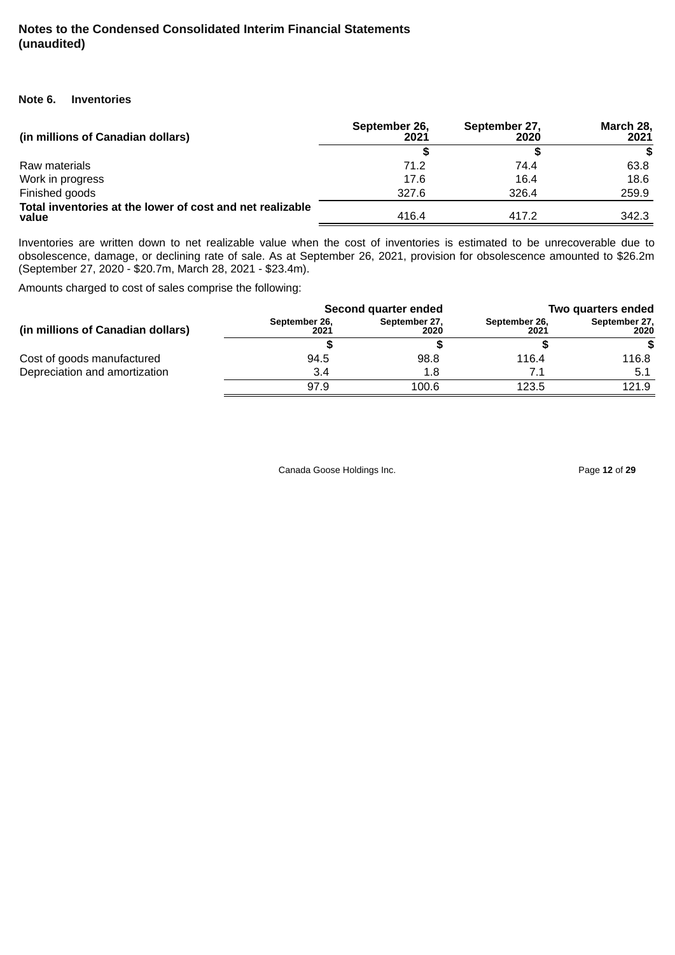#### **Note 6. Inventories**

| (in millions of Canadian dollars)                                  | September 26,<br>2021 | September 27,<br>2020 | March 28,<br>2021 |
|--------------------------------------------------------------------|-----------------------|-----------------------|-------------------|
|                                                                    |                       |                       | S.                |
| Raw materials                                                      | 71.2                  | 74.4                  | 63.8              |
| Work in progress                                                   | 17.6                  | 16.4                  | 18.6              |
| Finished goods                                                     | 327.6                 | 326.4                 | 259.9             |
| Total inventories at the lower of cost and net realizable<br>value | 416.4                 | 417.2                 | 342.3             |

Inventories are written down to net realizable value when the cost of inventories is estimated to be unrecoverable due to obsolescence, damage, or declining rate of sale. As at September 26, 2021, provision for obsolescence amounted to \$26.2m (September 27, 2020 - \$20.7m, March 28, 2021 - \$23.4m).

Amounts charged to cost of sales comprise the following:

|                                   |                       | Second quarter ended  | Two quarters ended    |                       |  |
|-----------------------------------|-----------------------|-----------------------|-----------------------|-----------------------|--|
| (in millions of Canadian dollars) | September 26,<br>2021 | September 27,<br>2020 | September 26,<br>2021 | September 27,<br>2020 |  |
|                                   |                       |                       |                       |                       |  |
| Cost of goods manufactured        | 94.5                  | 98.8                  | 116.4                 | 116.8                 |  |
| Depreciation and amortization     | 3.4                   | 1.8                   |                       | 5.1                   |  |
|                                   | 97.9                  | 100.6                 | 123.5                 | 121.9                 |  |

Canada Goose Holdings Inc. **Page 12** of 29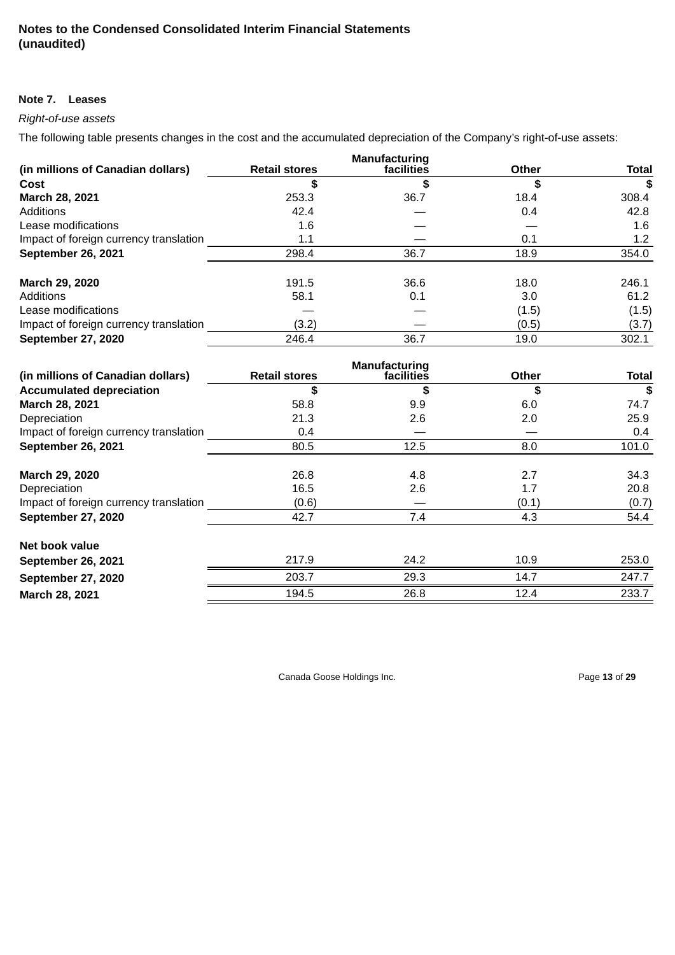#### **Note 7. Leases**

# *Right-of-use assets*

The following table presents changes in the cost and the accumulated depreciation of the Company's right-of-use assets:

|                                        |                      | Manufacturing |              |              |
|----------------------------------------|----------------------|---------------|--------------|--------------|
| (in millions of Canadian dollars)      | <b>Retail stores</b> | facilities    | <b>Other</b> | <b>Total</b> |
| Cost                                   | S                    | \$            | S            | \$           |
| March 28, 2021                         | 253.3                | 36.7          | 18.4         | 308.4        |
| Additions                              | 42.4                 |               | 0.4          | 42.8         |
| Lease modifications                    | 1.6                  |               |              | 1.6          |
| Impact of foreign currency translation | 1.1                  |               | 0.1          | 1.2          |
| <b>September 26, 2021</b>              | 298.4                | 36.7          | 18.9         | 354.0        |
| March 29, 2020                         | 191.5                | 36.6          | 18.0         | 246.1        |
| Additions                              | 58.1                 | 0.1           | 3.0          | 61.2         |
| Lease modifications                    |                      |               | (1.5)        | (1.5)        |
| Impact of foreign currency translation | (3.2)                |               | (0.5)        | (3.7)        |
| <b>September 27, 2020</b>              | 246.4                | 36.7          | 19.0         | 302.1        |

|                                        |                      | Manufacturing |       |              |
|----------------------------------------|----------------------|---------------|-------|--------------|
| (in millions of Canadian dollars)      | <b>Retail stores</b> | facilities    | Other | <b>Total</b> |
| <b>Accumulated depreciation</b>        | S                    | S             | \$    | \$           |
| March 28, 2021                         | 58.8                 | 9.9           | 6.0   | 74.7         |
| Depreciation                           | 21.3                 | 2.6           | 2.0   | 25.9         |
| Impact of foreign currency translation | 0.4                  |               |       | 0.4          |
| <b>September 26, 2021</b>              | 80.5                 | 12.5          | 8.0   | 101.0        |
| March 29, 2020                         | 26.8                 | 4.8           | 2.7   | 34.3         |
| Depreciation                           | 16.5                 | 2.6           | 1.7   | 20.8         |
| Impact of foreign currency translation | (0.6)                |               | (0.1) | (0.7)        |
| <b>September 27, 2020</b>              | 42.7                 | 7.4           | 4.3   | 54.4         |
| Net book value                         |                      |               |       |              |
| <b>September 26, 2021</b>              | 217.9                | 24.2          | 10.9  | 253.0        |
| <b>September 27, 2020</b>              | 203.7                | 29.3          | 14.7  | 247.7        |
| March 28, 2021                         | 194.5                | 26.8          | 12.4  | 233.7        |

Canada Goose Holdings Inc. **Page 13** of 29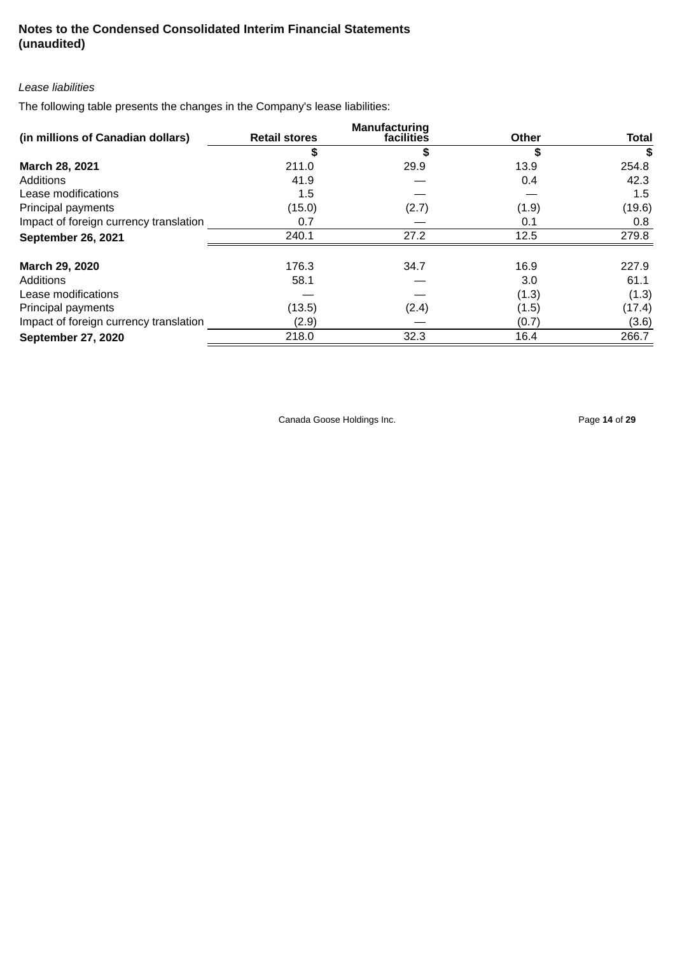# *Lease liabilities*

The following table presents the changes in the Company's lease liabilities:

|                                        |                      | <b>Manufacturing</b> |       |              |
|----------------------------------------|----------------------|----------------------|-------|--------------|
| (in millions of Canadian dollars)      | <b>Retail stores</b> | facilities           | Other | <b>Total</b> |
|                                        | S                    | \$                   | S     | S            |
| March 28, 2021                         | 211.0                | 29.9                 | 13.9  | 254.8        |
| Additions                              | 41.9                 |                      | 0.4   | 42.3         |
| Lease modifications                    | 1.5                  |                      |       | $1.5\,$      |
| Principal payments                     | (15.0)               | (2.7)                | (1.9) | (19.6)       |
| Impact of foreign currency translation | 0.7                  |                      | 0.1   | 0.8          |
| <b>September 26, 2021</b>              | 240.1                | 27.2                 | 12.5  | 279.8        |
| March 29, 2020                         | 176.3                | 34.7                 | 16.9  | 227.9        |
| Additions                              | 58.1                 |                      | 3.0   | 61.1         |
| Lease modifications                    |                      |                      | (1.3) | (1.3)        |
| Principal payments                     | (13.5)               | (2.4)                | (1.5) | (17.4)       |
| Impact of foreign currency translation | (2.9)                |                      | (0.7) | (3.6)        |
| <b>September 27, 2020</b>              | 218.0                | 32.3                 | 16.4  | 266.7        |

Canada Goose Holdings Inc. **Page 14** of 29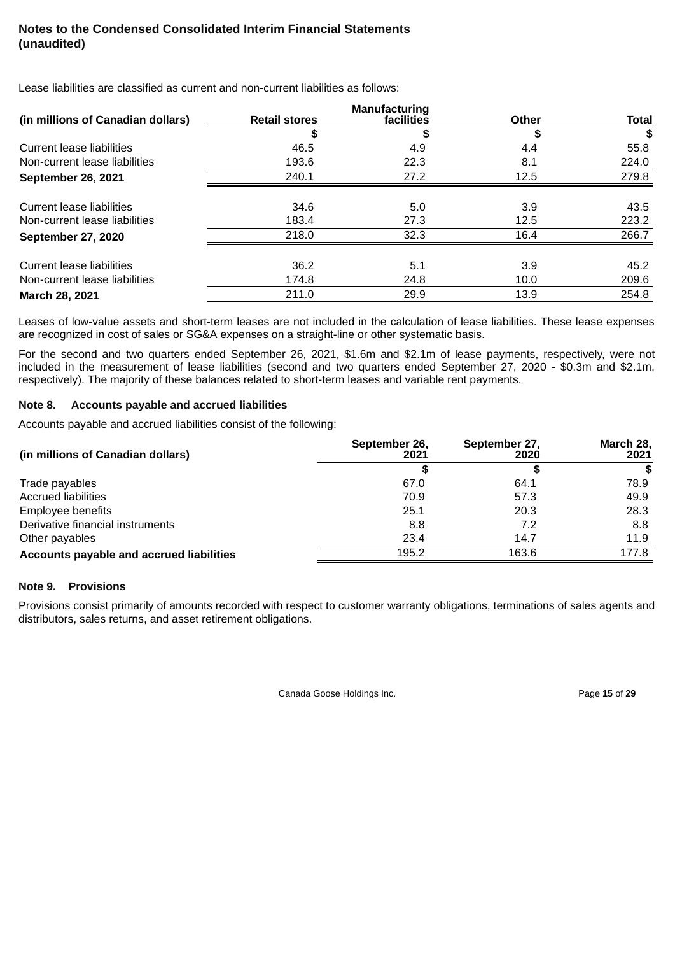Lease liabilities are classified as current and non-current liabilities as follows:

|                                   |                      | <b>Manufacturing</b> |              |              |
|-----------------------------------|----------------------|----------------------|--------------|--------------|
| (in millions of Canadian dollars) | <b>Retail stores</b> | facilities           | <b>Other</b> | <b>Total</b> |
|                                   | \$                   | S                    | \$           | \$           |
| Current lease liabilities         | 46.5                 | 4.9                  | 4.4          | 55.8         |
| Non-current lease liabilities     | 193.6                | 22.3                 | 8.1          | 224.0        |
| <b>September 26, 2021</b>         | 240.1                | 27.2                 | 12.5         | 279.8        |
| Current lease liabilities         | 34.6                 | 5.0                  | 3.9          | 43.5         |
| Non-current lease liabilities     | 183.4                | 27.3                 | 12.5         | 223.2        |
| <b>September 27, 2020</b>         | 218.0                | 32.3                 | 16.4         | 266.7        |
| Current lease liabilities         | 36.2                 | 5.1                  | 3.9          | 45.2         |
| Non-current lease liabilities     | 174.8                | 24.8                 | 10.0         | 209.6        |
| March 28, 2021                    | 211.0                | 29.9                 | 13.9         | 254.8        |

Leases of low-value assets and short-term leases are not included in the calculation of lease liabilities. These lease expenses are recognized in cost of sales or SG&A expenses on a straight-line or other systematic basis.

For the second and two quarters ended September 26, 2021, \$1.6m and \$2.1m of lease payments, respectively, were not included in the measurement of lease liabilities (second and two quarters ended September 27, 2020 - \$0.3m and \$2.1m, respectively). The majority of these balances related to short-term leases and variable rent payments.

### **Note 8. Accounts payable and accrued liabilities**

Accounts payable and accrued liabilities consist of the following:

| (in millions of Canadian dollars)        | September 26,<br>2021 | September 27,<br>2020 | March 28,<br>2021 |
|------------------------------------------|-----------------------|-----------------------|-------------------|
|                                          |                       |                       | S                 |
| Trade payables                           | 67.0                  | 64.1                  | 78.9              |
| <b>Accrued liabilities</b>               | 70.9                  | 57.3                  | 49.9              |
| <b>Employee benefits</b>                 | 25.1                  | 20.3                  | 28.3              |
| Derivative financial instruments         | 8.8                   | 7.2                   | 8.8               |
| Other payables                           | 23.4                  | 14.7                  | 11.9              |
| Accounts payable and accrued liabilities | 195.2                 | 163.6                 | 177.8             |

#### **Note 9. Provisions**

Provisions consist primarily of amounts recorded with respect to customer warranty obligations, terminations of sales agents and distributors, sales returns, and asset retirement obligations.

Canada Goose Holdings Inc. Page **15** of **29**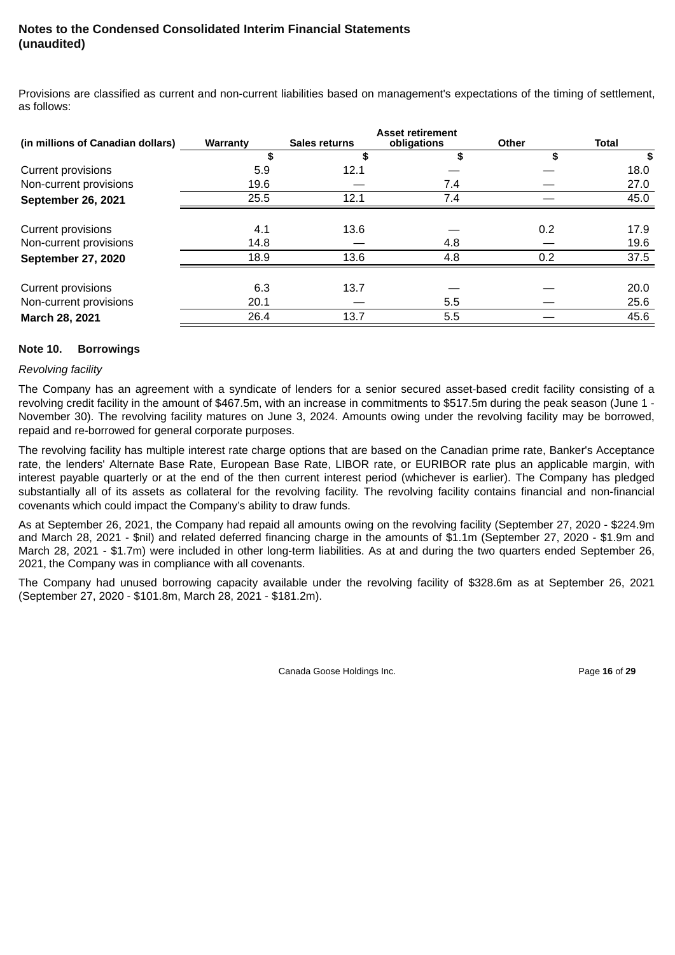Provisions are classified as current and non-current liabilities based on management's expectations of the timing of settlement, as follows:

|                                   | <b>Asset retirement</b> |               |             |              |              |  |
|-----------------------------------|-------------------------|---------------|-------------|--------------|--------------|--|
| (in millions of Canadian dollars) | Warranty                | Sales returns | obligations | <b>Other</b> | <b>Total</b> |  |
|                                   | S                       | \$            | \$          | \$           | \$           |  |
| Current provisions                | 5.9                     | 12.1          |             |              | 18.0         |  |
| Non-current provisions            | 19.6                    |               | 7.4         |              | 27.0         |  |
| <b>September 26, 2021</b>         | 25.5                    | 12.1          | 7.4         |              | 45.0         |  |
| <b>Current provisions</b>         | 4.1                     | 13.6          |             | 0.2          | 17.9         |  |
| Non-current provisions            | 14.8                    |               | 4.8         |              | 19.6         |  |
| <b>September 27, 2020</b>         | 18.9                    | 13.6          | 4.8         | 0.2          | 37.5         |  |
| Current provisions                | 6.3                     | 13.7          |             |              | 20.0         |  |
| Non-current provisions            | 20.1                    |               | 5.5         |              | 25.6         |  |
| March 28, 2021                    | 26.4                    | 13.7          | 5.5         |              | 45.6         |  |

#### **Note 10. Borrowings**

#### *Revolving facility*

The Company has an agreement with a syndicate of lenders for a senior secured asset-based credit facility consisting of a revolving credit facility in the amount of \$467.5m, with an increase in commitments to \$517.5m during the peak season (June 1 - November 30). The revolving facility matures on June 3, 2024. Amounts owing under the revolving facility may be borrowed, repaid and re-borrowed for general corporate purposes.

The revolving facility has multiple interest rate charge options that are based on the Canadian prime rate, Banker's Acceptance rate, the lenders' Alternate Base Rate, European Base Rate, LIBOR rate, or EURIBOR rate plus an applicable margin, with interest payable quarterly or at the end of the then current interest period (whichever is earlier). The Company has pledged substantially all of its assets as collateral for the revolving facility. The revolving facility contains financial and non-financial covenants which could impact the Company's ability to draw funds.

As at September 26, 2021, the Company had repaid all amounts owing on the revolving facility (September 27, 2020 - \$224.9m and March 28, 2021 - \$nil) and related deferred financing charge in the amounts of \$1.1m (September 27, 2020 - \$1.9m and March 28, 2021 - \$1.7m) were included in other long-term liabilities. As at and during the two quarters ended September 26, 2021, the Company was in compliance with all covenants.

The Company had unused borrowing capacity available under the revolving facility of \$328.6m as at September 26, 2021 (September 27, 2020 - \$101.8m, March 28, 2021 - \$181.2m).

Canada Goose Holdings Inc. Page **16** of **29**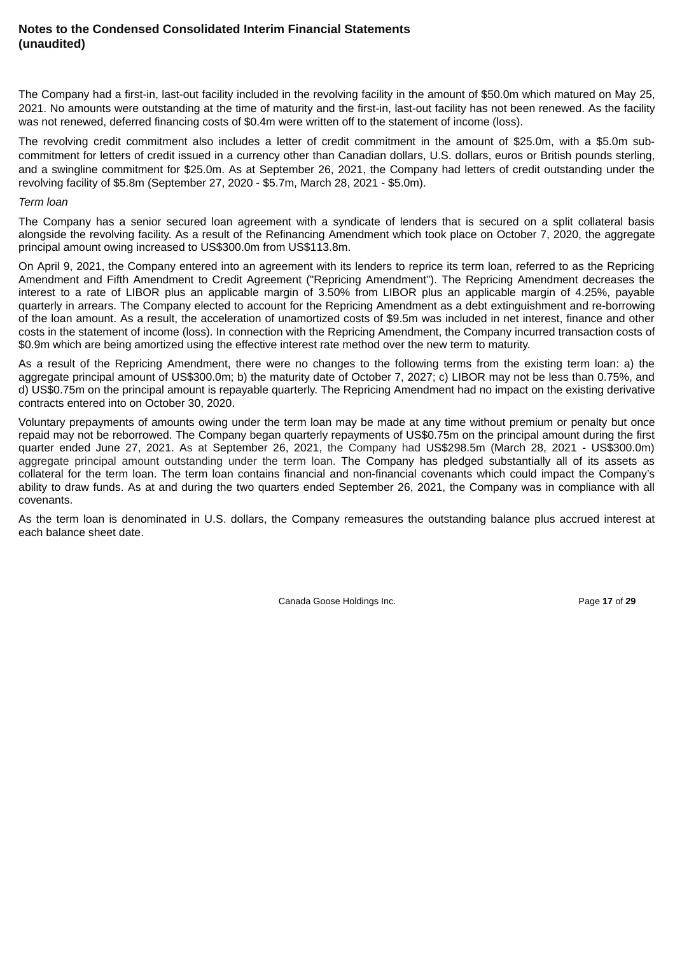The Company had a first-in, last-out facility included in the revolving facility in the amount of \$50.0m which matured on May 25, 2021. No amounts were outstanding at the time of maturity and the first-in, last-out facility has not been renewed. As the facility was not renewed, deferred financing costs of \$0.4m were written off to the statement of income (loss).

The revolving credit commitment also includes a letter of credit commitment in the amount of \$25.0m, with a \$5.0m subcommitment for letters of credit issued in a currency other than Canadian dollars, U.S. dollars, euros or British pounds sterling, and a swingline commitment for \$25.0m. As at September 26, 2021, the Company had letters of credit outstanding under the revolving facility of \$5.8m (September 27, 2020 - \$5.7m, March 28, 2021 - \$5.0m).

#### *Term loan*

The Company has a senior secured loan agreement with a syndicate of lenders that is secured on a split collateral basis alongside the revolving facility. As a result of the Refinancing Amendment which took place on October 7, 2020, the aggregate principal amount owing increased to US\$300.0m from US\$113.8m.

On April 9, 2021, the Company entered into an agreement with its lenders to reprice its term loan, referred to as the Repricing Amendment and Fifth Amendment to Credit Agreement ("Repricing Amendment"). The Repricing Amendment decreases the interest to a rate of LIBOR plus an applicable margin of 3.50% from LIBOR plus an applicable margin of 4.25%, payable quarterly in arrears. The Company elected to account for the Repricing Amendment as a debt extinguishment and re-borrowing of the loan amount. As a result, the acceleration of unamortized costs of \$9.5m was included in net interest, finance and other costs in the statement of income (loss). In connection with the Repricing Amendment, the Company incurred transaction costs of \$0.9m which are being amortized using the effective interest rate method over the new term to maturity.

As a result of the Repricing Amendment, there were no changes to the following terms from the existing term loan: a) the aggregate principal amount of US\$300.0m; b) the maturity date of October 7, 2027; c) LIBOR may not be less than 0.75%, and d) US\$0.75m on the principal amount is repayable quarterly. The Repricing Amendment had no impact on the existing derivative contracts entered into on October 30, 2020.

Voluntary prepayments of amounts owing under the term loan may be made at any time without premium or penalty but once repaid may not be reborrowed. The Company began quarterly repayments of US\$0.75m on the principal amount during the first quarter ended June 27, 2021. As at September 26, 2021, the Company had US\$298.5m (March 28, 2021 - US\$300.0m) aggregate principal amount outstanding under the term loan. The Company has pledged substantially all of its assets as collateral for the term loan. The term loan contains financial and non-financial covenants which could impact the Company's ability to draw funds. As at and during the two quarters ended September 26, 2021, the Company was in compliance with all covenants.

As the term loan is denominated in U.S. dollars, the Company remeasures the outstanding balance plus accrued interest at each balance sheet date.

Canada Goose Holdings Inc. **Page 17** of 29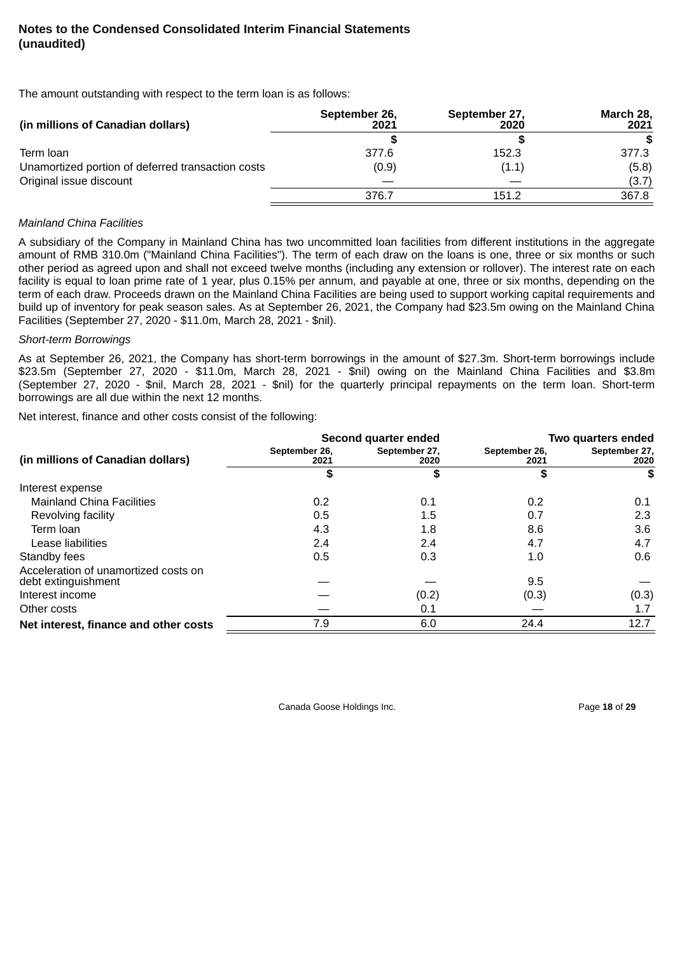The amount outstanding with respect to the term loan is as follows:

| (in millions of Canadian dollars)                 | September 26,<br>2021 | September 27,<br>2020 | March 28,<br>2021 |
|---------------------------------------------------|-----------------------|-----------------------|-------------------|
|                                                   |                       |                       |                   |
| Term Ioan                                         | 377.6                 | 152.3                 | 377.3             |
| Unamortized portion of deferred transaction costs | (0.9)                 | (1.1)                 | (5.8)             |
| Original issue discount                           |                       |                       | (3.7)             |
|                                                   | 376.7                 | 151.2                 | 367.8             |

#### *Mainland China Facilities*

A subsidiary of the Company in Mainland China has two uncommitted loan facilities from different institutions in the aggregate amount of RMB 310.0m ("Mainland China Facilities"). The term of each draw on the loans is one, three or six months or such other period as agreed upon and shall not exceed twelve months (including any extension or rollover). The interest rate on each facility is equal to loan prime rate of 1 year, plus 0.15% per annum, and payable at one, three or six months, depending on the term of each draw. Proceeds drawn on the Mainland China Facilities are being used to support working capital requirements and build up of inventory for peak season sales. As at September 26, 2021, the Company had \$23.5m owing on the Mainland China Facilities (September 27, 2020 - \$11.0m, March 28, 2021 - \$nil).

#### *Short-term Borrowings*

As at September 26, 2021, the Company has short-term borrowings in the amount of \$27.3m. Short-term borrowings include \$23.5m (September 27, 2020 - \$11.0m, March 28, 2021 - \$nil) owing on the Mainland China Facilities and \$3.8m (September 27, 2020 - \$nil, March 28, 2021 - \$nil) for the quarterly principal repayments on the term loan. Short-term borrowings are all due within the next 12 months.

Net interest, finance and other costs consist of the following:

|                                                             |                       | Second quarter ended  | Two quarters ended    |                       |  |
|-------------------------------------------------------------|-----------------------|-----------------------|-----------------------|-----------------------|--|
| (in millions of Canadian dollars)                           | September 26,<br>2021 | September 27,<br>2020 | September 26,<br>2021 | September 27,<br>2020 |  |
|                                                             | \$                    |                       | \$                    | S                     |  |
| Interest expense                                            |                       |                       |                       |                       |  |
| <b>Mainland China Facilities</b>                            | 0.2                   | 0.1                   | 0.2                   | 0.1                   |  |
| Revolving facility                                          | 0.5                   | 1.5                   | 0.7                   | 2.3                   |  |
| Term Ioan                                                   | 4.3                   | 1.8                   | 8.6                   | 3.6                   |  |
| Lease liabilities                                           | 2.4                   | 2.4                   | 4.7                   | 4.7                   |  |
| Standby fees                                                | 0.5                   | 0.3                   | 1.0                   | 0.6                   |  |
| Acceleration of unamortized costs on<br>debt extinguishment |                       |                       | 9.5                   |                       |  |
| Interest income                                             |                       | (0.2)                 | (0.3)                 | (0.3)                 |  |
| Other costs                                                 |                       | 0.1                   |                       | 1.7                   |  |
| Net interest, finance and other costs                       | 7.9                   | 6.0                   | 24.4                  | 12.7                  |  |

Canada Goose Holdings Inc. **Page 18** of 29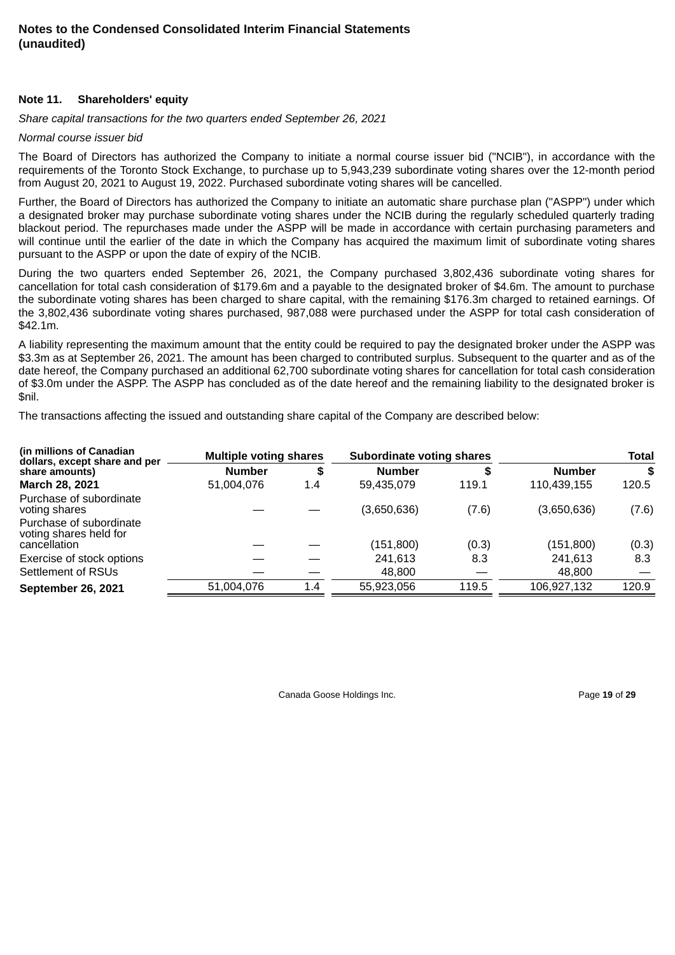#### **Note 11. Shareholders' equity**

*Share capital transactions for the two quarters ended September 26, 2021*

#### *Normal course issuer bid*

The Board of Directors has authorized the Company to initiate a normal course issuer bid ("NCIB"), in accordance with the requirements of the Toronto Stock Exchange, to purchase up to 5,943,239 subordinate voting shares over the 12-month period from August 20, 2021 to August 19, 2022. Purchased subordinate voting shares will be cancelled.

Further, the Board of Directors has authorized the Company to initiate an automatic share purchase plan ("ASPP") under which a designated broker may purchase subordinate voting shares under the NCIB during the regularly scheduled quarterly trading blackout period. The repurchases made under the ASPP will be made in accordance with certain purchasing parameters and will continue until the earlier of the date in which the Company has acquired the maximum limit of subordinate voting shares pursuant to the ASPP or upon the date of expiry of the NCIB.

During the two quarters ended September 26, 2021, the Company purchased 3,802,436 subordinate voting shares for cancellation for total cash consideration of \$179.6m and a payable to the designated broker of \$4.6m. The amount to purchase the subordinate voting shares has been charged to share capital, with the remaining \$176.3m charged to retained earnings. Of the 3,802,436 subordinate voting shares purchased, 987,088 were purchased under the ASPP for total cash consideration of \$42.1m.

A liability representing the maximum amount that the entity could be required to pay the designated broker under the ASPP was \$3.3m as at September 26, 2021. The amount has been charged to contributed surplus. Subsequent to the quarter and as of the date hereof, the Company purchased an additional 62,700 subordinate voting shares for cancellation for total cash consideration of \$3.0m under the ASPP. The ASPP has concluded as of the date hereof and the remaining liability to the designated broker is \$nil.

The transactions affecting the issued and outstanding share capital of the Company are described below:

| (in millions of Canadian<br>dollars, except share and per | <b>Multiple voting shares</b> |     | Subordinate voting shares |       | <b>Total</b>  |       |
|-----------------------------------------------------------|-------------------------------|-----|---------------------------|-------|---------------|-------|
| share amounts)                                            | <b>Number</b>                 | S   | <b>Number</b>             | S     | <b>Number</b> | \$    |
| March 28, 2021                                            | 51,004,076                    | 1.4 | 59,435,079                | 119.1 | 110,439,155   | 120.5 |
| Purchase of subordinate<br>voting shares                  |                               |     | (3,650,636)               | (7.6) | (3,650,636)   | (7.6) |
| Purchase of subordinate<br>voting shares held for         |                               |     |                           |       |               |       |
| cancellation                                              |                               |     | (151, 800)                | (0.3) | (151, 800)    | (0.3) |
| Exercise of stock options                                 |                               |     | 241,613                   | 8.3   | 241,613       | 8.3   |
| Settlement of RSUs                                        |                               |     | 48,800                    |       | 48,800        |       |
| <b>September 26, 2021</b>                                 | 51,004,076                    | 1.4 | 55,923,056                | 119.5 | 106,927,132   | 120.9 |

Canada Goose Holdings Inc. Page **19** of **29**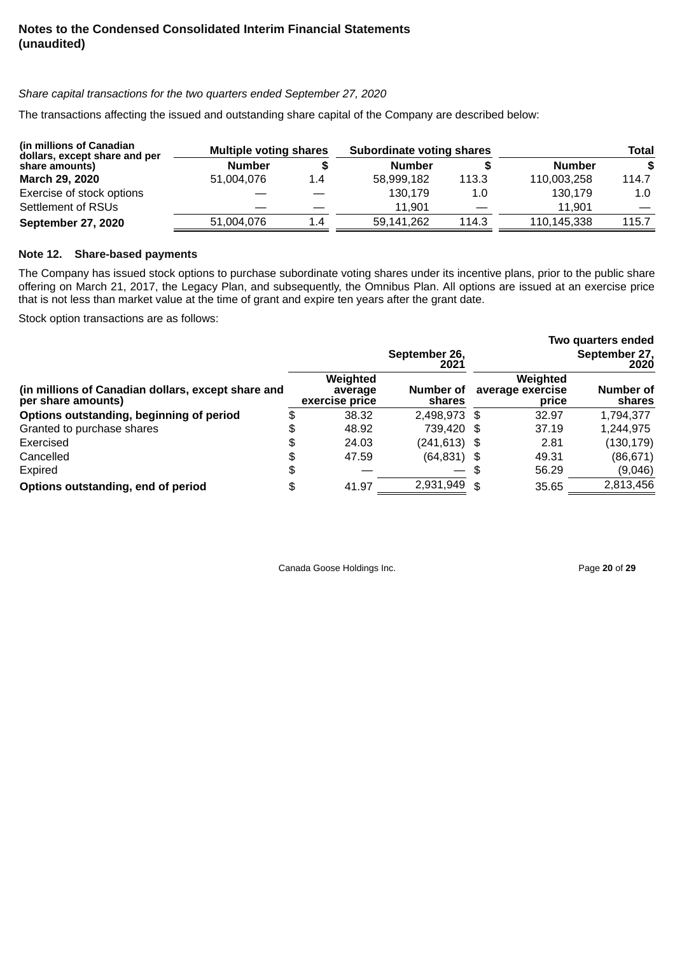# *Share capital transactions for the two quarters ended September 27, 2020*

The transactions affecting the issued and outstanding share capital of the Company are described below:

| (in millions of Canadian)<br>dollars, except share and per | <b>Multiple voting shares</b> |     | Subordinate voting shares |       | Total         |       |
|------------------------------------------------------------|-------------------------------|-----|---------------------------|-------|---------------|-------|
| share amounts)                                             | <b>Number</b>                 |     | <b>Number</b>             |       | <b>Number</b> | S.    |
| <b>March 29, 2020</b>                                      | 51.004.076                    | 1.4 | 58.999.182                | 113.3 | 110.003.258   | 114.7 |
| Exercise of stock options                                  |                               |     | 130.179                   | 1.0   | 130.179       | 1.0   |
| Settlement of RSUs                                         |                               |     | 11.901                    |       | 11.901        |       |
| <b>September 27, 2020</b>                                  | 51,004,076                    | 1.4 | 59.141.262                | 114.3 | 110,145,338   | 115.7 |

#### **Note 12. Share-based payments**

The Company has issued stock options to purchase subordinate voting shares under its incentive plans, prior to the public share offering on March 21, 2017, the Legacy Plan, and subsequently, the Omnibus Plan. All options are issued at an exercise price that is not less than market value at the time of grant and expire ten years after the grant date.

Stock option transactions are as follows:

|                                                                          |                                       |                       |                                       | Two quarters ended    |
|--------------------------------------------------------------------------|---------------------------------------|-----------------------|---------------------------------------|-----------------------|
|                                                                          |                                       | September 26,<br>2021 |                                       | September 27,<br>2020 |
| (in millions of Canadian dollars, except share and<br>per share amounts) | Weighted<br>average<br>exercise price | Number of<br>shares   | Weighted<br>average exercise<br>price | Number of<br>shares   |
| Options outstanding, beginning of period                                 | \$<br>38.32                           | 2.498.973 \$          | 32.97                                 | 1,794,377             |
| Granted to purchase shares                                               | \$<br>48.92                           | 739.420 \$            | 37.19                                 | 1,244,975             |
| Exercised                                                                | \$<br>24.03                           | $(241, 613)$ \$       | 2.81                                  | (130, 179)            |
| Cancelled                                                                | \$<br>47.59                           | $(64,831)$ \$         | 49.31                                 | (86, 671)             |
| Expired                                                                  | \$                                    |                       | \$<br>56.29                           | (9,046)               |
| Options outstanding, end of period                                       | \$<br>41.97                           | 2,931,949 \$          | 35.65                                 | 2,813,456             |

Canada Goose Holdings Inc. **Page 20** of 29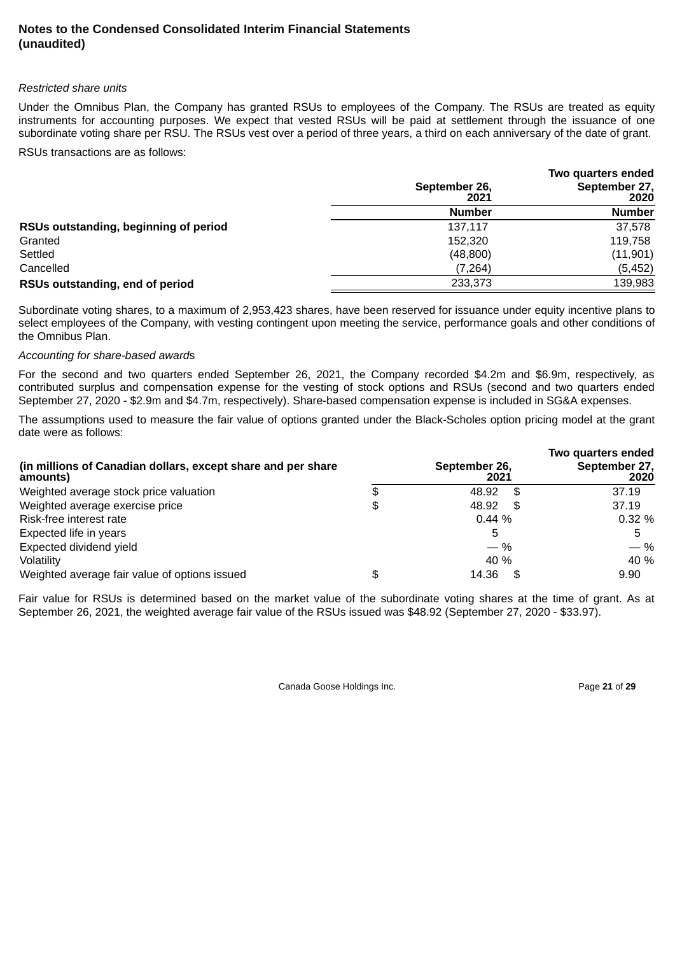#### *Restricted share units*

Under the Omnibus Plan, the Company has granted RSUs to employees of the Company. The RSUs are treated as equity instruments for accounting purposes. We expect that vested RSUs will be paid at settlement through the issuance of one subordinate voting share per RSU. The RSUs vest over a period of three years, a third on each anniversary of the date of grant.

RSUs transactions are as follows:

|                                       |                       | Two quarters ended    |
|---------------------------------------|-----------------------|-----------------------|
|                                       | September 26,<br>2021 | September 27,<br>2020 |
|                                       | <b>Number</b>         | <b>Number</b>         |
| RSUs outstanding, beginning of period | 137.117               | 37,578                |
| Granted                               | 152,320               | 119,758               |
| Settled                               | (48, 800)             | (11,901)              |
| Cancelled                             | (7, 264)              | (5, 452)              |
| RSUs outstanding, end of period       | 233,373               | 139,983               |

Subordinate voting shares, to a maximum of 2,953,423 shares, have been reserved for issuance under equity incentive plans to select employees of the Company, with vesting contingent upon meeting the service, performance goals and other conditions of the Omnibus Plan.

#### *Accounting for share-based award*s

For the second and two quarters ended September 26, 2021, the Company recorded \$4.2m and \$6.9m, respectively, as contributed surplus and compensation expense for the vesting of stock options and RSUs (second and two quarters ended September 27, 2020 - \$2.9m and \$4.7m, respectively). Share-based compensation expense is included in SG&A expenses.

The assumptions used to measure the fair value of options granted under the Black-Scholes option pricing model at the grant date were as follows:

| (in millions of Canadian dollars, except share and per share<br>amounts) |    | September 26,<br>2021 | Two quarters ended<br>September 27,<br>2020 |
|--------------------------------------------------------------------------|----|-----------------------|---------------------------------------------|
| Weighted average stock price valuation                                   | S  | 48.92 \$              | 37.19                                       |
| Weighted average exercise price                                          | \$ | 48.92<br>- \$         | 37.19                                       |
| Risk-free interest rate                                                  |    | $0.44\%$              | 0.32%                                       |
| Expected life in years                                                   |    | 5                     | 5                                           |
| Expected dividend yield                                                  |    | $-$ %                 | $-$ %                                       |
| Volatility                                                               |    | 40 %                  | 40 %                                        |
| Weighted average fair value of options issued                            | S  | 14.36<br>- \$         | 9.90                                        |

Fair value for RSUs is determined based on the market value of the subordinate voting shares at the time of grant. As at September 26, 2021, the weighted average fair value of the RSUs issued was \$48.92 (September 27, 2020 - \$33.97).

Canada Goose Holdings Inc. **Page 21 of 29**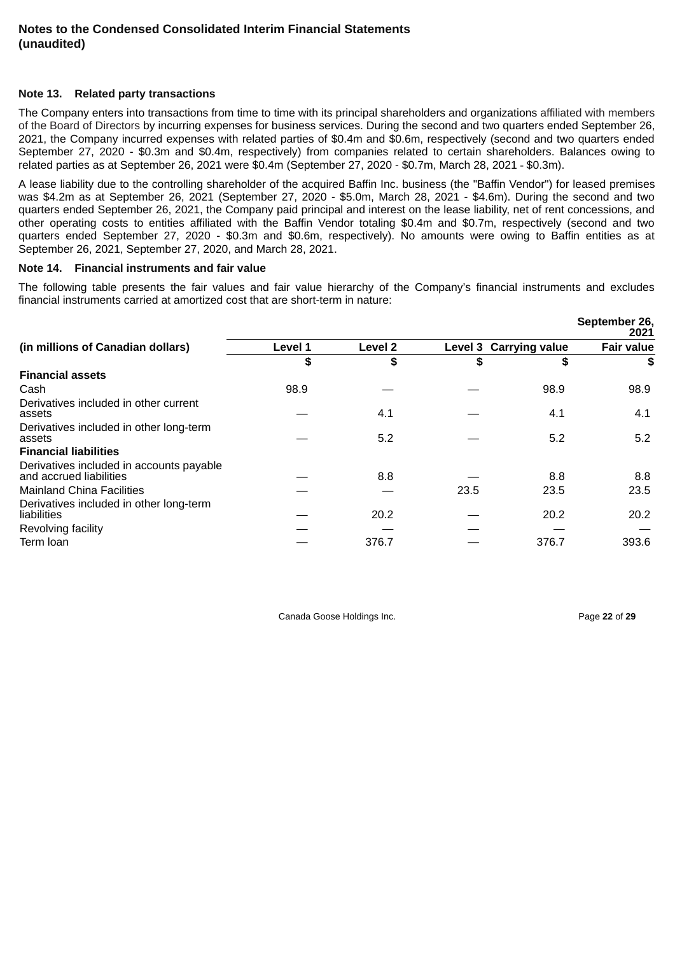#### **Note 13. Related party transactions**

The Company enters into transactions from time to time with its principal shareholders and organizations affiliated with members of the Board of Directors by incurring expenses for business services. During the second and two quarters ended September 26, 2021, the Company incurred expenses with related parties of \$0.4m and \$0.6m, respectively (second and two quarters ended September 27, 2020 - \$0.3m and \$0.4m, respectively) from companies related to certain shareholders. Balances owing to related parties as at September 26, 2021 were \$0.4m (September 27, 2020 - \$0.7m, March 28, 2021 - \$0.3m).

A lease liability due to the controlling shareholder of the acquired Baffin Inc. business (the "Baffin Vendor") for leased premises was \$4.2m as at September 26, 2021 (September 27, 2020 - \$5.0m, March 28, 2021 - \$4.6m). During the second and two quarters ended September 26, 2021, the Company paid principal and interest on the lease liability, net of rent concessions, and other operating costs to entities affiliated with the Baffin Vendor totaling \$0.4m and \$0.7m, respectively (second and two quarters ended September 27, 2020 - \$0.3m and \$0.6m, respectively). No amounts were owing to Baffin entities as at September 26, 2021, September 27, 2020, and March 28, 2021.

#### **Note 14. Financial instruments and fair value**

The following table presents the fair values and fair value hierarchy of the Company's financial instruments and excludes financial instruments carried at amortized cost that are short-term in nature:

|                                                                     |         |         |      |                        | September 26,<br>2021 |
|---------------------------------------------------------------------|---------|---------|------|------------------------|-----------------------|
| (in millions of Canadian dollars)                                   | Level 1 | Level 2 |      | Level 3 Carrying value | <b>Fair value</b>     |
|                                                                     | \$      | \$      | \$   | \$                     | \$                    |
| <b>Financial assets</b>                                             |         |         |      |                        |                       |
| Cash                                                                | 98.9    |         |      | 98.9                   | 98.9                  |
| Derivatives included in other current<br>assets                     |         | 4.1     |      | 4.1                    | 4.1                   |
| Derivatives included in other long-term<br>assets                   |         | 5.2     |      | 5.2                    | 5.2                   |
| <b>Financial liabilities</b>                                        |         |         |      |                        |                       |
| Derivatives included in accounts payable<br>and accrued liabilities |         | 8.8     |      | 8.8                    | 8.8                   |
| <b>Mainland China Facilities</b>                                    |         |         | 23.5 | 23.5                   | 23.5                  |
| Derivatives included in other long-term<br>liabilities              |         | 20.2    |      | 20.2                   | 20.2                  |
| Revolving facility                                                  |         |         |      |                        |                       |
| Term Ioan                                                           |         | 376.7   |      | 376.7                  | 393.6                 |

Canada Goose Holdings Inc. Page **22** of **29**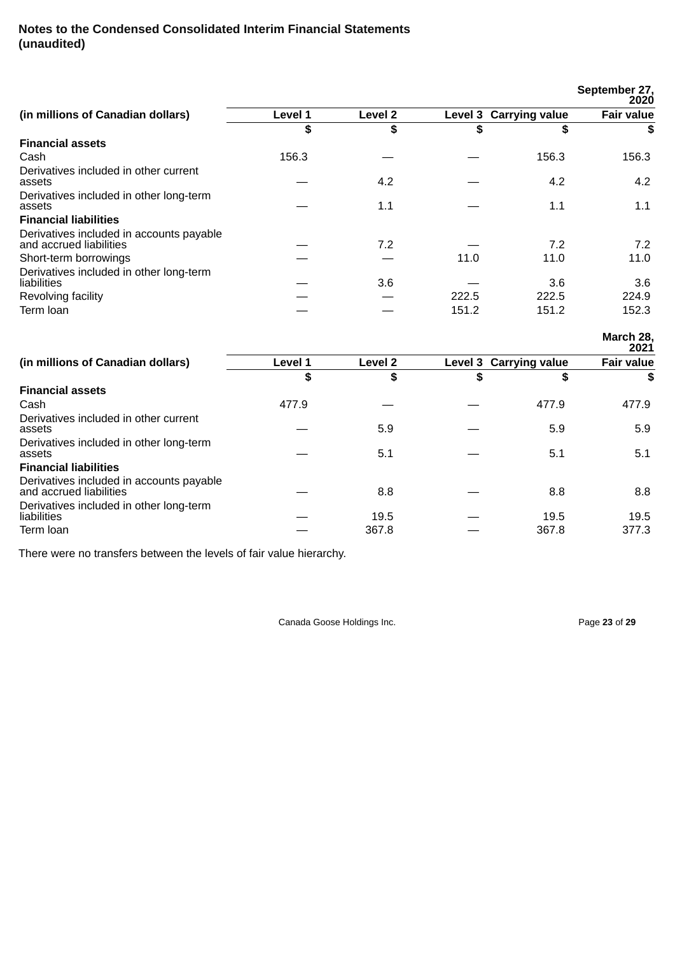|                                                                     |         |         |       |                        | September 27,<br>2020 |
|---------------------------------------------------------------------|---------|---------|-------|------------------------|-----------------------|
| (in millions of Canadian dollars)                                   | Level 1 | Level 2 |       | Level 3 Carrying value | <b>Fair value</b>     |
|                                                                     | \$      | \$      | \$    | \$                     | S                     |
| <b>Financial assets</b>                                             |         |         |       |                        |                       |
| Cash                                                                | 156.3   |         |       | 156.3                  | 156.3                 |
| Derivatives included in other current<br>assets                     |         | 4.2     |       | 4.2                    | 4.2                   |
| Derivatives included in other long-term<br>assets                   |         | 1.1     |       | 1.1                    | 1.1                   |
| <b>Financial liabilities</b>                                        |         |         |       |                        |                       |
| Derivatives included in accounts payable<br>and accrued liabilities |         | 7.2     |       | 7.2                    | 7.2                   |
| Short-term borrowings                                               |         |         | 11.0  | 11.0                   | 11.0                  |
| Derivatives included in other long-term<br>liabilities              |         | 3.6     |       | 3.6                    | 3.6                   |
| Revolving facility                                                  |         |         | 222.5 | 222.5                  | 224.9                 |
| Term Ioan                                                           |         |         | 151.2 | 151.2                  | 152.3                 |

**March 28,**

|                                                                     |         |         |                        | 2021              |
|---------------------------------------------------------------------|---------|---------|------------------------|-------------------|
| (in millions of Canadian dollars)                                   | Level 1 | Level 2 | Level 3 Carrying value | <b>Fair value</b> |
|                                                                     | \$      | \$      | \$<br>\$               | \$                |
| <b>Financial assets</b>                                             |         |         |                        |                   |
| Cash                                                                | 477.9   |         | 477.9                  | 477.9             |
| Derivatives included in other current<br>assets                     |         | 5.9     | 5.9                    | 5.9               |
| Derivatives included in other long-term<br>assets                   |         | 5.1     | 5.1                    | 5.1               |
| <b>Financial liabilities</b>                                        |         |         |                        |                   |
| Derivatives included in accounts payable<br>and accrued liabilities |         | 8.8     | 8.8                    | 8.8               |
| Derivatives included in other long-term<br>liabilities              |         | 19.5    | 19.5                   | 19.5              |
| Term Ioan                                                           |         | 367.8   | 367.8                  | 377.3             |

There were no transfers between the levels of fair value hierarchy.

Canada Goose Holdings Inc. **Page 23** of 29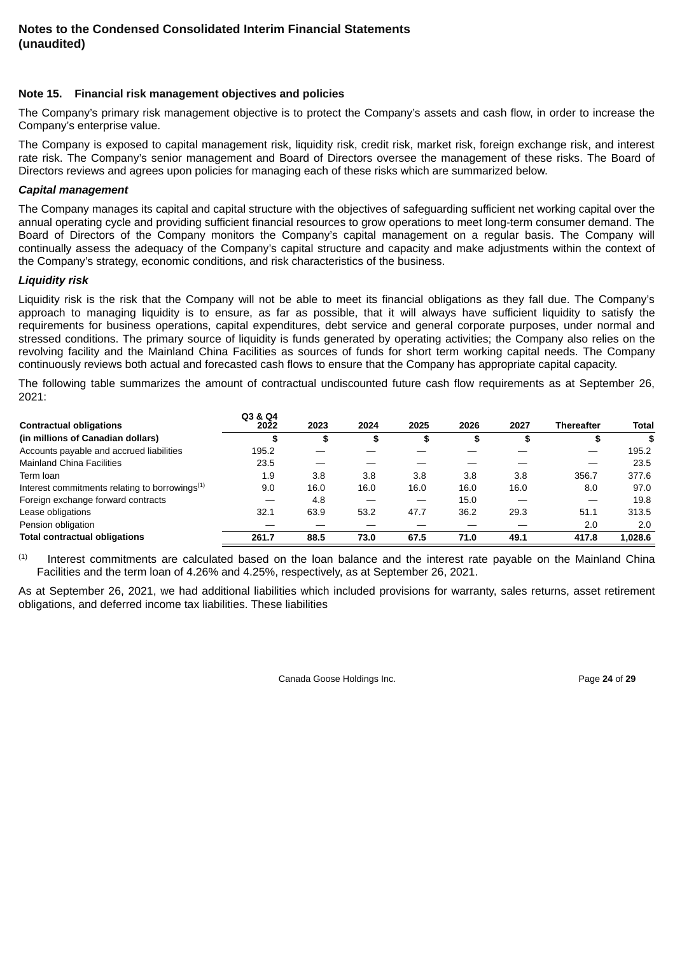#### **Note 15. Financial risk management objectives and policies**

The Company's primary risk management objective is to protect the Company's assets and cash flow, in order to increase the Company's enterprise value.

The Company is exposed to capital management risk, liquidity risk, credit risk, market risk, foreign exchange risk, and interest rate risk. The Company's senior management and Board of Directors oversee the management of these risks. The Board of Directors reviews and agrees upon policies for managing each of these risks which are summarized below.

#### *Capital management*

The Company manages its capital and capital structure with the objectives of safeguarding sufficient net working capital over the annual operating cycle and providing sufficient financial resources to grow operations to meet long-term consumer demand. The Board of Directors of the Company monitors the Company's capital management on a regular basis. The Company will continually assess the adequacy of the Company's capital structure and capacity and make adjustments within the context of the Company's strategy, economic conditions, and risk characteristics of the business.

#### *Liquidity risk*

Liquidity risk is the risk that the Company will not be able to meet its financial obligations as they fall due. The Company's approach to managing liquidity is to ensure, as far as possible, that it will always have sufficient liquidity to satisfy the requirements for business operations, capital expenditures, debt service and general corporate purposes, under normal and stressed conditions. The primary source of liquidity is funds generated by operating activities; the Company also relies on the revolving facility and the Mainland China Facilities as sources of funds for short term working capital needs. The Company continuously reviews both actual and forecasted cash flows to ensure that the Company has appropriate capital capacity.

The following table summarizes the amount of contractual undiscounted future cash flow requirements as at September 26, 2021:

| <b>Contractual obligations</b>                             | Q3 & Q4<br>2022 | 2023 | 2024 | 2025 | 2026 | 2027 | <b>Thereafter</b> | <b>Total</b> |
|------------------------------------------------------------|-----------------|------|------|------|------|------|-------------------|--------------|
| (in millions of Canadian dollars)                          |                 | \$   | \$   | \$   | \$   | ъ    | \$                | \$           |
| Accounts payable and accrued liabilities                   | 195.2           |      |      |      |      |      |                   | 195.2        |
| <b>Mainland China Facilities</b>                           | 23.5            |      |      |      |      |      |                   | 23.5         |
| Term loan                                                  | 1.9             | 3.8  | 3.8  | 3.8  | 3.8  | 3.8  | 356.7             | 377.6        |
| Interest commitments relating to borrowings <sup>(1)</sup> | 9.0             | 16.0 | 16.0 | 16.0 | 16.0 | 16.0 | 8.0               | 97.0         |
| Foreign exchange forward contracts                         |                 | 4.8  |      |      | 15.0 |      |                   | 19.8         |
| Lease obligations                                          | 32.1            | 63.9 | 53.2 | 47.7 | 36.2 | 29.3 | 51.1              | 313.5        |
| Pension obligation                                         |                 |      |      |      |      |      | 2.0               | 2.0          |
| <b>Total contractual obligations</b>                       | 261.7           | 88.5 | 73.0 | 67.5 | 71.0 | 49.1 | 417.8             | 1.028.6      |

Interest commitments are calculated based on the loan balance and the interest rate payable on the Mainland China Facilities and the term loan of 4.26% and 4.25%, respectively, as at September 26, 2021. (1)

As at September 26, 2021, we had additional liabilities which included provisions for warranty, sales returns, asset retirement obligations, and deferred income tax liabilities. These liabilities

Canada Goose Holdings Inc. Page **24** of **29**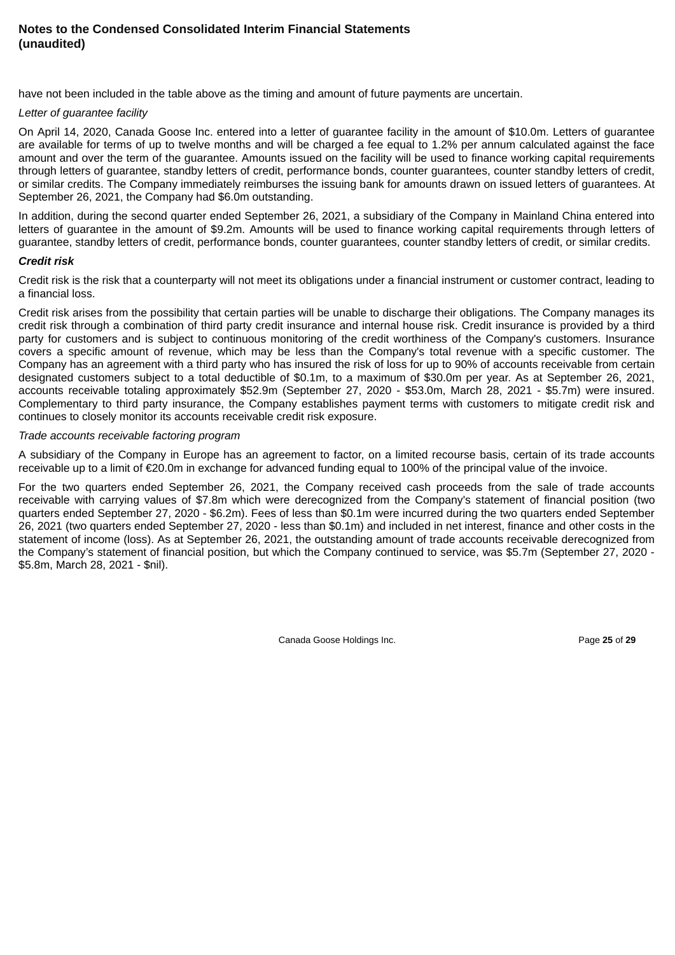have not been included in the table above as the timing and amount of future payments are uncertain.

#### *Letter of guarantee facility*

On April 14, 2020, Canada Goose Inc. entered into a letter of guarantee facility in the amount of \$10.0m. Letters of guarantee are available for terms of up to twelve months and will be charged a fee equal to 1.2% per annum calculated against the face amount and over the term of the guarantee. Amounts issued on the facility will be used to finance working capital requirements through letters of guarantee, standby letters of credit, performance bonds, counter guarantees, counter standby letters of credit, or similar credits. The Company immediately reimburses the issuing bank for amounts drawn on issued letters of guarantees. At September 26, 2021, the Company had \$6.0m outstanding.

In addition, during the second quarter ended September 26, 2021, a subsidiary of the Company in Mainland China entered into letters of guarantee in the amount of \$9.2m. Amounts will be used to finance working capital requirements through letters of guarantee, standby letters of credit, performance bonds, counter guarantees, counter standby letters of credit, or similar credits.

## *Credit risk*

Credit risk is the risk that a counterparty will not meet its obligations under a financial instrument or customer contract, leading to a financial loss.

Credit risk arises from the possibility that certain parties will be unable to discharge their obligations. The Company manages its credit risk through a combination of third party credit insurance and internal house risk. Credit insurance is provided by a third party for customers and is subject to continuous monitoring of the credit worthiness of the Company's customers. Insurance covers a specific amount of revenue, which may be less than the Company's total revenue with a specific customer. The Company has an agreement with a third party who has insured the risk of loss for up to 90% of accounts receivable from certain designated customers subject to a total deductible of \$0.1m, to a maximum of \$30.0m per year. As at September 26, 2021, accounts receivable totaling approximately \$52.9m (September 27, 2020 - \$53.0m, March 28, 2021 - \$5.7m) were insured. Complementary to third party insurance, the Company establishes payment terms with customers to mitigate credit risk and continues to closely monitor its accounts receivable credit risk exposure.

#### *Trade accounts receivable factoring program*

A subsidiary of the Company in Europe has an agreement to factor, on a limited recourse basis, certain of its trade accounts receivable up to a limit of €20.0m in exchange for advanced funding equal to 100% of the principal value of the invoice.

For the two quarters ended September 26, 2021, the Company received cash proceeds from the sale of trade accounts receivable with carrying values of \$7.8m which were derecognized from the Company's statement of financial position (two quarters ended September 27, 2020 - \$6.2m). Fees of less than \$0.1m were incurred during the two quarters ended September 26, 2021 (two quarters ended September 27, 2020 - less than \$0.1m) and included in net interest, finance and other costs in the statement of income (loss). As at September 26, 2021, the outstanding amount of trade accounts receivable derecognized from the Company's statement of financial position, but which the Company continued to service, was \$5.7m (September 27, 2020 - \$5.8m, March 28, 2021 - \$nil).

Canada Goose Holdings Inc. **Page 25** of 29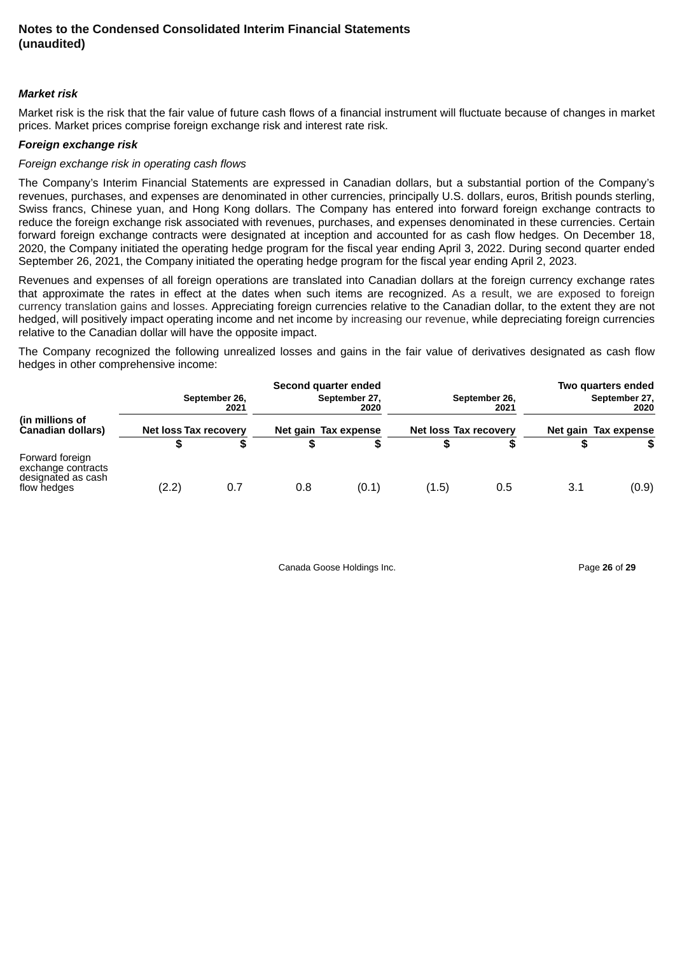#### *Market risk*

Market risk is the risk that the fair value of future cash flows of a financial instrument will fluctuate because of changes in market prices. Market prices comprise foreign exchange risk and interest rate risk.

#### *Foreign exchange risk*

#### *Foreign exchange risk in operating cash flows*

The Company's Interim Financial Statements are expressed in Canadian dollars, but a substantial portion of the Company's revenues, purchases, and expenses are denominated in other currencies, principally U.S. dollars, euros, British pounds sterling, Swiss francs, Chinese yuan, and Hong Kong dollars. The Company has entered into forward foreign exchange contracts to reduce the foreign exchange risk associated with revenues, purchases, and expenses denominated in these currencies. Certain forward foreign exchange contracts were designated at inception and accounted for as cash flow hedges. On December 18, 2020, the Company initiated the operating hedge program for the fiscal year ending April 3, 2022. During second quarter ended September 26, 2021, the Company initiated the operating hedge program for the fiscal year ending April 2, 2023.

Revenues and expenses of all foreign operations are translated into Canadian dollars at the foreign currency exchange rates that approximate the rates in effect at the dates when such items are recognized. As a result, we are exposed to foreign currency translation gains and losses. Appreciating foreign currencies relative to the Canadian dollar, to the extent they are not hedged, will positively impact operating income and net income by increasing our revenue, while depreciating foreign currencies relative to the Canadian dollar will have the opposite impact.

The Company recognized the following unrealized losses and gains in the fair value of derivatives designated as cash flow hedges in other comprehensive income:

|                                                                            |                       |                       |     | Second quarter ended  |                       |                       |     | Two quarters ended    |
|----------------------------------------------------------------------------|-----------------------|-----------------------|-----|-----------------------|-----------------------|-----------------------|-----|-----------------------|
|                                                                            |                       | September 26,<br>2021 |     | September 27,<br>2020 |                       | September 26,<br>2021 |     | September 27,<br>2020 |
| (in millions of<br>Canadian dollars)                                       | Net loss Tax recovery |                       |     | Net gain Tax expense  | Net loss Tax recovery |                       |     | Net gain Tax expense  |
|                                                                            | S                     | S                     |     |                       |                       |                       |     |                       |
| Forward foreign<br>exchange contracts<br>designated as cash<br>flow hedges | (2.2)                 | 0.7                   | 0.8 | (0.1)                 | (1.5)                 | 0.5                   | 3.1 | (0.9)                 |

Canada Goose Holdings Inc. Page **26** of **29**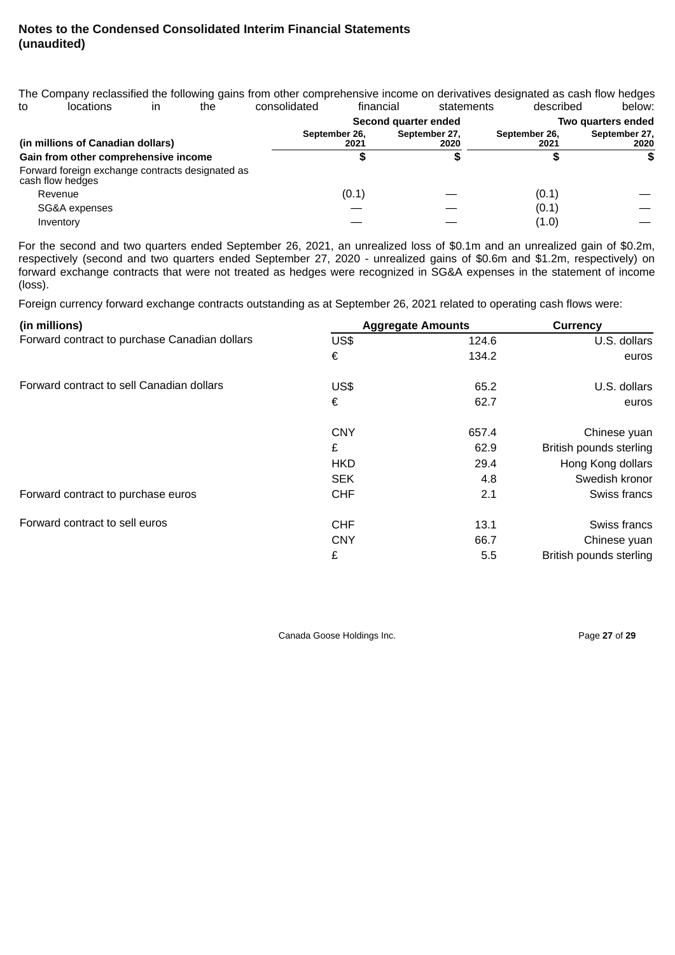|    |                                                                      |    |     | The Company reclassified the following gains from other comprehensive income on derivatives designated as cash flow hedges |           |                       |               |           |                       |
|----|----------------------------------------------------------------------|----|-----|----------------------------------------------------------------------------------------------------------------------------|-----------|-----------------------|---------------|-----------|-----------------------|
| to | locations                                                            | in | the | consolidated                                                                                                               | financial |                       | statements    | described | below:                |
|    |                                                                      |    |     |                                                                                                                            |           | Second quarter ended  |               |           | Two quarters ended    |
|    | (in millions of Canadian dollars)                                    |    |     | September 26,                                                                                                              | 2021      | September 27,<br>2020 | September 26, | 2021      | September 27,<br>2020 |
|    | Gain from other comprehensive income                                 |    |     |                                                                                                                            |           |                       |               |           |                       |
|    | Forward foreign exchange contracts designated as<br>cash flow hedges |    |     |                                                                                                                            |           |                       |               |           |                       |
|    | Revenue                                                              |    |     |                                                                                                                            | (0.1)     |                       |               | (0.1)     |                       |
|    | SG&A expenses                                                        |    |     |                                                                                                                            |           |                       |               | (0.1)     |                       |
|    | Inventory                                                            |    |     |                                                                                                                            |           |                       |               | (1.0)     |                       |

For the second and two quarters ended September 26, 2021, an unrealized loss of \$0.1m and an unrealized gain of \$0.2m, respectively (second and two quarters ended September 27, 2020 - unrealized gains of \$0.6m and \$1.2m, respectively) on forward exchange contracts that were not treated as hedges were recognized in SG&A expenses in the statement of income (loss).

Foreign currency forward exchange contracts outstanding as at September 26, 2021 related to operating cash flows were:

| (in millions)                                 |            | <b>Aggregate Amounts</b> | Currency                |
|-----------------------------------------------|------------|--------------------------|-------------------------|
| Forward contract to purchase Canadian dollars | US\$       | 124.6                    | U.S. dollars            |
|                                               | €          | 134.2                    | euros                   |
| Forward contract to sell Canadian dollars     | US\$       | 65.2                     | U.S. dollars            |
|                                               | €          | 62.7                     | euros                   |
|                                               | <b>CNY</b> | 657.4                    | Chinese yuan            |
|                                               | £          | 62.9                     | British pounds sterling |
|                                               | <b>HKD</b> | 29.4                     | Hong Kong dollars       |
|                                               | <b>SEK</b> | 4.8                      | Swedish kronor          |
| Forward contract to purchase euros            | <b>CHF</b> | 2.1                      | Swiss francs            |
| Forward contract to sell euros                | <b>CHF</b> | 13.1                     | Swiss francs            |
|                                               | <b>CNY</b> | 66.7                     | Chinese yuan            |
|                                               | £          | 5.5                      | British pounds sterling |

Canada Goose Holdings Inc. **Page 27** of 29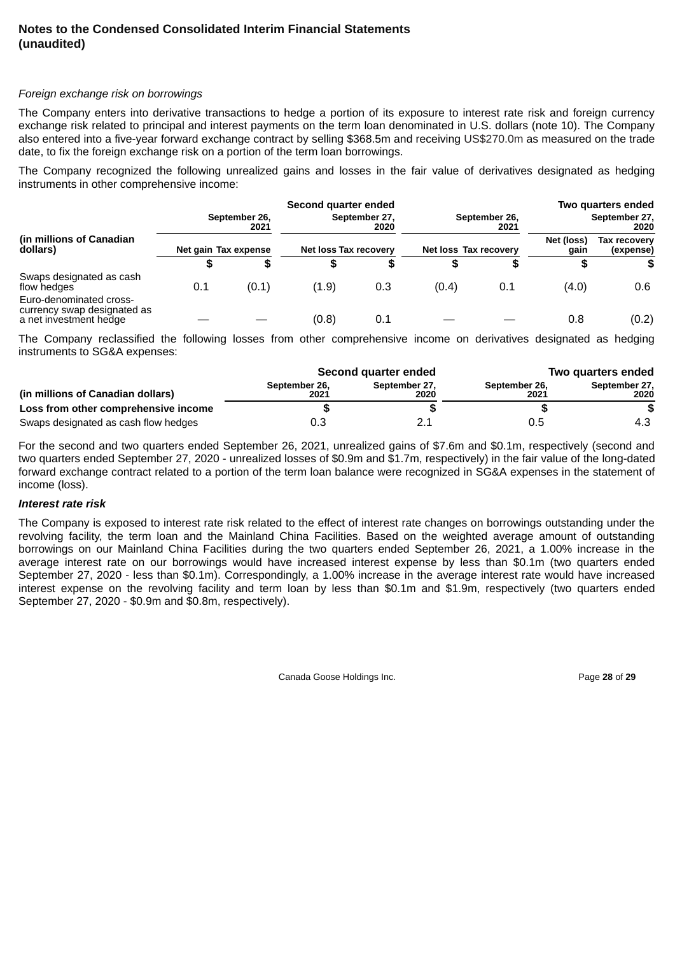#### *Foreign exchange risk on borrowings*

The Company enters into derivative transactions to hedge a portion of its exposure to interest rate risk and foreign currency exchange risk related to principal and interest payments on the term loan denominated in U.S. dollars (note 10). The Company also entered into a five-year forward exchange contract by selling \$368.5m and receiving US\$270.0m as measured on the trade date, to fix the foreign exchange risk on a portion of the term loan borrowings.

The Company recognized the following unrealized gains and losses in the fair value of derivatives designated as hedging instruments in other comprehensive income:

|                                                                                  |                      |                       | Second quarter ended  |                       |                       |                       |                    | Two quarters ended        |
|----------------------------------------------------------------------------------|----------------------|-----------------------|-----------------------|-----------------------|-----------------------|-----------------------|--------------------|---------------------------|
|                                                                                  |                      | September 26,<br>2021 |                       | September 27,<br>2020 |                       | September 26,<br>2021 |                    | September 27,<br>2020     |
| (in millions of Canadian<br>dollars)                                             | Net gain Tax expense |                       | Net loss Tax recovery |                       | Net loss Tax recovery |                       | Net (loss)<br>gain | Tax recovery<br>(expense) |
|                                                                                  | 5                    |                       |                       |                       |                       |                       | S                  |                           |
| Swaps designated as cash<br>flow hedges                                          | 0.1                  | (0.1)                 | (1.9)                 | 0.3                   | (0.4)                 | 0.1                   | (4.0)              | 0.6                       |
| Euro-denominated cross-<br>currency swap designated as<br>a net investment hedge |                      |                       | (0.8)                 | 0.1                   |                       |                       | 0.8                | (0.2)                     |

The Company reclassified the following losses from other comprehensive income on derivatives designated as hedging instruments to SG&A expenses:

|                                      |                       | Second quarter ended  | Two quarters ended    |                       |  |  |
|--------------------------------------|-----------------------|-----------------------|-----------------------|-----------------------|--|--|
| (in millions of Canadian dollars)    | September 26,<br>2021 | September 27.<br>2020 | September 26,<br>2021 | September 27,<br>2020 |  |  |
| Loss from other comprehensive income |                       |                       |                       |                       |  |  |
| Swaps designated as cash flow hedges | 0.3                   |                       | 0.5                   | 4.3                   |  |  |

For the second and two quarters ended September 26, 2021, unrealized gains of \$7.6m and \$0.1m, respectively (second and two quarters ended September 27, 2020 - unrealized losses of \$0.9m and \$1.7m, respectively) in the fair value of the long-dated forward exchange contract related to a portion of the term loan balance were recognized in SG&A expenses in the statement of income (loss).

#### *Interest rate risk*

The Company is exposed to interest rate risk related to the effect of interest rate changes on borrowings outstanding under the revolving facility, the term loan and the Mainland China Facilities. Based on the weighted average amount of outstanding borrowings on our Mainland China Facilities during the two quarters ended September 26, 2021, a 1.00% increase in the average interest rate on our borrowings would have increased interest expense by less than \$0.1m (two quarters ended September 27, 2020 - less than \$0.1m). Correspondingly, a 1.00% increase in the average interest rate would have increased interest expense on the revolving facility and term loan by less than \$0.1m and \$1.9m, respectively (two quarters ended September 27, 2020 - \$0.9m and \$0.8m, respectively).

Canada Goose Holdings Inc. **Page 28** of 29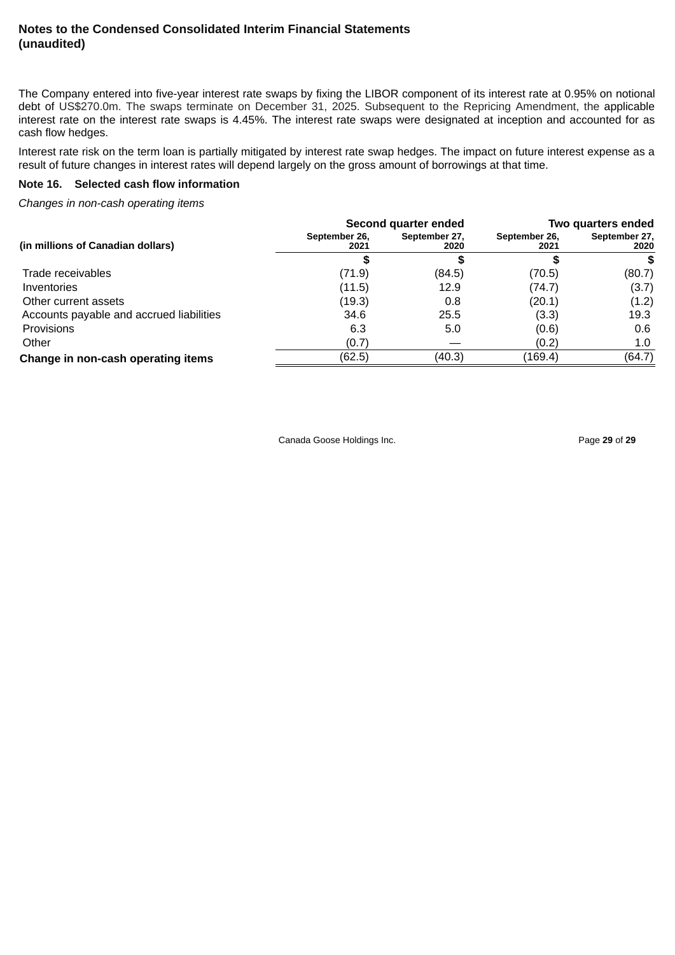The Company entered into five-year interest rate swaps by fixing the LIBOR component of its interest rate at 0.95% on notional debt of US\$270.0m. The swaps terminate on December 31, 2025. Subsequent to the Repricing Amendment, the applicable interest rate on the interest rate swaps is 4.45%. The interest rate swaps were designated at inception and accounted for as cash flow hedges.

Interest rate risk on the term loan is partially mitigated by interest rate swap hedges. The impact on future interest expense as a result of future changes in interest rates will depend largely on the gross amount of borrowings at that time.

#### **Note 16. Selected cash flow information**

*Changes in non-cash operating items*

| (in millions of Canadian dollars)        | Second quarter ended  |                       | Two quarters ended    |                       |
|------------------------------------------|-----------------------|-----------------------|-----------------------|-----------------------|
|                                          | September 26,<br>2021 | September 27,<br>2020 | September 26,<br>2021 | September 27,<br>2020 |
|                                          |                       |                       |                       |                       |
| Trade receivables                        | (71.9)                | (84.5)                | (70.5)                | (80.7)                |
| Inventories                              | (11.5)                | 12.9                  | (74.7)                | (3.7)                 |
| Other current assets                     | (19.3)                | 0.8                   | (20.1)                | (1.2)                 |
| Accounts payable and accrued liabilities | 34.6                  | 25.5                  | (3.3)                 | 19.3                  |
| Provisions                               | 6.3                   | 5.0                   | (0.6)                 | 0.6                   |
| Other                                    | (0.7)                 |                       | (0.2)                 | 1.0                   |
| Change in non-cash operating items       | (62.5)                | (40.3)                | (169.4)               | (64.7)                |

Canada Goose Holdings Inc. **Page 29** of 29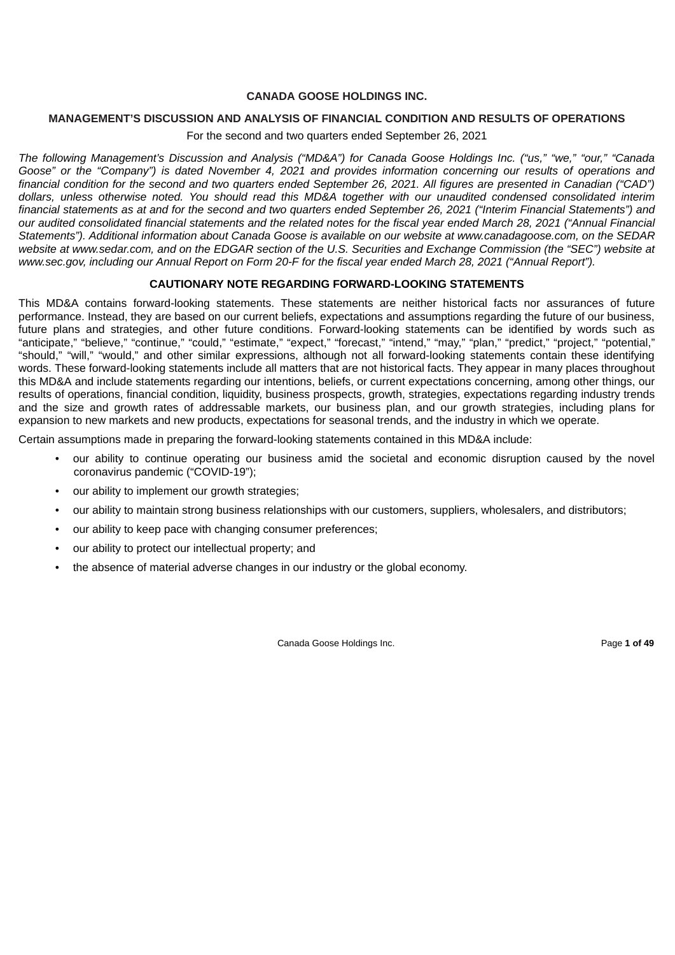#### **CANADA GOOSE HOLDINGS INC.**

#### <span id="page-33-0"></span>**MANAGEMENT'S DISCUSSION AND ANALYSIS OF FINANCIAL CONDITION AND RESULTS OF OPERATIONS**

For the second and two quarters ended September 26, 2021

The following Management's Discussion and Analysis ("MD&A") for Canada Goose Holdings Inc. ("us." "we." "our." "Canada Goose" or the "Company") is dated November 4, 2021 and provides information concerning our results of operations and financial condition for the second and two quarters ended September 26, 2021. All figures are presented in Canadian ("CAD") dollars, unless otherwise noted. You should read this MD&A together with our unaudited condensed consolidated interim financial statements as at and for the second and two quarters ended September 26, 2021 ("Interim Financial Statements") and our audited consolidated financial statements and the related notes for the fiscal vear ended March 28, 2021 ("Annual Financial Statements"). Additional information about Canada Goose is available on our website at www.canadagoose.com, on the SEDAR website at www.sedar.com, and on the EDGAR section of the U.S. Securities and Exchange Commission (the "SEC") website at www.sec.gov, including our Annual Report on Form 20-F for the fiscal year ended March 28, 2021 ("Annual Report").

#### **CAUTIONARY NOTE REGARDING FORWARD‑LOOKING STATEMENTS**

This MD&A contains forward-looking statements. These statements are neither historical facts nor assurances of future performance. Instead, they are based on our current beliefs, expectations and assumptions regarding the future of our business, future plans and strategies, and other future conditions. Forward-looking statements can be identified by words such as "anticipate," "believe," "continue," "could," "estimate," "expect," "forecast," "intend," "may," "plan," "predict," "project," "potential," "should," "will," "would," and other similar expressions, although not all forward-looking statements contain these identifying words. These forward-looking statements include all matters that are not historical facts. They appear in many places throughout this MD&A and include statements regarding our intentions, beliefs, or current expectations concerning, among other things, our results of operations, financial condition, liquidity, business prospects, growth, strategies, expectations regarding industry trends and the size and growth rates of addressable markets, our business plan, and our growth strategies, including plans for expansion to new markets and new products, expectations for seasonal trends, and the industry in which we operate.

Certain assumptions made in preparing the forward-looking statements contained in this MD&A include:

- our ability to continue operating our business amid the societal and economic disruption caused by the novel coronavirus pandemic ("COVID-19");
- our ability to implement our growth strategies;
- our ability to maintain strong business relationships with our customers, suppliers, wholesalers, and distributors;
- our ability to keep pace with changing consumer preferences;
- our ability to protect our intellectual property; and
- the absence of material adverse changes in our industry or the global economy.

Canada Goose Holdings Inc. **Page 1 of 49** Page 1 of 49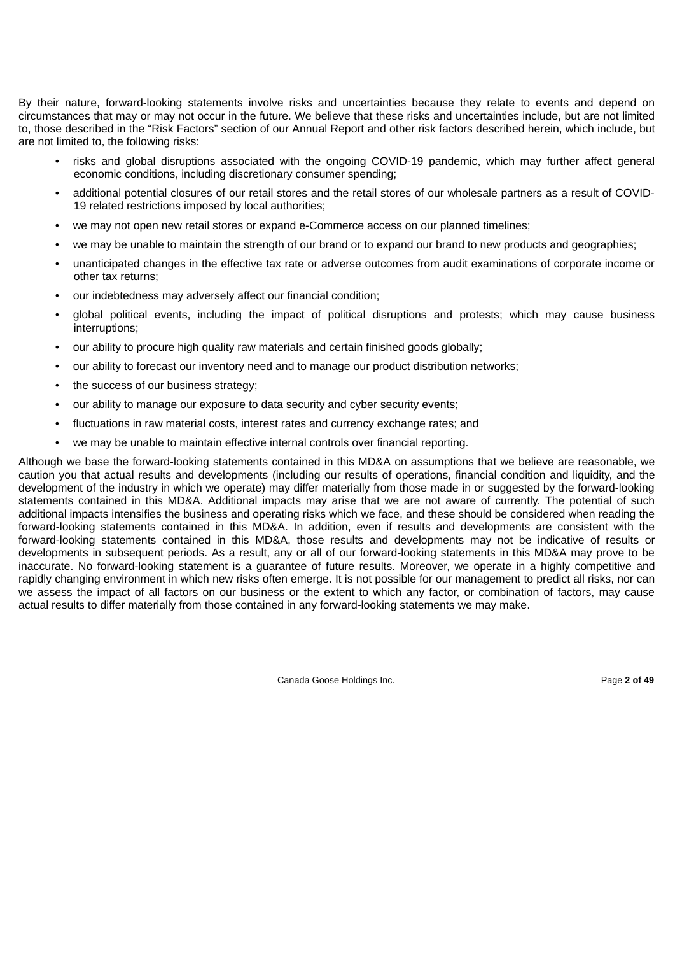By their nature, forward-looking statements involve risks and uncertainties because they relate to events and depend on circumstances that may or may not occur in the future. We believe that these risks and uncertainties include, but are not limited to, those described in the "Risk Factors" section of our Annual Report and other risk factors described herein, which include, but are not limited to, the following risks:

- risks and global disruptions associated with the ongoing COVID-19 pandemic, which may further affect general economic conditions, including discretionary consumer spending;
- additional potential closures of our retail stores and the retail stores of our wholesale partners as a result of COVID-19 related restrictions imposed by local authorities;
- we may not open new retail stores or expand e-Commerce access on our planned timelines;
- we may be unable to maintain the strength of our brand or to expand our brand to new products and geographies;
- unanticipated changes in the effective tax rate or adverse outcomes from audit examinations of corporate income or other tax returns;
- our indebtedness may adversely affect our financial condition;
- global political events, including the impact of political disruptions and protests; which may cause business interruptions;
- our ability to procure high quality raw materials and certain finished goods globally;
- our ability to forecast our inventory need and to manage our product distribution networks;
- the success of our business strategy;
- our ability to manage our exposure to data security and cyber security events;
- fluctuations in raw material costs, interest rates and currency exchange rates; and
- we may be unable to maintain effective internal controls over financial reporting.

Although we base the forward-looking statements contained in this MD&A on assumptions that we believe are reasonable, we caution you that actual results and developments (including our results of operations, financial condition and liquidity, and the development of the industry in which we operate) may differ materially from those made in or suggested by the forward-looking statements contained in this MD&A. Additional impacts may arise that we are not aware of currently. The potential of such additional impacts intensifies the business and operating risks which we face, and these should be considered when reading the forward-looking statements contained in this MD&A. In addition, even if results and developments are consistent with the forward-looking statements contained in this MD&A, those results and developments may not be indicative of results or developments in subsequent periods. As a result, any or all of our forward-looking statements in this MD&A may prove to be inaccurate. No forward-looking statement is a guarantee of future results. Moreover, we operate in a highly competitive and rapidly changing environment in which new risks often emerge. It is not possible for our management to predict all risks, nor can we assess the impact of all factors on our business or the extent to which any factor, or combination of factors, may cause actual results to differ materially from those contained in any forward-looking statements we may make.

Canada Goose Holdings Inc. **Page 2 of 49** Page 2 of 49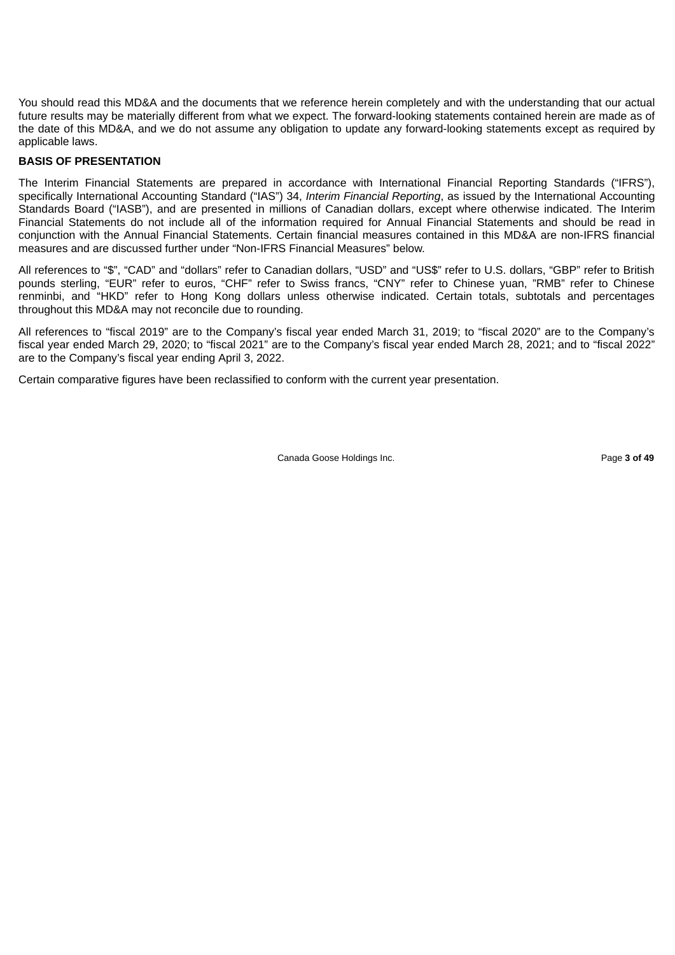You should read this MD&A and the documents that we reference herein completely and with the understanding that our actual future results may be materially different from what we expect. The forward-looking statements contained herein are made as of the date of this MD&A, and we do not assume any obligation to update any forward-looking statements except as required by applicable laws.

#### **BASIS OF PRESENTATION**

The Interim Financial Statements are prepared in accordance with International Financial Reporting Standards ("IFRS"), specifically International Accounting Standard ("IAS") 34, *Interim Financial Reporting*, as issued by the International Accounting Standards Board ("IASB"), and are presented in millions of Canadian dollars, except where otherwise indicated. The Interim Financial Statements do not include all of the information required for Annual Financial Statements and should be read in conjunction with the Annual Financial Statements. Certain financial measures contained in this MD&A are non-IFRS financial measures and are discussed further under "Non-IFRS Financial Measures" below.

All references to "\$", "CAD" and "dollars" refer to Canadian dollars, "USD" and "US\$" refer to U.S. dollars, "GBP" refer to British pounds sterling, "EUR" refer to euros, "CHF" refer to Swiss francs, "CNY" refer to Chinese yuan, "RMB" refer to Chinese renminbi, and "HKD" refer to Hong Kong dollars unless otherwise indicated. Certain totals, subtotals and percentages throughout this MD&A may not reconcile due to rounding.

All references to "fiscal 2019" are to the Company's fiscal year ended March 31, 2019; to "fiscal 2020" are to the Company's fiscal year ended March 29, 2020; to "fiscal 2021" are to the Company's fiscal year ended March 28, 2021; and to "fiscal 2022" are to the Company's fiscal year ending April 3, 2022.

Certain comparative figures have been reclassified to conform with the current year presentation.

Canada Goose Holdings Inc. Page **3 of 49**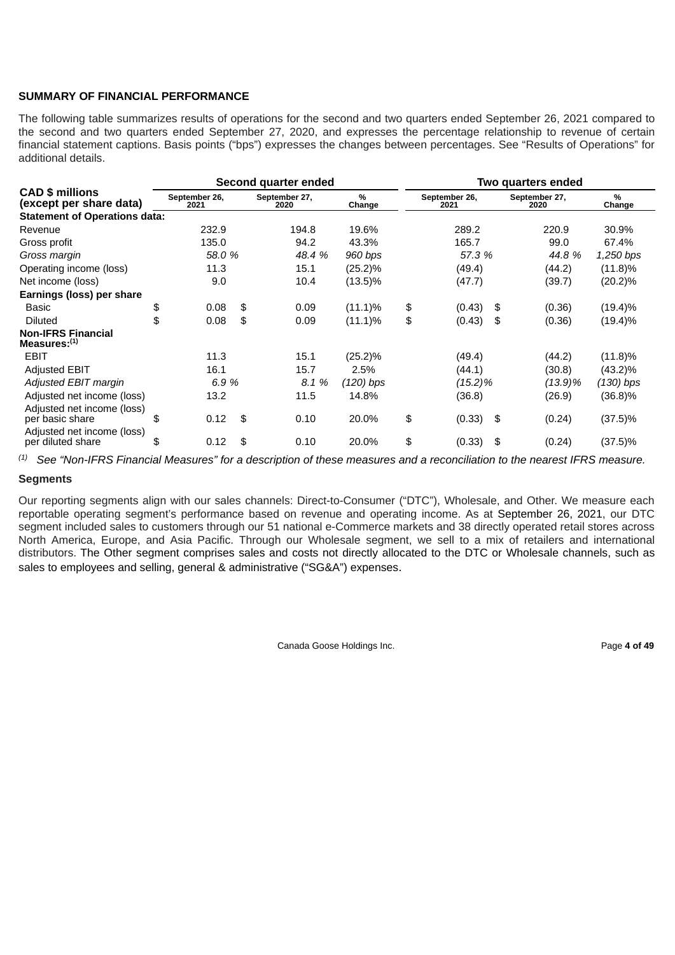# **SUMMARY OF FINANCIAL PERFORMANCE**

The following table summarizes results of operations for the second and two quarters ended September 26, 2021 compared to the second and two quarters ended September 27, 2020, and expresses the percentage relationship to revenue of certain financial statement captions. Basis points ("bps") expresses the changes between percentages. See "Results of Operations" for additional details.

|                                                   |                       | Second quarter ended |                       | Two quarters ended |                       |    |                       |             |
|---------------------------------------------------|-----------------------|----------------------|-----------------------|--------------------|-----------------------|----|-----------------------|-------------|
| <b>CAD \$ millions</b><br>(except per share data) | September 26,<br>2021 |                      | September 27,<br>2020 | $\%$<br>Change     | September 26,<br>2021 |    | September 27,<br>2020 | %<br>Change |
| <b>Statement of Operations data:</b>              |                       |                      |                       |                    |                       |    |                       |             |
| Revenue                                           | 232.9                 |                      | 194.8                 | 19.6%              | 289.2                 |    | 220.9                 | 30.9%       |
| Gross profit                                      | 135.0                 |                      | 94.2                  | 43.3%              | 165.7                 |    | 99.0                  | 67.4%       |
| Gross margin                                      | 58.0 %                |                      | 48.4 %                | 960 bps            | 57.3 %                |    | 44.8%                 | 1,250 bps   |
| Operating income (loss)                           | 11.3                  |                      | 15.1                  | $(25.2)\%$         | (49.4)                |    | (44.2)                | $(11.8)\%$  |
| Net income (loss)                                 | 9.0                   |                      | 10.4                  | $(13.5)\%$         | (47.7)                |    | (39.7)                | $(20.2)\%$  |
| Earnings (loss) per share                         |                       |                      |                       |                    |                       |    |                       |             |
| Basic                                             | \$<br>0.08            | \$                   | 0.09                  | $(11.1)\%$         | \$<br>(0.43)          | \$ | (0.36)                | $(19.4)\%$  |
| <b>Diluted</b>                                    | \$<br>0.08            | \$                   | 0.09                  | $(11.1)\%$         | \$<br>(0.43)          | \$ | (0.36)                | $(19.4)\%$  |
| <b>Non-IFRS Financial</b><br>Measures: $(1)$      |                       |                      |                       |                    |                       |    |                       |             |
| <b>EBIT</b>                                       | 11.3                  |                      | 15.1                  | $(25.2)\%$         | (49.4)                |    | (44.2)                | $(11.8)\%$  |
| <b>Adjusted EBIT</b>                              | 16.1                  |                      | 15.7                  | 2.5%               | (44.1)                |    | (30.8)                | $(43.2)\%$  |
| Adjusted EBIT margin                              | 6.9%                  |                      | 8.1 %                 | $(120)$ bps        | (15.2)%               |    | (13.9)%               | $(130)$ bps |
| Adjusted net income (loss)                        | 13.2                  |                      | 11.5                  | 14.8%              | (36.8)                |    | (26.9)                | $(36.8)\%$  |
| Adjusted net income (loss)<br>per basic share     | \$<br>0.12            | \$                   | 0.10                  | 20.0%              | \$<br>(0.33)          | \$ | (0.24)                | $(37.5)\%$  |
| Adjusted net income (loss)<br>per diluted share   | \$<br>0.12            | \$                   | 0.10                  | 20.0%              | \$<br>(0.33)          | \$ | (0.24)                | $(37.5)\%$  |

 $^{(1)}$  See "Non-IFRS Financial Measures" for a description of these measures and a reconciliation to the nearest IFRS measure.

# **Segments**

Our reporting segments align with our sales channels: Direct-to-Consumer ("DTC"), Wholesale, and Other. We measure each reportable operating segment's performance based on revenue and operating income. As at September 26, 2021, our DTC segment included sales to customers through our 51 national e-Commerce markets and 38 directly operated retail stores across North America, Europe, and Asia Pacific. Through our Wholesale segment, we sell to a mix of retailers and international distributors. The Other segment comprises sales and costs not directly allocated to the DTC or Wholesale channels, such as sales to employees and selling, general & administrative ("SG&A") expenses.

Canada Goose Holdings Inc. **Page 4 of 49 Page 4 of 49**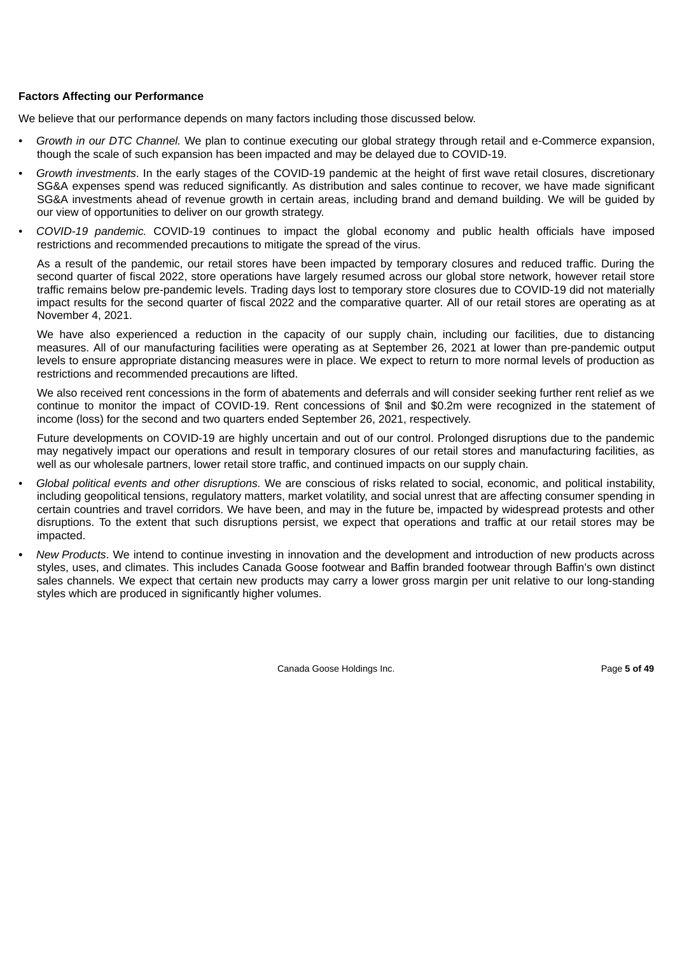# **Factors Affecting our Performance**

We believe that our performance depends on many factors including those discussed below.

- *• Growth in our DTC Channel.* We plan to continue executing our global strategy through retail and e-Commerce expansion, though the scale of such expansion has been impacted and may be delayed due to COVID-19.
- *• Growth investments*. In the early stages of the COVID-19 pandemic at the height of first wave retail closures, discretionary SG&A expenses spend was reduced significantly. As distribution and sales continue to recover, we have made significant SG&A investments ahead of revenue growth in certain areas, including brand and demand building. We will be guided by our view of opportunities to deliver on our growth strategy.
- *• COVID-19 pandemic.* COVID-19 continues to impact the global economy and public health officials have imposed restrictions and recommended precautions to mitigate the spread of the virus.

As a result of the pandemic, our retail stores have been impacted by temporary closures and reduced traffic. During the second quarter of fiscal 2022, store operations have largely resumed across our global store network, however retail store traffic remains below pre-pandemic levels. Trading days lost to temporary store closures due to COVID-19 did not materially impact results for the second quarter of fiscal 2022 and the comparative quarter. All of our retail stores are operating as at November 4, 2021.

We have also experienced a reduction in the capacity of our supply chain, including our facilities, due to distancing measures. All of our manufacturing facilities were operating as at September 26, 2021 at lower than pre-pandemic output levels to ensure appropriate distancing measures were in place. We expect to return to more normal levels of production as restrictions and recommended precautions are lifted.

We also received rent concessions in the form of abatements and deferrals and will consider seeking further rent relief as we continue to monitor the impact of COVID-19. Rent concessions of \$nil and \$0.2m were recognized in the statement of income (loss) for the second and two quarters ended September 26, 2021, respectively.

Future developments on COVID-19 are highly uncertain and out of our control. Prolonged disruptions due to the pandemic may negatively impact our operations and result in temporary closures of our retail stores and manufacturing facilities, as well as our wholesale partners, lower retail store traffic, and continued impacts on our supply chain.

- *• Global political events and other disruptions.* We are conscious of risks related to social, economic, and political instability, including geopolitical tensions, regulatory matters, market volatility, and social unrest that are affecting consumer spending in certain countries and travel corridors. We have been, and may in the future be, impacted by widespread protests and other disruptions. To the extent that such disruptions persist, we expect that operations and traffic at our retail stores may be impacted.
- *• New Products*. We intend to continue investing in innovation and the development and introduction of new products across styles, uses, and climates. This includes Canada Goose footwear and Baffin branded footwear through Baffin's own distinct sales channels. We expect that certain new products may carry a lower gross margin per unit relative to our long-standing styles which are produced in significantly higher volumes.

Canada Goose Holdings Inc. **Page 5 of 49 Page 5 of 49**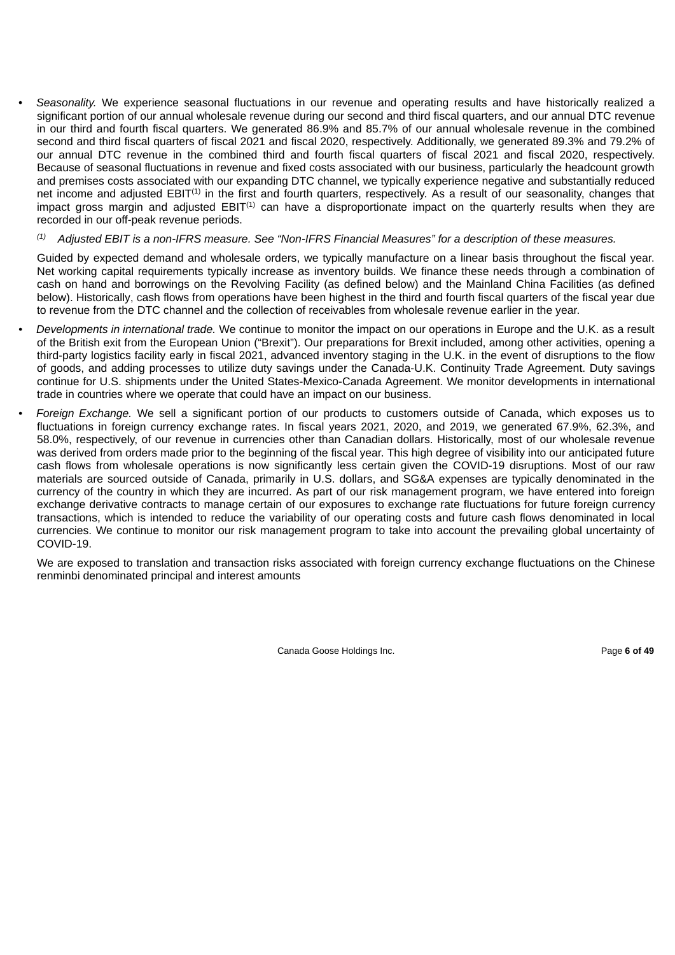• *Seasonality.* We experience seasonal fluctuations in our revenue and operating results and have historically realized a significant portion of our annual wholesale revenue during our second and third fiscal quarters, and our annual DTC revenue in our third and fourth fiscal quarters. We generated 86.9% and 85.7% of our annual wholesale revenue in the combined second and third fiscal quarters of fiscal 2021 and fiscal 2020, respectively. Additionally, we generated 89.3% and 79.2% of our annual DTC revenue in the combined third and fourth fiscal quarters of fiscal 2021 and fiscal 2020, respectively. Because of seasonal fluctuations in revenue and fixed costs associated with our business, particularly the headcount growth and premises costs associated with our expanding DTC channel, we typically experience negative and substantially reduced net income and adjusted  $EBIT^{(1)}$  in the first and fourth quarters, respectively. As a result of our seasonality, changes that impact gross margin and adjusted  $EBIT^{(1)}$  can have a disproportionate impact on the quarterly results when they are recorded in our off-peak revenue periods.

#### *Adjusted EBIT is a non-IFRS measure. See "Non-IFRS Financial Measures" for a description of these measures. (1)*

Guided by expected demand and wholesale orders, we typically manufacture on a linear basis throughout the fiscal year. Net working capital requirements typically increase as inventory builds. We finance these needs through a combination of cash on hand and borrowings on the Revolving Facility (as defined below) and the Mainland China Facilities (as defined below). Historically, cash flows from operations have been highest in the third and fourth fiscal quarters of the fiscal year due to revenue from the DTC channel and the collection of receivables from wholesale revenue earlier in the year.

- *• Developments in international trade.* We continue to monitor the impact on our operations in Europe and the U.K. as a result of the British exit from the European Union ("Brexit"). Our preparations for Brexit included, among other activities, opening a third-party logistics facility early in fiscal 2021, advanced inventory staging in the U.K. in the event of disruptions to the flow of goods, and adding processes to utilize duty savings under the Canada-U.K. Continuity Trade Agreement. Duty savings continue for U.S. shipments under the United States-Mexico-Canada Agreement. We monitor developments in international trade in countries where we operate that could have an impact on our business.
- *• Foreign Exchange.* We sell a significant portion of our products to customers outside of Canada, which exposes us to fluctuations in foreign currency exchange rates. In fiscal years 2021, 2020, and 2019, we generated 67.9%, 62.3%, and 58.0%, respectively, of our revenue in currencies other than Canadian dollars. Historically, most of our wholesale revenue was derived from orders made prior to the beginning of the fiscal year. This high degree of visibility into our anticipated future cash flows from wholesale operations is now significantly less certain given the COVID-19 disruptions. Most of our raw materials are sourced outside of Canada, primarily in U.S. dollars, and SG&A expenses are typically denominated in the currency of the country in which they are incurred. As part of our risk management program, we have entered into foreign exchange derivative contracts to manage certain of our exposures to exchange rate fluctuations for future foreign currency transactions, which is intended to reduce the variability of our operating costs and future cash flows denominated in local currencies. We continue to monitor our risk management program to take into account the prevailing global uncertainty of COVID-19.

We are exposed to translation and transaction risks associated with foreign currency exchange fluctuations on the Chinese renminbi denominated principal and interest amounts

Canada Goose Holdings Inc. **Page 6 of 49 Page 6 of 49**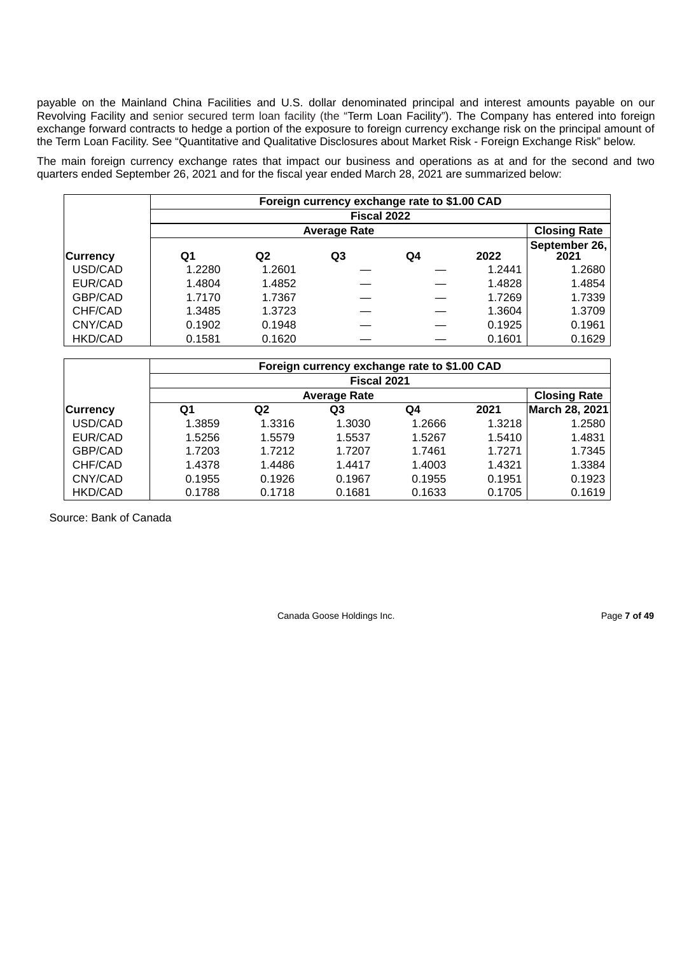payable on the Mainland China Facilities and U.S. dollar denominated principal and interest amounts payable on our Revolving Facility and senior secured term loan facility (the "Term Loan Facility"). The Company has entered into foreign exchange forward contracts to hedge a portion of the exposure to foreign currency exchange risk on the principal amount of the Term Loan Facility. See "Quantitative and Qualitative Disclosures about Market Risk - Foreign Exchange Risk" below.

The main foreign currency exchange rates that impact our business and operations as at and for the second and two quarters ended September 26, 2021 and for the fiscal year ended March 28, 2021 are summarized below:

|                 |             |                                            |                | Foreign currency exchange rate to \$1.00 CAD |        |                       |  |  |  |  |  |
|-----------------|-------------|--------------------------------------------|----------------|----------------------------------------------|--------|-----------------------|--|--|--|--|--|
|                 | Fiscal 2022 |                                            |                |                                              |        |                       |  |  |  |  |  |
|                 |             | <b>Closing Rate</b><br><b>Average Rate</b> |                |                                              |        |                       |  |  |  |  |  |
| <b>Currency</b> | Q1          | Q2                                         | Q <sub>3</sub> | Q4                                           | 2022   | September 26,<br>2021 |  |  |  |  |  |
| USD/CAD         | 1.2280      | 1.2601                                     |                |                                              | 1.2441 | 1.2680                |  |  |  |  |  |
| EUR/CAD         | 1.4804      | 1.4852                                     |                |                                              | 1.4828 | 1.4854                |  |  |  |  |  |
| GBP/CAD         | 1.7170      | 1.7367                                     |                |                                              | 1.7269 | 1.7339                |  |  |  |  |  |
| CHF/CAD         | 1.3485      | 1.3723                                     |                |                                              | 1.3604 | 1.3709                |  |  |  |  |  |
| CNY/CAD         | 0.1902      | 0.1948                                     |                |                                              | 0.1925 | 0.1961                |  |  |  |  |  |
| <b>HKD/CAD</b>  | 0.1581      | 0.1620                                     |                |                                              | 0.1601 | 0.1629                |  |  |  |  |  |

|                    |                                            |                | Foreign currency exchange rate to \$1.00 CAD |        |        |                       |  |  |  |  |
|--------------------|--------------------------------------------|----------------|----------------------------------------------|--------|--------|-----------------------|--|--|--|--|
| <b>Fiscal 2021</b> |                                            |                |                                              |        |        |                       |  |  |  |  |
|                    | <b>Closing Rate</b><br><b>Average Rate</b> |                |                                              |        |        |                       |  |  |  |  |
| <b>Currency</b>    | Q1                                         | Q <sub>2</sub> | Q3                                           | O4     | 2021   | <b>March 28, 2021</b> |  |  |  |  |
| USD/CAD            | 1.3859                                     | 1.3316         | 1.3030                                       | 1.2666 | 1.3218 | 1.2580                |  |  |  |  |
| EUR/CAD            | 1.5256                                     | 1.5579         | 1.5537                                       | 1.5267 | 1.5410 | 1.4831                |  |  |  |  |
| GBP/CAD            | 1.7203                                     | 1.7212         | 1.7207                                       | 1.7461 | 1.7271 | 1.7345                |  |  |  |  |
| CHF/CAD            | 1.4378                                     | 1.4486         | 1.4417                                       | 1.4003 | 1.4321 | 1.3384                |  |  |  |  |
| CNY/CAD            | 0.1955                                     | 0.1926         | 0.1967                                       | 0.1955 | 0.1951 | 0.1923                |  |  |  |  |
| <b>HKD/CAD</b>     | 0.1788                                     | 0.1718         | 0.1681                                       | 0.1633 | 0.1705 | 0.1619                |  |  |  |  |

Source: Bank of Canada

Canada Goose Holdings Inc. **Page 7 of 49**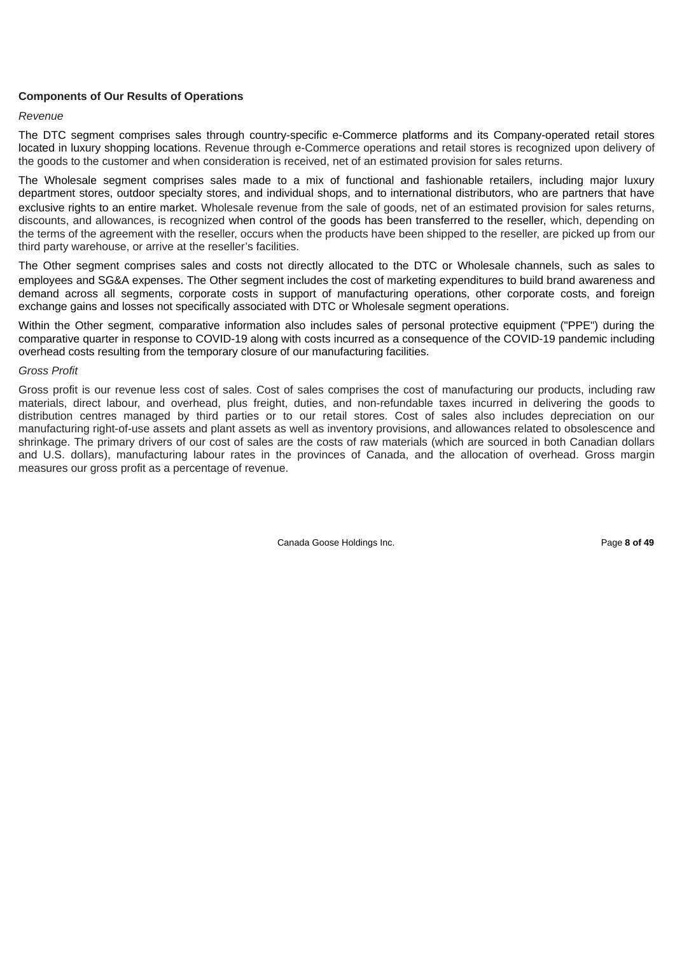# **Components of Our Results of Operations**

### *Revenue*

The DTC segment comprises sales through country-specific e-Commerce platforms and its Company-operated retail stores located in luxury shopping locations. Revenue through e-Commerce operations and retail stores is recognized upon delivery of the goods to the customer and when consideration is received, net of an estimated provision for sales returns.

The Wholesale segment comprises sales made to a mix of functional and fashionable retailers, including major luxury department stores, outdoor specialty stores, and individual shops, and to international distributors, who are partners that have exclusive rights to an entire market. Wholesale revenue from the sale of goods, net of an estimated provision for sales returns, discounts, and allowances, is recognized when control of the goods has been transferred to the reseller, which, depending on the terms of the agreement with the reseller, occurs when the products have been shipped to the reseller, are picked up from our third party warehouse, or arrive at the reseller's facilities.

The Other segment comprises sales and costs not directly allocated to the DTC or Wholesale channels, such as sales to employees and SG&A expenses. The Other segment includes the cost of marketing expenditures to build brand awareness and demand across all segments, corporate costs in support of manufacturing operations, other corporate costs, and foreign exchange gains and losses not specifically associated with DTC or Wholesale segment operations.

Within the Other segment, comparative information also includes sales of personal protective equipment ("PPE") during the comparative quarter in response to COVID-19 along with costs incurred as a consequence of the COVID-19 pandemic including overhead costs resulting from the temporary closure of our manufacturing facilities.

### *Gross Profit*

Gross profit is our revenue less cost of sales. Cost of sales comprises the cost of manufacturing our products, including raw materials, direct labour, and overhead, plus freight, duties, and non-refundable taxes incurred in delivering the goods to distribution centres managed by third parties or to our retail stores. Cost of sales also includes depreciation on our manufacturing right-of-use assets and plant assets as well as inventory provisions, and allowances related to obsolescence and shrinkage. The primary drivers of our cost of sales are the costs of raw materials (which are sourced in both Canadian dollars and U.S. dollars), manufacturing labour rates in the provinces of Canada, and the allocation of overhead. Gross margin measures our gross profit as a percentage of revenue.

Canada Goose Holdings Inc. **Page 8 of 49** Page 8 of 49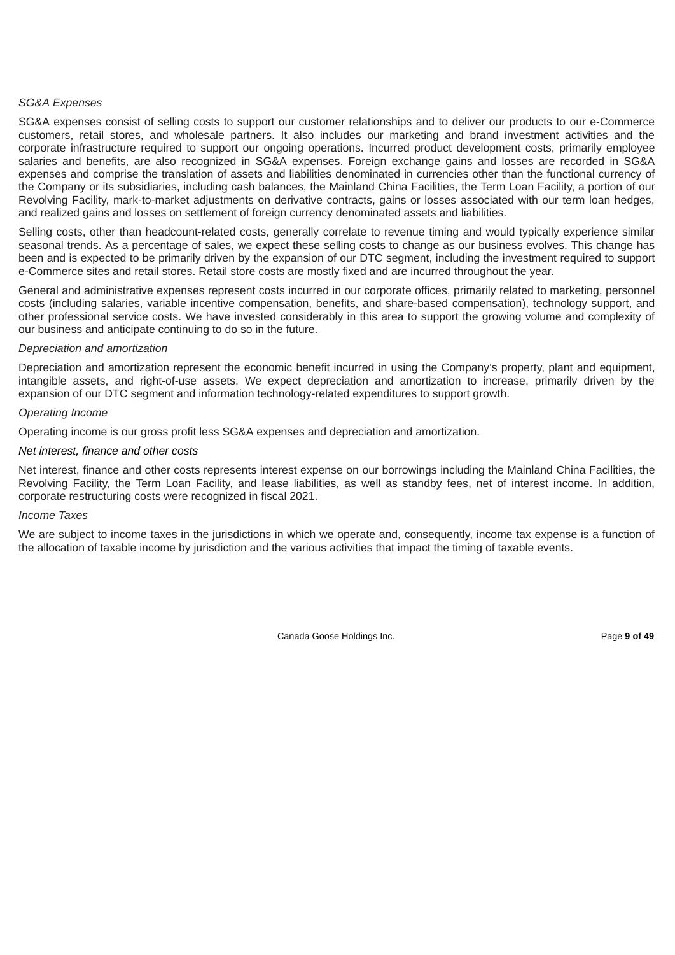### *SG&A Expenses*

SG&A expenses consist of selling costs to support our customer relationships and to deliver our products to our e-Commerce customers, retail stores, and wholesale partners. It also includes our marketing and brand investment activities and the corporate infrastructure required to support our ongoing operations. Incurred product development costs, primarily employee salaries and benefits, are also recognized in SG&A expenses. Foreign exchange gains and losses are recorded in SG&A expenses and comprise the translation of assets and liabilities denominated in currencies other than the functional currency of the Company or its subsidiaries, including cash balances, the Mainland China Facilities, the Term Loan Facility, a portion of our Revolving Facility, mark-to-market adjustments on derivative contracts, gains or losses associated with our term loan hedges, and realized gains and losses on settlement of foreign currency denominated assets and liabilities.

Selling costs, other than headcount-related costs, generally correlate to revenue timing and would typically experience similar seasonal trends. As a percentage of sales, we expect these selling costs to change as our business evolves. This change has been and is expected to be primarily driven by the expansion of our DTC segment, including the investment required to support e-Commerce sites and retail stores. Retail store costs are mostly fixed and are incurred throughout the year.

General and administrative expenses represent costs incurred in our corporate offices, primarily related to marketing, personnel costs (including salaries, variable incentive compensation, benefits, and share-based compensation), technology support, and other professional service costs. We have invested considerably in this area to support the growing volume and complexity of our business and anticipate continuing to do so in the future.

### *Depreciation and amortization*

Depreciation and amortization represent the economic benefit incurred in using the Company's property, plant and equipment, intangible assets, and right-of-use assets. We expect depreciation and amortization to increase, primarily driven by the expansion of our DTC segment and information technology-related expenditures to support growth.

### *Operating Income*

Operating income is our gross profit less SG&A expenses and depreciation and amortization.

### *Net interest, finance and other costs*

Net interest, finance and other costs represents interest expense on our borrowings including the Mainland China Facilities, the Revolving Facility, the Term Loan Facility, and lease liabilities, as well as standby fees, net of interest income. In addition, corporate restructuring costs were recognized in fiscal 2021.

#### *Income Taxes*

We are subject to income taxes in the jurisdictions in which we operate and, consequently, income tax expense is a function of the allocation of taxable income by jurisdiction and the various activities that impact the timing of taxable events.

Canada Goose Holdings Inc. **Page 9 of 49** and  $P$  and  $P$  and  $P$  and  $P$  and  $P$  and  $P$  and  $P$  and  $P$  and  $P$  and  $P$  and  $P$  and  $P$  and  $P$  and  $P$  and  $P$  and  $P$  and  $P$  and  $P$  and  $P$  and  $P$  and  $P$  and  $P$  and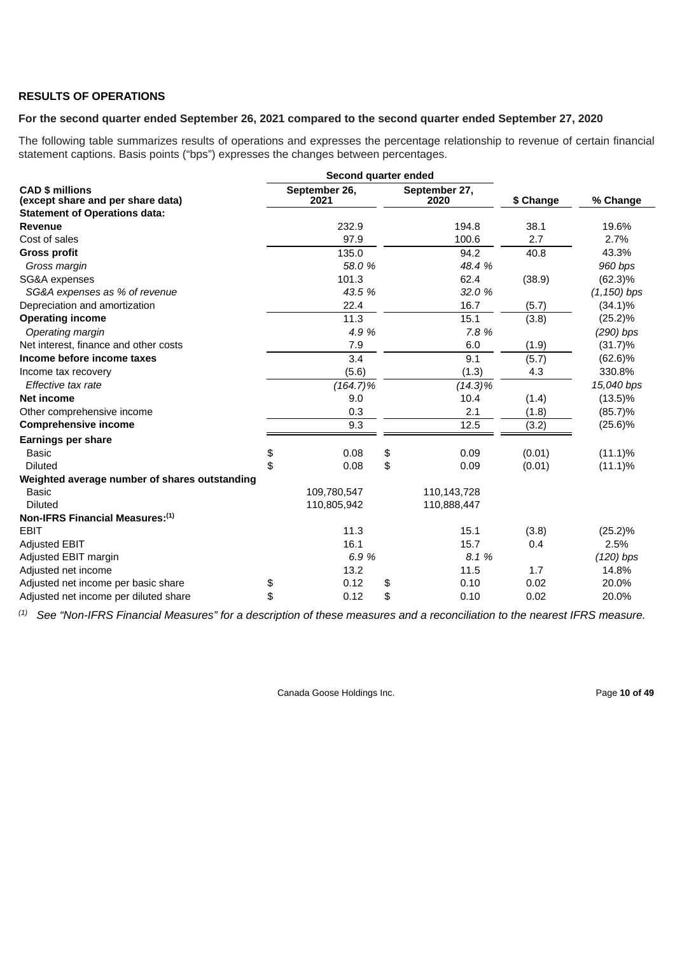# **RESULTS OF OPERATIONS**

# **For the second quarter ended September 26, 2021 compared to the second quarter ended September 27, 2020**

The following table summarizes results of operations and expresses the percentage relationship to revenue of certain financial statement captions. Basis points ("bps") expresses the changes between percentages.

|                                                             | Second quarter ended  |                       |           |                |
|-------------------------------------------------------------|-----------------------|-----------------------|-----------|----------------|
| <b>CAD \$ millions</b><br>(except share and per share data) | September 26,<br>2021 | September 27,<br>2020 | \$ Change | % Change       |
| <b>Statement of Operations data:</b>                        |                       |                       |           |                |
| Revenue                                                     | 232.9                 | 194.8                 | 38.1      | 19.6%          |
| Cost of sales                                               | 97.9                  | 100.6                 | 2.7       | 2.7%           |
| <b>Gross profit</b>                                         | 135.0                 | 94.2                  | 40.8      | 43.3%          |
| Gross margin                                                | 58.0 %                | 48.4 %                |           | 960 bps        |
| SG&A expenses                                               | 101.3                 | 62.4                  | (38.9)    | $(62.3)\%$     |
| SG&A expenses as % of revenue                               | 43.5 %                | 32.0 %                |           | $(1, 150)$ bps |
| Depreciation and amortization                               | 22.4                  | 16.7                  | (5.7)     | $(34.1)\%$     |
| <b>Operating income</b>                                     | 11.3                  | 15.1                  | (3.8)     | $(25.2)\%$     |
| Operating margin                                            | 4.9 %                 | 7.8 %                 |           | $(290)$ bps    |
| Net interest, finance and other costs                       | 7.9                   | 6.0                   | (1.9)     | $(31.7)\%$     |
| Income before income taxes                                  | 3.4                   | 9.1                   | (5.7)     | $(62.6)\%$     |
| Income tax recovery                                         | (5.6)                 | (1.3)                 | 4.3       | 330.8%         |
| Effective tax rate                                          | $(164.7)\%$           | $(14.3)\%$            |           | 15,040 bps     |
| Net income                                                  | 9.0                   | 10.4                  | (1.4)     | $(13.5)\%$     |
| Other comprehensive income                                  | 0.3                   | 2.1                   | (1.8)     | $(85.7)\%$     |
| <b>Comprehensive income</b>                                 | 9.3                   | 12.5                  | (3.2)     | $(25.6)\%$     |
| <b>Earnings per share</b>                                   |                       |                       |           |                |
| <b>Basic</b>                                                | \$<br>0.08            | \$<br>0.09            | (0.01)    | $(11.1)\%$     |
| <b>Diluted</b>                                              | \$<br>0.08            | \$<br>0.09            | (0.01)    | $(11.1)\%$     |
| Weighted average number of shares outstanding               |                       |                       |           |                |
| <b>Basic</b>                                                | 109,780,547           | 110,143,728           |           |                |
| <b>Diluted</b>                                              | 110,805,942           | 110,888,447           |           |                |
| Non-IFRS Financial Measures:(1)                             |                       |                       |           |                |
| <b>EBIT</b>                                                 | 11.3                  | 15.1                  | (3.8)     | $(25.2)\%$     |
| <b>Adjusted EBIT</b>                                        | 16.1                  | 15.7                  | 0.4       | 2.5%           |
| Adjusted EBIT margin                                        | 6.9%                  | 8.1 %                 |           | $(120)$ bps    |
| Adjusted net income                                         | 13.2                  | 11.5                  | 1.7       | 14.8%          |
| Adjusted net income per basic share                         | \$<br>0.12            | \$<br>0.10            | 0.02      | 20.0%          |
| Adjusted net income per diluted share                       | \$<br>0.12            | \$<br>0.10            | 0.02      | 20.0%          |

 $^{(1)}$  See "Non-IFRS Financial Measures" for a description of these measures and a reconciliation to the nearest IFRS measure.

Canada Goose Holdings Inc. **Page 10 of 49**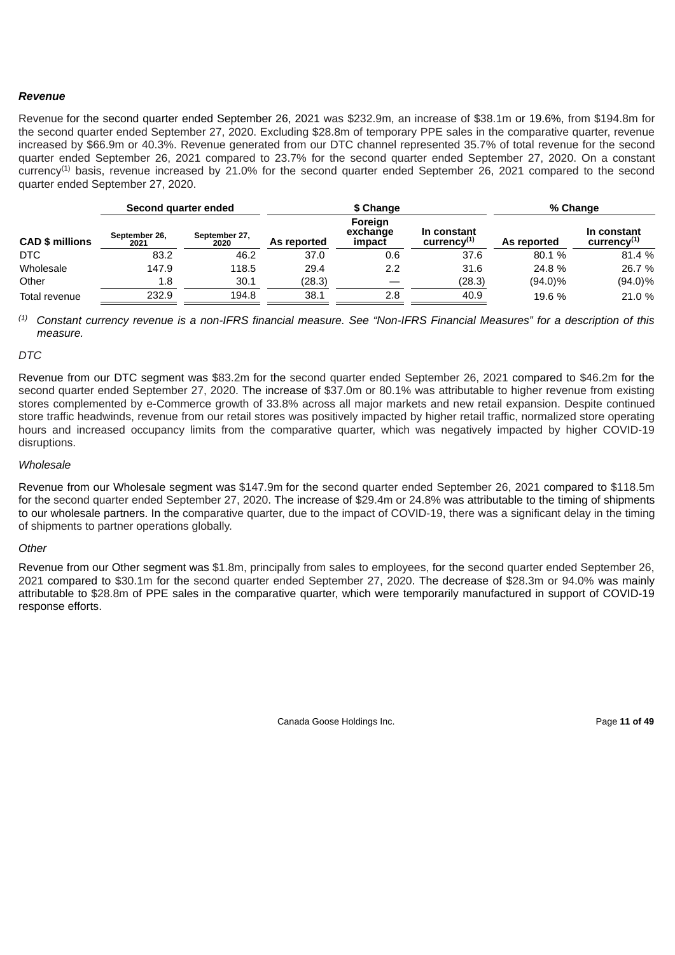# *Revenue*

Revenue for the second quarter ended September 26, 2021 was \$232.9m, an increase of \$38.1m or 19.6%, from \$194.8m for the second quarter ended September 27, 2020. Excluding \$28.8m of temporary PPE sales in the comparative quarter, revenue increased by \$66.9m or 40.3%. Revenue generated from our DTC channel represented 35.7% of total revenue for the second quarter ended September 26, 2021 compared to 23.7% for the second quarter ended September 27, 2020. On a constant currency<sup>(1)</sup> basis, revenue increased by 21.0% for the second quarter ended September 26, 2021 compared to the second quarter ended September 27, 2020.

|                        | Second quarter ended  |                       |             | \$ Change                     | % Change                     |             |                                          |  |
|------------------------|-----------------------|-----------------------|-------------|-------------------------------|------------------------------|-------------|------------------------------------------|--|
| <b>CAD \$ millions</b> | September 26,<br>2021 | September 27,<br>2020 | As reported | Foreign<br>exchange<br>impact | In constant<br>$curve^{(1)}$ | As reported | In constant<br>curvearrow <sup>(1)</sup> |  |
| <b>DTC</b>             | 83.2                  | 46.2                  | 37.0        | 0.6                           | 37.6                         | 80.1 %      | 81.4 %                                   |  |
| Wholesale              | 147.9                 | 118.5                 | 29.4        | 2.2                           | 31.6                         | 24.8 %      | 26.7 %                                   |  |
| Other                  | 1.8                   | 30.1                  | (28.3)      |                               | (28.3)                       | $(94.0)\%$  | $(94.0)\%$                               |  |
| Total revenue          | 232.9                 | 194.8                 | 38.1        | 2.8                           | 40.9                         | 19.6 %      | 21.0 %                                   |  |

 $^{(1)}$  Constant currency revenue is a non-IFRS financial measure. See "Non-IFRS Financial Measures" for a description of this *measure.*

### *DTC*

Revenue from our DTC segment was \$83.2m for the second quarter ended September 26, 2021 compared to \$46.2m for the second quarter ended September 27, 2020. The increase of \$37.0m or 80.1% was attributable to higher revenue from existing stores complemented by e-Commerce growth of 33.8% across all major markets and new retail expansion. Despite continued store traffic headwinds, revenue from our retail stores was positively impacted by higher retail traffic, normalized store operating hours and increased occupancy limits from the comparative quarter, which was negatively impacted by higher COVID-19 disruptions.

### *Wholesale*

Revenue from our Wholesale segment was \$147.9m for the second quarter ended September 26, 2021 compared to \$118.5m for the second quarter ended September 27, 2020. The increase of \$29.4m or 24.8% was attributable to the timing of shipments to our wholesale partners. In the comparative quarter, due to the impact of COVID-19, there was a significant delay in the timing of shipments to partner operations globally.

#### *Other*

Revenue from our Other segment was \$1.8m, principally from sales to employees, for the second quarter ended September 26, 2021 compared to \$30.1m for the second quarter ended September 27, 2020. The decrease of \$28.3m or 94.0% was mainly attributable to \$28.8m of PPE sales in the comparative quarter, which were temporarily manufactured in support of COVID-19 response efforts.

Canada Goose Holdings Inc. **Page 11 of 49**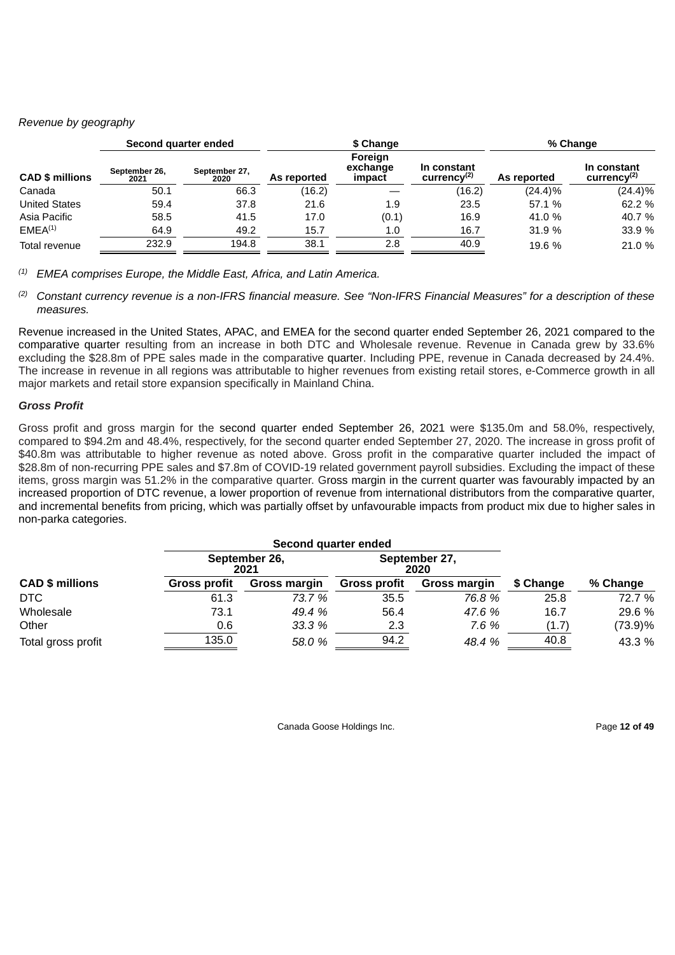# *Revenue by geography*

| Second quarter ended   |                       |                       |             | \$ Change                     | % Change                       |             |                              |
|------------------------|-----------------------|-----------------------|-------------|-------------------------------|--------------------------------|-------------|------------------------------|
| <b>CAD \$ millions</b> | September 26,<br>2021 | September 27,<br>2020 | As reported | Foreign<br>exchange<br>impact | In constant<br>$curve(x^{(2)}$ | As reported | In constant<br>$curve^{(2)}$ |
| Canada                 | 50.1                  | 66.3                  | (16.2)      |                               | (16.2)                         | $(24.4)\%$  | $(24.4)\%$                   |
| <b>United States</b>   | 59.4                  | 37.8                  | 21.6        | 1.9                           | 23.5                           | 57.1 %      | 62.2 %                       |
| Asia Pacific           | 58.5                  | 41.5                  | 17.0        | (0.1)                         | 16.9                           | 41.0 %      | 40.7 %                       |
| EMEA <sup>(1)</sup>    | 64.9                  | 49.2                  | 15.7        | 1.0                           | 16.7                           | 31.9 %      | 33.9 %                       |
| Total revenue          | 232.9                 | 194.8                 | 38.1        | 2.8                           | 40.9                           | 19.6 %      | 21.0 %                       |

*EMEA comprises Europe, the Middle East, Africa, and Latin America. (1)*

<sup>(2)</sup> Constant currency revenue is a non-IFRS financial measure. See "Non-IFRS Financial Measures" for a description of these *measures.*

Revenue increased in the United States, APAC, and EMEA for the second quarter ended September 26, 2021 compared to the comparative quarter resulting from an increase in both DTC and Wholesale revenue. Revenue in Canada grew by 33.6% excluding the \$28.8m of PPE sales made in the comparative quarter. Including PPE, revenue in Canada decreased by 24.4%. The increase in revenue in all regions was attributable to higher revenues from existing retail stores, e-Commerce growth in all major markets and retail store expansion specifically in Mainland China.

# *Gross Profit*

Gross profit and gross margin for the second quarter ended September 26, 2021 were \$135.0m and 58.0%, respectively, compared to \$94.2m and 48.4%, respectively, for the second quarter ended September 27, 2020. The increase in gross profit of \$40.8m was attributable to higher revenue as noted above. Gross profit in the comparative quarter included the impact of \$28.8m of non-recurring PPE sales and \$7.8m of COVID-19 related government payroll subsidies. Excluding the impact of these items, gross margin was 51.2% in the comparative quarter. Gross margin in the current quarter was favourably impacted by an increased proportion of DTC revenue, a lower proportion of revenue from international distributors from the comparative quarter, and incremental benefits from pricing, which was partially offset by unfavourable impacts from product mix due to higher sales in non-parka categories.

|                        |              | Second quarter ended  |                     |                       |           |          |
|------------------------|--------------|-----------------------|---------------------|-----------------------|-----------|----------|
|                        |              | September 26,<br>2021 |                     | September 27,<br>2020 |           |          |
| <b>CAD \$ millions</b> | Gross profit | <b>Gross margin</b>   | <b>Gross profit</b> | <b>Gross margin</b>   | \$ Change | % Change |
| DTC                    | 61.3         | 73.7 %                | 35.5                | 76.8 %                | 25.8      | 72.7 %   |
| Wholesale              | 73.1         | 49.4 %                | 56.4                | 47.6 %                | 16.7      | 29.6 %   |
| Other                  | 0.6          | 33.3 %                | 2.3                 | 7.6%                  | (1.7)     | (73.9)%  |
| Total gross profit     | 135.0        | 58.0 %                | 94.2                | 48.4 %                | 40.8      | 43.3 %   |

Canada Goose Holdings Inc. **Page 12 of 49**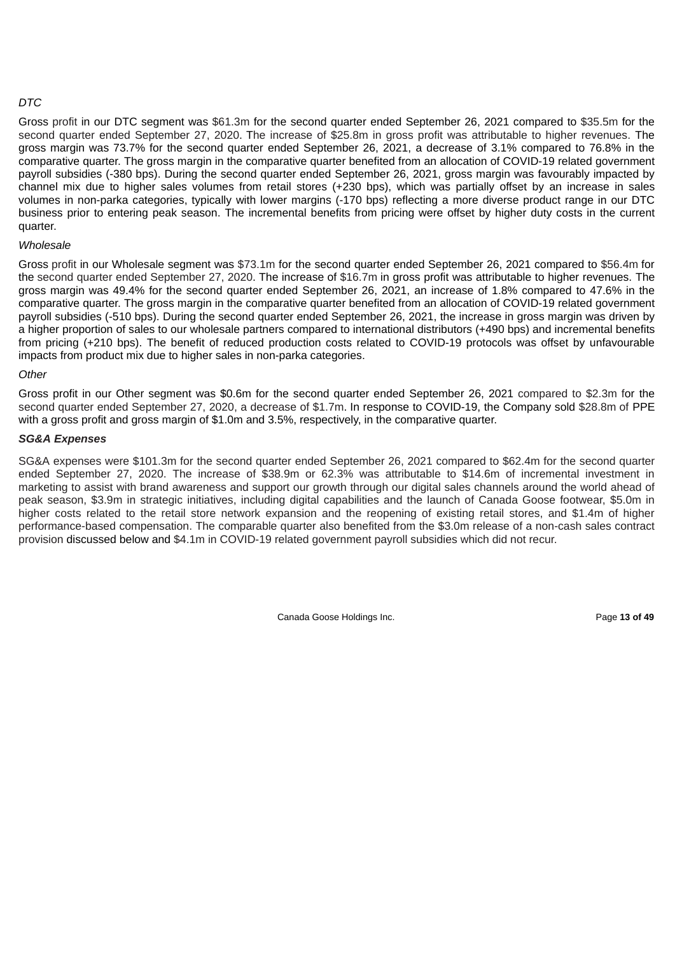# *DTC*

Gross profit in our DTC segment was \$61.3m for the second quarter ended September 26, 2021 compared to \$35.5m for the second quarter ended September 27, 2020. The increase of \$25.8m in gross profit was attributable to higher revenues. The gross margin was 73.7% for the second quarter ended September 26, 2021, a decrease of 3.1% compared to 76.8% in the comparative quarter. The gross margin in the comparative quarter benefited from an allocation of COVID-19 related government payroll subsidies (-380 bps). During the second quarter ended September 26, 2021, gross margin was favourably impacted by channel mix due to higher sales volumes from retail stores (+230 bps), which was partially offset by an increase in sales volumes in non-parka categories, typically with lower margins (-170 bps) reflecting a more diverse product range in our DTC business prior to entering peak season. The incremental benefits from pricing were offset by higher duty costs in the current quarter.

# *Wholesale*

Gross profit in our Wholesale segment was \$73.1m for the second quarter ended September 26, 2021 compared to \$56.4m for the second quarter ended September 27, 2020. The increase of \$16.7m in gross profit was attributable to higher revenues. The gross margin was 49.4% for the second quarter ended September 26, 2021, an increase of 1.8% compared to 47.6% in the comparative quarter. The gross margin in the comparative quarter benefited from an allocation of COVID-19 related government payroll subsidies (-510 bps). During the second quarter ended September 26, 2021, the increase in gross margin was driven by a higher proportion of sales to our wholesale partners compared to international distributors (+490 bps) and incremental benefits from pricing (+210 bps). The benefit of reduced production costs related to COVID-19 protocols was offset by unfavourable impacts from product mix due to higher sales in non-parka categories.

# *Other*

Gross profit in our Other segment was \$0.6m for the second quarter ended September 26, 2021 compared to \$2.3m for the second quarter ended September 27, 2020, a decrease of \$1.7m. In response to COVID-19, the Company sold \$28.8m of PPE with a gross profit and gross margin of \$1.0m and 3.5%, respectively, in the comparative quarter.

# *SG&A Expenses*

SG&A expenses were \$101.3m for the second quarter ended September 26, 2021 compared to \$62.4m for the second quarter ended September 27, 2020. The increase of \$38.9m or 62.3% was attributable to \$14.6m of incremental investment in marketing to assist with brand awareness and support our growth through our digital sales channels around the world ahead of peak season, \$3.9m in strategic initiatives, including digital capabilities and the launch of Canada Goose footwear, \$5.0m in higher costs related to the retail store network expansion and the reopening of existing retail stores, and \$1.4m of higher performance-based compensation. The comparable quarter also benefited from the \$3.0m release of a non-cash sales contract provision discussed below and \$4.1m in COVID-19 related government payroll subsidies which did not recur.

Canada Goose Holdings Inc. Page **13 of 49**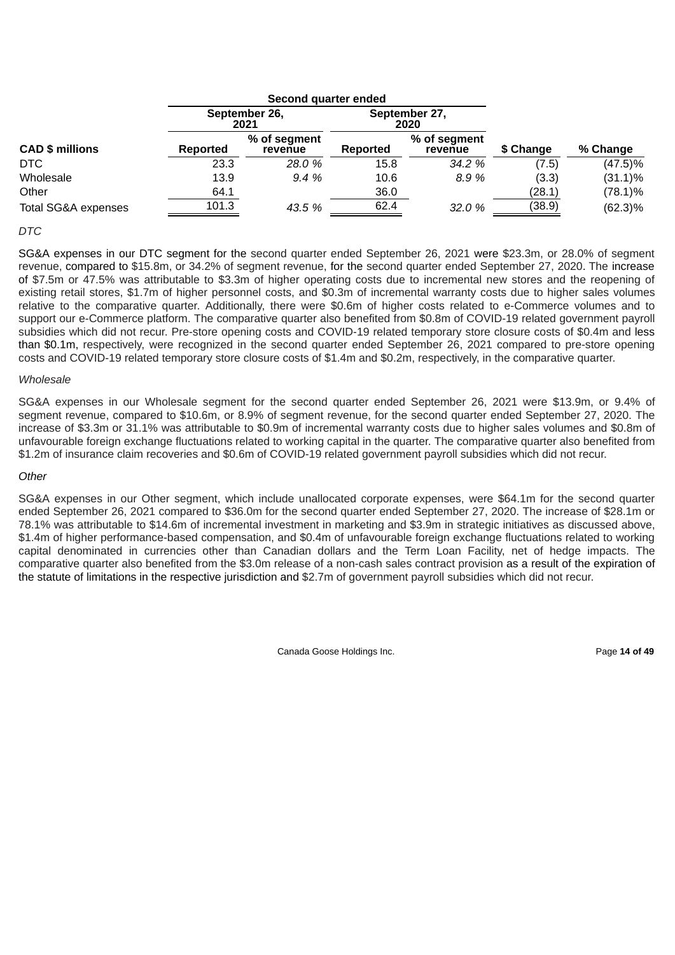|                        |                 | Second quarter ended    |                 |                         |           |            |
|------------------------|-----------------|-------------------------|-----------------|-------------------------|-----------|------------|
|                        |                 | September 26,<br>2021   |                 | September 27,<br>2020   |           |            |
| <b>CAD \$ millions</b> | <b>Reported</b> | % of segment<br>revenue | <b>Reported</b> | % of segment<br>revenue | \$ Change | % Change   |
| DTC                    | 23.3            | <b>28.0%</b>            | 15.8            | 34.2 %                  | (7.5)     | $(47.5)\%$ |
| Wholesale              | 13.9            | 9.4%                    | 10.6            | 8.9%                    | (3.3)     | $(31.1)\%$ |
| Other                  | 64.1            |                         | 36.0            |                         | (28.1)    | $(78.1)\%$ |
| Total SG&A expenses    | 101.3           | 43.5 %                  | 62.4            | 32.0 %                  | (38.9)    | $(62.3)\%$ |

### *DTC*

SG&A expenses in our DTC segment for the second quarter ended September 26, 2021 were \$23.3m, or 28.0% of segment revenue, compared to \$15.8m, or 34.2% of segment revenue, for the second quarter ended September 27, 2020. The increase of \$7.5m or 47.5% was attributable to \$3.3m of higher operating costs due to incremental new stores and the reopening of existing retail stores, \$1.7m of higher personnel costs, and \$0.3m of incremental warranty costs due to higher sales volumes relative to the comparative quarter. Additionally, there were \$0.6m of higher costs related to e-Commerce volumes and to support our e-Commerce platform. The comparative quarter also benefited from \$0.8m of COVID-19 related government payroll subsidies which did not recur. Pre-store opening costs and COVID-19 related temporary store closure costs of \$0.4m and less than \$0.1m, respectively, were recognized in the second quarter ended September 26, 2021 compared to pre-store opening costs and COVID-19 related temporary store closure costs of \$1.4m and \$0.2m, respectively, in the comparative quarter.

#### *Wholesale*

SG&A expenses in our Wholesale segment for the second quarter ended September 26, 2021 were \$13.9m, or 9.4% of segment revenue, compared to \$10.6m, or 8.9% of segment revenue, for the second quarter ended September 27, 2020. The increase of \$3.3m or 31.1% was attributable to \$0.9m of incremental warranty costs due to higher sales volumes and \$0.8m of unfavourable foreign exchange fluctuations related to working capital in the quarter. The comparative quarter also benefited from \$1.2m of insurance claim recoveries and \$0.6m of COVID-19 related government payroll subsidies which did not recur.

#### *Other*

SG&A expenses in our Other segment, which include unallocated corporate expenses, were \$64.1m for the second quarter ended September 26, 2021 compared to \$36.0m for the second quarter ended September 27, 2020. The increase of \$28.1m or 78.1% was attributable to \$14.6m of incremental investment in marketing and \$3.9m in strategic initiatives as discussed above, \$1.4m of higher performance-based compensation, and \$0.4m of unfavourable foreign exchange fluctuations related to working capital denominated in currencies other than Canadian dollars and the Term Loan Facility, net of hedge impacts. The comparative quarter also benefited from the \$3.0m release of a non-cash sales contract provision as a result of the expiration of the statute of limitations in the respective jurisdiction and \$2.7m of government payroll subsidies which did not recur.

Canada Goose Holdings Inc. **Page 14 of 49** Page 14 of 49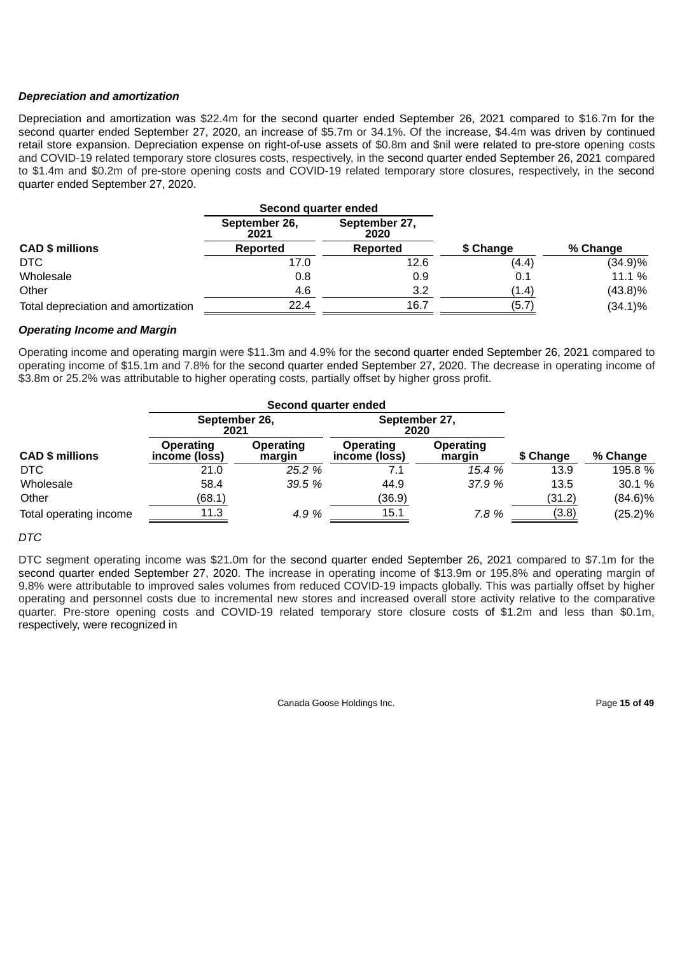# *Depreciation and amortization*

Depreciation and amortization was \$22.4m for the second quarter ended September 26, 2021 compared to \$16.7m for the second quarter ended September 27, 2020, an increase of \$5.7m or 34.1%. Of the increase, \$4.4m was driven by continued retail store expansion. Depreciation expense on right-of-use assets of \$0.8m and \$nil were related to pre-store opening costs and COVID-19 related temporary store closures costs, respectively, in the second quarter ended September 26, 2021 compared to \$1.4m and \$0.2m of pre-store opening costs and COVID-19 related temporary store closures, respectively, in the second quarter ended September 27, 2020.

|                                     | Second quarter ended  |                       |           |            |
|-------------------------------------|-----------------------|-----------------------|-----------|------------|
|                                     | September 26,<br>2021 | September 27,<br>2020 |           |            |
| <b>CAD \$ millions</b>              | Reported              | Reported              | \$ Change | % Change   |
| DTC                                 | 17.0                  | 12.6                  | (4.4)     | $(34.9)\%$ |
| Wholesale                           | 0.8                   | 0.9                   | 0.1       | 11.1 %     |
| Other                               | 4.6                   | 3.2                   | (1.4)     | $(43.8)\%$ |
| Total depreciation and amortization | 22.4                  | 16.7                  | (5.7)     | $(34.1)\%$ |

### *Operating Income and Margin*

Operating income and operating margin were \$11.3m and 4.9% for the second quarter ended September 26, 2021 compared to operating income of \$15.1m and 7.8% for the second quarter ended September 27, 2020. The decrease in operating income of \$3.8m or 25.2% was attributable to higher operating costs, partially offset by higher gross profit.

|                        |                            | Second quarter ended |                            |                     |           |            |
|------------------------|----------------------------|----------------------|----------------------------|---------------------|-----------|------------|
|                        | September 26,<br>2021      |                      | September 27,<br>2020      |                     |           |            |
| <b>CAD \$ millions</b> | Operating<br>income (loss) | Operating<br>margin  | Operating<br>income (loss) | Operating<br>margin | \$ Change | % Change   |
| DTC                    | 21.0                       | 25.2 %               | 7.1                        | 15.4 %              | 13.9      | 195.8 %    |
| Wholesale              | 58.4                       | 39.5%                | 44.9                       | 37.9 %              | 13.5      | 30.1 %     |
| Other                  | (68.1)                     |                      | (36.9)                     |                     | (31.2)    | $(84.6)\%$ |
| Total operating income | 11.3                       | 4.9 %                | 15.1                       | 7.8 %               | (3.8)     | $(25.2)\%$ |

#### *DTC*

DTC segment operating income was \$21.0m for the second quarter ended September 26, 2021 compared to \$7.1m for the second quarter ended September 27, 2020. The increase in operating income of \$13.9m or 195.8% and operating margin of 9.8% were attributable to improved sales volumes from reduced COVID-19 impacts globally. This was partially offset by higher operating and personnel costs due to incremental new stores and increased overall store activity relative to the comparative quarter. Pre-store opening costs and COVID-19 related temporary store closure costs of \$1.2m and less than \$0.1m, respectively, were recognized in

Canada Goose Holdings Inc. Page **15 of 49**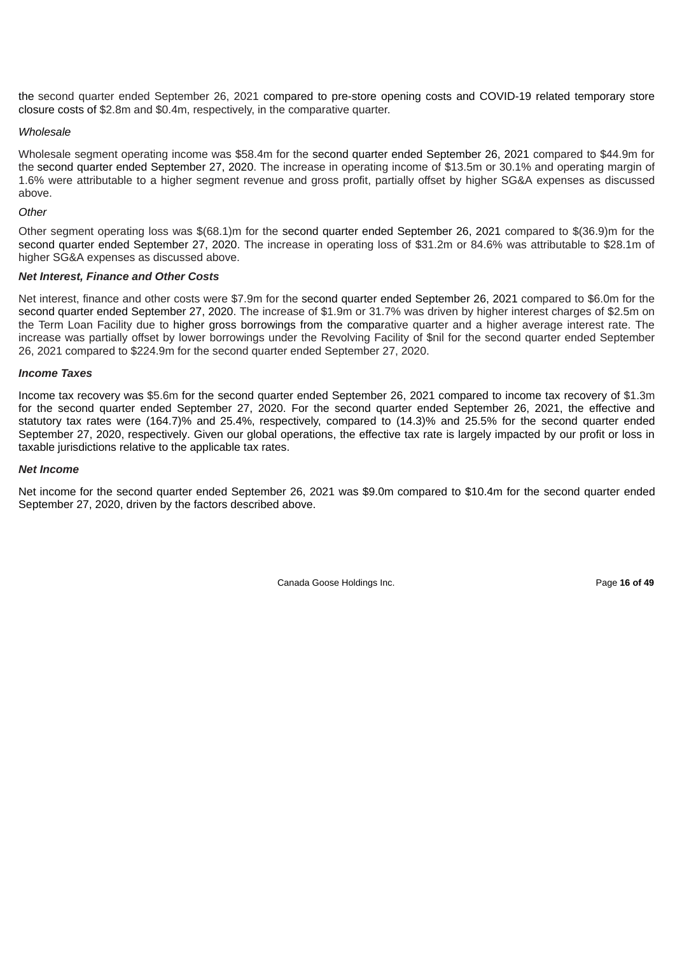the second quarter ended September 26, 2021 compared to pre-store opening costs and COVID-19 related temporary store closure costs of \$2.8m and \$0.4m, respectively, in the comparative quarter.

### *Wholesale*

Wholesale segment operating income was \$58.4m for the second quarter ended September 26, 2021 compared to \$44.9m for the second quarter ended September 27, 2020. The increase in operating income of \$13.5m or 30.1% and operating margin of 1.6% were attributable to a higher segment revenue and gross profit, partially offset by higher SG&A expenses as discussed above.

### *Other*

Other segment operating loss was \$(68.1)m for the second quarter ended September 26, 2021 compared to \$(36.9)m for the second quarter ended September 27, 2020. The increase in operating loss of \$31.2m or 84.6% was attributable to \$28.1m of higher SG&A expenses as discussed above.

### *Net Interest, Finance and Other Costs*

Net interest, finance and other costs were \$7.9m for the second quarter ended September 26, 2021 compared to \$6.0m for the second quarter ended September 27, 2020. The increase of \$1.9m or 31.7% was driven by higher interest charges of \$2.5m on the Term Loan Facility due to higher gross borrowings from the comparative quarter and a higher average interest rate. The increase was partially offset by lower borrowings under the Revolving Facility of \$nil for the second quarter ended September 26, 2021 compared to \$224.9m for the second quarter ended September 27, 2020.

#### *Income Taxes*

Income tax recovery was \$5.6m for the second quarter ended September 26, 2021 compared to income tax recovery of \$1.3m for the second quarter ended September 27, 2020. For the second quarter ended September 26, 2021, the effective and statutory tax rates were (164.7)% and 25.4%, respectively, compared to (14.3)% and 25.5% for the second quarter ended September 27, 2020, respectively. Given our global operations, the effective tax rate is largely impacted by our profit or loss in taxable jurisdictions relative to the applicable tax rates.

### *Net Income*

Net income for the second quarter ended September 26, 2021 was \$9.0m compared to \$10.4m for the second quarter ended September 27, 2020, driven by the factors described above.

Canada Goose Holdings Inc. **Page 16 of 49 Page 16 of 49**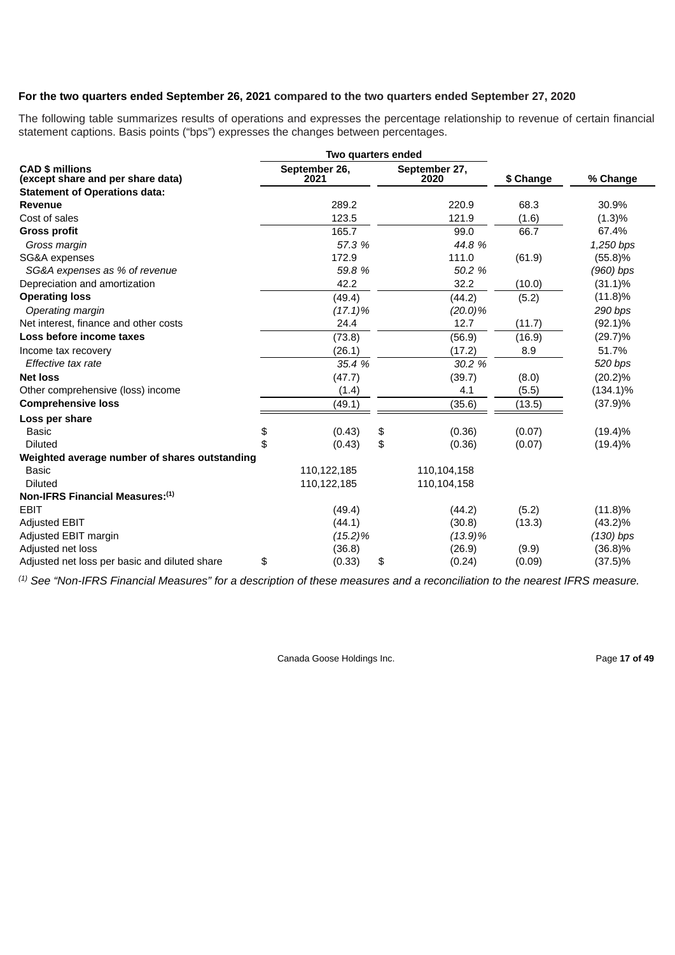# **For the two quarters ended September 26, 2021 compared to the two quarters ended September 27, 2020**

The following table summarizes results of operations and expresses the percentage relationship to revenue of certain financial statement captions. Basis points ("bps") expresses the changes between percentages.

|                                                             | Two quarters ended    |                       |           |             |
|-------------------------------------------------------------|-----------------------|-----------------------|-----------|-------------|
| <b>CAD \$ millions</b><br>(except share and per share data) | September 26,<br>2021 | September 27,<br>2020 | \$ Change | % Change    |
| <b>Statement of Operations data:</b>                        |                       |                       |           |             |
| Revenue                                                     | 289.2                 | 220.9                 | 68.3      | 30.9%       |
| Cost of sales                                               | 123.5                 | 121.9                 | (1.6)     | (1.3)%      |
| <b>Gross profit</b>                                         | 165.7                 | 99.0                  | 66.7      | 67.4%       |
| Gross margin                                                | 57.3 %                | 44.8 %                |           | 1,250 bps   |
| SG&A expenses                                               | 172.9                 | 111.0                 | (61.9)    | (55.8)%     |
| SG&A expenses as % of revenue                               | 59.8 %                | 50.2 %                |           | $(960)$ bps |
| Depreciation and amortization                               | 42.2                  | 32.2                  | (10.0)    | $(31.1)\%$  |
| <b>Operating loss</b>                                       | (49.4)                | (44.2)                | (5.2)     | $(11.8)\%$  |
| Operating margin                                            | $(17.1)\%$            | (20.0)%               |           | 290 bps     |
| Net interest, finance and other costs                       | 24.4                  | 12.7                  | (11.7)    | $(92.1)\%$  |
| Loss before income taxes                                    | (73.8)                | (56.9)                | (16.9)    | $(29.7)\%$  |
| Income tax recovery                                         | (26.1)                | (17.2)                | 8.9       | 51.7%       |
| Effective tax rate                                          | 35.4 %                | 30.2 %                |           | 520 bps     |
| <b>Net loss</b>                                             | (47.7)                | (39.7)                | (8.0)     | $(20.2)\%$  |
| Other comprehensive (loss) income                           | (1.4)                 | 4.1                   | (5.5)     | $(134.1)\%$ |
| <b>Comprehensive loss</b>                                   | (49.1)                | (35.6)                | (13.5)    | $(37.9)\%$  |
| Loss per share                                              |                       |                       |           |             |
| <b>Basic</b>                                                | \$<br>(0.43)          | \$<br>(0.36)          | (0.07)    | $(19.4)\%$  |
| <b>Diluted</b>                                              | \$<br>(0.43)          | \$<br>(0.36)          | (0.07)    | $(19.4)\%$  |
| Weighted average number of shares outstanding               |                       |                       |           |             |
| <b>Basic</b>                                                | 110,122,185           | 110,104,158           |           |             |
| <b>Diluted</b>                                              | 110,122,185           | 110,104,158           |           |             |
| Non-IFRS Financial Measures:(1)                             |                       |                       |           |             |
| <b>EBIT</b>                                                 | (49.4)                | (44.2)                | (5.2)     | $(11.8)\%$  |
| <b>Adjusted EBIT</b>                                        | (44.1)                | (30.8)                | (13.3)    | $(43.2)\%$  |
| Adjusted EBIT margin                                        | (15.2)%               | $(13.9)\%$            |           | $(130)$ bps |
| Adjusted net loss                                           | (36.8)                | (26.9)                | (9.9)     | $(36.8)\%$  |
| Adjusted net loss per basic and diluted share               | \$<br>(0.33)          | \$<br>(0.24)          | (0.09)    | $(37.5)\%$  |

 $^{(1)}$  See "Non-IFRS Financial Measures" for a description of these measures and a reconciliation to the nearest IFRS measure.

Canada Goose Holdings Inc. **Page 17 of 49** Page 17 of 49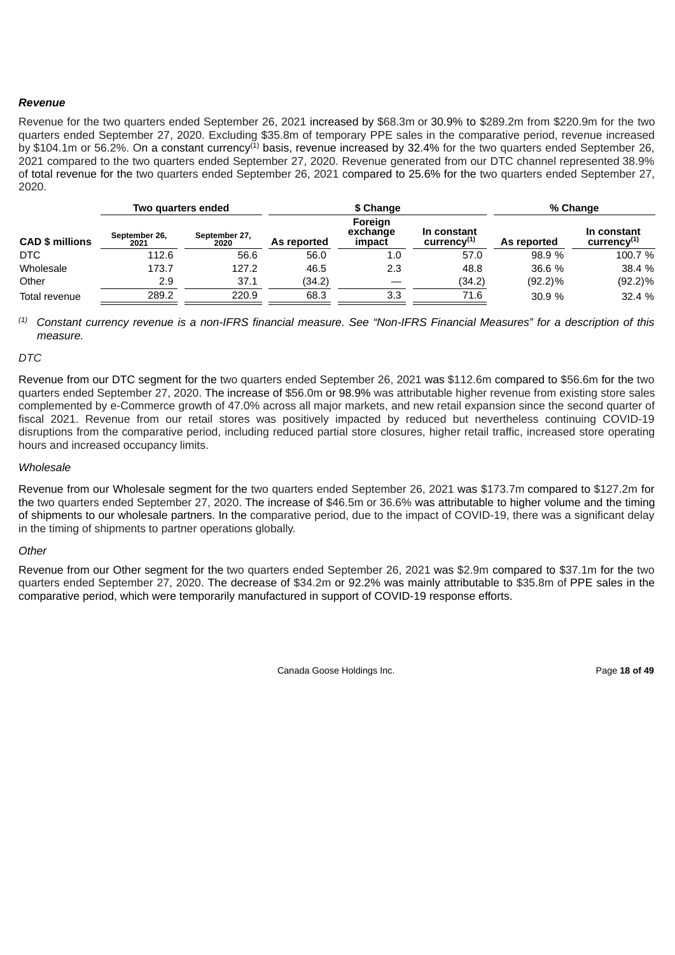# *Revenue*

Revenue for the two quarters ended September 26, 2021 increased by \$68.3m or 30.9% to \$289.2m from \$220.9m for the two quarters ended September 27, 2020. Excluding \$35.8m of temporary PPE sales in the comparative period, revenue increased by \$104.1m or 56.2%. On a constant currency<sup>(1)</sup> basis, revenue increased by 32.4% for the two quarters ended September 26, 2021 compared to the two quarters ended September 27, 2020. Revenue generated from our DTC channel represented 38.9% of total revenue for the two quarters ended September 26, 2021 compared to 25.6% for the two quarters ended September 27, 2020.

|                        | Two quarters ended    |                       |             | \$ Change                     | % Change                              |             |                                       |
|------------------------|-----------------------|-----------------------|-------------|-------------------------------|---------------------------------------|-------------|---------------------------------------|
| <b>CAD \$ millions</b> | September 26,<br>2021 | September 27,<br>2020 | As reported | Foreign<br>exchange<br>impact | In constant<br>$curve$ <sup>(1)</sup> | As reported | In constant<br>$curve$ <sup>(1)</sup> |
| DTC                    | 112.6                 | 56.6                  | 56.0        | 1.0                           | 57.0                                  | 98.9 %      | 100.7 %                               |
| Wholesale              | 173.7                 | 127.2                 | 46.5        | 2.3                           | 48.8                                  | 36.6 %      | 38.4 %                                |
| Other                  | 2.9                   | 37.1                  | (34.2)      |                               | (34.2)                                | $(92.2)\%$  | $(92.2)\%$                            |
| Total revenue          | 289.2                 | 220.9                 | 68.3        | 3.3                           | 71.6                                  | 30.9%       | 32.4 %                                |

 $^{(1)}$  Constant currency revenue is a non-IFRS financial measure. See "Non-IFRS Financial Measures" for a description of this *measure.*

### *DTC*

Revenue from our DTC segment for the two quarters ended September 26, 2021 was \$112.6m compared to \$56.6m for the two quarters ended September 27, 2020. The increase of \$56.0m or 98.9% was attributable higher revenue from existing store sales complemented by e-Commerce growth of 47.0% across all major markets, and new retail expansion since the second quarter of fiscal 2021. Revenue from our retail stores was positively impacted by reduced but nevertheless continuing COVID-19 disruptions from the comparative period, including reduced partial store closures, higher retail traffic, increased store operating hours and increased occupancy limits.

# *Wholesale*

Revenue from our Wholesale segment for the two quarters ended September 26, 2021 was \$173.7m compared to \$127.2m for the two quarters ended September 27, 2020. The increase of \$46.5m or 36.6% was attributable to higher volume and the timing of shipments to our wholesale partners. In the comparative period, due to the impact of COVID-19, there was a significant delay in the timing of shipments to partner operations globally.

# *Other*

Revenue from our Other segment for the two quarters ended September 26, 2021 was \$2.9m compared to \$37.1m for the two quarters ended September 27, 2020. The decrease of \$34.2m or 92.2% was mainly attributable to \$35.8m of PPE sales in the comparative period, which were temporarily manufactured in support of COVID-19 response efforts.

Canada Goose Holdings Inc. **Page 18 of 49**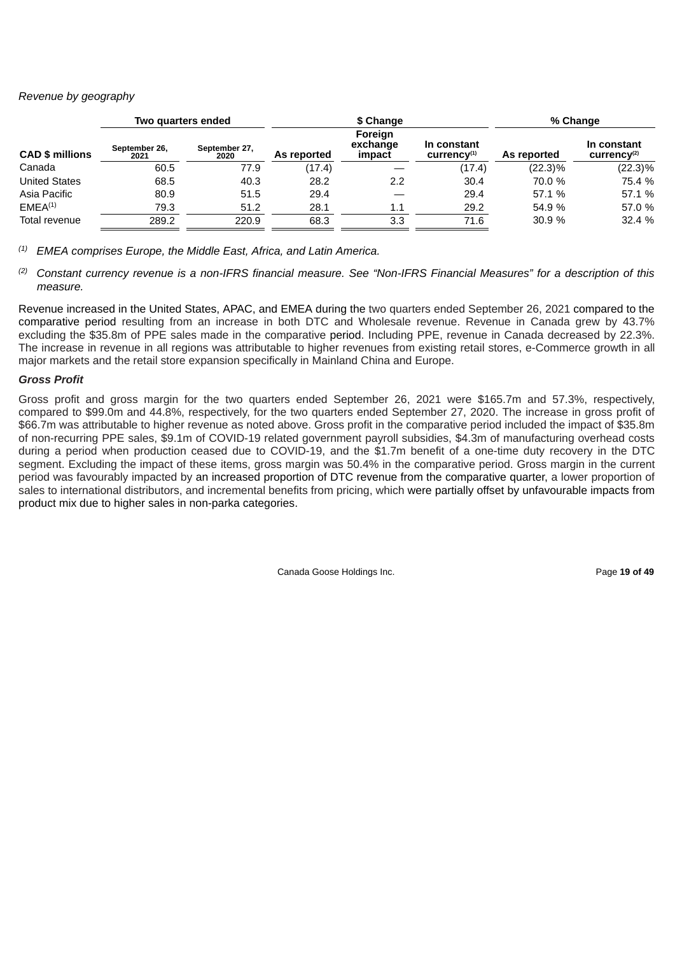# *Revenue by geography*

| Two quarters ended     |                       |                       |             | \$ Change                     |                                                    | % Change    |                                       |  |
|------------------------|-----------------------|-----------------------|-------------|-------------------------------|----------------------------------------------------|-------------|---------------------------------------|--|
| <b>CAD \$ millions</b> | September 26,<br>2021 | September 27,<br>2020 | As reported | Foreign<br>exchange<br>impact | In constant<br>$curve$ <sup><math>(1)</math></sup> | As reported | In constant<br>$curve$ <sup>(2)</sup> |  |
| Canada                 | 60.5                  | 77.9                  | (17.4)      |                               | (17.4)                                             | $(22.3)\%$  | $(22.3)\%$                            |  |
| <b>United States</b>   | 68.5                  | 40.3                  | 28.2        | 2.2                           | 30.4                                               | 70.0 %      | 75.4 %                                |  |
| Asia Pacific           | 80.9                  | 51.5                  | 29.4        |                               | 29.4                                               | 57.1 %      | 57.1 %                                |  |
| EMEA <sup>(1)</sup>    | 79.3                  | 51.2                  | 28.1        | 1.1                           | 29.2                                               | 54.9 %      | 57.0 %                                |  |
| Total revenue          | 289.2                 | 220.9                 | 68.3        | 3.3                           | 71.6                                               | 30.9%       | 32.4 %                                |  |

*EMEA comprises Europe, the Middle East, Africa, and Latin America. (1)*

<sup>(2)</sup> Constant currency revenue is a non-IFRS financial measure. See "Non-IFRS Financial Measures" for a description of this *measure.*

Revenue increased in the United States, APAC, and EMEA during the two quarters ended September 26, 2021 compared to the comparative period resulting from an increase in both DTC and Wholesale revenue. Revenue in Canada grew by 43.7% excluding the \$35.8m of PPE sales made in the comparative period. Including PPE, revenue in Canada decreased by 22.3%. The increase in revenue in all regions was attributable to higher revenues from existing retail stores, e-Commerce growth in all major markets and the retail store expansion specifically in Mainland China and Europe.

# *Gross Profit*

Gross profit and gross margin for the two quarters ended September 26, 2021 were \$165.7m and 57.3%, respectively, compared to \$99.0m and 44.8%, respectively, for the two quarters ended September 27, 2020. The increase in gross profit of \$66.7m was attributable to higher revenue as noted above. Gross profit in the comparative period included the impact of \$35.8m of non-recurring PPE sales, \$9.1m of COVID-19 related government payroll subsidies, \$4.3m of manufacturing overhead costs during a period when production ceased due to COVID-19, and the \$1.7m benefit of a one-time duty recovery in the DTC segment. Excluding the impact of these items, gross margin was 50.4% in the comparative period. Gross margin in the current period was favourably impacted by an increased proportion of DTC revenue from the comparative quarter, a lower proportion of sales to international distributors, and incremental benefits from pricing, which were partially offset by unfavourable impacts from product mix due to higher sales in non-parka categories.

Canada Goose Holdings Inc. **Page 19 of 49**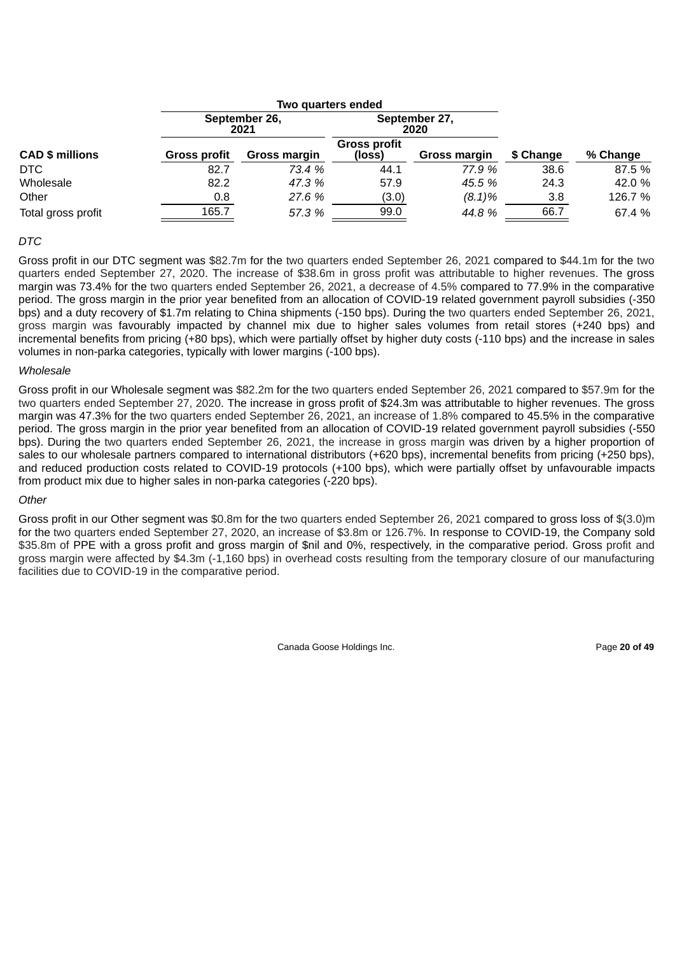|                        |                     |                       | Two quarters ended            |                       |           |          |
|------------------------|---------------------|-----------------------|-------------------------------|-----------------------|-----------|----------|
|                        |                     | September 26,<br>2021 |                               | September 27,<br>2020 |           |          |
| <b>CAD \$ millions</b> | <b>Gross profit</b> | Gross margin          | <b>Gross profit</b><br>(loss) | <b>Gross margin</b>   | \$ Change | % Change |
| DTC.                   | 82.7                | 73.4 %                | 44.1                          | 77.9 %                | 38.6      | 87.5 %   |
| Wholesale              | 82.2                | 47.3 %                | 57.9                          | 45.5 %                | 24.3      | 42.0 %   |
| Other                  | 0.8                 | 27.6 %                | (3.0)                         | $(8.1)\%$             | 3.8       | 126.7 %  |
| Total gross profit     | 165.7               | 57.3 %                | 99.0                          | 44.8 %                | 66.7      | 67.4 %   |

# *DTC*

Gross profit in our DTC segment was \$82.7m for the two quarters ended September 26, 2021 compared to \$44.1m for the two quarters ended September 27, 2020. The increase of \$38.6m in gross profit was attributable to higher revenues. The gross margin was 73.4% for the two quarters ended September 26, 2021, a decrease of 4.5% compared to 77.9% in the comparative period. The gross margin in the prior year benefited from an allocation of COVID-19 related government payroll subsidies (-350 bps) and a duty recovery of \$1.7m relating to China shipments (-150 bps). During the two quarters ended September 26, 2021, gross margin was favourably impacted by channel mix due to higher sales volumes from retail stores (+240 bps) and incremental benefits from pricing (+80 bps), which were partially offset by higher duty costs (-110 bps) and the increase in sales volumes in non-parka categories, typically with lower margins (-100 bps).

#### *Wholesale*

Gross profit in our Wholesale segment was \$82.2m for the two quarters ended September 26, 2021 compared to \$57.9m for the two quarters ended September 27, 2020. The increase in gross profit of \$24.3m was attributable to higher revenues. The gross margin was 47.3% for the two quarters ended September 26, 2021, an increase of 1.8% compared to 45.5% in the comparative period. The gross margin in the prior year benefited from an allocation of COVID-19 related government payroll subsidies (-550 bps). During the two quarters ended September 26, 2021, the increase in gross margin was driven by a higher proportion of sales to our wholesale partners compared to international distributors (+620 bps), incremental benefits from pricing (+250 bps), and reduced production costs related to COVID-19 protocols (+100 bps), which were partially offset by unfavourable impacts from product mix due to higher sales in non-parka categories (-220 bps).

# *Other*

Gross profit in our Other segment was \$0.8m for the two quarters ended September 26, 2021 compared to gross loss of \$(3.0)m for the two quarters ended September 27, 2020, an increase of \$3.8m or 126.7%. In response to COVID-19, the Company sold \$35.8m of PPE with a gross profit and gross margin of \$nil and 0%, respectively, in the comparative period. Gross profit and gross margin were affected by \$4.3m (-1,160 bps) in overhead costs resulting from the temporary closure of our manufacturing facilities due to COVID-19 in the comparative period.

Canada Goose Holdings Inc. **Page 20 of 49** Page 20 of 49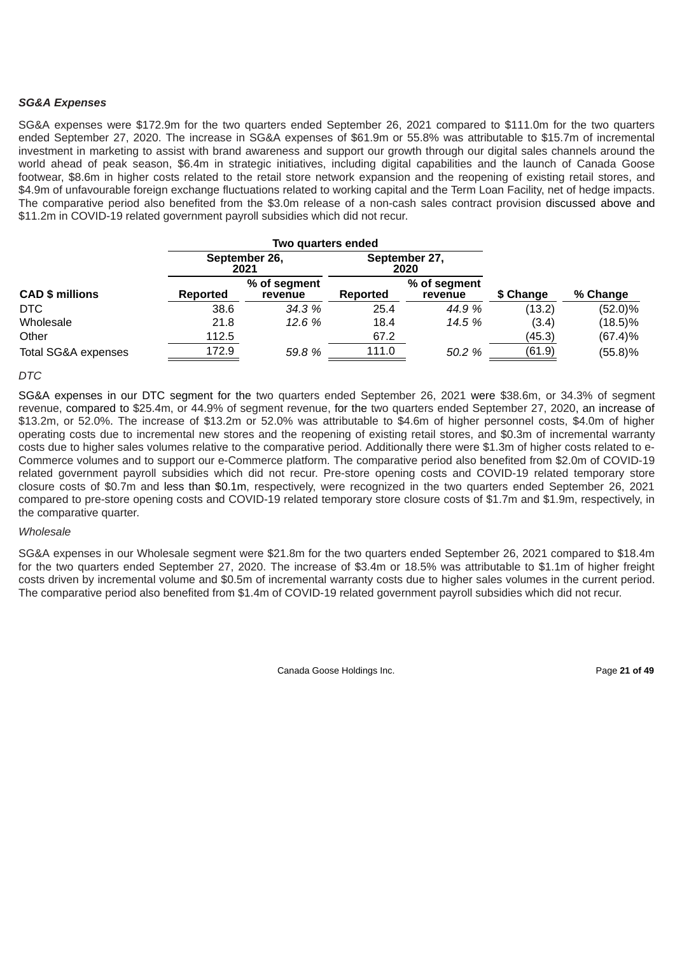# *SG&A Expenses*

SG&A expenses were \$172.9m for the two quarters ended September 26, 2021 compared to \$111.0m for the two quarters ended September 27, 2020. The increase in SG&A expenses of \$61.9m or 55.8% was attributable to \$15.7m of incremental investment in marketing to assist with brand awareness and support our growth through our digital sales channels around the world ahead of peak season, \$6.4m in strategic initiatives, including digital capabilities and the launch of Canada Goose footwear, \$8.6m in higher costs related to the retail store network expansion and the reopening of existing retail stores, and \$4.9m of unfavourable foreign exchange fluctuations related to working capital and the Term Loan Facility, net of hedge impacts. The comparative period also benefited from the \$3.0m release of a non-cash sales contract provision discussed above and \$11.2m in COVID-19 related government payroll subsidies which did not recur.

|                                |          | Two quarters ended      |          |                         |           |            |
|--------------------------------|----------|-------------------------|----------|-------------------------|-----------|------------|
|                                |          | September 26,<br>2021   |          | September 27,<br>2020   |           |            |
| <b>CAD \$ millions</b>         | Reported | % of segment<br>revenue | Reported | % of segment<br>revenue | \$ Change | % Change   |
| DTC                            | 38.6     | 34.3 %                  | 25.4     | 44.9 %                  | (13.2)    | $(52.0)\%$ |
| Wholesale                      | 21.8     | 12.6%                   | 18.4     | 14.5 %                  | (3.4)     | $(18.5)\%$ |
| Other                          | 112.5    |                         | 67.2     |                         | (45.3)    | $(67.4)\%$ |
| <b>Total SG&amp;A expenses</b> | 172.9    | 59.8 %                  | 111.0    | 50.2 %                  | (61.9)    | (55.8)%    |

# *DTC*

SG&A expenses in our DTC segment for the two quarters ended September 26, 2021 were \$38.6m, or 34.3% of segment revenue, compared to \$25.4m, or 44.9% of segment revenue, for the two quarters ended September 27, 2020, an increase of \$13.2m, or 52.0%. The increase of \$13.2m or 52.0% was attributable to \$4.6m of higher personnel costs, \$4.0m of higher operating costs due to incremental new stores and the reopening of existing retail stores, and \$0.3m of incremental warranty costs due to higher sales volumes relative to the comparative period. Additionally there were \$1.3m of higher costs related to e-Commerce volumes and to support our e-Commerce platform. The comparative period also benefited from \$2.0m of COVID-19 related government payroll subsidies which did not recur. Pre-store opening costs and COVID-19 related temporary store closure costs of \$0.7m and less than \$0.1m, respectively, were recognized in the two quarters ended September 26, 2021 compared to pre-store opening costs and COVID-19 related temporary store closure costs of \$1.7m and \$1.9m, respectively, in the comparative quarter.

# *Wholesale*

SG&A expenses in our Wholesale segment were \$21.8m for the two quarters ended September 26, 2021 compared to \$18.4m for the two quarters ended September 27, 2020. The increase of \$3.4m or 18.5% was attributable to \$1.1m of higher freight costs driven by incremental volume and \$0.5m of incremental warranty costs due to higher sales volumes in the current period. The comparative period also benefited from \$1.4m of COVID-19 related government payroll subsidies which did not recur.

Canada Goose Holdings Inc. **Page 21 of 49**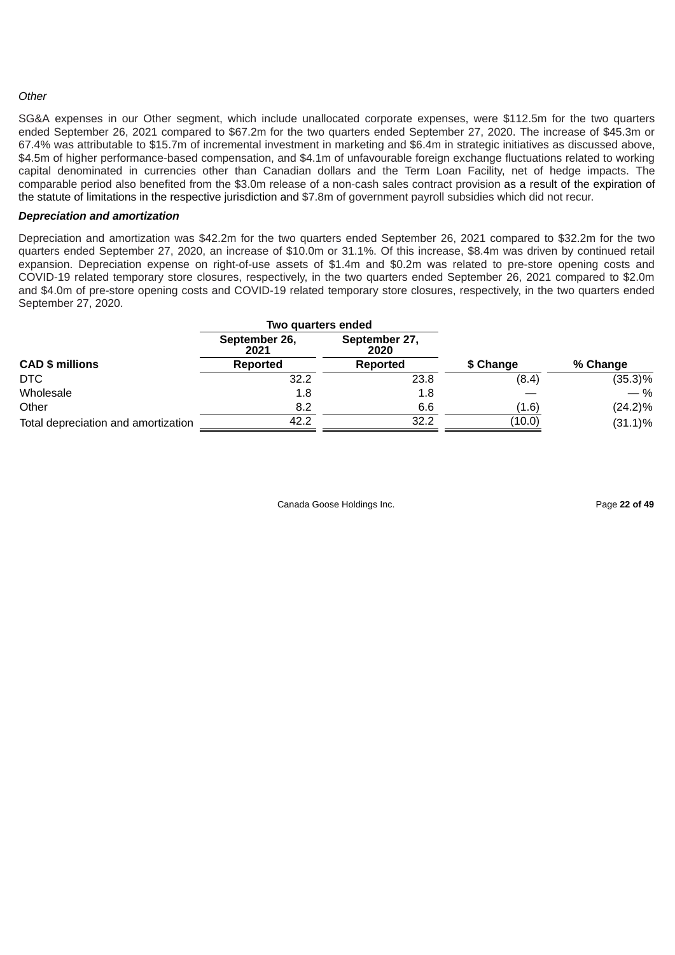# *Other*

SG&A expenses in our Other segment, which include unallocated corporate expenses, were \$112.5m for the two quarters ended September 26, 2021 compared to \$67.2m for the two quarters ended September 27, 2020. The increase of \$45.3m or 67.4% was attributable to \$15.7m of incremental investment in marketing and \$6.4m in strategic initiatives as discussed above, \$4.5m of higher performance-based compensation, and \$4.1m of unfavourable foreign exchange fluctuations related to working capital denominated in currencies other than Canadian dollars and the Term Loan Facility, net of hedge impacts. The comparable period also benefited from the \$3.0m release of a non-cash sales contract provision as a result of the expiration of the statute of limitations in the respective jurisdiction and \$7.8m of government payroll subsidies which did not recur.

### *Depreciation and amortization*

Depreciation and amortization was \$42.2m for the two quarters ended September 26, 2021 compared to \$32.2m for the two quarters ended September 27, 2020, an increase of \$10.0m or 31.1%. Of this increase, \$8.4m was driven by continued retail expansion. Depreciation expense on right-of-use assets of \$1.4m and \$0.2m was related to pre-store opening costs and COVID-19 related temporary store closures, respectively, in the two quarters ended September 26, 2021 compared to \$2.0m and \$4.0m of pre-store opening costs and COVID-19 related temporary store closures, respectively, in the two quarters ended September 27, 2020.

|                                     | Two quarters ended    |                       |           |            |
|-------------------------------------|-----------------------|-----------------------|-----------|------------|
|                                     | September 26,<br>2021 | September 27,<br>2020 |           |            |
| <b>CAD \$ millions</b>              | Reported              | Reported              | \$ Change | % Change   |
| DTC                                 | 32.2                  | 23.8                  | (8.4)     | $(35.3)\%$ |
| Wholesale                           | 1.8                   | 1.8                   |           | — %        |
| Other                               | 8.2                   | 6.6                   | (1.6)     | $(24.2)\%$ |
| Total depreciation and amortization | 42.2                  | 32.2                  | (10.0)    | $(31.1)\%$ |

Canada Goose Holdings Inc. Page **22 of 49**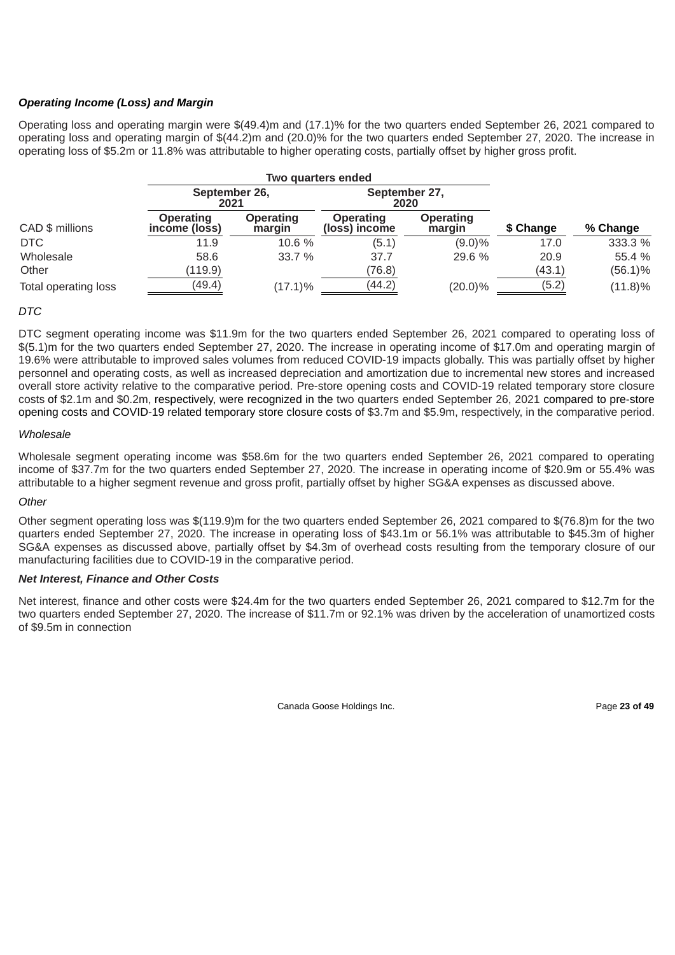# *Operating Income (Loss) and Margin*

Operating loss and operating margin were \$(49.4)m and (17.1)% for the two quarters ended September 26, 2021 compared to operating loss and operating margin of \$(44.2)m and (20.0)% for the two quarters ended September 27, 2020. The increase in operating loss of \$5.2m or 11.8% was attributable to higher operating costs, partially offset by higher gross profit.

|                      |                                   |                            | Two quarters ended         |                            |           |            |
|----------------------|-----------------------------------|----------------------------|----------------------------|----------------------------|-----------|------------|
|                      | September 26,<br>2021             |                            | September 27,<br>2020      |                            |           |            |
| CAD \$ millions      | <b>Operating</b><br>income (loss) | <b>Operating</b><br>margin | Operating<br>(loss) income | <b>Operating</b><br>margin | \$ Change | % Change   |
| DTC                  | 11.9                              | 10.6 %                     | (5.1)                      | $(9.0)\%$                  | 17.0      | 333.3 %    |
| Wholesale            | 58.6                              | 33.7 %                     | 37.7                       | 29.6 %                     | 20.9      | 55.4 %     |
| Other                | (119.9)                           |                            | (76.8)                     |                            | (43.1)    | $(56.1)\%$ |
| Total operating loss | (49.4)                            | $(17.1)\%$                 | (44.2)                     | $(20.0)\%$                 | (5.2)     | $(11.8)\%$ |

# *DTC*

DTC segment operating income was \$11.9m for the two quarters ended September 26, 2021 compared to operating loss of \$(5.1)m for the two quarters ended September 27, 2020. The increase in operating income of \$17.0m and operating margin of 19.6% were attributable to improved sales volumes from reduced COVID-19 impacts globally. This was partially offset by higher personnel and operating costs, as well as increased depreciation and amortization due to incremental new stores and increased overall store activity relative to the comparative period. Pre-store opening costs and COVID-19 related temporary store closure costs of \$2.1m and \$0.2m, respectively, were recognized in the two quarters ended September 26, 2021 compared to pre-store opening costs and COVID-19 related temporary store closure costs of \$3.7m and \$5.9m, respectively, in the comparative period.

# *Wholesale*

Wholesale segment operating income was \$58.6m for the two quarters ended September 26, 2021 compared to operating income of \$37.7m for the two quarters ended September 27, 2020. The increase in operating income of \$20.9m or 55.4% was attributable to a higher segment revenue and gross profit, partially offset by higher SG&A expenses as discussed above.

# *Other*

Other segment operating loss was \$(119.9)m for the two quarters ended September 26, 2021 compared to \$(76.8)m for the two quarters ended September 27, 2020. The increase in operating loss of \$43.1m or 56.1% was attributable to \$45.3m of higher SG&A expenses as discussed above, partially offset by \$4.3m of overhead costs resulting from the temporary closure of our manufacturing facilities due to COVID-19 in the comparative period.

# *Net Interest, Finance and Other Costs*

Net interest, finance and other costs were \$24.4m for the two quarters ended September 26, 2021 compared to \$12.7m for the two quarters ended September 27, 2020. The increase of \$11.7m or 92.1% was driven by the acceleration of unamortized costs of \$9.5m in connection

Canada Goose Holdings Inc. **Page 23 of 49** and  $\overline{P}$  and  $\overline{P}$  and  $\overline{P}$  and  $\overline{P}$  and  $\overline{P}$  and  $\overline{P}$  and  $\overline{P}$  and  $\overline{P}$  and  $\overline{P}$  and  $\overline{P}$  and  $\overline{P}$  and  $\overline{P}$  and  $\overline{P}$  and  $\overline{P$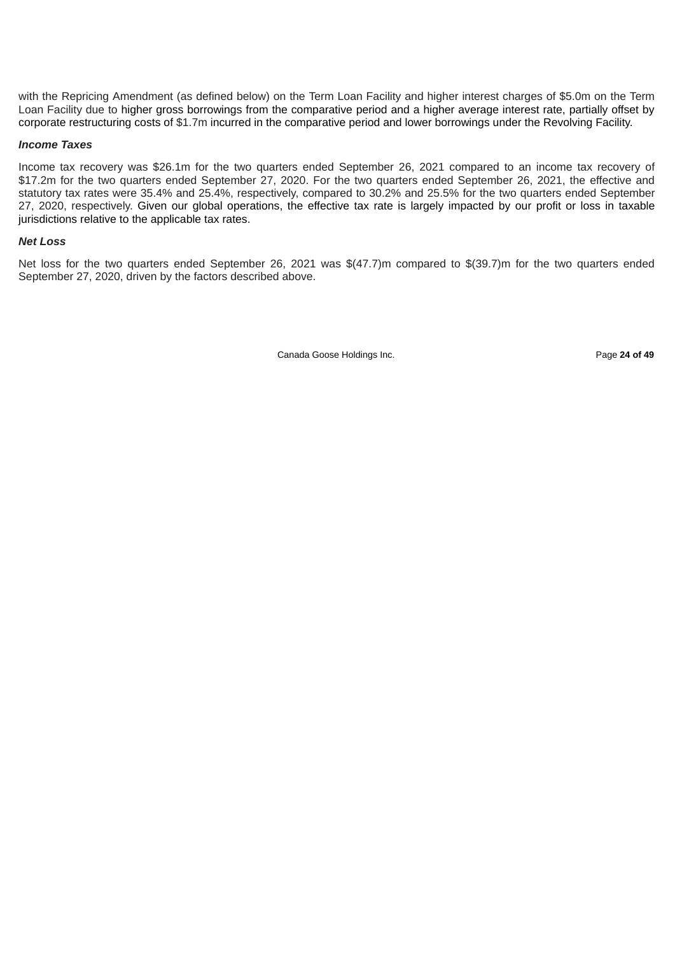with the Repricing Amendment (as defined below) on the Term Loan Facility and higher interest charges of \$5.0m on the Term Loan Facility due to higher gross borrowings from the comparative period and a higher average interest rate, partially offset by corporate restructuring costs of \$1.7m incurred in the comparative period and lower borrowings under the Revolving Facility.

#### *Income Taxes*

Income tax recovery was \$26.1m for the two quarters ended September 26, 2021 compared to an income tax recovery of \$17.2m for the two quarters ended September 27, 2020. For the two quarters ended September 26, 2021, the effective and statutory tax rates were 35.4% and 25.4%, respectively, compared to 30.2% and 25.5% for the two quarters ended September 27, 2020, respectively. Given our global operations, the effective tax rate is largely impacted by our profit or loss in taxable jurisdictions relative to the applicable tax rates.

### *Net Loss*

Net loss for the two quarters ended September 26, 2021 was \$(47.7)m compared to \$(39.7)m for the two quarters ended September 27, 2020, driven by the factors described above.

Canada Goose Holdings Inc. Page **24 of 49**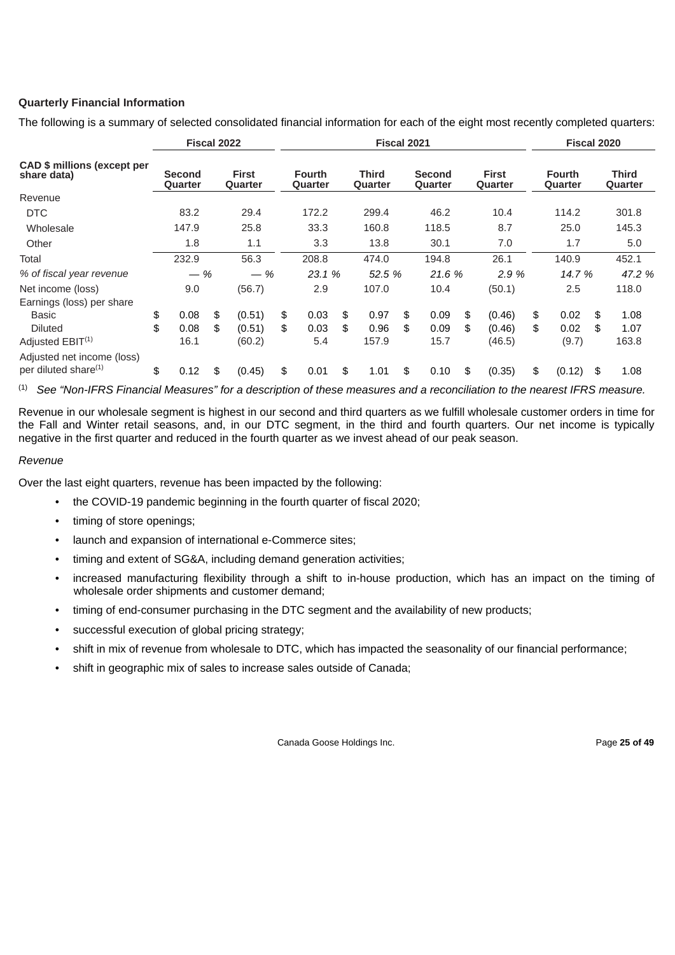# **Quarterly Financial Information**

The following is a summary of selected consolidated financial information for each of the eight most recently completed quarters:

|                                                                |    | Fiscal 2022                     |    |                                | <b>Fiscal 2021</b>       |    |                         |    |                                 |    | Fiscal 2020                    |                                 |     |                         |
|----------------------------------------------------------------|----|---------------------------------|----|--------------------------------|--------------------------|----|-------------------------|----|---------------------------------|----|--------------------------------|---------------------------------|-----|-------------------------|
| CAD \$ millions (except per<br>share data)                     |    | <b>Second</b><br><b>Ouarter</b> |    | <b>First</b><br><b>Ouarter</b> | <b>Fourth</b><br>Quarter |    | Third<br><b>Ouarter</b> |    | <b>Second</b><br><b>Ouarter</b> |    | <b>First</b><br><b>Ouarter</b> | <b>Fourth</b><br><b>Ouarter</b> |     | <b>Third</b><br>Quarter |
| Revenue                                                        |    |                                 |    |                                |                          |    |                         |    |                                 |    |                                |                                 |     |                         |
| <b>DTC</b>                                                     |    | 83.2                            |    | 29.4                           | 172.2                    |    | 299.4                   |    | 46.2                            |    | 10.4                           | 114.2                           |     | 301.8                   |
| Wholesale                                                      |    | 147.9                           |    | 25.8                           | 33.3                     |    | 160.8                   |    | 118.5                           |    | 8.7                            | 25.0                            |     | 145.3                   |
| Other                                                          |    | 1.8                             |    | 1.1                            | 3.3                      |    | 13.8                    |    | 30.1                            |    | 7.0                            | 1.7                             |     | 5.0                     |
| Total                                                          |    | 232.9                           |    | 56.3                           | 208.8                    |    | 474.0                   |    | 194.8                           |    | 26.1                           | 140.9                           |     | 452.1                   |
| % of fiscal year revenue                                       |    | $-$ %                           |    | $-$ %                          | 23.1 %                   |    | 52.5 %                  |    | 21.6 %                          |    | 2.9%                           | 14.7 %                          |     | 47.2 %                  |
| Net income (loss)<br>Earnings (loss) per share                 |    | 9.0                             |    | (56.7)                         | 2.9                      |    | 107.0                   |    | 10.4                            |    | (50.1)                         | 2.5                             |     | 118.0                   |
| <b>Basic</b>                                                   | \$ | 0.08                            | \$ | (0.51)                         | \$<br>0.03               | \$ | 0.97                    | \$ | 0.09                            | \$ | (0.46)                         | \$<br>0.02                      | \$  | 1.08                    |
| <b>Diluted</b>                                                 | \$ | 0.08                            | \$ | (0.51)                         | \$<br>0.03               | \$ | 0.96                    | \$ | 0.09                            | \$ | (0.46)                         | \$<br>0.02                      | \$  | 1.07                    |
| Adjusted EBIT <sup>(1)</sup>                                   |    | 16.1                            |    | (60.2)                         | 5.4                      |    | 157.9                   |    | 15.7                            |    | (46.5)                         | (9.7)                           |     | 163.8                   |
| Adjusted net income (loss)<br>per diluted share <sup>(1)</sup> | \$ | 0.12                            | \$ | (0.45)                         | \$<br>0.01               | \$ | 1.01                    | \$ | 0.10                            | \$ | (0.35)                         | \$<br>(0.12)                    | -\$ | 1.08                    |

 $^{(1)}$  See "Non-IFRS Financial Measures" for a description of these measures and a reconciliation to the nearest IFRS measure.

Revenue in our wholesale segment is highest in our second and third quarters as we fulfill wholesale customer orders in time for the Fall and Winter retail seasons, and, in our DTC segment, in the third and fourth quarters. Our net income is typically negative in the first quarter and reduced in the fourth quarter as we invest ahead of our peak season.

# *Revenue*

Over the last eight quarters, revenue has been impacted by the following:

- the COVID-19 pandemic beginning in the fourth quarter of fiscal 2020;
- timing of store openings;
- launch and expansion of international e-Commerce sites;
- timing and extent of SG&A, including demand generation activities;
- increased manufacturing flexibility through a shift to in-house production, which has an impact on the timing of wholesale order shipments and customer demand;
- timing of end-consumer purchasing in the DTC segment and the availability of new products;
- successful execution of global pricing strategy;
- shift in mix of revenue from wholesale to DTC, which has impacted the seasonality of our financial performance;
- shift in geographic mix of sales to increase sales outside of Canada;

Canada Goose Holdings Inc. Page **25 of 49**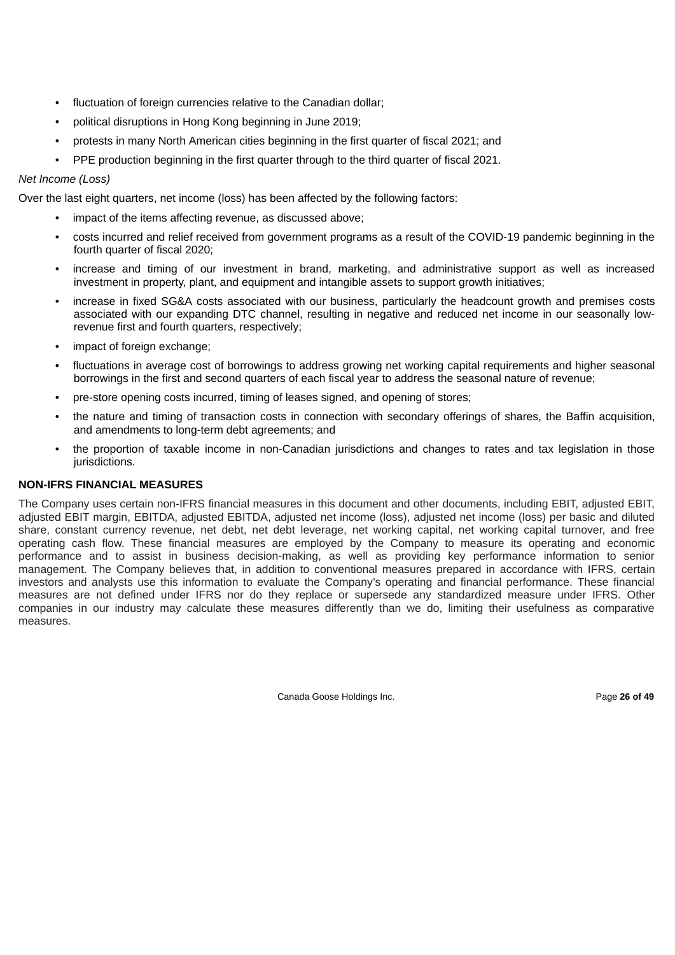- fluctuation of foreign currencies relative to the Canadian dollar:
- political disruptions in Hong Kong beginning in June 2019;
- protests in many North American cities beginning in the first quarter of fiscal 2021; and
- PPE production beginning in the first quarter through to the third quarter of fiscal 2021.

# *Net Income (Loss)*

Over the last eight quarters, net income (loss) has been affected by the following factors:

- impact of the items affecting revenue, as discussed above;
- costs incurred and relief received from government programs as a result of the COVID-19 pandemic beginning in the fourth quarter of fiscal 2020;
- increase and timing of our investment in brand, marketing, and administrative support as well as increased investment in property, plant, and equipment and intangible assets to support growth initiatives;
- increase in fixed SG&A costs associated with our business, particularly the headcount growth and premises costs associated with our expanding DTC channel, resulting in negative and reduced net income in our seasonally lowrevenue first and fourth quarters, respectively;
- impact of foreign exchange;
- fluctuations in average cost of borrowings to address growing net working capital requirements and higher seasonal borrowings in the first and second quarters of each fiscal year to address the seasonal nature of revenue;
- pre-store opening costs incurred, timing of leases signed, and opening of stores;
- the nature and timing of transaction costs in connection with secondary offerings of shares, the Baffin acquisition, and amendments to long-term debt agreements; and
- the proportion of taxable income in non-Canadian jurisdictions and changes to rates and tax legislation in those jurisdictions.

# **NON-IFRS FINANCIAL MEASURES**

The Company uses certain non-IFRS financial measures in this document and other documents, including EBIT, adjusted EBIT, adjusted EBIT margin, EBITDA, adjusted EBITDA, adjusted net income (loss), adjusted net income (loss) per basic and diluted share, constant currency revenue, net debt, net debt leverage, net working capital, net working capital turnover, and free operating cash flow. These financial measures are employed by the Company to measure its operating and economic performance and to assist in business decision-making, as well as providing key performance information to senior management. The Company believes that, in addition to conventional measures prepared in accordance with IFRS, certain investors and analysts use this information to evaluate the Company's operating and financial performance. These financial measures are not defined under IFRS nor do they replace or supersede any standardized measure under IFRS. Other companies in our industry may calculate these measures differently than we do, limiting their usefulness as comparative measures.

Canada Goose Holdings Inc. **Page 26 of 49** Page 26 of 49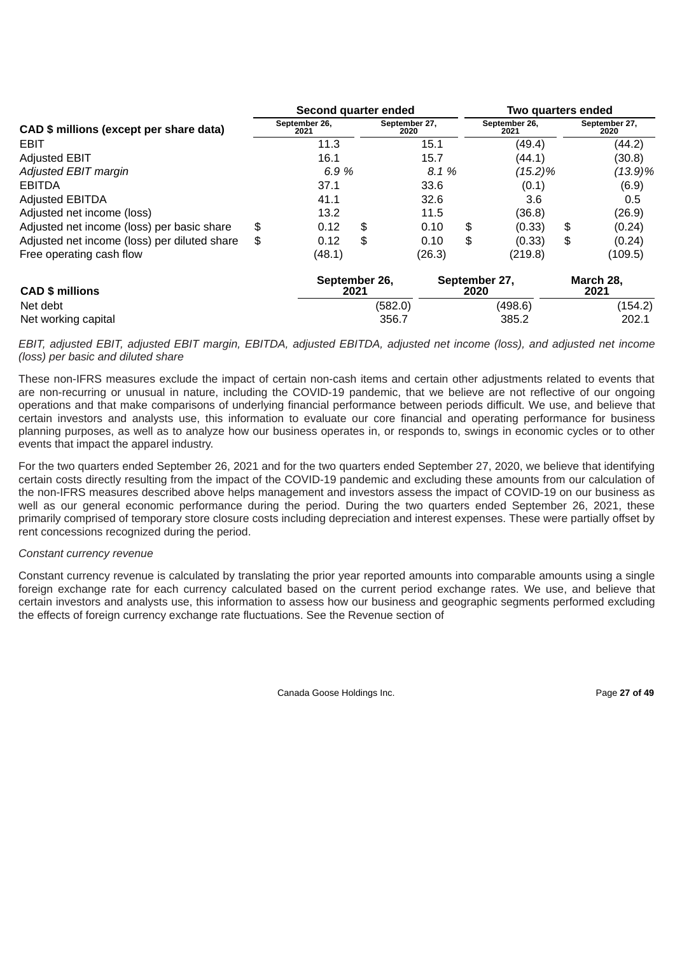|                                              | Second quarter ended |                       |      |                       |        |      | Two quarters ended    |    |                       |  |
|----------------------------------------------|----------------------|-----------------------|------|-----------------------|--------|------|-----------------------|----|-----------------------|--|
| CAD \$ millions (except per share data)      |                      | September 26,<br>2021 |      | September 27,<br>2020 |        |      | September 26,<br>2021 |    | September 27,<br>2020 |  |
| <b>EBIT</b>                                  |                      | 11.3                  |      |                       | 15.1   |      | (49.4)                |    | (44.2)                |  |
| <b>Adjusted EBIT</b>                         |                      | 16.1                  |      |                       | 15.7   |      | (44.1)                |    | (30.8)                |  |
| <b>Adjusted EBIT margin</b>                  |                      | 6.9%                  |      |                       | 8.1 %  |      | (15.2)%               |    | $(13.9)\%$            |  |
| <b>EBITDA</b>                                |                      | 37.1                  |      |                       | 33.6   |      | (0.1)                 |    | (6.9)                 |  |
| <b>Adjusted EBITDA</b>                       |                      | 41.1                  |      |                       | 32.6   |      | 3.6                   |    | 0.5                   |  |
| Adjusted net income (loss)                   |                      | 13.2                  |      |                       | 11.5   |      | (36.8)                |    | (26.9)                |  |
| Adjusted net income (loss) per basic share   | \$                   | 0.12                  | \$   |                       | 0.10   | \$   | (0.33)                | \$ | (0.24)                |  |
| Adjusted net income (loss) per diluted share | \$                   | 0.12                  | \$   |                       | 0.10   | \$   | (0.33)                | \$ | (0.24)                |  |
| Free operating cash flow                     |                      | (48.1)                |      |                       | (26.3) |      | (219.8)               |    | (109.5)               |  |
| <b>CAD \$ millions</b>                       |                      | September 26,         | 2021 |                       |        | 2020 | September 27,         |    | March 28,<br>2021     |  |
| Net debt                                     |                      |                       |      | (582.0)               |        |      | (498.6)               |    | (154.2)               |  |
| Net working capital                          |                      |                       |      | 356.7                 |        |      | 385.2                 |    | 202.1                 |  |

EBIT, adjusted EBIT, adjusted EBIT margin, EBITDA, adjusted EBITDA, adjusted net income (loss), and adjusted net income *(loss) per basic and diluted share*

These non-IFRS measures exclude the impact of certain non-cash items and certain other adjustments related to events that are non-recurring or unusual in nature, including the COVID-19 pandemic, that we believe are not reflective of our ongoing operations and that make comparisons of underlying financial performance between periods difficult. We use, and believe that certain investors and analysts use, this information to evaluate our core financial and operating performance for business planning purposes, as well as to analyze how our business operates in, or responds to, swings in economic cycles or to other events that impact the apparel industry.

For the two quarters ended September 26, 2021 and for the two quarters ended September 27, 2020, we believe that identifying certain costs directly resulting from the impact of the COVID-19 pandemic and excluding these amounts from our calculation of the non-IFRS measures described above helps management and investors assess the impact of COVID-19 on our business as well as our general economic performance during the period. During the two quarters ended September 26, 2021, these primarily comprised of temporary store closure costs including depreciation and interest expenses. These were partially offset by rent concessions recognized during the period.

# *Constant currency revenue*

Constant currency revenue is calculated by translating the prior year reported amounts into comparable amounts using a single foreign exchange rate for each currency calculated based on the current period exchange rates. We use, and believe that certain investors and analysts use, this information to assess how our business and geographic segments performed excluding the effects of foreign currency exchange rate fluctuations. See the Revenue section of

Canada Goose Holdings Inc. **Page 27 of 49 Page 27 of 49**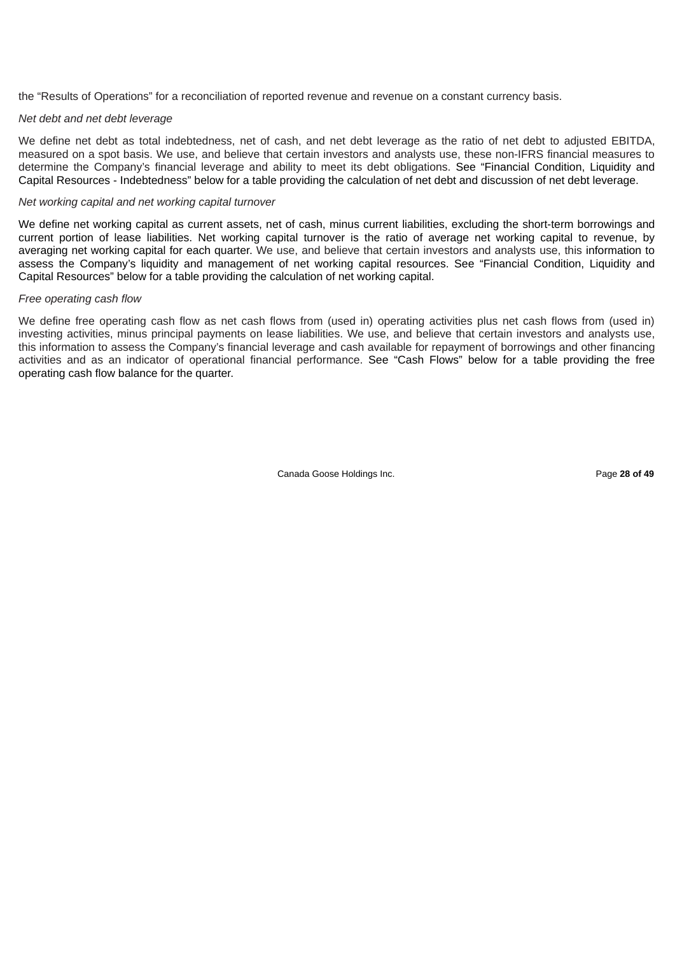the "Results of Operations" for a reconciliation of reported revenue and revenue on a constant currency basis.

### *Net debt and net debt leverage*

We define net debt as total indebtedness, net of cash, and net debt leverage as the ratio of net debt to adjusted EBITDA, measured on a spot basis. We use, and believe that certain investors and analysts use, these non-IFRS financial measures to determine the Company's financial leverage and ability to meet its debt obligations. See "Financial Condition, Liquidity and Capital Resources - Indebtedness" below for a table providing the calculation of net debt and discussion of net debt leverage.

#### *Net working capital and net working capital turnover*

We define net working capital as current assets, net of cash, minus current liabilities, excluding the short-term borrowings and current portion of lease liabilities. Net working capital turnover is the ratio of average net working capital to revenue, by averaging net working capital for each quarter. We use, and believe that certain investors and analysts use, this information to assess the Company's liquidity and management of net working capital resources. See "Financial Condition, Liquidity and Capital Resources" below for a table providing the calculation of net working capital.

#### *Free operating cash flow*

We define free operating cash flow as net cash flows from (used in) operating activities plus net cash flows from (used in) investing activities, minus principal payments on lease liabilities. We use, and believe that certain investors and analysts use, this information to assess the Company's financial leverage and cash available for repayment of borrowings and other financing activities and as an indicator of operational financial performance. See "Cash Flows" below for a table providing the free operating cash flow balance for the quarter.

Canada Goose Holdings Inc. Page **28 of 49**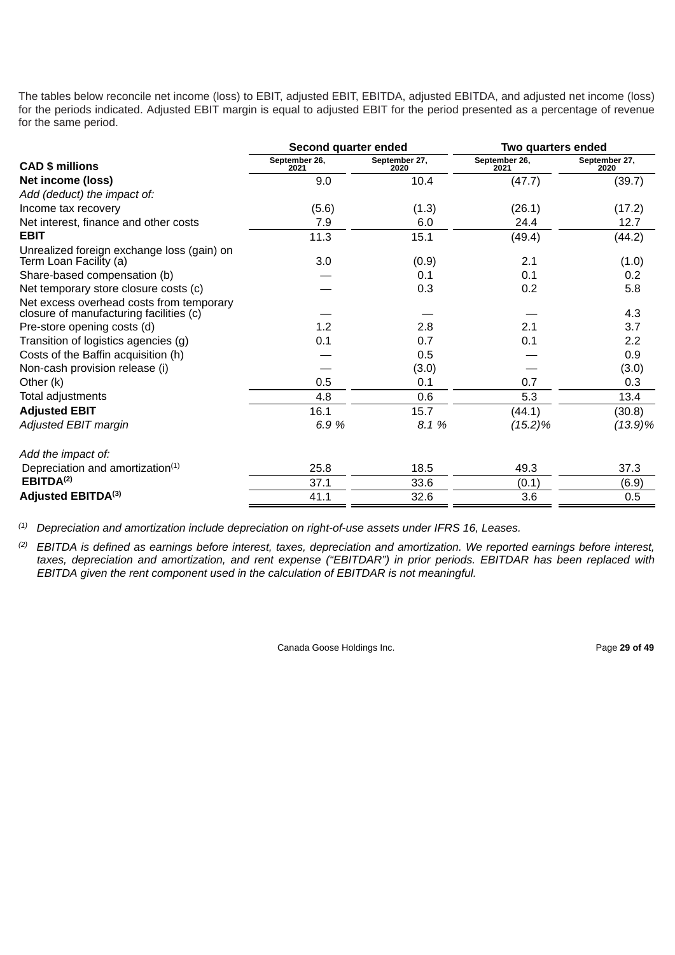The tables below reconcile net income (loss) to EBIT, adjusted EBIT, EBITDA, adjusted EBITDA, and adjusted net income (loss) for the periods indicated. Adjusted EBIT margin is equal to adjusted EBIT for the period presented as a percentage of revenue for the same period.

|                                                                                     | Second quarter ended  |                       | Two quarters ended    |                       |  |
|-------------------------------------------------------------------------------------|-----------------------|-----------------------|-----------------------|-----------------------|--|
| <b>CAD \$ millions</b>                                                              | September 26,<br>2021 | September 27,<br>2020 | September 26,<br>2021 | September 27,<br>2020 |  |
| Net income (loss)                                                                   | 9.0                   | 10.4                  | (47.7)                | (39.7)                |  |
| Add (deduct) the impact of:                                                         |                       |                       |                       |                       |  |
| Income tax recovery                                                                 | (5.6)                 | (1.3)                 | (26.1)                | (17.2)                |  |
| Net interest, finance and other costs                                               | 7.9                   | 6.0                   | 24.4                  | 12.7                  |  |
| <b>EBIT</b>                                                                         | 11.3                  | 15.1                  | (49.4)                | (44.2)                |  |
| Unrealized foreign exchange loss (gain) on<br>Term Loan Facility (a)                | 3.0                   | (0.9)                 | 2.1                   | (1.0)                 |  |
| Share-based compensation (b)                                                        |                       | 0.1                   | 0.1                   | 0.2                   |  |
| Net temporary store closure costs (c)                                               |                       | 0.3                   | 0.2                   | 5.8                   |  |
| Net excess overhead costs from temporary<br>closure of manufacturing facilities (c) |                       |                       |                       | 4.3                   |  |
| Pre-store opening costs (d)                                                         | 1.2                   | 2.8                   | 2.1                   | 3.7                   |  |
| Transition of logistics agencies (g)                                                | 0.1                   | 0.7                   | 0.1                   | 2.2                   |  |
| Costs of the Baffin acquisition (h)                                                 |                       | 0.5                   |                       | 0.9                   |  |
| Non-cash provision release (i)                                                      |                       | (3.0)                 |                       | (3.0)                 |  |
| Other (k)                                                                           | 0.5                   | 0.1                   | 0.7                   | 0.3                   |  |
| Total adjustments                                                                   | 4.8                   | 0.6                   | 5.3                   | 13.4                  |  |
| <b>Adjusted EBIT</b>                                                                | 16.1                  | 15.7                  | (44.1)                | (30.8)                |  |
| Adjusted EBIT margin                                                                | 6.9%                  | 8.1 %                 | $(15.2)\%$            | $(13.9)\%$            |  |
| Add the impact of:                                                                  |                       |                       |                       |                       |  |
| Depreciation and amortization <sup>(1)</sup>                                        | 25.8                  | 18.5                  | 49.3                  | 37.3                  |  |
| EBITDA <sup>(2)</sup>                                                               | 37.1                  | 33.6                  | (0.1)                 | (6.9)                 |  |
| Adjusted EBITDA(3)                                                                  | 41.1                  | 32.6                  | 3.6                   | 0.5                   |  |

*Depreciation and amortization include depreciation on right-of-use assets under IFRS 16, Leases. (1)*

 $^{(2)}$  EBITDA is defined as earnings before interest, taxes, depreciation and amortization. We reported earnings before interest, taxes, depreciation and amortization, and rent expense ("EBITDAR") in prior periods. EBITDAR has been replaced with *EBITDA given the rent component used in the calculation of EBITDAR is not meaningful.*

Canada Goose Holdings Inc. **Page 29 of 49** Page 29 of 49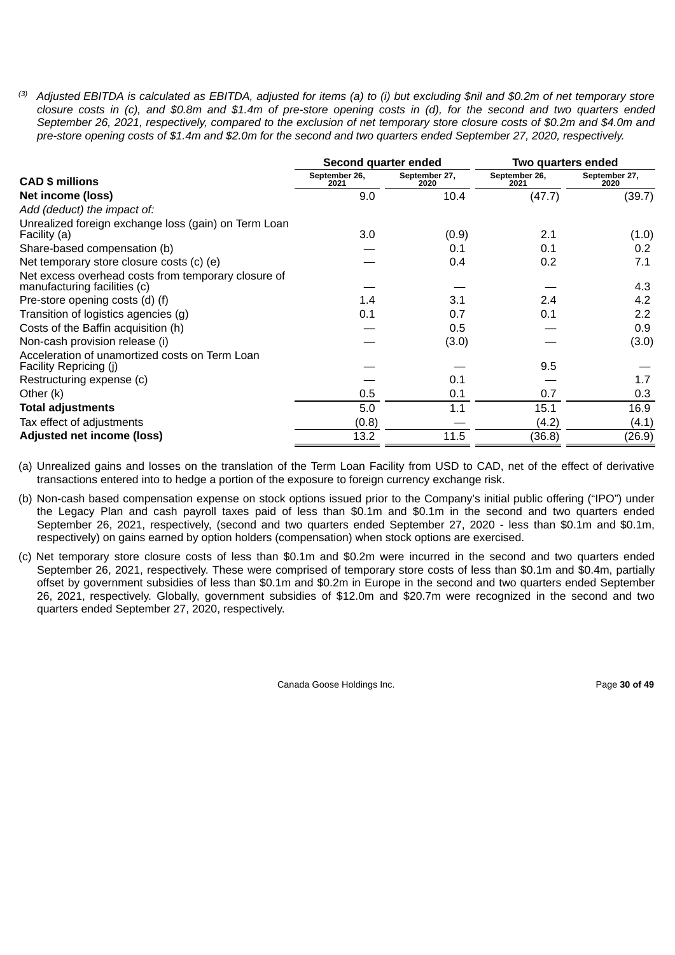(3) Adjusted EBITDA is calculated as EBITDA, adjusted for items (a) to (i) but excluding \$nil and \$0.2m of net temporary store closure costs in (c), and \$0.8m and \$1.4m of pre-store opening costs in (d), for the second and two quarters ended September 26, 2021, respectively, compared to the exclusion of net temporary store closure costs of \$0.2m and \$4.0m and pre-store opening costs of \$1.4m and \$2.0m for the second and two quarters ended September 27, 2020, respectively.

|                                                                                     | Second quarter ended  |                       | Two quarters ended    |                       |  |
|-------------------------------------------------------------------------------------|-----------------------|-----------------------|-----------------------|-----------------------|--|
| <b>CAD \$ millions</b>                                                              | September 26,<br>2021 | September 27,<br>2020 | September 26,<br>2021 | September 27,<br>2020 |  |
| Net income (loss)                                                                   | 9.0                   | 10.4                  | (47.7)                | (39.7)                |  |
| Add (deduct) the impact of:                                                         |                       |                       |                       |                       |  |
| Unrealized foreign exchange loss (gain) on Term Loan<br>Facility (a)                | 3.0                   | (0.9)                 | 2.1                   | (1.0)                 |  |
| Share-based compensation (b)                                                        |                       | 0.1                   | 0.1                   | 0.2                   |  |
| Net temporary store closure costs (c) (e)                                           |                       | 0.4                   | 0.2                   | 7.1                   |  |
| Net excess overhead costs from temporary closure of<br>manufacturing facilities (c) |                       |                       |                       | 4.3                   |  |
| Pre-store opening costs (d) (f)                                                     | 1.4                   | 3.1                   | 2.4                   | 4.2                   |  |
| Transition of logistics agencies (g)                                                | 0.1                   | 0.7                   | 0.1                   | 2.2                   |  |
| Costs of the Baffin acquisition (h)                                                 |                       | 0.5                   |                       | 0.9                   |  |
| Non-cash provision release (i)                                                      |                       | (3.0)                 |                       | (3.0)                 |  |
| Acceleration of unamortized costs on Term Loan<br>Facility Repricing (j)            |                       |                       | 9.5                   |                       |  |
| Restructuring expense (c)                                                           |                       | 0.1                   |                       | 1.7                   |  |
| Other (k)                                                                           | 0.5                   | 0.1                   | 0.7                   | 0.3                   |  |
| <b>Total adjustments</b>                                                            | 5.0                   | 1.1                   | 15.1                  | 16.9                  |  |
| Tax effect of adjustments                                                           | (0.8)                 |                       | (4.2)                 | (4.1)                 |  |
| Adjusted net income (loss)                                                          | 13.2                  | 11.5                  | (36.8)                | (26.9)                |  |

(a) Unrealized gains and losses on the translation of the Term Loan Facility from USD to CAD, net of the effect of derivative transactions entered into to hedge a portion of the exposure to foreign currency exchange risk.

(b) Non-cash based compensation expense on stock options issued prior to the Company's initial public offering ("IPO") under the Legacy Plan and cash payroll taxes paid of less than \$0.1m and \$0.1m in the second and two quarters ended September 26, 2021, respectively, (second and two quarters ended September 27, 2020 - less than \$0.1m and \$0.1m, respectively) on gains earned by option holders (compensation) when stock options are exercised.

(c) Net temporary store closure costs of less than \$0.1m and \$0.2m were incurred in the second and two quarters ended September 26, 2021, respectively. These were comprised of temporary store costs of less than \$0.1m and \$0.4m, partially offset by government subsidies of less than \$0.1m and \$0.2m in Europe in the second and two quarters ended September 26, 2021, respectively. Globally, government subsidies of \$12.0m and \$20.7m were recognized in the second and two quarters ended September 27, 2020, respectively.

Canada Goose Holdings Inc. **Page 30 of 49 Page 30 of 49**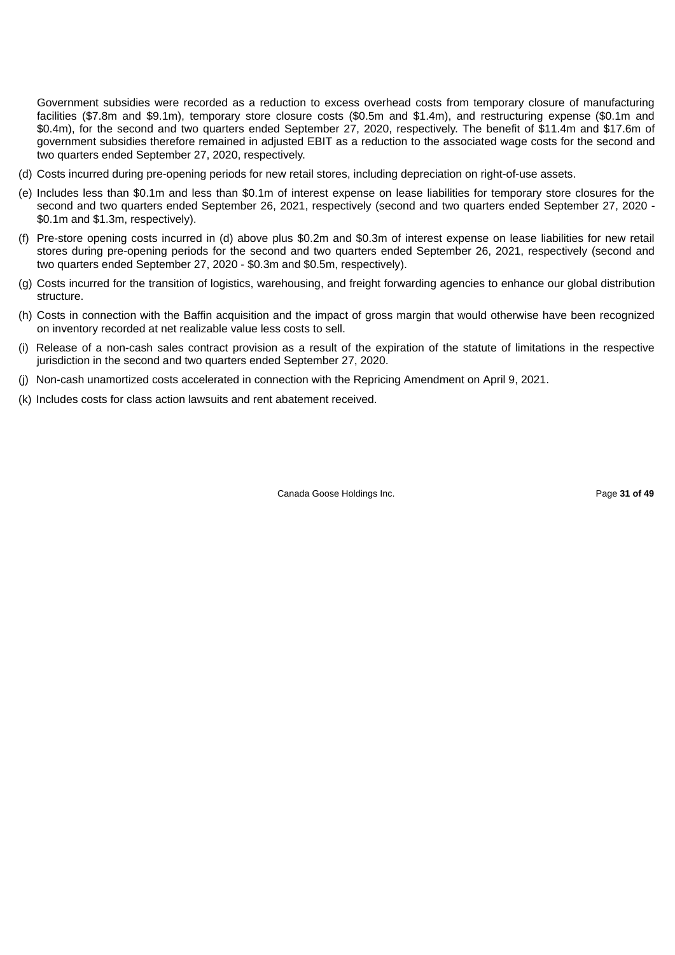Government subsidies were recorded as a reduction to excess overhead costs from temporary closure of manufacturing facilities (\$7.8m and \$9.1m), temporary store closure costs (\$0.5m and \$1.4m), and restructuring expense (\$0.1m and \$0.4m), for the second and two quarters ended September 27, 2020, respectively. The benefit of \$11.4m and \$17.6m of government subsidies therefore remained in adjusted EBIT as a reduction to the associated wage costs for the second and two quarters ended September 27, 2020, respectively.

- (d) Costs incurred during pre-opening periods for new retail stores, including depreciation on right-of-use assets.
- (e) Includes less than \$0.1m and less than \$0.1m of interest expense on lease liabilities for temporary store closures for the second and two quarters ended September 26, 2021, respectively (second and two quarters ended September 27, 2020 - \$0.1m and \$1.3m, respectively).
- (f) Pre-store opening costs incurred in (d) above plus \$0.2m and \$0.3m of interest expense on lease liabilities for new retail stores during pre-opening periods for the second and two quarters ended September 26, 2021, respectively (second and two quarters ended September 27, 2020 - \$0.3m and \$0.5m, respectively).
- (g) Costs incurred for the transition of logistics, warehousing, and freight forwarding agencies to enhance our global distribution structure.
- (h) Costs in connection with the Baffin acquisition and the impact of gross margin that would otherwise have been recognized on inventory recorded at net realizable value less costs to sell.
- (i) Release of a non-cash sales contract provision as a result of the expiration of the statute of limitations in the respective jurisdiction in the second and two quarters ended September 27, 2020.
- (j) Non-cash unamortized costs accelerated in connection with the Repricing Amendment on April 9, 2021.
- (k) Includes costs for class action lawsuits and rent abatement received.

Canada Goose Holdings Inc. Page **31 of 49**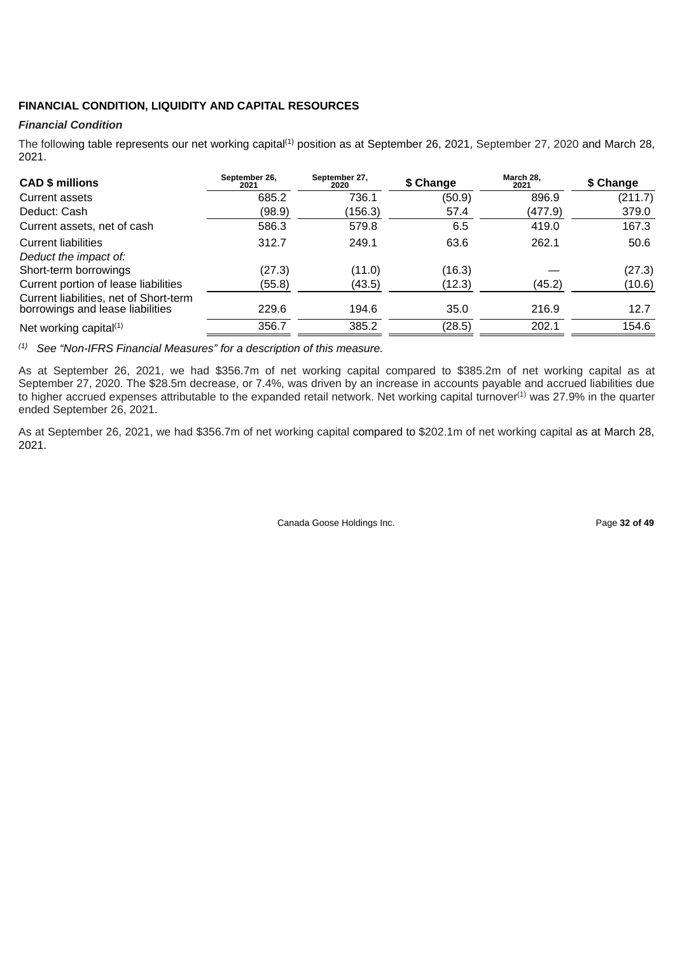# **FINANCIAL CONDITION, LIQUIDITY AND CAPITAL RESOURCES**

# *Financial Condition*

The following table represents our net working capital<sup>(1)</sup> position as at September 26, 2021, September 27, 2020 and March 28, 2021.

| <b>CAD \$ millions</b>                                                     | September 26.<br>2021 | September 27,<br>2020 | \$ Change | March 28.<br>2021 | \$ Change |
|----------------------------------------------------------------------------|-----------------------|-----------------------|-----------|-------------------|-----------|
| Current assets                                                             | 685.2                 | 736.1                 | (50.9)    | 896.9             | (211.7)   |
| Deduct: Cash                                                               | (98.9)                | (156.3)               | 57.4      | (477.9)           | 379.0     |
| Current assets, net of cash                                                | 586.3                 | 579.8                 | 6.5       | 419.0             | 167.3     |
| <b>Current liabilities</b>                                                 | 312.7                 | 249.1                 | 63.6      | 262.1             | 50.6      |
| Deduct the impact of:                                                      |                       |                       |           |                   |           |
| Short-term borrowings                                                      | (27.3)                | (11.0)                | (16.3)    |                   | (27.3)    |
| Current portion of lease liabilities                                       | (55.8)                | (43.5)                | (12.3)    | (45.2)            | (10.6)    |
| Current liabilities, net of Short-term<br>borrowings and lease liabilities | 229.6                 | 194.6                 | 35.0      | 216.9             | 12.7      |
| Net working capital $(1)$                                                  | 356.7                 | 385.2                 | (28.5)    | 202.1             | 154.6     |

*See "Non-IFRS Financial Measures" for a description of this measure. (1)*

As at September 26, 2021, we had \$356.7m of net working capital compared to \$385.2m of net working capital as at September 27, 2020. The \$28.5m decrease, or 7.4%, was driven by an increase in accounts payable and accrued liabilities due to higher accrued expenses attributable to the expanded retail network. Net working capital turnover<sup>(1)</sup> was 27.9% in the quarter ended September 26, 2021.

As at September 26, 2021, we had \$356.7m of net working capital compared to \$202.1m of net working capital as at March 28, 2021.

Canada Goose Holdings Inc. **Page 32 of 49**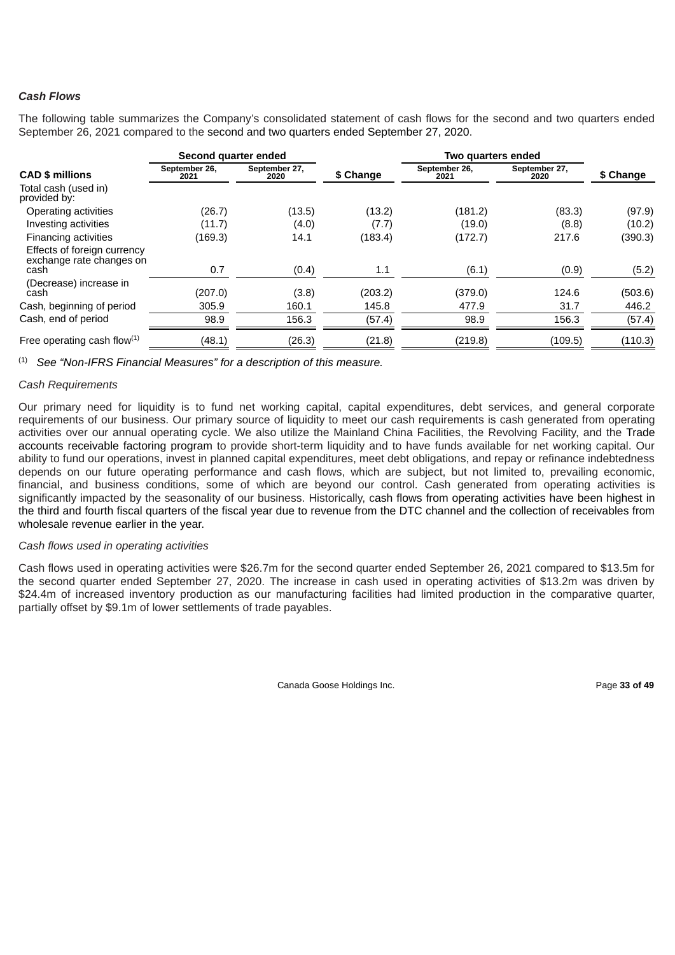# *Cash Flows*

The following table summarizes the Company's consolidated statement of cash flows for the second and two quarters ended September 26, 2021 compared to the second and two quarters ended September 27, 2020.

|                                                         | Second quarter ended  |                       |           | Two quarters ended    |                       |           |
|---------------------------------------------------------|-----------------------|-----------------------|-----------|-----------------------|-----------------------|-----------|
| <b>CAD \$ millions</b>                                  | September 26,<br>2021 | September 27.<br>2020 | \$ Change | September 26,<br>2021 | September 27,<br>2020 | \$ Change |
| Total cash (used in)<br>provided by:                    |                       |                       |           |                       |                       |           |
| Operating activities                                    | (26.7)                | (13.5)                | (13.2)    | (181.2)               | (83.3)                | (97.9)    |
| Investing activities                                    | (11.7)                | (4.0)                 | (7.7)     | (19.0)                | (8.8)                 | (10.2)    |
| Financing activities                                    | (169.3)               | 14.1                  | (183.4)   | (172.7)               | 217.6                 | (390.3)   |
| Effects of foreign currency<br>exchange rate changes on |                       |                       |           |                       |                       |           |
| cash                                                    | 0.7                   | (0.4)                 | 1.1       | (6.1)                 | (0.9)                 | (5.2)     |
| (Decrease) increase in<br>cash                          | (207.0)               | (3.8)                 | (203.2)   | (379.0)               | 124.6                 | (503.6)   |
| Cash, beginning of period                               | 305.9                 | 160.1                 | 145.8     | 477.9                 | 31.7                  | 446.2     |
| Cash, end of period                                     | 98.9                  | 156.3                 | (57.4)    | 98.9                  | 156.3                 | (57.4)    |
| Free operating cash flow $(1)$                          | (48.1)                | (26.3)                | (21.8)    | (219.8)               | (109.5)               | (110.3)   |

*See "Non-IFRS Financial Measures" for a description of this measure.* (1)

# *Cash Requirements*

Our primary need for liquidity is to fund net working capital, capital expenditures, debt services, and general corporate requirements of our business. Our primary source of liquidity to meet our cash requirements is cash generated from operating activities over our annual operating cycle. We also utilize the Mainland China Facilities, the Revolving Facility, and the Trade accounts receivable factoring program to provide short-term liquidity and to have funds available for net working capital. Our ability to fund our operations, invest in planned capital expenditures, meet debt obligations, and repay or refinance indebtedness depends on our future operating performance and cash flows, which are subject, but not limited to, prevailing economic, financial, and business conditions, some of which are beyond our control. Cash generated from operating activities is significantly impacted by the seasonality of our business. Historically, cash flows from operating activities have been highest in the third and fourth fiscal quarters of the fiscal year due to revenue from the DTC channel and the collection of receivables from wholesale revenue earlier in the year.

#### *Cash flows used in operating activities*

Cash flows used in operating activities were \$26.7m for the second quarter ended September 26, 2021 compared to \$13.5m for the second quarter ended September 27, 2020. The increase in cash used in operating activities of \$13.2m was driven by \$24.4m of increased inventory production as our manufacturing facilities had limited production in the comparative quarter, partially offset by \$9.1m of lower settlements of trade payables.

Canada Goose Holdings Inc. **Page 33 of 49 Page 33 of 49**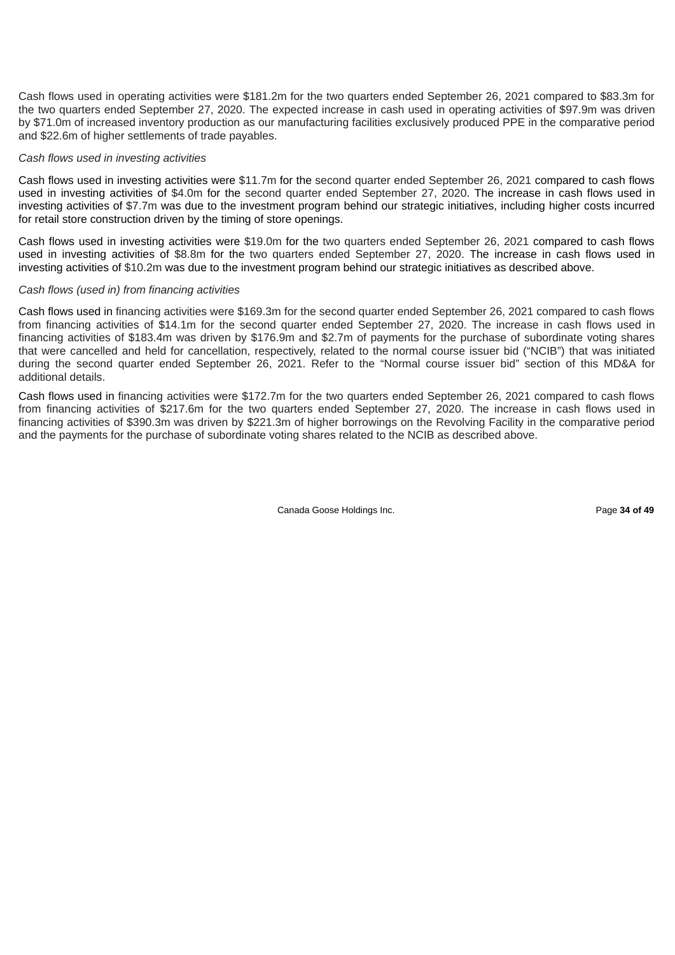Cash flows used in operating activities were \$181.2m for the two quarters ended September 26, 2021 compared to \$83.3m for the two quarters ended September 27, 2020. The expected increase in cash used in operating activities of \$97.9m was driven by \$71.0m of increased inventory production as our manufacturing facilities exclusively produced PPE in the comparative period and \$22.6m of higher settlements of trade payables.

### *Cash flows used in investing activities*

Cash flows used in investing activities were \$11.7m for the second quarter ended September 26, 2021 compared to cash flows used in investing activities of \$4.0m for the second quarter ended September 27, 2020. The increase in cash flows used in investing activities of \$7.7m was due to the investment program behind our strategic initiatives, including higher costs incurred for retail store construction driven by the timing of store openings.

Cash flows used in investing activities were \$19.0m for the two quarters ended September 26, 2021 compared to cash flows used in investing activities of \$8.8m for the two quarters ended September 27, 2020. The increase in cash flows used in investing activities of \$10.2m was due to the investment program behind our strategic initiatives as described above.

### *Cash flows (used in) from financing activities*

Cash flows used in financing activities were \$169.3m for the second quarter ended September 26, 2021 compared to cash flows from financing activities of \$14.1m for the second quarter ended September 27, 2020. The increase in cash flows used in financing activities of \$183.4m was driven by \$176.9m and \$2.7m of payments for the purchase of subordinate voting shares that were cancelled and held for cancellation, respectively, related to the normal course issuer bid ("NCIB") that was initiated during the second quarter ended September 26, 2021. Refer to the "Normal course issuer bid" section of this MD&A for additional details.

Cash flows used in financing activities were \$172.7m for the two quarters ended September 26, 2021 compared to cash flows from financing activities of \$217.6m for the two quarters ended September 27, 2020. The increase in cash flows used in financing activities of \$390.3m was driven by \$221.3m of higher borrowings on the Revolving Facility in the comparative period and the payments for the purchase of subordinate voting shares related to the NCIB as described above.

Canada Goose Holdings Inc. Page **34 of 49**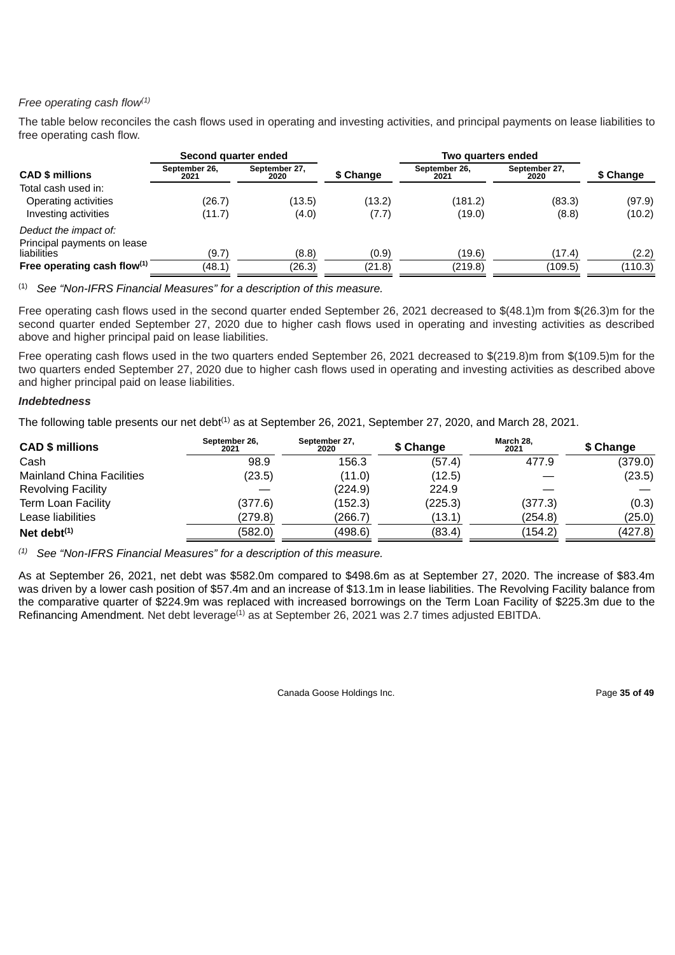# *Free operating cash flow (1)*

The table below reconciles the cash flows used in operating and investing activities, and principal payments on lease liabilities to free operating cash flow.

|                                            | Second quarter ended  |                       |           | Two quarters ended    |                       |           |
|--------------------------------------------|-----------------------|-----------------------|-----------|-----------------------|-----------------------|-----------|
| <b>CAD \$ millions</b>                     | September 26,<br>2021 | September 27,<br>2020 | \$ Change | September 26,<br>2021 | September 27,<br>2020 | \$ Change |
| Total cash used in:                        |                       |                       |           |                       |                       |           |
| Operating activities                       | (26.7)                | (13.5)                | (13.2)    | (181.2)               | (83.3)                | (97.9)    |
| Investing activities                       | (11.7)                | (4.0)                 | (7.7)     | (19.0)                | (8.8)                 | (10.2)    |
| Deduct the impact of:                      |                       |                       |           |                       |                       |           |
| Principal payments on lease<br>liabilities | (9.7)                 | (8.8)                 | (0.9)     | (19.6)                | (17.4)                | (2.2)     |
| Free operating cash flow $(1)$             | (48.1)                | (26.3)                | (21.8)    | (219.8)               | (109.5)               | (110.3)   |

*See "Non-IFRS Financial Measures" for a description of this measure.* (1)

Free operating cash flows used in the second quarter ended September 26, 2021 decreased to \$(48.1)m from \$(26.3)m for the second quarter ended September 27, 2020 due to higher cash flows used in operating and investing activities as described above and higher principal paid on lease liabilities.

Free operating cash flows used in the two quarters ended September 26, 2021 decreased to \$(219.8)m from \$(109.5)m for the two quarters ended September 27, 2020 due to higher cash flows used in operating and investing activities as described above and higher principal paid on lease liabilities.

# *Indebtedness*

The following table presents our net debt<sup>(1)</sup> as at September 26, 2021, September 27, 2020, and March 28, 2021.

| <b>CAD \$ millions</b>           | September 26.<br>2021 | September 27,<br>2020 | \$ Change | March 28.<br>2021 | \$ Change |  |
|----------------------------------|-----------------------|-----------------------|-----------|-------------------|-----------|--|
| Cash                             | 98.9                  | 156.3                 | (57.4)    | 477.9             | (379.0)   |  |
| <b>Mainland China Facilities</b> | (23.5)                | (11.0)                | (12.5)    |                   | (23.5)    |  |
| <b>Revolving Facility</b>        |                       | (224.9)               | 224.9     |                   |           |  |
| <b>Term Loan Facility</b>        | (377.6)               | (152.3)               | (225.3)   | (377.3)           | (0.3)     |  |
| Lease liabilities                | (279.8)               | (266.7)               | (13.1)    | (254.8)           | (25.0)    |  |
| Net debt $(1)$                   | (582.0)               | (498.6)               | (83.4)    | (154.2)           | (427.8)   |  |

*See "Non-IFRS Financial Measures" for a description of this measure. (1)*

As at September 26, 2021, net debt was \$582.0m compared to \$498.6m as at September 27, 2020. The increase of \$83.4m was driven by a lower cash position of \$57.4m and an increase of \$13.1m in lease liabilities. The Revolving Facility balance from the comparative quarter of \$224.9m was replaced with increased borrowings on the Term Loan Facility of \$225.3m due to the Refinancing Amendment. Net debt leverage<sup>(1)</sup> as at September 26, 2021 was 2.7 times adjusted EBITDA.

Canada Goose Holdings Inc. **Page 35 of 49** and the Page 35 of 49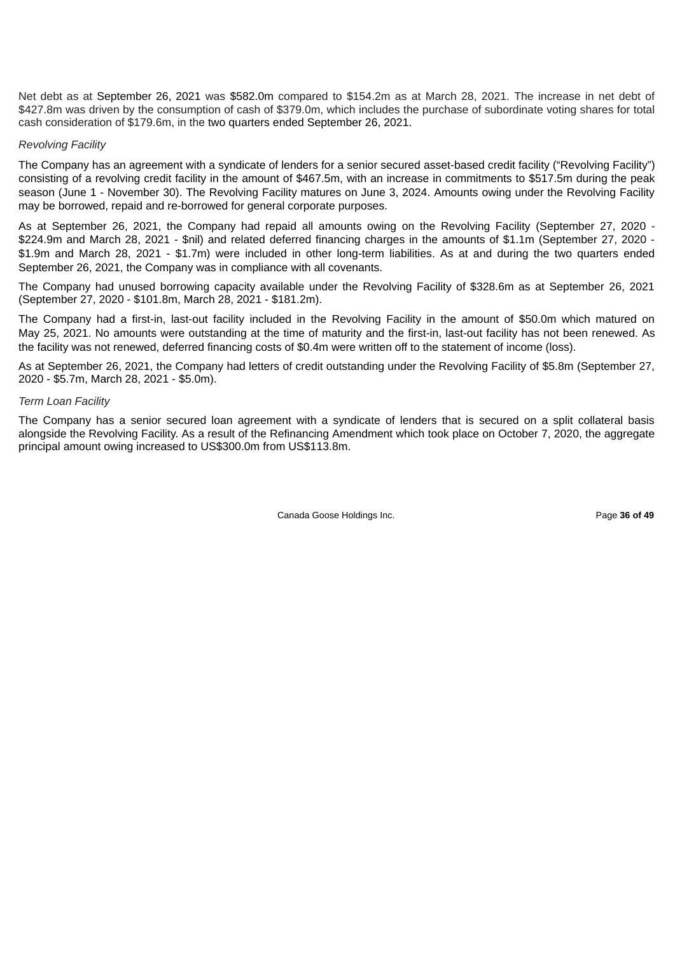Net debt as at September 26, 2021 was \$582.0m compared to \$154.2m as at March 28, 2021. The increase in net debt of \$427.8m was driven by the consumption of cash of \$379.0m, which includes the purchase of subordinate voting shares for total cash consideration of \$179.6m, in the two quarters ended September 26, 2021.

# *Revolving Facility*

The Company has an agreement with a syndicate of lenders for a senior secured asset-based credit facility ("Revolving Facility") consisting of a revolving credit facility in the amount of \$467.5m, with an increase in commitments to \$517.5m during the peak season (June 1 - November 30). The Revolving Facility matures on June 3, 2024. Amounts owing under the Revolving Facility may be borrowed, repaid and re-borrowed for general corporate purposes.

As at September 26, 2021, the Company had repaid all amounts owing on the Revolving Facility (September 27, 2020 - \$224.9m and March 28, 2021 - \$nil) and related deferred financing charges in the amounts of \$1.1m (September 27, 2020 - \$1.9m and March 28, 2021 - \$1.7m) were included in other long-term liabilities. As at and during the two quarters ended September 26, 2021, the Company was in compliance with all covenants.

The Company had unused borrowing capacity available under the Revolving Facility of \$328.6m as at September 26, 2021 (September 27, 2020 - \$101.8m, March 28, 2021 - \$181.2m).

The Company had a first-in, last-out facility included in the Revolving Facility in the amount of \$50.0m which matured on May 25, 2021. No amounts were outstanding at the time of maturity and the first-in, last-out facility has not been renewed. As the facility was not renewed, deferred financing costs of \$0.4m were written off to the statement of income (loss).

As at September 26, 2021, the Company had letters of credit outstanding under the Revolving Facility of \$5.8m (September 27, 2020 - \$5.7m, March 28, 2021 - \$5.0m).

# *Term Loan Facility*

The Company has a senior secured loan agreement with a syndicate of lenders that is secured on a split collateral basis alongside the Revolving Facility. As a result of the Refinancing Amendment which took place on October 7, 2020, the aggregate principal amount owing increased to US\$300.0m from US\$113.8m.

Canada Goose Holdings Inc. **Page 36 of 49**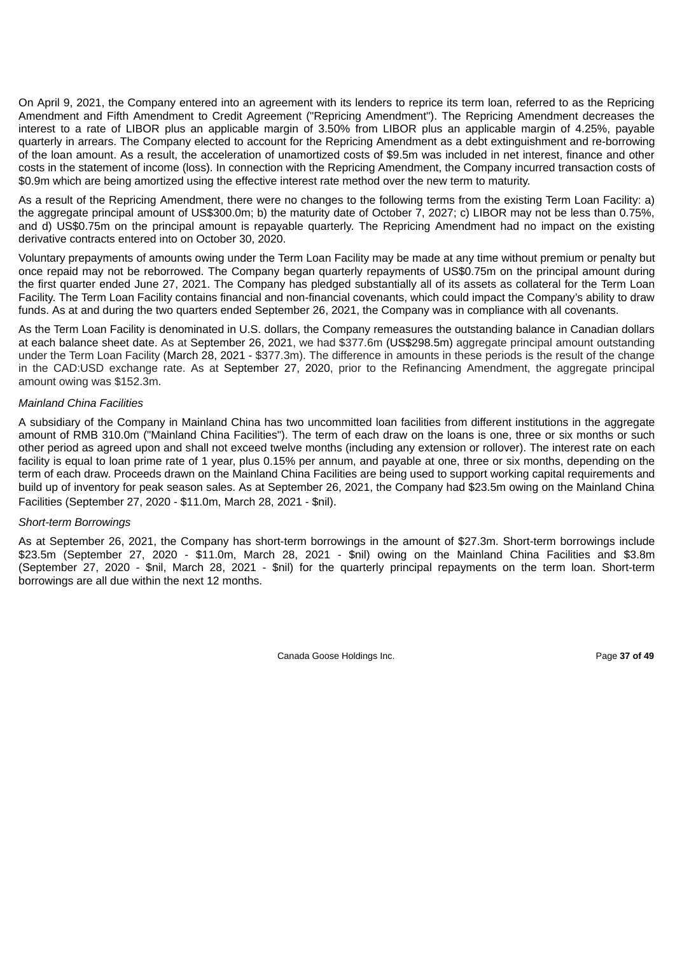On April 9, 2021, the Company entered into an agreement with its lenders to reprice its term loan, referred to as the Repricing Amendment and Fifth Amendment to Credit Agreement ("Repricing Amendment"). The Repricing Amendment decreases the interest to a rate of LIBOR plus an applicable margin of 3.50% from LIBOR plus an applicable margin of 4.25%, payable quarterly in arrears. The Company elected to account for the Repricing Amendment as a debt extinguishment and re-borrowing of the loan amount. As a result, the acceleration of unamortized costs of \$9.5m was included in net interest, finance and other costs in the statement of income (loss). In connection with the Repricing Amendment, the Company incurred transaction costs of \$0.9m which are being amortized using the effective interest rate method over the new term to maturity.

As a result of the Repricing Amendment, there were no changes to the following terms from the existing Term Loan Facility: a) the aggregate principal amount of US\$300.0m; b) the maturity date of October 7, 2027; c) LIBOR may not be less than 0.75%, and d) US\$0.75m on the principal amount is repayable quarterly. The Repricing Amendment had no impact on the existing derivative contracts entered into on October 30, 2020.

Voluntary prepayments of amounts owing under the Term Loan Facility may be made at any time without premium or penalty but once repaid may not be reborrowed. The Company began quarterly repayments of US\$0.75m on the principal amount during the first quarter ended June 27, 2021. The Company has pledged substantially all of its assets as collateral for the Term Loan Facility. The Term Loan Facility contains financial and non-financial covenants, which could impact the Company's ability to draw funds. As at and during the two quarters ended September 26, 2021, the Company was in compliance with all covenants.

As the Term Loan Facility is denominated in U.S. dollars, the Company remeasures the outstanding balance in Canadian dollars at each balance sheet date. As at September 26, 2021, we had \$377.6m (US\$298.5m) aggregate principal amount outstanding under the Term Loan Facility (March 28, 2021 - \$377.3m). The difference in amounts in these periods is the result of the change in the CAD:USD exchange rate. As at September 27, 2020, prior to the Refinancing Amendment, the aggregate principal amount owing was \$152.3m.

# *Mainland China Facilities*

A subsidiary of the Company in Mainland China has two uncommitted loan facilities from different institutions in the aggregate amount of RMB 310.0m ("Mainland China Facilities"). The term of each draw on the loans is one, three or six months or such other period as agreed upon and shall not exceed twelve months (including any extension or rollover). The interest rate on each facility is equal to loan prime rate of 1 year, plus 0.15% per annum, and payable at one, three or six months, depending on the term of each draw. Proceeds drawn on the Mainland China Facilities are being used to support working capital requirements and build up of inventory for peak season sales. As at September 26, 2021, the Company had \$23.5m owing on the Mainland China Facilities (September 27, 2020 - \$11.0m, March 28, 2021 - \$nil).

# *Short-term Borrowings*

As at September 26, 2021, the Company has short-term borrowings in the amount of \$27.3m. Short-term borrowings include \$23.5m (September 27, 2020 - \$11.0m, March 28, 2021 - \$nil) owing on the Mainland China Facilities and \$3.8m (September 27, 2020 - \$nil, March 28, 2021 - \$nil) for the quarterly principal repayments on the term loan. Short-term borrowings are all due within the next 12 months.

Canada Goose Holdings Inc. **Page 37 of 49**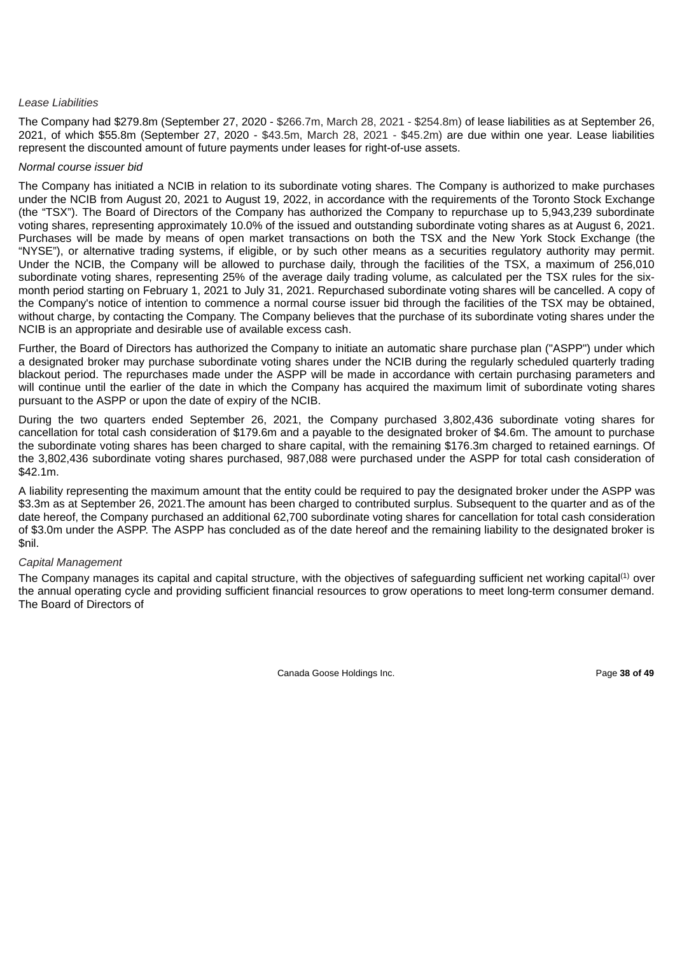### *Lease Liabilities*

The Company had \$279.8m (September 27, 2020 - \$266.7m, March 28, 2021 - \$254.8m) of lease liabilities as at September 26, 2021, of which \$55.8m (September 27, 2020 - \$43.5m, March 28, 2021 - \$45.2m) are due within one year. Lease liabilities represent the discounted amount of future payments under leases for right-of-use assets.

# *Normal course issuer bid*

The Company has initiated a NCIB in relation to its subordinate voting shares. The Company is authorized to make purchases under the NCIB from August 20, 2021 to August 19, 2022, in accordance with the requirements of the Toronto Stock Exchange (the "TSX"). The Board of Directors of the Company has authorized the Company to repurchase up to 5,943,239 subordinate voting shares, representing approximately 10.0% of the issued and outstanding subordinate voting shares as at August 6, 2021. Purchases will be made by means of open market transactions on both the TSX and the New York Stock Exchange (the "NYSE"), or alternative trading systems, if eligible, or by such other means as a securities regulatory authority may permit. Under the NCIB, the Company will be allowed to purchase daily, through the facilities of the TSX, a maximum of 256,010 subordinate voting shares, representing 25% of the average daily trading volume, as calculated per the TSX rules for the sixmonth period starting on February 1, 2021 to July 31, 2021. Repurchased subordinate voting shares will be cancelled. A copy of the Company's notice of intention to commence a normal course issuer bid through the facilities of the TSX may be obtained, without charge, by contacting the Company. The Company believes that the purchase of its subordinate voting shares under the NCIB is an appropriate and desirable use of available excess cash.

Further, the Board of Directors has authorized the Company to initiate an automatic share purchase plan ("ASPP") under which a designated broker may purchase subordinate voting shares under the NCIB during the regularly scheduled quarterly trading blackout period. The repurchases made under the ASPP will be made in accordance with certain purchasing parameters and will continue until the earlier of the date in which the Company has acquired the maximum limit of subordinate voting shares pursuant to the ASPP or upon the date of expiry of the NCIB.

During the two quarters ended September 26, 2021, the Company purchased 3,802,436 subordinate voting shares for cancellation for total cash consideration of \$179.6m and a payable to the designated broker of \$4.6m. The amount to purchase the subordinate voting shares has been charged to share capital, with the remaining \$176.3m charged to retained earnings. Of the 3,802,436 subordinate voting shares purchased, 987,088 were purchased under the ASPP for total cash consideration of \$42.1m.

A liability representing the maximum amount that the entity could be required to pay the designated broker under the ASPP was \$3.3m as at September 26, 2021. The amount has been charged to contributed surplus. Subsequent to the quarter and as of the date hereof, the Company purchased an additional 62,700 subordinate voting shares for cancellation for total cash consideration of \$3.0m under the ASPP. The ASPP has concluded as of the date hereof and the remaining liability to the designated broker is \$nil.

# *Capital Management*

The Company manages its capital and capital structure, with the objectives of safeguarding sufficient net working capital<sup>(1)</sup> over the annual operating cycle and providing sufficient financial resources to grow operations to meet long-term consumer demand. The Board of Directors of

Canada Goose Holdings Inc. Page **38 of 49**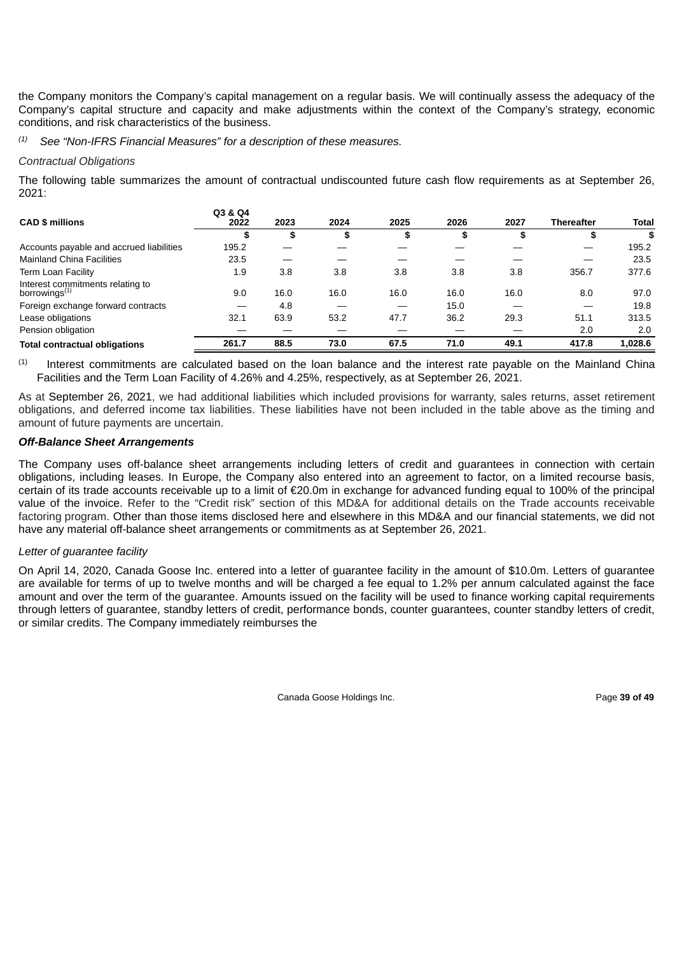the Company monitors the Company's capital management on a regular basis. We will continually assess the adequacy of the Company's capital structure and capacity and make adjustments within the context of the Company's strategy, economic conditions, and risk characteristics of the business.

*See "Non-IFRS Financial Measures" for a description of these measures. (1)*

### *Contractual Obligations*

The following table summarizes the amount of contractual undiscounted future cash flow requirements as at September 26, 2021:

| <b>CAD \$ millions</b>                                        | Q3 & Q4<br>2022 | 2023 | 2024 | 2025 | 2026 | 2027 | <b>Thereafter</b> | <b>Total</b> |
|---------------------------------------------------------------|-----------------|------|------|------|------|------|-------------------|--------------|
|                                                               | \$              | \$   | \$   | æ    | \$   | æ    | \$                | \$           |
| Accounts payable and accrued liabilities                      | 195.2           |      |      |      |      |      |                   | 195.2        |
| <b>Mainland China Facilities</b>                              | 23.5            |      |      |      |      |      |                   | 23.5         |
| Term Loan Facility                                            | 1.9             | 3.8  | 3.8  | 3.8  | 3.8  | 3.8  | 356.7             | 377.6        |
| Interest commitments relating to<br>borrowings <sup>(1)</sup> | 9.0             | 16.0 | 16.0 | 16.0 | 16.0 | 16.0 | 8.0               | 97.0         |
| Foreign exchange forward contracts                            |                 | 4.8  |      |      | 15.0 |      |                   | 19.8         |
| Lease obligations                                             | 32.1            | 63.9 | 53.2 | 47.7 | 36.2 | 29.3 | 51.1              | 313.5        |
| Pension obligation                                            |                 |      |      |      |      |      | 2.0               | 2.0          |
| <b>Total contractual obligations</b>                          | 261.7           | 88.5 | 73.0 | 67.5 | 71.0 | 49.1 | 417.8             | 1,028.6      |

Interest commitments are calculated based on the loan balance and the interest rate payable on the Mainland China Facilities and the Term Loan Facility of 4.26% and 4.25%, respectively, as at September 26, 2021. (1)

As at September 26, 2021, we had additional liabilities which included provisions for warranty, sales returns, asset retirement obligations, and deferred income tax liabilities. These liabilities have not been included in the table above as the timing and amount of future payments are uncertain.

# *Off-Balance Sheet Arrangements*

The Company uses off-balance sheet arrangements including letters of credit and guarantees in connection with certain obligations, including leases. In Europe, the Company also entered into an agreement to factor, on a limited recourse basis, certain of its trade accounts receivable up to a limit of €20.0m in exchange for advanced funding equal to 100% of the principal value of the invoice. Refer to the "Credit risk" section of this MD&A for additional details on the Trade accounts receivable factoring program. Other than those items disclosed here and elsewhere in this MD&A and our financial statements, we did not have any material off-balance sheet arrangements or commitments as at September 26, 2021.

# *Letter of guarantee facility*

On April 14, 2020, Canada Goose Inc. entered into a letter of guarantee facility in the amount of \$10.0m. Letters of guarantee are available for terms of up to twelve months and will be charged a fee equal to 1.2% per annum calculated against the face amount and over the term of the guarantee. Amounts issued on the facility will be used to finance working capital requirements through letters of guarantee, standby letters of credit, performance bonds, counter guarantees, counter standby letters of credit, or similar credits. The Company immediately reimburses the

Canada Goose Holdings Inc. **Page 39 of 49** and  $\overline{P}$  and  $\overline{P}$  and  $\overline{P}$  and  $\overline{P}$  and  $\overline{P}$  and  $\overline{P}$  and  $\overline{P}$  and  $\overline{P}$  and  $\overline{P}$  and  $\overline{P}$  and  $\overline{P}$  and  $\overline{P}$  and  $\overline{P}$  and  $\overline{P$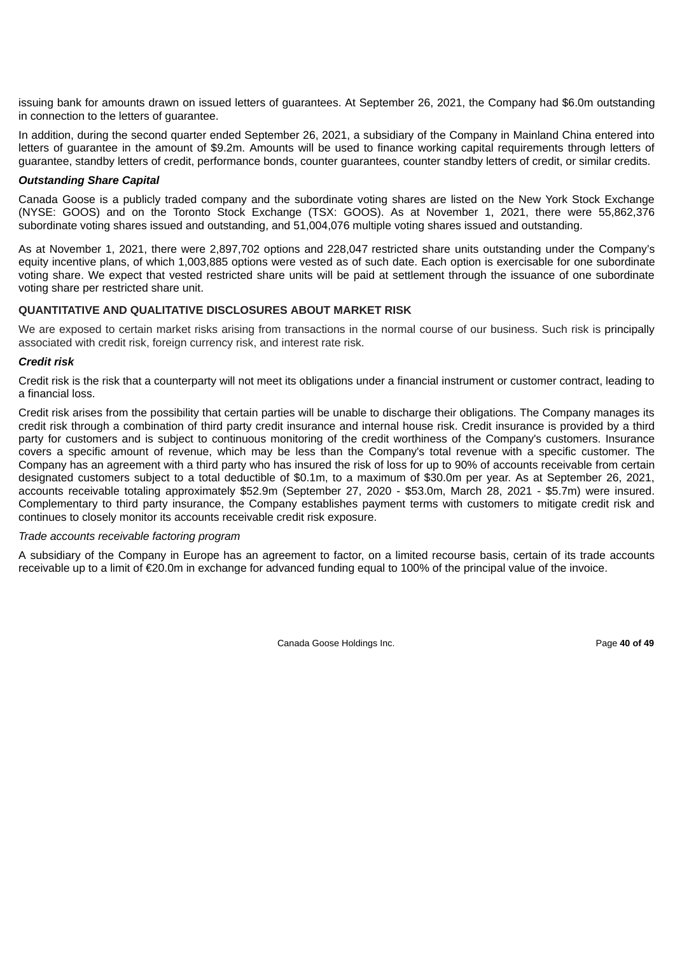issuing bank for amounts drawn on issued letters of guarantees. At September 26, 2021, the Company had \$6.0m outstanding in connection to the letters of guarantee.

In addition, during the second quarter ended September 26, 2021, a subsidiary of the Company in Mainland China entered into letters of guarantee in the amount of \$9.2m. Amounts will be used to finance working capital requirements through letters of guarantee, standby letters of credit, performance bonds, counter guarantees, counter standby letters of credit, or similar credits.

# *Outstanding Share Capital*

Canada Goose is a publicly traded company and the subordinate voting shares are listed on the New York Stock Exchange (NYSE: GOOS) and on the Toronto Stock Exchange (TSX: GOOS). As at November 1, 2021, there were 55,862,376 subordinate voting shares issued and outstanding, and 51,004,076 multiple voting shares issued and outstanding.

As at November 1, 2021, there were 2,897,702 options and 228,047 restricted share units outstanding under the Company's equity incentive plans, of which 1,003,885 options were vested as of such date. Each option is exercisable for one subordinate voting share. We expect that vested restricted share units will be paid at settlement through the issuance of one subordinate voting share per restricted share unit.

# **QUANTITATIVE AND QUALITATIVE DISCLOSURES ABOUT MARKET RISK**

We are exposed to certain market risks arising from transactions in the normal course of our business. Such risk is principally associated with credit risk, foreign currency risk, and interest rate risk.

# *Credit risk*

Credit risk is the risk that a counterparty will not meet its obligations under a financial instrument or customer contract, leading to a financial loss.

Credit risk arises from the possibility that certain parties will be unable to discharge their obligations. The Company manages its credit risk through a combination of third party credit insurance and internal house risk. Credit insurance is provided by a third party for customers and is subject to continuous monitoring of the credit worthiness of the Company's customers. Insurance covers a specific amount of revenue, which may be less than the Company's total revenue with a specific customer. The Company has an agreement with a third party who has insured the risk of loss for up to 90% of accounts receivable from certain designated customers subject to a total deductible of \$0.1m, to a maximum of \$30.0m per year. As at September 26, 2021, accounts receivable totaling approximately \$52.9m (September 27, 2020 - \$53.0m, March 28, 2021 - \$5.7m) were insured. Complementary to third party insurance, the Company establishes payment terms with customers to mitigate credit risk and continues to closely monitor its accounts receivable credit risk exposure.

#### *Trade accounts receivable factoring program*

A subsidiary of the Company in Europe has an agreement to factor, on a limited recourse basis, certain of its trade accounts receivable up to a limit of €20.0m in exchange for advanced funding equal to 100% of the principal value of the invoice.

Canada Goose Holdings Inc. Page **40 of 49**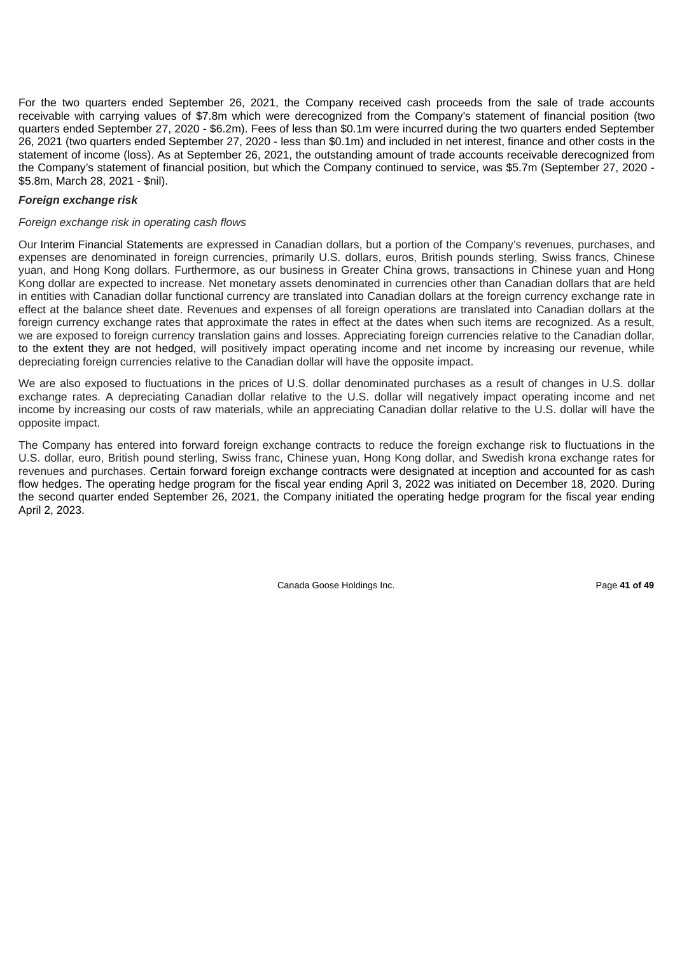For the two quarters ended September 26, 2021, the Company received cash proceeds from the sale of trade accounts receivable with carrying values of \$7.8m which were derecognized from the Company's statement of financial position (two quarters ended September 27, 2020 - \$6.2m). Fees of less than \$0.1m were incurred during the two quarters ended September 26, 2021 (two quarters ended September 27, 2020 - less than \$0.1m) and included in net interest, finance and other costs in the statement of income (loss). As at September 26, 2021, the outstanding amount of trade accounts receivable derecognized from the Company's statement of financial position, but which the Company continued to service, was \$5.7m (September 27, 2020 - \$5.8m, March 28, 2021 - \$nil).

#### *Foreign exchange risk*

#### *Foreign exchange risk in operating cash flows*

Our Interim Financial Statements are expressed in Canadian dollars, but a portion of the Company's revenues, purchases, and expenses are denominated in foreign currencies, primarily U.S. dollars, euros, British pounds sterling, Swiss francs, Chinese yuan, and Hong Kong dollars. Furthermore, as our business in Greater China grows, transactions in Chinese yuan and Hong Kong dollar are expected to increase. Net monetary assets denominated in currencies other than Canadian dollars that are held in entities with Canadian dollar functional currency are translated into Canadian dollars at the foreign currency exchange rate in effect at the balance sheet date. Revenues and expenses of all foreign operations are translated into Canadian dollars at the foreign currency exchange rates that approximate the rates in effect at the dates when such items are recognized. As a result, we are exposed to foreign currency translation gains and losses. Appreciating foreign currencies relative to the Canadian dollar, to the extent they are not hedged, will positively impact operating income and net income by increasing our revenue, while depreciating foreign currencies relative to the Canadian dollar will have the opposite impact.

We are also exposed to fluctuations in the prices of U.S. dollar denominated purchases as a result of changes in U.S. dollar exchange rates. A depreciating Canadian dollar relative to the U.S. dollar will negatively impact operating income and net income by increasing our costs of raw materials, while an appreciating Canadian dollar relative to the U.S. dollar will have the opposite impact.

The Company has entered into forward foreign exchange contracts to reduce the foreign exchange risk to fluctuations in the U.S. dollar, euro, British pound sterling, Swiss franc, Chinese yuan, Hong Kong dollar, and Swedish krona exchange rates for revenues and purchases. Certain forward foreign exchange contracts were designated at inception and accounted for as cash flow hedges. The operating hedge program for the fiscal year ending April 3, 2022 was initiated on December 18, 2020. During the second quarter ended September 26, 2021, the Company initiated the operating hedge program for the fiscal year ending April 2, 2023.

Canada Goose Holdings Inc. **Page 41 of 49**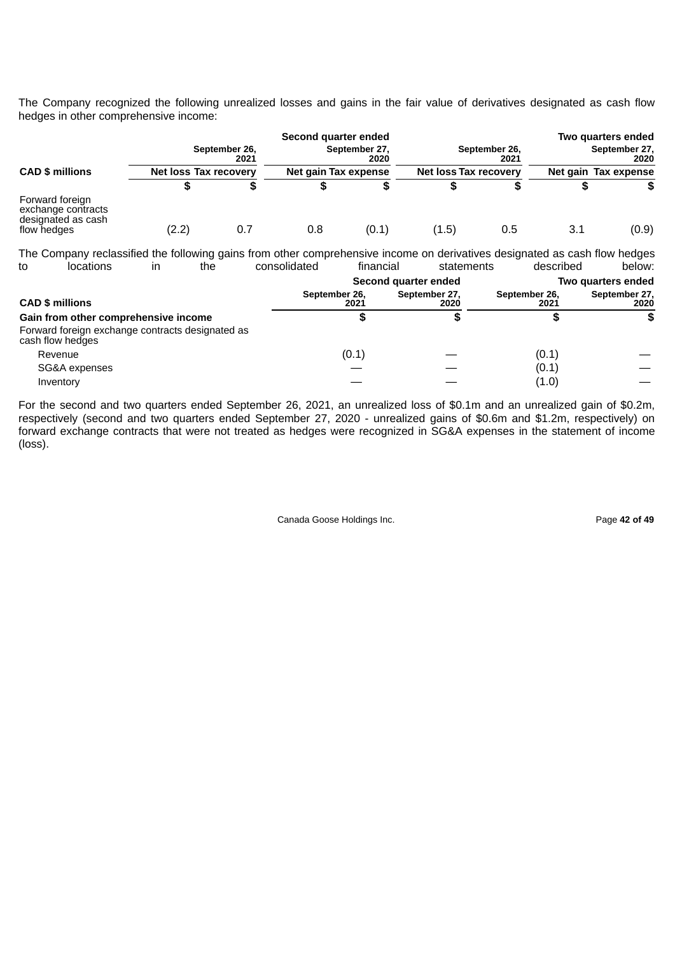The Company recognized the following unrealized losses and gains in the fair value of derivatives designated as cash flow hedges in other comprehensive income:

|                                                                            |                       | September 26,<br>2021 | Second quarter ended | September 27,<br>2020 |                       | September 26,<br>2021 |                      | Two quarters ended<br>September 27,<br>2020 |
|----------------------------------------------------------------------------|-----------------------|-----------------------|----------------------|-----------------------|-----------------------|-----------------------|----------------------|---------------------------------------------|
| <b>CAD \$ millions</b>                                                     | Net loss Tax recovery |                       | Net gain Tax expense |                       | Net loss Tax recovery |                       | Net gain Tax expense |                                             |
|                                                                            | S                     |                       | S                    |                       |                       |                       | S                    | S.                                          |
| Forward foreign<br>exchange contracts<br>designated as cash<br>flow hedges | (2.2)                 | 0.7                   | 0.8                  | (0.1)                 | (1.5)                 | 0.5                   | 3.1                  | (0.9)                                       |

The Company reclassified the following gains from other comprehensive income on derivatives designated as cash flow hedges to locations in the consolidated financial statements described below: **Second quarter ended Two quarters ended CAD \$ millions September 26, 2021 September 27, 2020 September 26, 2021 September 27, 2020 Gain from other comprehensive income \$ \$ \$ \$** Forward foreign exchange contracts designated as cash flow hedges Revenue (0.1) — (0.1) —  $SG&A$  expenses  $\qquad \qquad -$  (0.1) Inventory  $\qquad \qquad \qquad \qquad \qquad \qquad \qquad \qquad \qquad \qquad \qquad -$ 

For the second and two quarters ended September 26, 2021, an unrealized loss of \$0.1m and an unrealized gain of \$0.2m, respectively (second and two quarters ended September 27, 2020 - unrealized gains of \$0.6m and \$1.2m, respectively) on forward exchange contracts that were not treated as hedges were recognized in SG&A expenses in the statement of income (loss).

Canada Goose Holdings Inc. Page **42 of 49**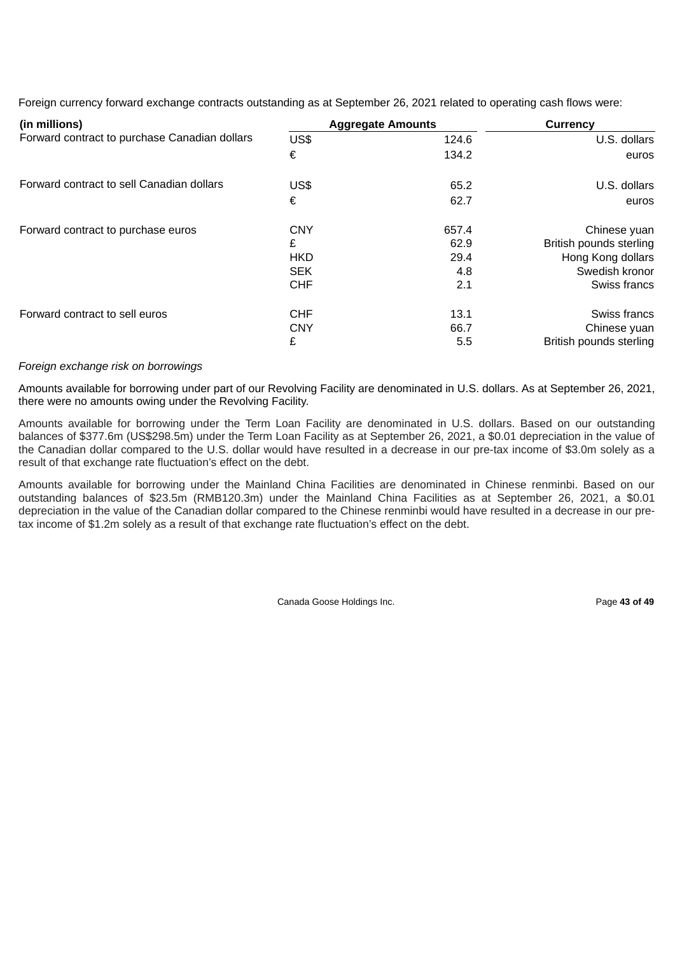Foreign currency forward exchange contracts outstanding as at September 26, 2021 related to operating cash flows were:

| (in millions)                                 |            | <b>Aggregate Amounts</b> | Currency                |
|-----------------------------------------------|------------|--------------------------|-------------------------|
| Forward contract to purchase Canadian dollars | US\$       | 124.6                    | U.S. dollars            |
|                                               | €          | 134.2                    | euros                   |
| Forward contract to sell Canadian dollars     | US\$       | 65.2                     | U.S. dollars            |
|                                               | €          | 62.7                     | euros                   |
| Forward contract to purchase euros            | <b>CNY</b> | 657.4                    | Chinese yuan            |
|                                               | £          | 62.9                     | British pounds sterling |
|                                               | <b>HKD</b> | 29.4                     | Hong Kong dollars       |
|                                               | <b>SEK</b> | 4.8                      | Swedish kronor          |
|                                               | <b>CHF</b> | 2.1                      | Swiss francs            |
| Forward contract to sell euros                | <b>CHF</b> | 13.1                     | Swiss francs            |
|                                               | <b>CNY</b> | 66.7                     | Chinese yuan            |
|                                               | £          | 5.5                      | British pounds sterling |

#### *Foreign exchange risk on borrowings*

Amounts available for borrowing under part of our Revolving Facility are denominated in U.S. dollars. As at September 26, 2021, there were no amounts owing under the Revolving Facility.

Amounts available for borrowing under the Term Loan Facility are denominated in U.S. dollars. Based on our outstanding balances of \$377.6m (US\$298.5m) under the Term Loan Facility as at September 26, 2021, a \$0.01 depreciation in the value of the Canadian dollar compared to the U.S. dollar would have resulted in a decrease in our pre-tax income of \$3.0m solely as a result of that exchange rate fluctuation's effect on the debt.

Amounts available for borrowing under the Mainland China Facilities are denominated in Chinese renminbi. Based on our outstanding balances of \$23.5m (RMB120.3m) under the Mainland China Facilities as at September 26, 2021, a \$0.01 depreciation in the value of the Canadian dollar compared to the Chinese renminbi would have resulted in a decrease in our pretax income of \$1.2m solely as a result of that exchange rate fluctuation's effect on the debt.

Canada Goose Holdings Inc. **Page 43 of 49**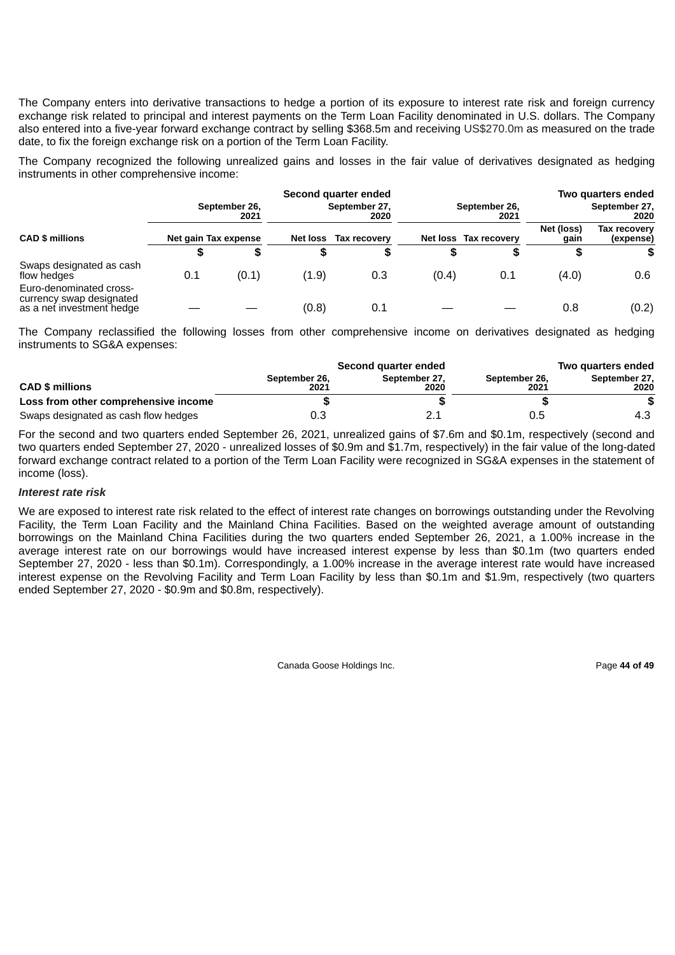The Company enters into derivative transactions to hedge a portion of its exposure to interest rate risk and foreign currency exchange risk related to principal and interest payments on the Term Loan Facility denominated in U.S. dollars. The Company also entered into a five-year forward exchange contract by selling \$368.5m and receiving US\$270.0m as measured on the trade date, to fix the foreign exchange risk on a portion of the Term Loan Facility.

The Company recognized the following unrealized gains and losses in the fair value of derivatives designated as hedging instruments in other comprehensive income:

|                                                                                  |                       |       |                       | Second quarter ended |                       |                       |                       | Two quarters ended        |
|----------------------------------------------------------------------------------|-----------------------|-------|-----------------------|----------------------|-----------------------|-----------------------|-----------------------|---------------------------|
|                                                                                  | September 26,<br>2021 |       | September 27,<br>2020 |                      | September 26,<br>2021 |                       | September 27,<br>2020 |                           |
| <b>CAD \$ millions</b>                                                           | Net gain Tax expense  |       | <b>Net loss</b>       | Tax recovery         |                       | Net loss Tax recovery | Net (loss)<br>gain    | Tax recovery<br>(expense) |
|                                                                                  | S                     | S     | S                     |                      |                       | S                     |                       | S                         |
| Swaps designated as cash<br>flow hedges                                          | 0.1                   | (0.1) | (1.9)                 | 0.3                  | (0.4)                 | 0.1                   | (4.0)                 | 0.6                       |
| Euro-denominated cross-<br>currency swap designated<br>as a net investment hedge |                       |       | (0.8)                 | 0.1                  |                       |                       | 0.8                   | (0.2)                     |

The Company reclassified the following losses from other comprehensive income on derivatives designated as hedging instruments to SG&A expenses:

|                                      | Second quarter ended  |                       | Two quarters ended    |                       |
|--------------------------------------|-----------------------|-----------------------|-----------------------|-----------------------|
| <b>CAD \$ millions</b>               | September 26.<br>2021 | September 27.<br>2020 | September 26.<br>2021 | September 27.<br>2020 |
| Loss from other comprehensive income |                       |                       |                       |                       |
| Swaps designated as cash flow hedges | 0.3                   |                       | 0.5                   | 4.3                   |

For the second and two quarters ended September 26, 2021, unrealized gains of \$7.6m and \$0.1m, respectively (second and two quarters ended September 27, 2020 - unrealized losses of \$0.9m and \$1.7m, respectively) in the fair value of the long-dated forward exchange contract related to a portion of the Term Loan Facility were recognized in SG&A expenses in the statement of income (loss).

#### *Interest rate risk*

We are exposed to interest rate risk related to the effect of interest rate changes on borrowings outstanding under the Revolving Facility, the Term Loan Facility and the Mainland China Facilities. Based on the weighted average amount of outstanding borrowings on the Mainland China Facilities during the two quarters ended September 26, 2021, a 1.00% increase in the average interest rate on our borrowings would have increased interest expense by less than \$0.1m (two quarters ended September 27, 2020 - less than \$0.1m). Correspondingly, a 1.00% increase in the average interest rate would have increased interest expense on the Revolving Facility and Term Loan Facility by less than \$0.1m and \$1.9m, respectively (two quarters ended September 27, 2020 - \$0.9m and \$0.8m, respectively).

Canada Goose Holdings Inc. Page **44 of 49**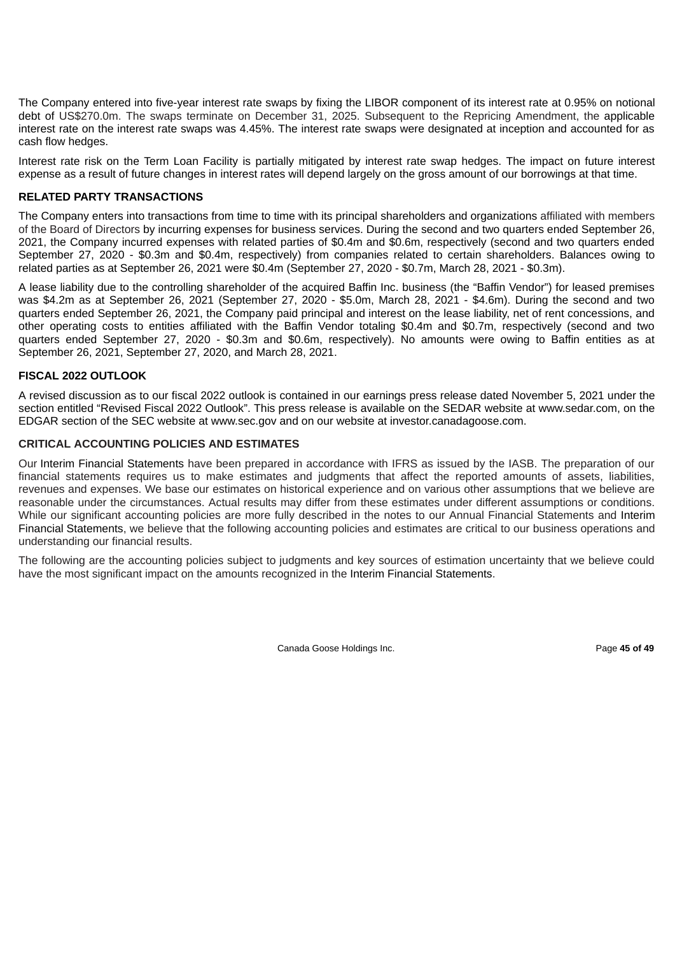The Company entered into five-year interest rate swaps by fixing the LIBOR component of its interest rate at 0.95% on notional debt of US\$270.0m. The swaps terminate on December 31, 2025. Subsequent to the Repricing Amendment, the applicable interest rate on the interest rate swaps was 4.45%. The interest rate swaps were designated at inception and accounted for as cash flow hedges.

Interest rate risk on the Term Loan Facility is partially mitigated by interest rate swap hedges. The impact on future interest expense as a result of future changes in interest rates will depend largely on the gross amount of our borrowings at that time.

# **RELATED PARTY TRANSACTIONS**

The Company enters into transactions from time to time with its principal shareholders and organizations affiliated with members of the Board of Directors by incurring expenses for business services. During the second and two quarters ended September 26, 2021, the Company incurred expenses with related parties of \$0.4m and \$0.6m, respectively (second and two quarters ended September 27, 2020 - \$0.3m and \$0.4m, respectively) from companies related to certain shareholders. Balances owing to related parties as at September 26, 2021 were \$0.4m (September 27, 2020 - \$0.7m, March 28, 2021 - \$0.3m).

A lease liability due to the controlling shareholder of the acquired Baffin Inc. business (the "Baffin Vendor") for leased premises was \$4.2m as at September 26, 2021 (September 27, 2020 - \$5.0m, March 28, 2021 - \$4.6m). During the second and two quarters ended September 26, 2021, the Company paid principal and interest on the lease liability, net of rent concessions, and other operating costs to entities affiliated with the Baffin Vendor totaling \$0.4m and \$0.7m, respectively (second and two quarters ended September 27, 2020 - \$0.3m and \$0.6m, respectively). No amounts were owing to Baffin entities as at September 26, 2021, September 27, 2020, and March 28, 2021.

# **FISCAL 2022 OUTLOOK**

A revised discussion as to our fiscal 2022 outlook is contained in our earnings press release dated November 5, 2021 under the section entitled "Revised Fiscal 2022 Outlook". This press release is available on the SEDAR website at www.sedar.com, on the EDGAR section of the SEC website at www.sec.gov and on our website at investor.canadagoose.com.

### **CRITICAL ACCOUNTING POLICIES AND ESTIMATES**

Our Interim Financial Statements have been prepared in accordance with IFRS as issued by the IASB. The preparation of our financial statements requires us to make estimates and judgments that affect the reported amounts of assets, liabilities, revenues and expenses. We base our estimates on historical experience and on various other assumptions that we believe are reasonable under the circumstances. Actual results may differ from these estimates under different assumptions or conditions. While our significant accounting policies are more fully described in the notes to our Annual Financial Statements and Interim Financial Statements, we believe that the following accounting policies and estimates are critical to our business operations and understanding our financial results.

The following are the accounting policies subject to judgments and key sources of estimation uncertainty that we believe could have the most significant impact on the amounts recognized in the Interim Financial Statements.

Canada Goose Holdings Inc. **Page 45 of 49**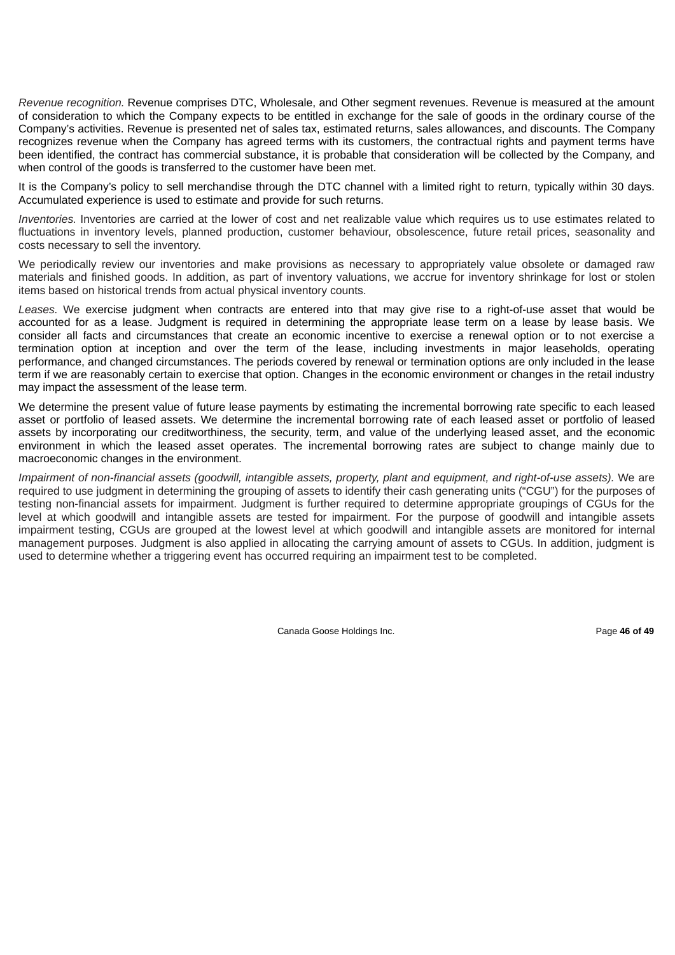*Revenue recognition.* Revenue comprises DTC, Wholesale, and Other segment revenues. Revenue is measured at the amount of consideration to which the Company expects to be entitled in exchange for the sale of goods in the ordinary course of the Company's activities. Revenue is presented net of sales tax, estimated returns, sales allowances, and discounts. The Company recognizes revenue when the Company has agreed terms with its customers, the contractual rights and payment terms have been identified, the contract has commercial substance, it is probable that consideration will be collected by the Company, and when control of the goods is transferred to the customer have been met.

It is the Company's policy to sell merchandise through the DTC channel with a limited right to return, typically within 30 days. Accumulated experience is used to estimate and provide for such returns.

*Inventories.* Inventories are carried at the lower of cost and net realizable value which requires us to use estimates related to fluctuations in inventory levels, planned production, customer behaviour, obsolescence, future retail prices, seasonality and costs necessary to sell the inventory.

We periodically review our inventories and make provisions as necessary to appropriately value obsolete or damaged raw materials and finished goods. In addition, as part of inventory valuations, we accrue for inventory shrinkage for lost or stolen items based on historical trends from actual physical inventory counts.

*Leases.* We exercise judgment when contracts are entered into that may give rise to a right-of-use asset that would be accounted for as a lease. Judgment is required in determining the appropriate lease term on a lease by lease basis. We consider all facts and circumstances that create an economic incentive to exercise a renewal option or to not exercise a termination option at inception and over the term of the lease, including investments in major leaseholds, operating performance, and changed circumstances. The periods covered by renewal or termination options are only included in the lease term if we are reasonably certain to exercise that option. Changes in the economic environment or changes in the retail industry may impact the assessment of the lease term.

We determine the present value of future lease payments by estimating the incremental borrowing rate specific to each leased asset or portfolio of leased assets. We determine the incremental borrowing rate of each leased asset or portfolio of leased assets by incorporating our creditworthiness, the security, term, and value of the underlying leased asset, and the economic environment in which the leased asset operates. The incremental borrowing rates are subject to change mainly due to macroeconomic changes in the environment.

Impairment of non-financial assets (goodwill, intangible assets, property, plant and equipment, and right-of-use assets). We are required to use judgment in determining the grouping of assets to identify their cash generating units ("CGU") for the purposes of testing non-financial assets for impairment. Judgment is further required to determine appropriate groupings of CGUs for the level at which goodwill and intangible assets are tested for impairment. For the purpose of goodwill and intangible assets impairment testing, CGUs are grouped at the lowest level at which goodwill and intangible assets are monitored for internal management purposes. Judgment is also applied in allocating the carrying amount of assets to CGUs. In addition, judgment is used to determine whether a triggering event has occurred requiring an impairment test to be completed.

Canada Goose Holdings Inc. Page **46 of 49**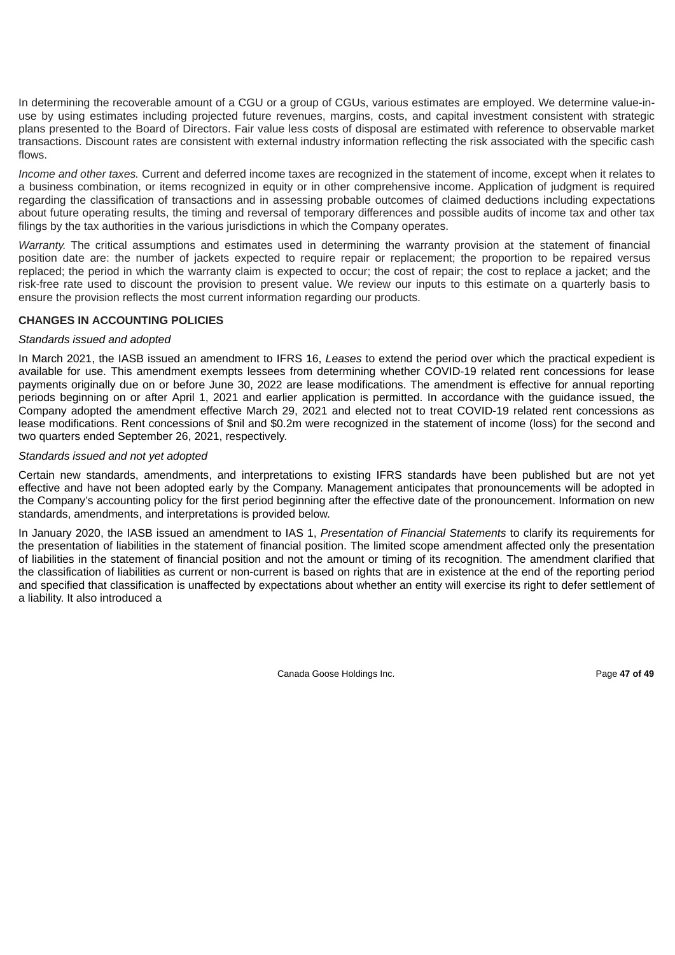In determining the recoverable amount of a CGU or a group of CGUs, various estimates are employed. We determine value-inuse by using estimates including projected future revenues, margins, costs, and capital investment consistent with strategic plans presented to the Board of Directors. Fair value less costs of disposal are estimated with reference to observable market transactions. Discount rates are consistent with external industry information reflecting the risk associated with the specific cash flows.

*Income and other taxes.* Current and deferred income taxes are recognized in the statement of income, except when it relates to a business combination, or items recognized in equity or in other comprehensive income. Application of judgment is required regarding the classification of transactions and in assessing probable outcomes of claimed deductions including expectations about future operating results, the timing and reversal of temporary differences and possible audits of income tax and other tax filings by the tax authorities in the various jurisdictions in which the Company operates.

*Warranty.* The critical assumptions and estimates used in determining the warranty provision at the statement of financial position date are: the number of jackets expected to require repair or replacement; the proportion to be repaired versus replaced; the period in which the warranty claim is expected to occur; the cost of repair; the cost to replace a jacket; and the risk-free rate used to discount the provision to present value. We review our inputs to this estimate on a quarterly basis to ensure the provision reflects the most current information regarding our products.

# **CHANGES IN ACCOUNTING POLICIES**

# *Standards issued and adopted*

In March 2021, the IASB issued an amendment to IFRS 16, *Leases* to extend the period over which the practical expedient is available for use. This amendment exempts lessees from determining whether COVID-19 related rent concessions for lease payments originally due on or before June 30, 2022 are lease modifications. The amendment is effective for annual reporting periods beginning on or after April 1, 2021 and earlier application is permitted. In accordance with the guidance issued, the Company adopted the amendment effective March 29, 2021 and elected not to treat COVID-19 related rent concessions as lease modifications. Rent concessions of \$nil and \$0.2m were recognized in the statement of income (loss) for the second and two quarters ended September 26, 2021, respectively.

# *Standards issued and not yet adopted*

Certain new standards, amendments, and interpretations to existing IFRS standards have been published but are not yet effective and have not been adopted early by the Company. Management anticipates that pronouncements will be adopted in the Company's accounting policy for the first period beginning after the effective date of the pronouncement. Information on new standards, amendments, and interpretations is provided below.

In January 2020, the IASB issued an amendment to IAS 1, *Presentation of Financial Statements* to clarify its requirements for the presentation of liabilities in the statement of financial position. The limited scope amendment affected only the presentation of liabilities in the statement of financial position and not the amount or timing of its recognition. The amendment clarified that the classification of liabilities as current or non-current is based on rights that are in existence at the end of the reporting period and specified that classification is unaffected by expectations about whether an entity will exercise its right to defer settlement of a liability. It also introduced a

Canada Goose Holdings Inc. **Page 47 of 49**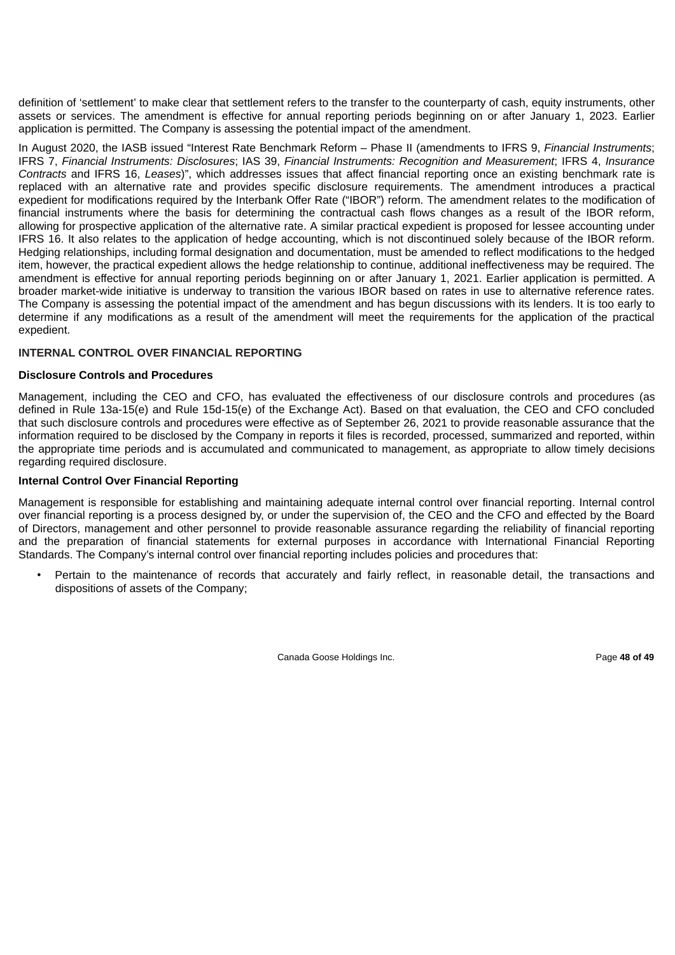definition of 'settlement' to make clear that settlement refers to the transfer to the counterparty of cash, equity instruments, other assets or services. The amendment is effective for annual reporting periods beginning on or after January 1, 2023. Earlier application is permitted. The Company is assessing the potential impact of the amendment.

In August 2020, the IASB issued "Interest Rate Benchmark Reform – Phase II (amendments to IFRS 9, *Financial Instruments*; IFRS 7, *Financial Instruments: Disclosures*; IAS 39, *Financial Instruments: Recognition and Measurement*; IFRS 4, *Insurance Contracts* and IFRS 16, *Leases*)", which addresses issues that affect financial reporting once an existing benchmark rate is replaced with an alternative rate and provides specific disclosure requirements. The amendment introduces a practical expedient for modifications required by the Interbank Offer Rate ("IBOR") reform. The amendment relates to the modification of financial instruments where the basis for determining the contractual cash flows changes as a result of the IBOR reform, allowing for prospective application of the alternative rate. A similar practical expedient is proposed for lessee accounting under IFRS 16. It also relates to the application of hedge accounting, which is not discontinued solely because of the IBOR reform. Hedging relationships, including formal designation and documentation, must be amended to reflect modifications to the hedged item, however, the practical expedient allows the hedge relationship to continue, additional ineffectiveness may be required. The amendment is effective for annual reporting periods beginning on or after January 1, 2021. Earlier application is permitted. A broader market-wide initiative is underway to transition the various IBOR based on rates in use to alternative reference rates. The Company is assessing the potential impact of the amendment and has begun discussions with its lenders. It is too early to determine if any modifications as a result of the amendment will meet the requirements for the application of the practical expedient.

# **INTERNAL CONTROL OVER FINANCIAL REPORTING**

#### **Disclosure Controls and Procedures**

Management, including the CEO and CFO, has evaluated the effectiveness of our disclosure controls and procedures (as defined in Rule 13a-15(e) and Rule 15d-15(e) of the Exchange Act). Based on that evaluation, the CEO and CFO concluded that such disclosure controls and procedures were effective as of September 26, 2021 to provide reasonable assurance that the information required to be disclosed by the Company in reports it files is recorded, processed, summarized and reported, within the appropriate time periods and is accumulated and communicated to management, as appropriate to allow timely decisions regarding required disclosure.

#### **Internal Control Over Financial Reporting**

Management is responsible for establishing and maintaining adequate internal control over financial reporting. Internal control over financial reporting is a process designed by, or under the supervision of, the CEO and the CFO and effected by the Board of Directors, management and other personnel to provide reasonable assurance regarding the reliability of financial reporting and the preparation of financial statements for external purposes in accordance with International Financial Reporting Standards. The Company's internal control over financial reporting includes policies and procedures that:

• Pertain to the maintenance of records that accurately and fairly reflect, in reasonable detail, the transactions and dispositions of assets of the Company;

Canada Goose Holdings Inc. Page **48 of 49**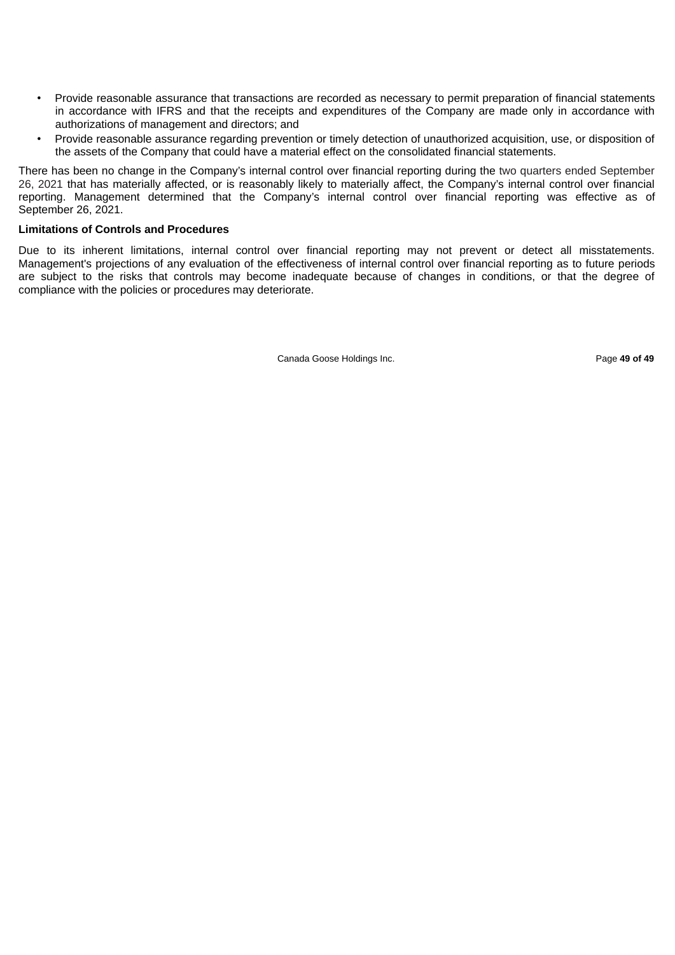- Provide reasonable assurance that transactions are recorded as necessary to permit preparation of financial statements in accordance with IFRS and that the receipts and expenditures of the Company are made only in accordance with authorizations of management and directors; and
- Provide reasonable assurance regarding prevention or timely detection of unauthorized acquisition, use, or disposition of the assets of the Company that could have a material effect on the consolidated financial statements.

There has been no change in the Company's internal control over financial reporting during the two quarters ended September 26, 2021 that has materially affected, or is reasonably likely to materially affect, the Company's internal control over financial reporting. Management determined that the Company's internal control over financial reporting was effective as of September 26, 2021.

### **Limitations of Controls and Procedures**

Due to its inherent limitations, internal control over financial reporting may not prevent or detect all misstatements. Management's projections of any evaluation of the effectiveness of internal control over financial reporting as to future periods are subject to the risks that controls may become inadequate because of changes in conditions, or that the degree of compliance with the policies or procedures may deteriorate.

Canada Goose Holdings Inc. Page **49 of 49**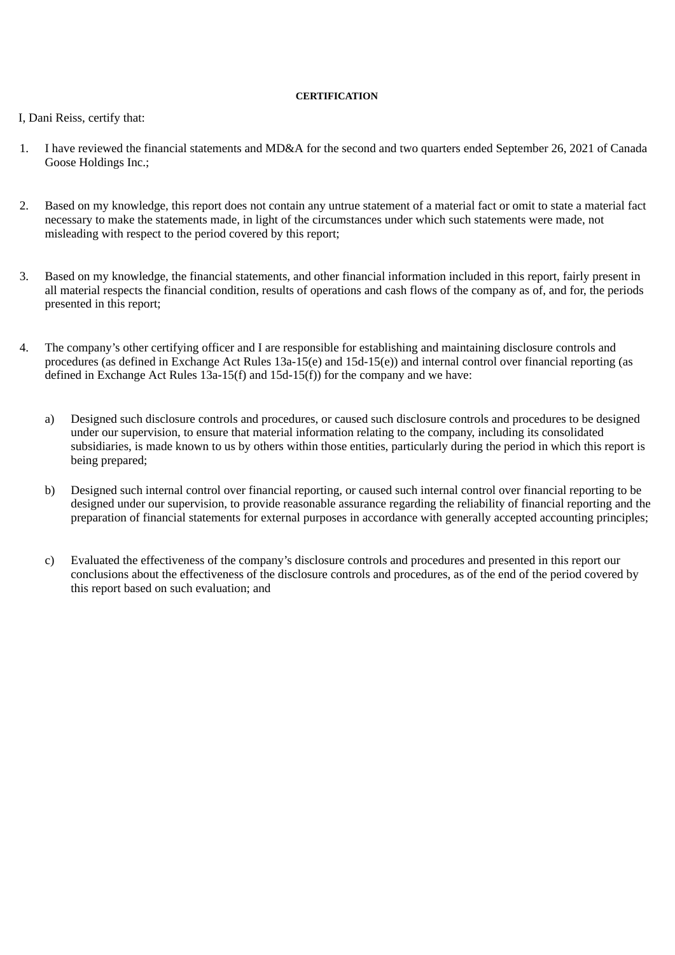#### **CERTIFICATION**

# I, Dani Reiss, certify that:

- 1. I have reviewed the financial statements and MD&A for the second and two quarters ended September 26, 2021 of Canada Goose Holdings Inc.;
- 2. Based on my knowledge, this report does not contain any untrue statement of a material fact or omit to state a material fact necessary to make the statements made, in light of the circumstances under which such statements were made, not misleading with respect to the period covered by this report;
- 3. Based on my knowledge, the financial statements, and other financial information included in this report, fairly present in all material respects the financial condition, results of operations and cash flows of the company as of, and for, the periods presented in this report;
- 4. The company's other certifying officer and I are responsible for establishing and maintaining disclosure controls and procedures (as defined in Exchange Act Rules 13a-15(e) and 15d-15(e)) and internal control over financial reporting (as defined in Exchange Act Rules  $13a-15(f)$  and  $15d-15(f)$  for the company and we have:
	- a) Designed such disclosure controls and procedures, or caused such disclosure controls and procedures to be designed under our supervision, to ensure that material information relating to the company, including its consolidated subsidiaries, is made known to us by others within those entities, particularly during the period in which this report is being prepared;
	- b) Designed such internal control over financial reporting, or caused such internal control over financial reporting to be designed under our supervision, to provide reasonable assurance regarding the reliability of financial reporting and the preparation of financial statements for external purposes in accordance with generally accepted accounting principles;
	- c) Evaluated the effectiveness of the company's disclosure controls and procedures and presented in this report our conclusions about the effectiveness of the disclosure controls and procedures, as of the end of the period covered by this report based on such evaluation; and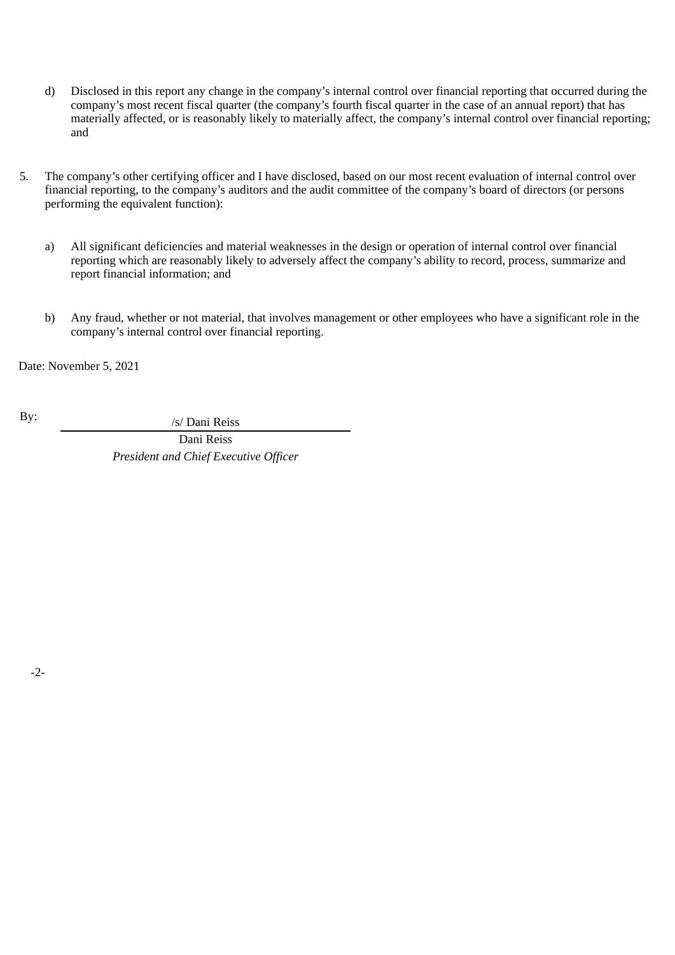- d) Disclosed in this report any change in the company's internal control over financial reporting that occurred during the company's most recent fiscal quarter (the company's fourth fiscal quarter in the case of an annual report) that has materially affected, or is reasonably likely to materially affect, the company's internal control over financial reporting; and
- 5. The company's other certifying officer and I have disclosed, based on our most recent evaluation of internal control over financial reporting, to the company's auditors and the audit committee of the company's board of directors (or persons performing the equivalent function):
	- a) All significant deficiencies and material weaknesses in the design or operation of internal control over financial reporting which are reasonably likely to adversely affect the company's ability to record, process, summarize and report financial information; and
	- b) Any fraud, whether or not material, that involves management or other employees who have a significant role in the company's internal control over financial reporting.

Date: November 5, 2021

By:  $\frac{1}{s}$  /s/ Dani Reiss

Dani Reiss *President and Chief Executive Officer*

-2-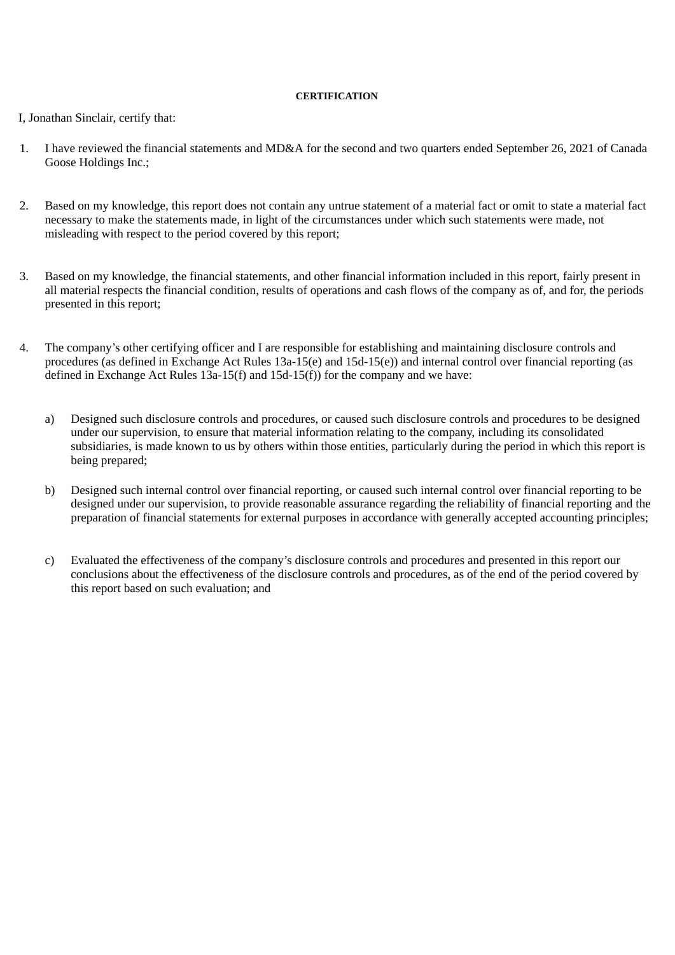#### **CERTIFICATION**

# I, Jonathan Sinclair, certify that:

- 1. I have reviewed the financial statements and MD&A for the second and two quarters ended September 26, 2021 of Canada Goose Holdings Inc.;
- 2. Based on my knowledge, this report does not contain any untrue statement of a material fact or omit to state a material fact necessary to make the statements made, in light of the circumstances under which such statements were made, not misleading with respect to the period covered by this report;
- 3. Based on my knowledge, the financial statements, and other financial information included in this report, fairly present in all material respects the financial condition, results of operations and cash flows of the company as of, and for, the periods presented in this report;
- 4. The company's other certifying officer and I are responsible for establishing and maintaining disclosure controls and procedures (as defined in Exchange Act Rules 13a-15(e) and 15d-15(e)) and internal control over financial reporting (as defined in Exchange Act Rules  $13a-15(f)$  and  $15d-15(f)$  for the company and we have:
	- a) Designed such disclosure controls and procedures, or caused such disclosure controls and procedures to be designed under our supervision, to ensure that material information relating to the company, including its consolidated subsidiaries, is made known to us by others within those entities, particularly during the period in which this report is being prepared;
	- b) Designed such internal control over financial reporting, or caused such internal control over financial reporting to be designed under our supervision, to provide reasonable assurance regarding the reliability of financial reporting and the preparation of financial statements for external purposes in accordance with generally accepted accounting principles;
	- c) Evaluated the effectiveness of the company's disclosure controls and procedures and presented in this report our conclusions about the effectiveness of the disclosure controls and procedures, as of the end of the period covered by this report based on such evaluation; and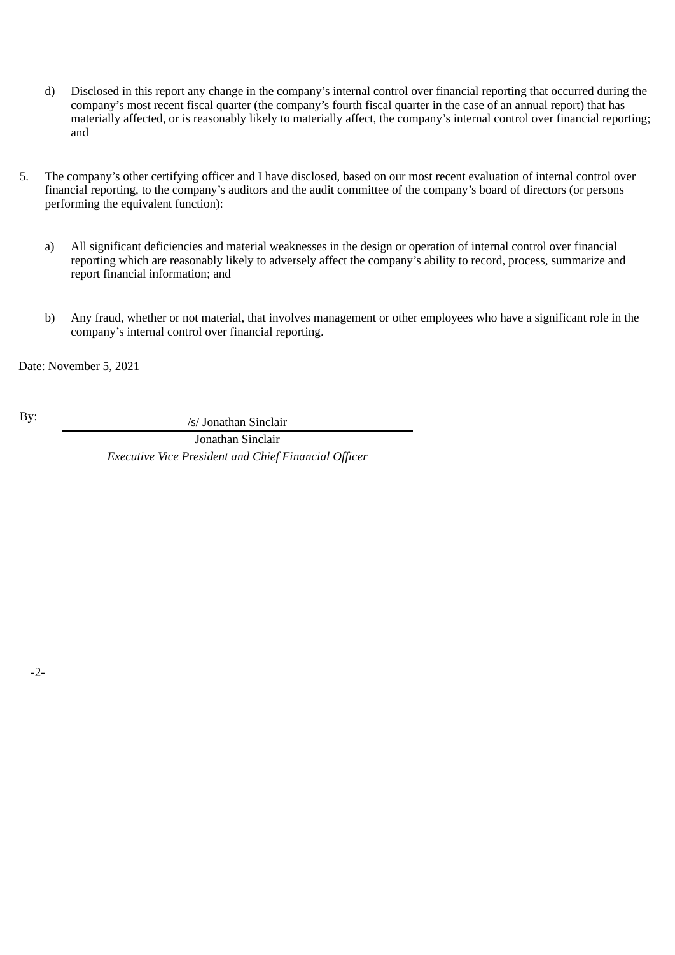- d) Disclosed in this report any change in the company's internal control over financial reporting that occurred during the company's most recent fiscal quarter (the company's fourth fiscal quarter in the case of an annual report) that has materially affected, or is reasonably likely to materially affect, the company's internal control over financial reporting; and
- 5. The company's other certifying officer and I have disclosed, based on our most recent evaluation of internal control over financial reporting, to the company's auditors and the audit committee of the company's board of directors (or persons performing the equivalent function):
	- a) All significant deficiencies and material weaknesses in the design or operation of internal control over financial reporting which are reasonably likely to adversely affect the company's ability to record, process, summarize and report financial information; and
	- b) Any fraud, whether or not material, that involves management or other employees who have a significant role in the company's internal control over financial reporting.

Date: November 5, 2021

By:  $\frac{1}{s}$  /s/ Jonathan Sinclair

Jonathan Sinclair *Executive Vice President and Chief Financial Officer*

-2-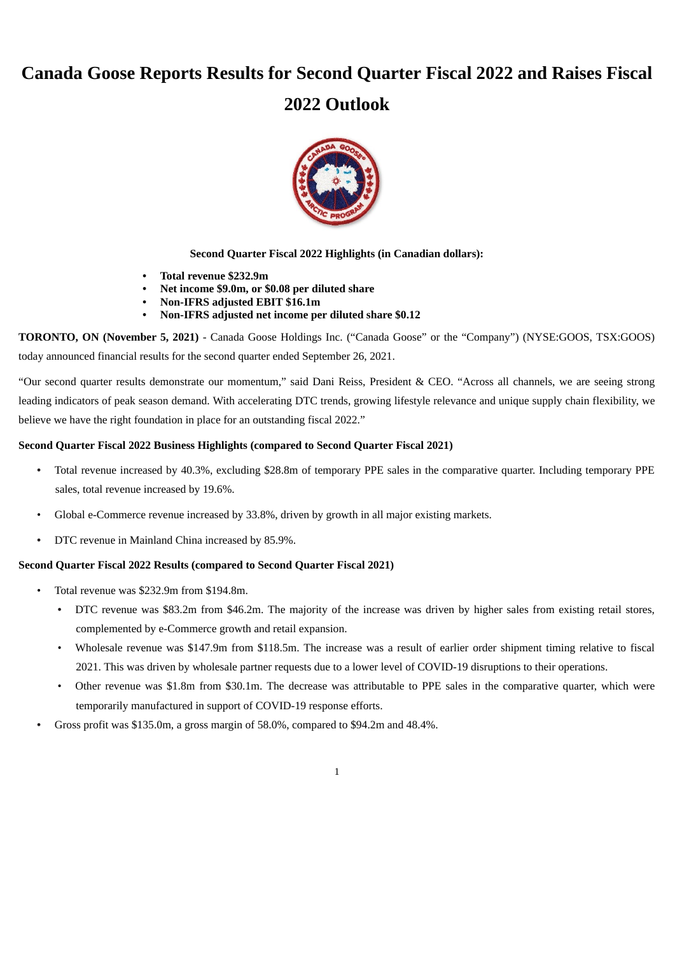# **Canada Goose Reports Results for Second Quarter Fiscal 2022 and Raises Fiscal**

# **2022 Outlook**



**Second Quarter Fiscal 2022 Highlights (in Canadian dollars):**

- **• Total revenue \$232.9m**
- **• Net income \$9.0m, or \$0.08 per diluted share**
- **• Non-IFRS adjusted EBIT \$16.1m**
- **• Non-IFRS adjusted net income per diluted share \$0.12**

**TORONTO, ON (November 5, 2021)** - Canada Goose Holdings Inc. ("Canada Goose" or the "Company") (NYSE:GOOS, TSX:GOOS) today announced financial results for the second quarter ended September 26, 2021.

"Our second quarter results demonstrate our momentum," said Dani Reiss, President & CEO. "Across all channels, we are seeing strong leading indicators of peak season demand. With accelerating DTC trends, growing lifestyle relevance and unique supply chain flexibility, we believe we have the right foundation in place for an outstanding fiscal 2022."

# **Second Quarter Fiscal 2022 Business Highlights (compared to Second Quarter Fiscal 2021)**

- Total revenue increased by 40.3%, excluding \$28.8m of temporary PPE sales in the comparative quarter. Including temporary PPE sales, total revenue increased by 19.6%.
- Global e-Commerce revenue increased by 33.8%, driven by growth in all major existing markets.
- DTC revenue in Mainland China increased by 85.9%.

#### **Second Quarter Fiscal 2022 Results (compared to Second Quarter Fiscal 2021)**

- Total revenue was \$232.9m from \$194.8m.
	- DTC revenue was \$83.2m from \$46.2m. The majority of the increase was driven by higher sales from existing retail stores, complemented by e-Commerce growth and retail expansion.
	- Wholesale revenue was \$147.9m from \$118.5m. The increase was a result of earlier order shipment timing relative to fiscal 2021. This was driven by wholesale partner requests due to a lower level of COVID-19 disruptions to their operations.
	- Other revenue was \$1.8m from \$30.1m. The decrease was attributable to PPE sales in the comparative quarter, which were temporarily manufactured in support of COVID-19 response efforts.
- Gross profit was \$135.0m, a gross margin of 58.0%, compared to \$94.2m and 48.4%.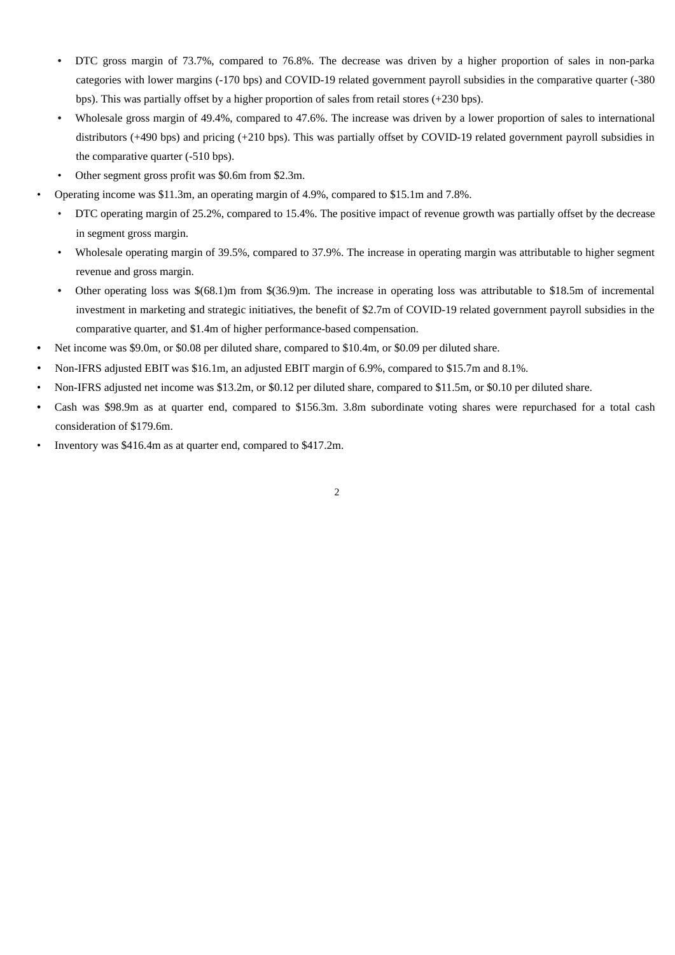- DTC gross margin of 73.7%, compared to 76.8%. The decrease was driven by a higher proportion of sales in non-parka categories with lower margins (-170 bps) and COVID-19 related government payroll subsidies in the comparative quarter (-380 bps). This was partially offset by a higher proportion of sales from retail stores (+230 bps).
- Wholesale gross margin of 49.4%, compared to 47.6%. The increase was driven by a lower proportion of sales to international distributors (+490 bps) and pricing (+210 bps). This was partially offset by COVID-19 related government payroll subsidies in the comparative quarter (-510 bps).
- Other segment gross profit was \$0.6m from \$2.3m.
- Operating income was \$11.3m, an operating margin of 4.9%, compared to \$15.1m and 7.8%.
- DTC operating margin of 25.2%, compared to 15.4%. The positive impact of revenue growth was partially offset by the decrease in segment gross margin.
- Wholesale operating margin of 39.5%, compared to 37.9%. The increase in operating margin was attributable to higher segment revenue and gross margin.
- Other operating loss was \$(68.1)m from \$(36.9)m. The increase in operating loss was attributable to \$18.5m of incremental investment in marketing and strategic initiatives, the benefit of \$2.7m of COVID-19 related government payroll subsidies in the comparative quarter, and \$1.4m of higher performance-based compensation.
- **•** Net income was \$9.0m, or \$0.08 per diluted share, compared to \$10.4m, or \$0.09 per diluted share.
- Non-IFRS adjusted EBIT was \$16.1m, an adjusted EBIT margin of 6.9%, compared to \$15.7m and 8.1%.
- Non-IFRS adjusted net income was \$13.2m, or \$0.12 per diluted share, compared to \$11.5m, or \$0.10 per diluted share.
- Cash was \$98.9m as at quarter end, compared to \$156.3m. 3.8m subordinate voting shares were repurchased for a total cash consideration of \$179.6m.
- Inventory was \$416.4m as at quarter end, compared to \$417.2m.

2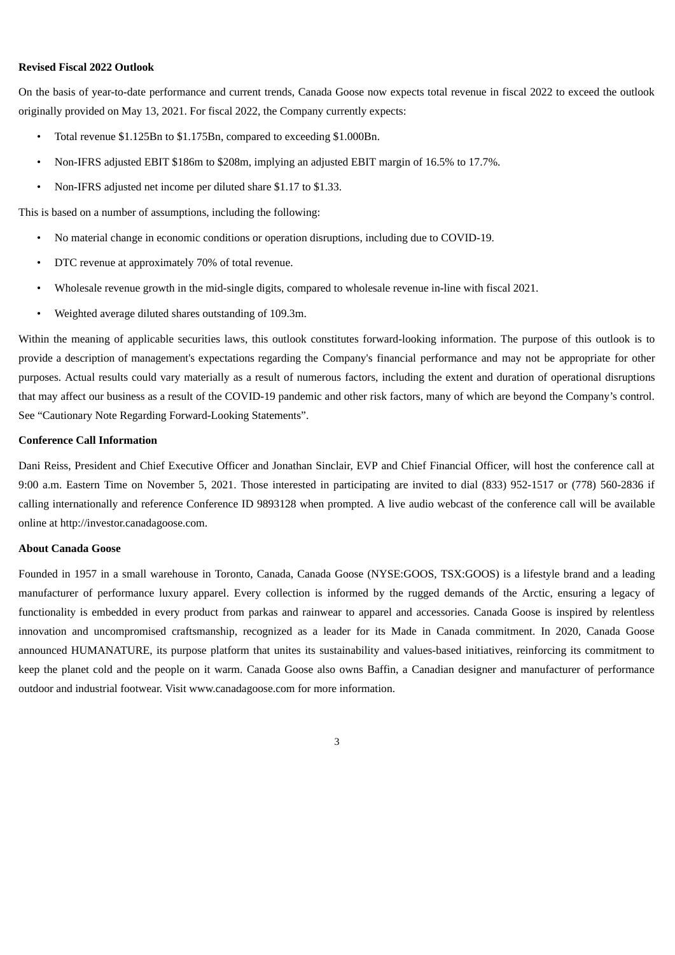#### **Revised Fiscal 2022 Outlook**

On the basis of year-to-date performance and current trends, Canada Goose now expects total revenue in fiscal 2022 to exceed the outlook originally provided on May 13, 2021. For fiscal 2022, the Company currently expects:

- Total revenue \$1.125Bn to \$1.175Bn, compared to exceeding \$1.000Bn.
- Non-IFRS adjusted EBIT \$186m to \$208m, implying an adjusted EBIT margin of 16.5% to 17.7%.
- Non-IFRS adjusted net income per diluted share \$1.17 to \$1.33.

This is based on a number of assumptions, including the following:

- No material change in economic conditions or operation disruptions, including due to COVID-19.
- DTC revenue at approximately 70% of total revenue.
- Wholesale revenue growth in the mid-single digits, compared to wholesale revenue in-line with fiscal 2021.
- Weighted average diluted shares outstanding of 109.3m.

Within the meaning of applicable securities laws, this outlook constitutes forward-looking information. The purpose of this outlook is to provide a description of management's expectations regarding the Company's financial performance and may not be appropriate for other purposes. Actual results could vary materially as a result of numerous factors, including the extent and duration of operational disruptions that may affect our business as a result of the COVID-19 pandemic and other risk factors, many of which are beyond the Company's control. See "Cautionary Note Regarding Forward-Looking Statements".

#### **Conference Call Information**

Dani Reiss, President and Chief Executive Officer and Jonathan Sinclair, EVP and Chief Financial Officer, will host the conference call at 9:00 a.m. Eastern Time on November 5, 2021. Those interested in participating are invited to dial (833) 952-1517 or (778) 560-2836 if calling internationally and reference Conference ID 9893128 when prompted. A live audio webcast of the conference call will be available online at http://investor.canadagoose.com.

#### **About Canada Goose**

Founded in 1957 in a small warehouse in Toronto, Canada, Canada Goose (NYSE:GOOS, TSX:GOOS) is a lifestyle brand and a leading manufacturer of performance luxury apparel. Every collection is informed by the rugged demands of the Arctic, ensuring a legacy of functionality is embedded in every product from parkas and rainwear to apparel and accessories. Canada Goose is inspired by relentless innovation and uncompromised craftsmanship, recognized as a leader for its Made in Canada commitment. In 2020, Canada Goose announced HUMANATURE, its purpose platform that unites its sustainability and values-based initiatives, reinforcing its commitment to keep the planet cold and the people on it warm. Canada Goose also owns Baffin, a Canadian designer and manufacturer of performance outdoor and industrial footwear. Visit www.canadagoose.com for more information.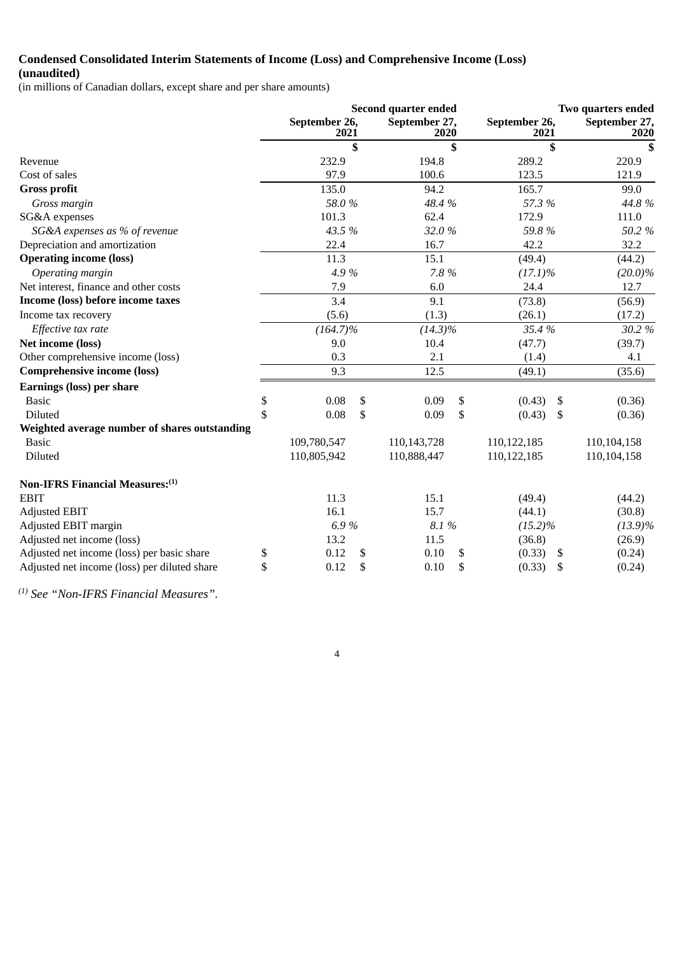# **Condensed Consolidated Interim Statements of Income (Loss) and Comprehensive Income (Loss)**

**(unaudited)**

(in millions of Canadian dollars, except share and per share amounts)

|                                               |              | Second quarter ended  |    |                       | Two quarters ended    |                       |  |
|-----------------------------------------------|--------------|-----------------------|----|-----------------------|-----------------------|-----------------------|--|
|                                               |              | September 26,<br>2021 |    | September 27,<br>2020 | September 26,<br>2021 | September 27,<br>2020 |  |
|                                               |              |                       | \$ | \$                    | \$                    | \$                    |  |
| Revenue                                       |              | 232.9                 |    | 194.8                 | 289.2                 | 220.9                 |  |
| Cost of sales                                 |              | 97.9                  |    | 100.6                 | 123.5                 | 121.9                 |  |
| <b>Gross profit</b>                           |              | 135.0                 |    | 94.2                  | 165.7                 | 99.0                  |  |
| Gross margin                                  |              | 58.0%                 |    | 48.4 %                | 57.3 %                | 44.8%                 |  |
| SG&A expenses                                 |              | 101.3                 |    | 62.4                  | 172.9                 | 111.0                 |  |
| SG&A expenses as % of revenue                 |              | 43.5 %                |    | 32.0%                 | 59.8%                 | 50.2%                 |  |
| Depreciation and amortization                 |              | 22.4                  |    | 16.7                  | 42.2                  | 32.2                  |  |
| <b>Operating income (loss)</b>                |              | 11.3                  |    | 15.1                  | (49.4)                | (44.2)                |  |
| Operating margin                              |              | 4.9%                  |    | 7.8 %                 | $(17.1)\%$            | $(20.0)\%$            |  |
| Net interest, finance and other costs         |              | 7.9                   |    | 6.0                   | 24.4                  | 12.7                  |  |
| Income (loss) before income taxes             |              | 3.4                   |    | 9.1                   | (73.8)                | (56.9)                |  |
| Income tax recovery                           |              | (5.6)                 |    | (1.3)                 | (26.1)                | (17.2)                |  |
| Effective tax rate                            |              | $(164.7)\%$           |    | $(14.3)\%$            | 35.4 %                | 30.2%                 |  |
| Net income (loss)                             |              | 9.0                   |    | 10.4                  | (47.7)                | (39.7)                |  |
| Other comprehensive income (loss)             |              | 0.3                   |    | 2.1                   | (1.4)                 | 4.1                   |  |
| <b>Comprehensive income (loss)</b>            |              | 9.3                   |    | 12.5                  | (49.1)                | (35.6)                |  |
| <b>Earnings (loss) per share</b>              |              |                       |    |                       |                       |                       |  |
| <b>Basic</b>                                  | \$           | 0.08                  | \$ | 0.09                  | \$<br>(0.43)<br>\$    | (0.36)                |  |
| <b>Diluted</b>                                | $\mathbb{S}$ | 0.08                  | \$ | 0.09                  | \$<br>(0.43)<br>\$    | (0.36)                |  |
| Weighted average number of shares outstanding |              |                       |    |                       |                       |                       |  |
| <b>Basic</b>                                  |              | 109,780,547           |    | 110,143,728           | 110,122,185           | 110,104,158           |  |
| Diluted                                       |              | 110,805,942           |    | 110,888,447           | 110,122,185           | 110,104,158           |  |
| Non-IFRS Financial Measures: (1)              |              |                       |    |                       |                       |                       |  |
| <b>EBIT</b>                                   |              | 11.3                  |    | 15.1                  | (49.4)                | (44.2)                |  |
| <b>Adjusted EBIT</b>                          |              | 16.1                  |    | 15.7                  | (44.1)                | (30.8)                |  |
| Adjusted EBIT margin                          |              | 6.9%                  |    | 8.1%                  | $(15.2)\%$            | $(13.9)\%$            |  |
| Adjusted net income (loss)                    |              | 13.2                  |    | 11.5                  | (36.8)                | (26.9)                |  |
| Adjusted net income (loss) per basic share    | \$           | 0.12                  | \$ | 0.10                  | \$<br>(0.33)<br>\$    | (0.24)                |  |
| Adjusted net income (loss) per diluted share  | \$           | 0.12                  | \$ | 0.10                  | \$<br>(0.33)<br>S     | (0.24)                |  |

4

 *See "Non-IFRS Financial Measures". (1)*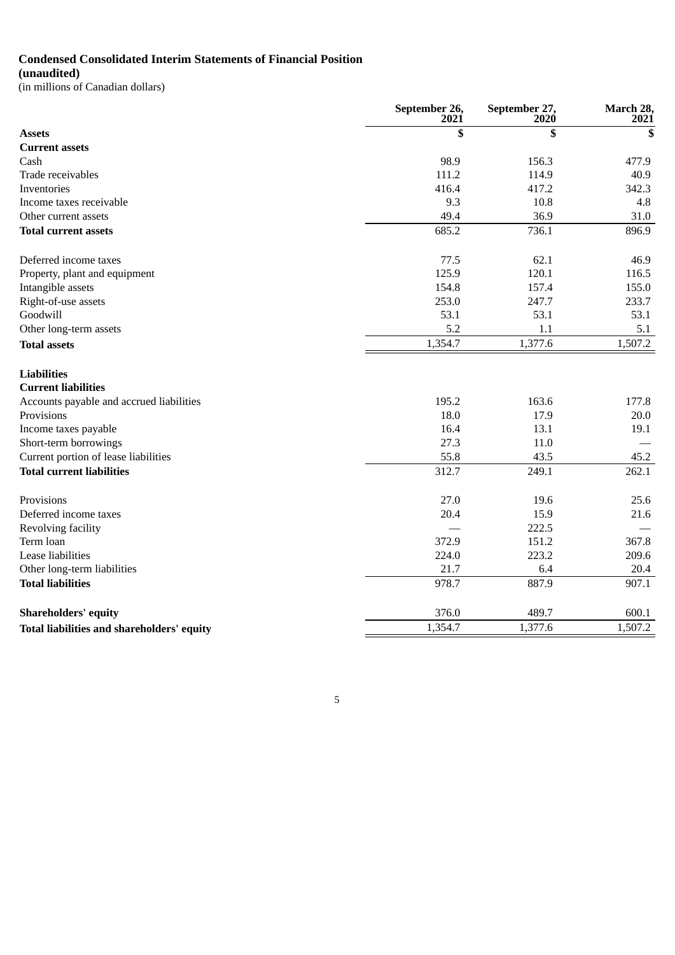# **Condensed Consolidated Interim Statements of Financial Position**

**(unaudited)** (in millions of Canadian dollars)

|                                            | September 26,<br>2021 | September 27,<br>2020 | March 28,<br>2021 |
|--------------------------------------------|-----------------------|-----------------------|-------------------|
| <b>Assets</b>                              | \$                    | \$                    | \$                |
| <b>Current assets</b>                      |                       |                       |                   |
| Cash                                       | 98.9                  | 156.3                 | 477.9             |
| Trade receivables                          | 111.2                 | 114.9                 | 40.9              |
| Inventories                                | 416.4                 | 417.2                 | 342.3             |
| Income taxes receivable                    | 9.3                   | 10.8                  | 4.8               |
| Other current assets                       | 49.4                  | 36.9                  | 31.0              |
| <b>Total current assets</b>                | 685.2                 | 736.1                 | 896.9             |
| Deferred income taxes                      | 77.5                  | 62.1                  | 46.9              |
| Property, plant and equipment              | 125.9                 | 120.1                 | 116.5             |
| Intangible assets                          | 154.8                 | 157.4                 | 155.0             |
| Right-of-use assets                        | 253.0                 | 247.7                 | 233.7             |
| Goodwill                                   | 53.1                  | 53.1                  | 53.1              |
| Other long-term assets                     | 5.2                   | 1.1                   | 5.1               |
| <b>Total assets</b>                        | 1,354.7               | 1,377.6               | 1,507.2           |
| <b>Liabilities</b>                         |                       |                       |                   |
| <b>Current liabilities</b>                 |                       |                       |                   |
| Accounts payable and accrued liabilities   | 195.2                 | 163.6                 | 177.8             |
| Provisions                                 | 18.0                  | 17.9                  | 20.0              |
| Income taxes payable                       | 16.4                  | 13.1                  | 19.1              |
| Short-term borrowings                      | 27.3                  | 11.0                  |                   |
| Current portion of lease liabilities       | 55.8                  | 43.5                  | 45.2              |
| <b>Total current liabilities</b>           | 312.7                 | 249.1                 | 262.1             |
| Provisions                                 | 27.0                  | 19.6                  | 25.6              |
| Deferred income taxes                      | 20.4                  | 15.9                  | 21.6              |
| Revolving facility                         |                       | 222.5                 |                   |
| Term loan                                  | 372.9                 | 151.2                 | 367.8             |
| Lease liabilities                          | 224.0                 | 223.2                 | 209.6             |
| Other long-term liabilities                | 21.7                  | 6.4                   | 20.4              |
| <b>Total liabilities</b>                   | 978.7                 | 887.9                 | 907.1             |
| <b>Shareholders' equity</b>                | 376.0                 | 489.7                 | 600.1             |
| Total liabilities and shareholders' equity | 1,354.7               | 1,377.6               | 1,507.2           |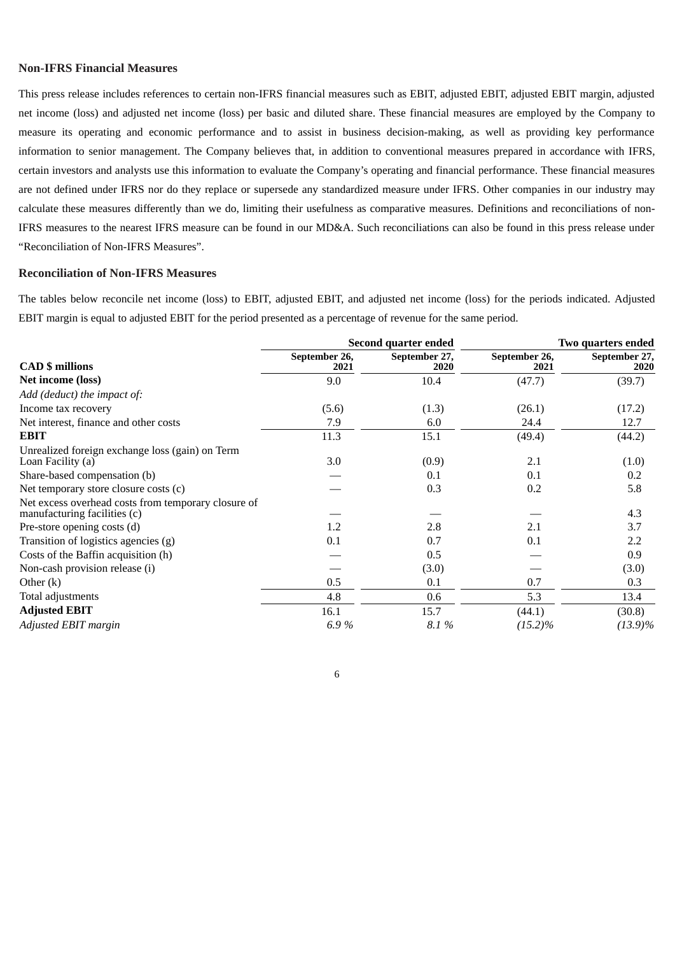# **Non-IFRS Financial Measures**

This press release includes references to certain non-IFRS financial measures such as EBIT, adjusted EBIT, adjusted EBIT margin, adjusted net income (loss) and adjusted net income (loss) per basic and diluted share. These financial measures are employed by the Company to measure its operating and economic performance and to assist in business decision-making, as well as providing key performance information to senior management. The Company believes that, in addition to conventional measures prepared in accordance with IFRS, certain investors and analysts use this information to evaluate the Company's operating and financial performance. These financial measures are not defined under IFRS nor do they replace or supersede any standardized measure under IFRS. Other companies in our industry may calculate these measures differently than we do, limiting their usefulness as comparative measures. Definitions and reconciliations of non-IFRS measures to the nearest IFRS measure can be found in our MD&A. Such reconciliations can also be found in this press release under "Reconciliation of Non-IFRS Measures".

#### **Reconciliation of Non-IFRS Measures**

The tables below reconcile net income (loss) to EBIT, adjusted EBIT, and adjusted net income (loss) for the periods indicated. Adjusted EBIT margin is equal to adjusted EBIT for the period presented as a percentage of revenue for the same period.

|                                                                                     |                       | Second quarter ended  | Two quarters ended    |                       |  |
|-------------------------------------------------------------------------------------|-----------------------|-----------------------|-----------------------|-----------------------|--|
| <b>CAD</b> \$ millions                                                              | September 26,<br>2021 | September 27,<br>2020 | September 26,<br>2021 | September 27,<br>2020 |  |
| Net income (loss)                                                                   | 9.0                   | 10.4                  | (47.7)                | (39.7)                |  |
| Add (deduct) the impact of:                                                         |                       |                       |                       |                       |  |
| Income tax recovery                                                                 | (5.6)                 | (1.3)                 | (26.1)                | (17.2)                |  |
| Net interest, finance and other costs                                               | 7.9                   | 6.0                   | 24.4                  | 12.7                  |  |
| <b>EBIT</b>                                                                         | 11.3                  | 15.1                  | (49.4)                | (44.2)                |  |
| Unrealized foreign exchange loss (gain) on Term<br>Loan Facility (a)                | 3.0                   | (0.9)                 | 2.1                   | (1.0)                 |  |
| Share-based compensation (b)                                                        |                       | 0.1                   | 0.1                   | 0.2                   |  |
| Net temporary store closure costs (c)                                               |                       | 0.3                   | 0.2                   | 5.8                   |  |
| Net excess overhead costs from temporary closure of<br>manufacturing facilities (c) |                       |                       |                       | 4.3                   |  |
| Pre-store opening costs (d)                                                         | 1.2                   | 2.8                   | 2.1                   | 3.7                   |  |
| Transition of logistics agencies (g)                                                | 0.1                   | 0.7                   | 0.1                   | 2.2                   |  |
| Costs of the Baffin acquisition (h)                                                 |                       | 0.5                   |                       | 0.9                   |  |
| Non-cash provision release (i)                                                      |                       | (3.0)                 |                       | (3.0)                 |  |
| Other $(k)$                                                                         | 0.5                   | 0.1                   | 0.7                   | 0.3                   |  |
| Total adjustments                                                                   | 4.8                   | 0.6                   | 5.3                   | 13.4                  |  |
| <b>Adjusted EBIT</b>                                                                | 16.1                  | 15.7                  | (44.1)                | (30.8)                |  |
| Adjusted EBIT margin                                                                | 6.9%                  | 8.1%                  | $(15.2)\%$            | $(13.9)\%$            |  |

6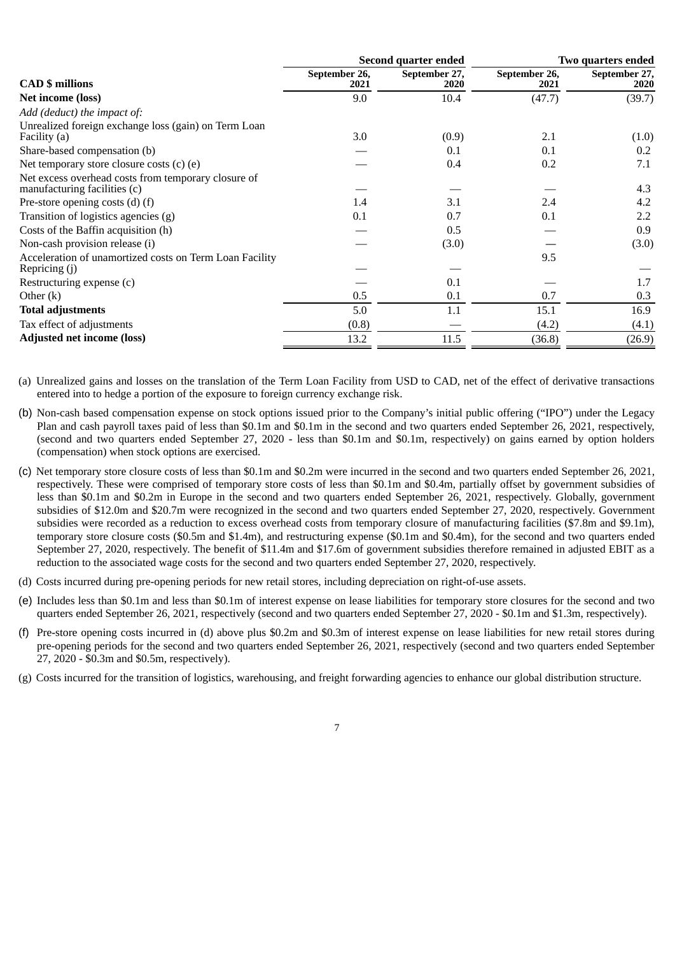|                                                                                     |                       | Second quarter ended  | Two quarters ended    |                       |  |
|-------------------------------------------------------------------------------------|-----------------------|-----------------------|-----------------------|-----------------------|--|
| <b>CAD</b> \$ millions                                                              | September 26,<br>2021 | September 27,<br>2020 | September 26,<br>2021 | September 27,<br>2020 |  |
| Net income (loss)                                                                   | 9.0                   | 10.4                  | (47.7)                | (39.7)                |  |
| Add (deduct) the impact of:                                                         |                       |                       |                       |                       |  |
| Unrealized foreign exchange loss (gain) on Term Loan<br>Facility (a)                | 3.0                   | (0.9)                 | 2.1                   | (1.0)                 |  |
| Share-based compensation (b)                                                        |                       | 0.1                   | 0.1                   | 0.2                   |  |
| Net temporary store closure costs $(c)$ $(e)$                                       |                       | 0.4                   | 0.2                   | 7.1                   |  |
| Net excess overhead costs from temporary closure of<br>manufacturing facilities (c) |                       |                       |                       | 4.3                   |  |
| Pre-store opening costs $(d)$ $(f)$                                                 | 1.4                   | 3.1                   | 2.4                   | 4.2                   |  |
| Transition of logistics agencies (g)                                                | 0.1                   | 0.7                   | 0.1                   | 2.2                   |  |
| Costs of the Baffin acquisition (h)                                                 |                       | 0.5                   |                       | 0.9                   |  |
| Non-cash provision release (i)                                                      |                       | (3.0)                 |                       | (3.0)                 |  |
| Acceleration of unamortized costs on Term Loan Facility<br>Repricing (j)            |                       |                       | 9.5                   |                       |  |
| Restructuring expense (c)                                                           |                       | 0.1                   |                       | 1.7                   |  |
| Other $(k)$                                                                         | 0.5                   | 0.1                   | 0.7                   | 0.3                   |  |
| <b>Total adjustments</b>                                                            | 5.0                   | 1.1                   | 15.1                  | 16.9                  |  |
| Tax effect of adjustments                                                           | (0.8)                 |                       | (4.2)                 | (4.1)                 |  |
| <b>Adjusted net income (loss)</b>                                                   | 13.2                  | 11.5                  | (36.8)                | (26.9)                |  |

- (a) Unrealized gains and losses on the translation of the Term Loan Facility from USD to CAD, net of the effect of derivative transactions entered into to hedge a portion of the exposure to foreign currency exchange risk.
- (b) Non-cash based compensation expense on stock options issued prior to the Company's initial public offering ("IPO") under the Legacy Plan and cash payroll taxes paid of less than \$0.1m and \$0.1m in the second and two quarters ended September 26, 2021, respectively, (second and two quarters ended September 27, 2020 - less than \$0.1m and \$0.1m, respectively) on gains earned by option holders (compensation) when stock options are exercised.
- (c) Net temporary store closure costs of less than \$0.1m and \$0.2m were incurred in the second and two quarters ended September 26, 2021, respectively. These were comprised of temporary store costs of less than \$0.1m and \$0.4m, partially offset by government subsidies of less than \$0.1m and \$0.2m in Europe in the second and two quarters ended September 26, 2021, respectively. Globally, government subsidies of \$12.0m and \$20.7m were recognized in the second and two quarters ended September 27, 2020, respectively. Government subsidies were recorded as a reduction to excess overhead costs from temporary closure of manufacturing facilities (\$7.8m and \$9.1m), temporary store closure costs (\$0.5m and \$1.4m), and restructuring expense (\$0.1m and \$0.4m), for the second and two quarters ended September 27, 2020, respectively. The benefit of \$11.4m and \$17.6m of government subsidies therefore remained in adjusted EBIT as a reduction to the associated wage costs for the second and two quarters ended September 27, 2020, respectively.
- (d) Costs incurred during pre-opening periods for new retail stores, including depreciation on right-of-use assets.
- (e) Includes less than \$0.1m and less than \$0.1m of interest expense on lease liabilities for temporary store closures for the second and two quarters ended September 26, 2021, respectively (second and two quarters ended September 27, 2020 - \$0.1m and \$1.3m, respectively).
- (f) Pre-store opening costs incurred in (d) above plus \$0.2m and \$0.3m of interest expense on lease liabilities for new retail stores during pre-opening periods for the second and two quarters ended September 26, 2021, respectively (second and two quarters ended September 27, 2020 - \$0.3m and \$0.5m, respectively).
- (g) Costs incurred for the transition of logistics, warehousing, and freight forwarding agencies to enhance our global distribution structure.

7